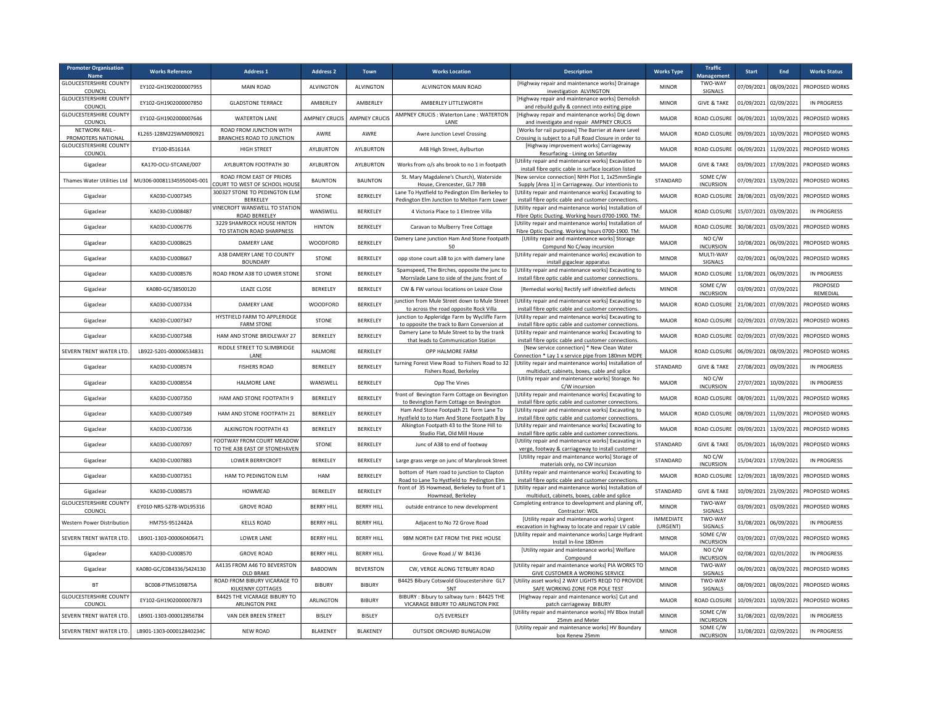| <b>Promoter Organisation</b><br><b>Name</b> | <b>Works Reference</b>    | <b>Address 1</b>                                           | <b>Address 2</b>  | Town                 | <b>Works Location</b>                                                                         | <b>Description</b>                                                                                                 | <b>Works Type</b>            | <b>Traffic</b><br><b>Managemen</b> | <b>Start</b> | End                   | <b>Works Status</b>       |
|---------------------------------------------|---------------------------|------------------------------------------------------------|-------------------|----------------------|-----------------------------------------------------------------------------------------------|--------------------------------------------------------------------------------------------------------------------|------------------------------|------------------------------------|--------------|-----------------------|---------------------------|
| <b>GLOUCESTERSHIRE COUNTY</b><br>COUNCIL    | EY102-GH1902000007955     | MAIN ROAD                                                  | ALVINGTON         | <b>ALVINGTON</b>     | ALVINGTON MAIN ROAD                                                                           | [Highway repair and maintenance works] Drainage<br>investigation ALVINGTON                                         | <b>MINOR</b>                 | TWO-WAY<br>SIGNALS                 | 07/09/2021   | 08/09/2021            | PROPOSED WORKS            |
| <b>GLOUCESTERSHIRE COUNTY</b><br>COUNCIL    | EY102-GH1902000007850     | <b>GLADSTONE TERRACE</b>                                   | AMBERLEY          | AMBERLEY             | AMBERLEY LITTLEWORTH                                                                          | [Highway repair and maintenance works] Demolish<br>and rebuild gully & connect into exiting pipe                   | <b>MINOR</b>                 | <b>GIVE &amp; TAKE</b>             | 01/09/2021   | 02/09/2021            | IN PROGRESS               |
| <b>GLOUCESTERSHIRE COUNTY</b><br>COUNCIL    | FY102-GH1902000007646     | <b>WATERTON LANE</b>                                       | AMPNEY CRUCIS     | <b>AMPNEY CRUCIS</b> | AMPNEY CRUCIS : Waterton Lane : WATERTON<br><b>I ANF</b>                                      | [Highway repair and maintenance works] Dig down<br>and investigate and repair AMPNEY CRUCIS                        | MAJOR                        | ROAD CLOSURE                       | 06/09/2021   | 10/09/2021            | PROPOSED WORKS            |
| NETWORK RAIL-<br>PROMOTERS NATIONAL         | KL265-128M22SWM090921     | ROAD FROM JUNCTION WITH<br>BRANCHES ROAD TO JUNCTION       | AWRE              | AWRE                 | Awre Junction Level Crossing                                                                  | [Works for rail purposes] The Barrier at Awre Level<br>Crossing is subject to a Full Road Closure in order to      | MAJOR                        | ROAD CLOSURE                       | 09/09/2021   | 10/09/2021            | PROPOSED WORKS            |
| <b>GLOUCESTERSHIRE COUNTY</b><br>COUNCIL    | EY100-851614A             | <b>HIGH STREET</b>                                         | AYLBURTON         | AYLBURTON            | A48 High Street, Aylburton                                                                    | [Highway improvement works] Carriageway<br>Resurfacing - Lining on Saturday                                        | MAJOR                        | ROAD CLOSURE                       | 06/09/2021   | 11/09/2021            | PROPOSED WORKS            |
| Gigaclear                                   | KA170-OCU-STCANE/007      | AYLBURTON FOOTPATH 30                                      | AYLBURTON         | AYLBURTON            | Works from o/s ahs brook to no 1 in footpath                                                  | [Utility repair and maintenance works] Excavation to<br>install fibre optic cable in surface location listed       | MAJOR                        | <b>GIVE &amp; TAKE</b>             | 03/09/2021   |                       | 17/09/2021 PROPOSED WORKS |
| Thames Water Utilities Ltd                  | MU306-000811345950045-001 | ROAD FROM EAST OF PRIORS<br>OURT TO WEST OF SCHOOL HOUSE   | <b>BAUNTON</b>    | <b>BAUNTON</b>       | St. Mary Magdalene's Church), Waterside<br>House, Cirencester, GL7 7BB                        | [New service connection] NHH Plot 1, 1x25mmSingle<br>Supply [Area 1] in Carriageway. Our intentionis to            | STANDARD                     | SOME C/W<br><b>INCURSION</b>       | 07/09/2021   | 13/09/2021            | PROPOSED WORKS            |
| Gigaclear                                   | KA030-CU007345            | 300327 STONE TO PEDINGTON ELM<br>BERKELEY                  | STONE             | BERKELEY             | Lane To Hystfield to Pedington Elm Berkeley to<br>Pedington Elm Junction to Melton Farm Lower | [Utility repair and maintenance works] Excavating to<br>install fibre optic cable and customer connections.        | MAJOR                        | ROAD CLOSURE                       | 28/08/2021   | 03/09/2021            | PROPOSED WORKS            |
| Gigaclear                                   | KA030-CU008487            | VINECROFT WANSWELL TO STATION<br><b>ROAD BERKELEY</b>      | WANSWELL          | BERKELEY             | 4 Victoria Place to 1 Elmtree Villa                                                           | [Utility repair and maintenance works] Installation of<br>Fibre Optic Ducting. Working hours 0700-1900. TM:        | MAJOR                        | ROAD CLOSURE                       | 15/07/2021   | 03/09/2021            | IN PROGRESS               |
| Gigaclear                                   | KA030-CU006776            | 3229 SHAMROCK HOUSE HINTON<br>TO STATION ROAD SHARPNESS    | <b>HINTON</b>     | BERKELEY             | Caravan to Mulberry Tree Cottage                                                              | [Utility repair and maintenance works] Installation of<br>Fibre Optic Ducting. Working hours 0700-1900. TM:        | MAJOR                        | ROAD CLOSUR                        | 30/08/2021   | 03/09/2021            | PROPOSED WORKS            |
| Gigaclear                                   | KA030-CU008625            | <b>DAMERY LANE</b>                                         | WOODFORD          | BERKELEY             | Damery Lane junction Ham And Stone Footpath<br>50                                             | [Utility repair and maintenance works] Storage<br>Compund No C/way incursion                                       | MAJOR                        | NO C/W<br><b>INCURSION</b>         | 10/08/2021   | 06/09/2021            | PROPOSED WORKS            |
| Gigaclear                                   | KA030-CU008667            | A38 DAMERY LANE TO COUNTY<br><b>BOUNDARY</b>               | STONE             | BERKELEY             | opp stone court a38 to jcn with damery lane                                                   | [Utility repair and maintenance works] excavation to<br>install gigaclear apparatus                                | <b>MINOR</b>                 | MULTI-WAY<br>SIGNALS               | 02/09/2021   | 06/09/2021            | PROPOSED WORKS            |
| Gigaclear                                   | KA030-CU008576            | ROAD FROM A38 TO LOWER STONE                               | STONE             | BERKELEY             | Spamspeed, The Birches, opposite the junc to<br>Morrslade Lane to side of the junc front of   | [Utility repair and maintenance works] Excavating to<br>install fibre optic cable and customer connections.        | MAJOR                        | ROAD CLOSURE                       | 11/08/2021   | 06/09/2021            | IN PROGRESS               |
| Gigaclear                                   | KA080-GC/38500120         | <b>LEAZE CLOSE</b>                                         | BERKELEY          | BERKELEY             | CW & FW various locations on Leaze Close                                                      | [Remedial works] Rectify self idneitified defects                                                                  | <b>MINOR</b>                 | SOME C/W<br><b>INCURSION</b>       | 03/09/2021   | 07/09/2021            | PROPOSED<br>REMEDIAL      |
| Gigaclear                                   | KA030-CU007334            | <b>DAMERY LANE</b>                                         | WOODFORD          | BERKELEY             | junction from Mule Street down to Mule Street<br>to across the road opposite Rock Villa       | <b>IUtility repair and maintenance worksl Excavating to</b><br>install fibre optic cable and customer connections. | MAJOR                        | ROAD CLOSURE                       | 21/08/2021   | 07/09/2021            | PROPOSED WORKS            |
| Gigaclear                                   | KA030-CU007347            | HYSTFIELD FARM TO APPLERIDGE<br><b>FARM STONE</b>          | STONE             | BERKELEY             | junction to Appleridge Farm by Wycliffe Farm<br>to opposite the track to Barn Conversion at   | [Utility repair and maintenance works] Excavating to<br>install fibre optic cable and customer connections.        | MAJOR                        | ROAD CLOSURE                       | 02/09/2021   | 07/09/2021            | PROPOSED WORKS            |
| Gigaclear                                   | KA030-CU007348            | HAM AND STONE BRIDLEWAY 27                                 | BERKELEY          | BERKELEY             | Damery Lane to Mule Street to by the trank<br>that leads to Communication Station             | [Utility repair and maintenance works] Excavating to<br>install fibre optic cable and customer connections.        | MAJOR                        | ROAD CLOSURE                       | 02/09/2021   | 07/09/2021            | PROPOSED WORKS            |
| SEVERN TRENT WATER LTD.                     | LB922-5201-000006534831   | RIDDLE STREET TO SLIMBRIDGE<br>LANE                        | HALMORE           | BERKELEY             | OPP HALMORE FARM                                                                              | [New service connection] * New Clean Water<br>Connection * Lay 1 x service pipe from 180mm MDPE                    | MAJOR                        | ROAD CLOSURE                       | 06/09/2021   | 08/09/2021            | PROPOSED WORKS            |
| Gigaclear                                   | KA030-CU008574            | <b>FISHERS ROAD</b>                                        | BERKELEY          | BERKELEY             | turning Forest View Road to Fishers Road to 32<br>Fishers Road, Berkeley                      | [Utility repair and maintenance works] Installation of<br>multiduct, cabinets, boxes, cable and splice             | STANDARD                     | <b>GIVE &amp; TAKE</b>             | 27/08/2021   | 09/09/2021            | IN PROGRESS               |
| Gigaclear                                   | KA030-CU008554            | HALMORE LANE                                               | WANSWELL          | BERKELEY             | Opp The Vines                                                                                 | [Utility repair and maintenance works] Storage. No<br>C/W incursion                                                | MAJOR                        | NO C/W<br><b>INCURSION</b>         | 27/07/2021   | 10/09/2021            | IN PROGRESS               |
| Gigaclear                                   | KA030-CU007350            | HAM AND STONE FOOTPATH 9                                   | BERKELEY          | BERKELEY             | front of Bevington Farm Cottage on Bevington<br>to Bevington Farm Cottage on Bevington        | [Utility repair and maintenance works] Excavating to<br>install fibre optic cable and customer connections.        | MAJOR                        | ROAD CLOSURE                       | 08/09/2021   | 11/09/2021            | PROPOSED WORKS            |
| Gigaclear                                   | KA030-CU007349            | HAM AND STONE FOOTPATH 21                                  | BERKELEY          | BERKELEY             | Ham And Stone Footpath 21 form Lane To<br>Hystfield to to Ham And Stone Footpath 8 by         | [Utility repair and maintenance works] Excavating to<br>install fibre optic cable and customer connections.        | MAJOR                        | ROAD CLOSURE                       | 08/09/2021   | 11/09/2021            | PROPOSED WORKS            |
| Gigaclear                                   | KA030-CU007336            | ALKINGTON FOOTPATH 43                                      | BERKELEY          | BERKELEY             | Alkington Footpath 43 to the Stone Hill to<br>Studio Flat, Old Mill House                     | [Utility repair and maintenance works] Excavating to<br>install fibre optic cable and customer connections.        | MAJOR                        | ROAD CLOSURE                       | 09/09/2021   | 13/09/2021            | PROPOSED WORKS            |
| Gigaclear                                   | KA030-CU007097            | FOOTWAY FROM COURT MEADOW<br>TO THE A38 EAST OF STONEHAVEN | STONE             | BERKELEY             | Junc of A38 to end of footway                                                                 | [Utility repair and maintenance works] Excavating in<br>verge, footway & carriageway to install customer           | STANDARD                     | <b>GIVE &amp; TAKE</b>             | 05/09/2021   | 16/09/2021            | PROPOSED WORKS            |
| Gigaclear                                   | KA030-CU007883            | <b>LOWER BERRYCROFT</b>                                    | BERKELEY          | BERKELEY             | Large grass verge on junc of Marybrook Street                                                 | [Utility repair and maintenance works] Storage of<br>materials only, no CW incursion                               | STANDARD                     | NO C/W<br><b>INCURSION</b>         | 15/04/2021   | 17/09/2021            | <b>IN PROGRESS</b>        |
| Gigaclear                                   | KA030-CU007351            | HAM TO PEDINGTON ELM                                       | HAM               | BERKELEY             | bottom of Ham road to junction to Clapton<br>Road to Lane To Hystfield to Pedington Elm       | [Utility repair and maintenance works] Excavating to<br>install fibre optic cable and customer connections         | MAJOR                        | ROAD CLOSURE                       | 12/09/2021   | 18/09/2021            | PROPOSED WORKS            |
| Gigaclear                                   | KA030-CU008573            | HOWMEAD                                                    | BERKELEY          | BERKELEY             | front of 35 Howmead, Berkeley to front of 1<br>Howmead, Berkeley                              | [Utility repair and maintenance works] Installation of<br>multiduct, cabinets, boxes, cable and splice             | STANDARD                     | <b>GIVE &amp; TAKE</b>             |              | 10/09/2021 23/09/2021 | PROPOSED WORKS            |
| <b>GLOUCESTERSHIRE COUNTY</b><br>COUNCIL    | EY010-NRS-S278-WDL95316   | <b>GROVE ROAD</b>                                          | <b>BERRY HILL</b> | <b>BERRY HILL</b>    | outside entrance to new development                                                           | Completing entrance to development and planing off<br>Contractor: WDI                                              | <b>MINOR</b>                 | TWO-WAY<br>SIGNALS                 |              | 03/09/2021 03/09/2021 | PROPOSED WORKS            |
| <b>Western Power Distribution</b>           | HM755-9512442A            | <b>KELLS ROAD</b>                                          | <b>BERRY HILL</b> | <b>BERRY HILL</b>    | Adjacent to No 72 Grove Road                                                                  | [Utility repair and maintenance works] Urgent<br>excavation in highway to locate and repair LV cable               | <b>IMMEDIATE</b><br>(URGENT) | TWO-WAY<br>SIGNALS                 |              | 31/08/2021 06/09/2021 | IN PROGRESS               |
| SEVERN TRENT WATER LTD                      | LB901-1303-000060406471   | <b>LOWER LANE</b>                                          | <b>BERRY HILL</b> | <b>BERRY HILL</b>    | 98M NORTH FAT FROM THE PIKE HOUSE                                                             | [Utility repair and maintenance works] Large Hydrant<br>Install In-line 180mm                                      | <b>MINOR</b>                 | SOME C/W<br><b>INCURSION</b>       |              | 03/09/2021 07/09/2021 | PROPOSED WORKS            |
| Gigaclear                                   | KA030-CU008570            | <b>GROVE ROAD</b>                                          | <b>BERRY HILL</b> | <b>BERRY HILL</b>    | Grove Road J/ W B4136                                                                         | [Utility repair and maintenance works] Welfare<br>Compound                                                         | MAJOR                        | NO C/W<br><b>INCURSION</b>         |              | 02/08/2021 02/01/2022 | IN PROGRESS               |
| Gigaclear                                   | KA080-GC/C084336/S424130  | A4135 FROM A46 TO BEVERSTON<br><b>OLD BRAKE</b>            | <b>BABDOWN</b>    | <b>BEVERSTON</b>     | CW, VERGE ALONG TETBURY ROAD                                                                  | [Utility repair and maintenance works] PIA WORKS TO<br>GIVE CUSTOMER A WORKING SERVICE                             | <b>MINOR</b>                 | TWO-WAY<br>SIGNALS                 | 06/09/2021   | 08/09/2021            | PROPOSED WORKS            |
| <b>BT</b>                                   | BC008-PTMS109875A         | ROAD FROM BIBURY VICARAGE TO<br>KILKENNY COTTAGES          | <b>BIBURY</b>     | BIBURY               | B4425 Bibury Cotswold Gloucestershire GL7<br>5NT                                              | [Utility asset works] 2 WAY LIGHTS REQD TO PROVIDE<br>SAFE WORKING ZONE FOR POLE TEST                              | <b>MINOR</b>                 | TWO-WAY<br>SIGNALS                 | 08/09/2021   | 08/09/2021            | PROPOSED WORKS            |
| <b>GLOUCESTERSHIRE COUNTY</b><br>COUNCIL    | EY102-GH1902000007873     | B4425 THE VICARAGE BIBURY TO<br><b>ARLINGTON PIKE</b>      | ARLINGTON         | <b>BIBURY</b>        | BIBURY : Bibury to saltway turn : B4425 THE<br>VICARAGE BIBURY TO ARLINGTON PIKE              | [Highway repair and maintenance works] Cut and<br>patch carriageway BIBURY                                         | MAJOR                        | ROAD CLOSUR                        | 10/09/2021   | 10/09/2021            | PROPOSED WORKS            |
| SEVERN TRENT WATER LTD.                     | LB901-1303-000012856784   | VAN DER BREEN STREET                                       | <b>BISLEY</b>     | <b>BISLEY</b>        | O/S EVERSLEY                                                                                  | [Utility repair and maintenance works] HV Bbox Instal<br>25mm and Meter                                            | <b>MINOR</b>                 | SOME C/W<br><b>INCURSION</b>       | 31/08/2021   | 02/09/2021            | <b>IN PROGRESS</b>        |
| SEVERN TRENT WATER LTD.                     | LB901-1303-000012840234C  | <b>NEW ROAD</b>                                            | <b>BLAKENEY</b>   | <b>BLAKENEY</b>      | OUTSIDE ORCHARD BUNGALOW                                                                      | [Utility repair and maintenance works] HV Boundary<br>box Renew 25mm                                               | <b>MINOR</b>                 | SOME C/W<br><b>INCURSION</b>       | 31/08/2021   | 02/09/2021            | IN PROGRESS               |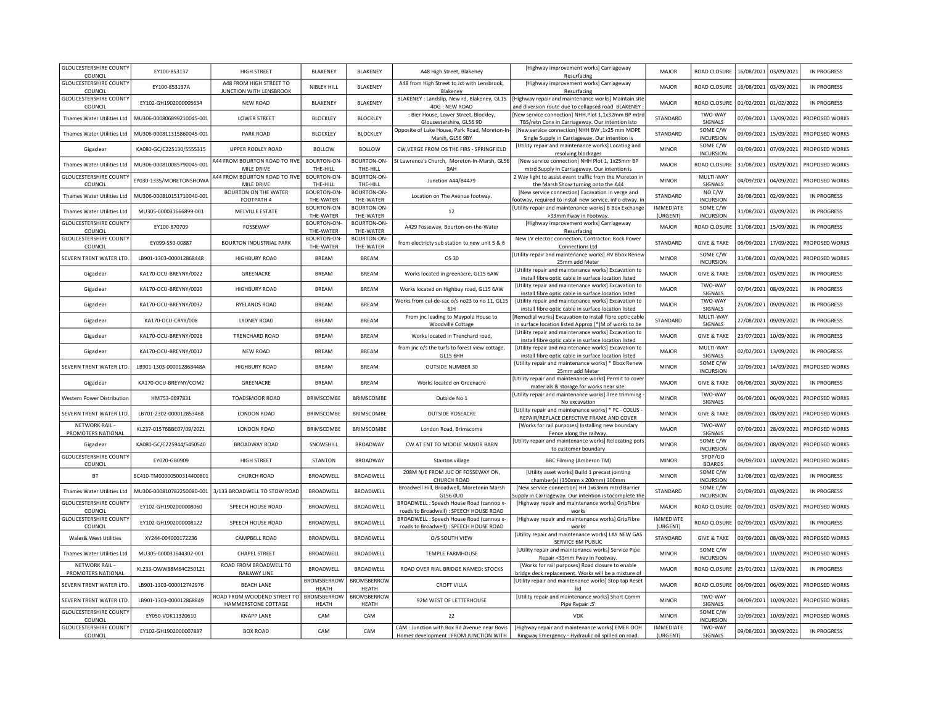| <b>GLOUCESTERSHIRE COUNTY</b><br>COUNCIL       | EY100-853137              | <b>HIGH STREET</b>                                             | <b>BLAKENEY</b>                 | <b>BLAKENEY</b>                | A48 High Street, Blakeney                                                           | [Highway improvement works] Carriageway<br>Resurfacing                                                                                                                   | MAJOR                        | ROAD CLOSURE                                     | 16/08/2021 | 03/09/2021 | <b>IN PROGRESS</b> |
|------------------------------------------------|---------------------------|----------------------------------------------------------------|---------------------------------|--------------------------------|-------------------------------------------------------------------------------------|--------------------------------------------------------------------------------------------------------------------------------------------------------------------------|------------------------------|--------------------------------------------------|------------|------------|--------------------|
| <b>GLOUCESTERSHIRE COUNTY</b><br>COUNCIL       | EY100-853137A             | A48 FROM HIGH STREET TO<br>JUNCTION WITH LENSBROOK             | NIBLEY HILL                     | BLAKENEY                       | A48 from High Street to Jct with Lensbrook,<br><b>Blakeney</b>                      | [Highway improvement works] Carriageway<br>Resurfacing                                                                                                                   | MAJOR                        | ROAD CLOSURE                                     | 16/08/2021 | 03/09/2021 | IN PROGRESS        |
| <b>GLOUCESTERSHIRE COUNTY</b><br>COUNCIL       | EY102-GH1902000005634     | NEW ROAD                                                       | BLAKENEY                        | <b>BLAKENEY</b>                | BLAKENEY : Landslip, New rd, Blakeney, GL15<br>4DG: NEW ROAD                        | [Highway repair and maintenance works] Maintain site<br>and diversion route due to collapsed road BLAKENEY                                                               | MAJOR                        | ROAD CLOSURE                                     | 01/02/2021 | 01/02/2022 | <b>IN PROGRESS</b> |
| Thames Water Utilities Ltd                     | MU306-000806899210045-001 | <b>LOWER STREET</b>                                            | <b>BLOCKLEY</b>                 | <b>BLOCKLEY</b>                | : Bier House, Lower Street, Blockley,<br>Gloucestershire, GL56 9D                   | New service connection] NHH,Plot 1,1x32mm BP mtrd<br>TBS/retn Conx in Carriageway. Our intention isto                                                                    | STANDARD                     | <b>TWO-WAY</b><br><b>SIGNALS</b>                 | 07/09/2021 | 13/09/2021 | PROPOSED WORKS     |
| Thames Water Utilities Ltd                     | MU306-000811315860045-001 | PARK ROAD                                                      | <b>BLOCKLEY</b>                 | <b>BLOCKLEY</b>                | Opposite of Luke House, Park Road, Moreton-In<br>Marsh, GL56 9BY                    | [New service connection] NHH BW, 1x25 mm MDPE<br>Single Supply in Carriageway. Our intention is                                                                          | STANDARD                     | SOME C/W<br><b>INCURSION</b>                     | 09/09/2021 | 15/09/2021 | PROPOSED WORKS     |
| Gigaclear                                      | KA080-GC/C225130/S555315  | <b>UPPER RODLEY ROAD</b>                                       | <b>BOLLOW</b>                   | <b>BOLLOW</b>                  | CW, VERGE FROM OS THE FIRS - SPRINGFIELD                                            | [Utility repair and maintenance works] Locating and<br>resolving blockages                                                                                               | <b>MINOR</b>                 | SOME C/W<br><b>INCURSION</b>                     | 03/09/2021 | 07/09/2021 | PROPOSED WORKS     |
| Thames Water Utilities Ltd                     | MU306-000810085790045-001 | 444 FROM BOURTON ROAD TO FIVE<br>MILE DRIVE                    | <b>BOURTON-ON</b><br>THE-HILL   | BOURTON-ON-<br>THE-HILL        | St Lawrence's Church, Moreton-In-Marsh, GL56<br>9AH                                 | [New service connection] NHH Plot 1, 1x25mm BP<br>mtrd Supply in Carriageway. Our intention is                                                                           | MAJOR                        | ROAD CLOSURE                                     | 31/08/2021 | 03/09/2021 | PROPOSED WORKS     |
| <b>GLOUCESTERSHIRE COUNT</b><br>COUNCIL        | EY030-1335/MORETONSHOWA   | A44 FROM BOURTON ROAD TO FIVE<br>MILE DRIVE                    | BOURTON-ON-<br>THE-HILL         | BOURTON-ON-<br>THE-HILL        | Junction A44/B4479                                                                  | 2 Way light to assist event traffic from the Moreton in<br>the Marsh Show turning onto the A44                                                                           | <b>MINOR</b>                 | MULTI-WAY<br><b>SIGNALS</b>                      | 04/09/2021 | 04/09/2021 | PROPOSED WORKS     |
| Thames Water Utilities Ltd                     | MU306-000810151710040-001 | BOURTON ON THE WATER<br>FOOTPATH 4                             | <b>BOURTON-ON-</b><br>THE-WATER | <b>BOURTON-ON</b><br>THE-WATER | Location on The Avenue footway.                                                     | [New service connection] Excavation in verge and<br>ootway, required to install new service. inFo otway. ir                                                              | STANDARD                     | NO C/W<br><b>INCURSION</b>                       | 26/08/2021 | 02/09/2021 | IN PROGRESS        |
| <b>Thames Water Utilities Ltd</b>              | MU305-000031666899-001    | MELVILLE ESTATE                                                | BOURTON-ON-<br>THE-WATER        | BOURTON-ON-<br>THE-WATER       | 12                                                                                  | [Utility repair and maintenance works] B Box Exchange<br>>33mm Fway in Footway                                                                                           | <b>IMMEDIATE</b><br>(URGENT) | SOME C/W<br><b>INCURSION</b>                     | 31/08/2021 | 03/09/2021 | IN PROGRESS        |
| <b>GLOUCESTERSHIRE COUNTY</b><br><b>COUNCI</b> | EY100-870709              | FOSSEWAY                                                       | BOURTON-ON-<br>THE-WATER        | BOURTON-ON-<br>THE-WATER       | A429 Fosseway, Bourton-on-the-Water                                                 | [Highway improvement works] Carriageway<br>Resurfacing                                                                                                                   | MAJOR                        | ROAD CLOSURE                                     | 31/08/2021 | 15/09/2021 | <b>IN PROGRESS</b> |
| <b>GLOUCESTERSHIRE COUNTY</b><br>COUNCIL       | EY099-S50-00887           | <b>BOURTON INDUSTRIAL PARK</b>                                 | BOURTON-ON-<br>THE-WATER        | BOURTON-ON-<br>THE-WATER       | from electricty sub station to new unit 5 & 6                                       | New LV electric connection, Contractor: Rock Power<br><b>Connections Ltd</b>                                                                                             | STANDARD                     | <b>GIVE &amp; TAKE</b>                           | 06/09/2021 | 17/09/2021 | PROPOSED WORKS     |
| SEVERN TRENT WATER LTD.                        | LB901-1303-000012868448   | <b>HIGHBURY ROAD</b>                                           | <b>BREAM</b>                    | <b>BREAM</b>                   | OS 30                                                                               | Utility repair and maintenance works] HV Bbox Renew<br>25mm add Meter                                                                                                    | <b>MINOR</b>                 | SOME C/W<br><b>INCURSION</b>                     | 31/08/2021 | 02/09/2021 | PROPOSED WORKS     |
| Gigaclear                                      | KA170-OCU-BREYNY/0022     | GREENACRE                                                      | <b>BREAM</b>                    | <b>BREAM</b>                   | Works located in greenacre, GL15 6AW                                                | [Utility repair and maintenance works] Excavation to<br>install fibre optic cable in surface location listed                                                             | MAJOR                        | <b>GIVE &amp; TAKE</b>                           | 19/08/2021 | 03/09/2021 | <b>IN PROGRESS</b> |
| Gigaclear                                      | KA170-OCU-BREYNY/0020     | <b>HIGHBURY ROAD</b>                                           | <b>BRFAM</b>                    | <b>BREAM</b>                   | Works located on Highbuy road, GL15 6AW                                             | [Utility repair and maintenance works] Excavation to<br>install fibre optic cable in surface location listed                                                             | MAIOR                        | TWO-WAY<br>SIGNALS                               | 07/04/2021 | 08/09/2021 | IN PROGRESS        |
| Gigaclear                                      | KA170-OCU-BREYNY/0032     | <b>RYELANDS ROAD</b>                                           | <b>BREAM</b>                    | <b>BRFAM</b>                   | Works from cul-de-sac o/s no23 to no 11, GL15<br>6 <sub>IH</sub>                    | [Utility repair and maintenance works] Excavation to                                                                                                                     | MAJOR                        | TWO-WAY<br>SIGNALS                               | 25/08/2021 | 09/09/2021 | <b>IN PROGRESS</b> |
| Gigaclear                                      | KA170-OCU-CRYY/008        | <b>LYDNEY ROAD</b>                                             | <b>BREAM</b>                    | <b>BREAM</b>                   | From jnc leading to Maypole House to<br><b>Woodville Cottage</b>                    | install fibre optic cable in surface location listed<br>Remedial works] Excavation to install fibre optic cable<br>in surface location listed Approx [*]M of works to be | STANDARD                     | MULTI-WAY<br>SIGNALS                             | 27/08/2021 | 09/09/2021 | <b>IN PROGRESS</b> |
| Gigaclear                                      | KA170-OCU-BREYNY/0026     | TRENCHARD ROAD                                                 | <b>BREAM</b>                    | <b>BRFAM</b>                   | Works located in Trenchard road,                                                    | [Utility repair and maintenance works] Excavation to                                                                                                                     | MAJOR                        | <b>GIVE &amp; TAKE</b>                           | 23/07/2021 | 10/09/2021 | <b>IN PROGRESS</b> |
| Gigaclear                                      | KA170-OCU-BREYNY/0012     | <b>NEW ROAD</b>                                                | <b>BREAM</b>                    | <b>BREAM</b>                   | from jnc o/s the turfs to forest view cottage,                                      | install fibre optic cable in surface location listed<br>[Utility repair and maintenance works] Excavation to                                                             | MAJOR                        | MULTI-WAY<br>SIGNALS                             | 02/02/2021 | 13/09/2021 | <b>IN PROGRESS</b> |
| SEVERN TRENT WATER LTD                         | LB901-1303-000012868448A  | <b>HIGHBURY ROAD</b>                                           | <b>BREAM</b>                    | <b>BREAM</b>                   | GL15 6HH<br>OUTSIDE NUMBER 30                                                       | install fibre optic cable in surface location listed<br>[Utility repair and maintenance works] * Bbox Renev<br>25mm add Meter                                            | <b>MINOR</b>                 | SOME C/W<br><b>INCURSION</b>                     | 10/09/2021 | 14/09/2021 | PROPOSED WORKS     |
| Gigaclear                                      | KA170-OCU-BREYNY/COM2     | GREENACRE                                                      | <b>BREAM</b>                    | <b>BREAM</b>                   | Works located on Greenacre                                                          | [Utility repair and maintenance works] Permit to cover                                                                                                                   | MAJOR                        | <b>GIVE &amp; TAKE</b>                           | 06/08/2021 | 30/09/2021 | <b>IN PROGRESS</b> |
| Western Power Distributior                     | HM753-0697831             | TOADSMOOR ROAD                                                 | <b>BRIMSCOMBE</b>               | BRIMSCOMBE                     | Outside No 1                                                                        | materials & storage for works near site.<br>[Utility repair and maintenance works] Tree trimming                                                                         | <b>MINOR</b>                 | TWO-WAY<br>SIGNALS                               | 06/09/2021 | 06/09/2021 | PROPOSED WORKS     |
| SEVERN TRENT WATER LTD.                        | LB701-2302-000012853468   | <b>LONDON ROAD</b>                                             | <b>BRIMSCOMBE</b>               | BRIMSCOMBE                     | <b>OUTSIDE ROSEACRE</b>                                                             | No excavation<br>[Utility repair and maintenance works] * FC - COLUS                                                                                                     | <b>MINOR</b>                 | <b>GIVE &amp; TAKE</b>                           | 08/09/2021 | 08/09/2021 | PROPOSED WORKS     |
| <b>NETWORK RAIL</b><br>PROMOTERS NATIONAL      | KL237-01576BBE07/09/2021  | LONDON ROAD                                                    | <b>BRIMSCOMBE</b>               | <b>BRIMSCOMBE</b>              | London Road, Brimscome                                                              | REPAIR/REPLACE DEFECTIVE FRAME AND COVER<br>[Works for rail purposes] Installing new boundary                                                                            | MAIOR                        | TWO-WAY<br>SIGNALS                               | 07/09/2021 | 28/09/2021 | PROPOSED WORKS     |
| Gigaclear                                      | KA080-GC/C225944/S450540  | <b>BROADWAY ROAD</b>                                           | SNOWSHILL                       | <b>BROADWAY</b>                | CW AT ENT TO MIDDLE MANOR BARN                                                      | Fence along the railway.<br>[Utility repair and maintenance works] Relocating pots                                                                                       | <b>MINOR</b>                 | SOME C/W                                         | 06/09/2021 | 08/09/2021 | PROPOSED WORKS     |
| <b>GLOUCESTERSHIRE COUNTY</b>                  | EY020-GB0909              | <b>HIGH STREET</b>                                             | <b>STANTON</b>                  | <b>BROADWAY</b>                | Stanton village                                                                     | to customer boundary<br><b>BBC Filming (Amberon TM)</b>                                                                                                                  | <b>MINOR</b>                 | <b>INCURSION</b><br>STOP/GO                      | 09/09/2021 | 10/09/2021 | PROPOSED WORKS     |
| COUNCIL<br><b>BT</b>                           | BC410-TM00000500314400801 | <b>CHURCH ROAD</b>                                             | BROADWELL                       | BROADWELL                      | 208M N/E FROM JUC OF FOSSEWAY ON,                                                   | [Utility asset works] Build 1 precast jointing                                                                                                                           | <b>MINOR</b>                 | <b>BOARDS</b><br>SOME C/W                        | 31/08/2021 | 02/09/2021 | IN PROGRESS        |
| Thames Water Utilities Ltd                     | MU306-000810782250080-001 | 3/133 BROADWELL TO STOW ROAD                                   | BROADWELL                       | BROADWELL                      | <b>CHURCH ROAD</b><br>Broadwell Hill, Broadwell, Moretonin Marsh<br><b>GL56 OUD</b> | chamber(s) (350mm x 200mm) 300mm<br>[New service connection] HH 1x63mm mtrd Barrier                                                                                      | STANDARD                     | <b>INCURSION</b><br>SOME C/W<br><b>INCURSION</b> | 01/09/2021 | 03/09/2021 | IN PROGRESS        |
| <b>GLOUCESTERSHIRE COUNTY</b><br>COUNCIL       | EY102-GH1902000008060     | SPEECH HOUSE ROAD                                              | BROADWELL                       | BROADWELL                      | BROADWELL : Speech House Road (cannop x-<br>roads to Broadwell) : SPEECH HOUSE ROAD | upply in Carriageway. Our intention is tocomplete the<br>[Highway repair and maintenance works] GripFibre<br>work:                                                       | MAJOR                        | ROAD CLOSURE                                     | 02/09/2021 | 03/09/2021 | PROPOSED WORKS     |
| <b>GLOUCESTERSHIRE COUNTY</b><br>COUNCIL       | EY102-GH1902000008122     | SPEECH HOUSE ROAD                                              | BROADWELL                       | BROADWELL                      | BROADWELL : Speech House Road (cannop x-<br>roads to Broadwell) : SPEECH HOUSE ROAD | [Highway repair and maintenance works] GripFibre<br>works                                                                                                                | <b>IMMEDIATE</b><br>(URGENT) | ROAD CLOSURE                                     | 02/09/2021 | 03/09/2021 | <b>IN PROGRESS</b> |
| Wales& West Utilities                          | XY244-004000172236        | CAMPBELL ROAD                                                  | BROADWELL                       | BROADWELL                      | O/S SOUTH VIEW                                                                      | [Utility repair and maintenance works] LAY NEW GAS<br>SERVICE 6M PUBLIC                                                                                                  | STANDARD                     | <b>GIVE &amp; TAKE</b>                           | 03/09/2021 | 08/09/2021 | PROPOSED WORKS     |
| Thames Water Utilities Ltd                     | MU305-000031644302-001    | <b>CHAPEL STREET</b>                                           | BROADWELL                       | BROADWELL                      | <b>TEMPLE FARMHOUSE</b>                                                             | [Utility repair and maintenance works] Service Pipe<br>Repair <33mm Fway in Footway.                                                                                     | <b>MINOR</b>                 | SOME C/W<br><b>INCURSION</b>                     | 08/09/2021 | 10/09/2021 | PROPOSED WORKS     |
| NFTWORK RAIL<br>PROMOTERS NATIONAL             | KL233-OWW88M64C250121     | ROAD FROM BROADWELL TO<br><b>RAILWAY LINE</b>                  | BROADWELL                       | BROADWELL                      | ROAD OVER RIAL BRIDGE NAMED: STOCKS                                                 | [Works for rail purposes] Road closure to enable<br>bridge deck replacement. Works will be a mixture of                                                                  | MAJOR                        | ROAD CLOSURE                                     | 25/01/2021 | 12/09/2021 | <b>IN PROGRESS</b> |
| SEVERN TRENT WATER LTD.                        | LB901-1303-000012742976   | <b>BEACH LANE</b>                                              | BROMSBERROW<br><b>HEATH</b>     | <b>BROMSBERROW</b><br>HEATH    | <b>CROFT VILLA</b>                                                                  | [Utility repair and maintenance works] Stop tap Reset<br>lid                                                                                                             | MAJOR                        | ROAD CLOSURE                                     | 06/09/2021 | 06/09/2021 | PROPOSED WORKS     |
| SEVERN TRENT WATER LTD.                        | LB901-1303-000012868849   | ROAD FROM WOODEND STREET TO BROMSBERROW<br>HAMMERSTONE COTTAGE | <b>HEATH</b>                    | BROMSBERROW<br><b>HEATH</b>    | 92M WEST OF LETTERHOUSE                                                             | [Utility repair and maintenance works] Short Comm<br>Pipe Repair .5'                                                                                                     | <b>MINOR</b>                 | TWO-WAY<br>SIGNALS                               | 08/09/2021 | 10/09/2021 | PROPOSED WORKS     |
| <b>GLOUCESTERSHIRE COUNTY</b><br>COUNCIL       | EY050-VDK11320610         | <b>KNAPP LANE</b>                                              | CAM                             | CAM                            | 22                                                                                  | <b>VDK</b>                                                                                                                                                               | <b>MINOR</b>                 | SOME C/W<br><b>INCURSION</b>                     | 10/09/2021 | 10/09/2021 | PROPOSED WORKS     |
| <b>GLOUCESTERSHIRE COUNTY</b>                  | EY102-GH1902000007887     | <b>BOX ROAD</b>                                                | CAM                             | CAM                            | CAM : Junction with Box Rd Avenue near Bovis                                        | [Highway repair and maintenance works] EMER OOH                                                                                                                          | <b>IMMEDIATE</b>             | TWO-WAY                                          | 09/08/2021 | 30/09/2021 | <b>IN PROGRESS</b> |
| COUNCIL                                        |                           |                                                                |                                 |                                | Homes development : FROM JUNCTION WITH                                              | Ringway Emergency - Hydraulic oil spilled on road.                                                                                                                       | (URGENT)                     | SIGNALS                                          |            |            |                    |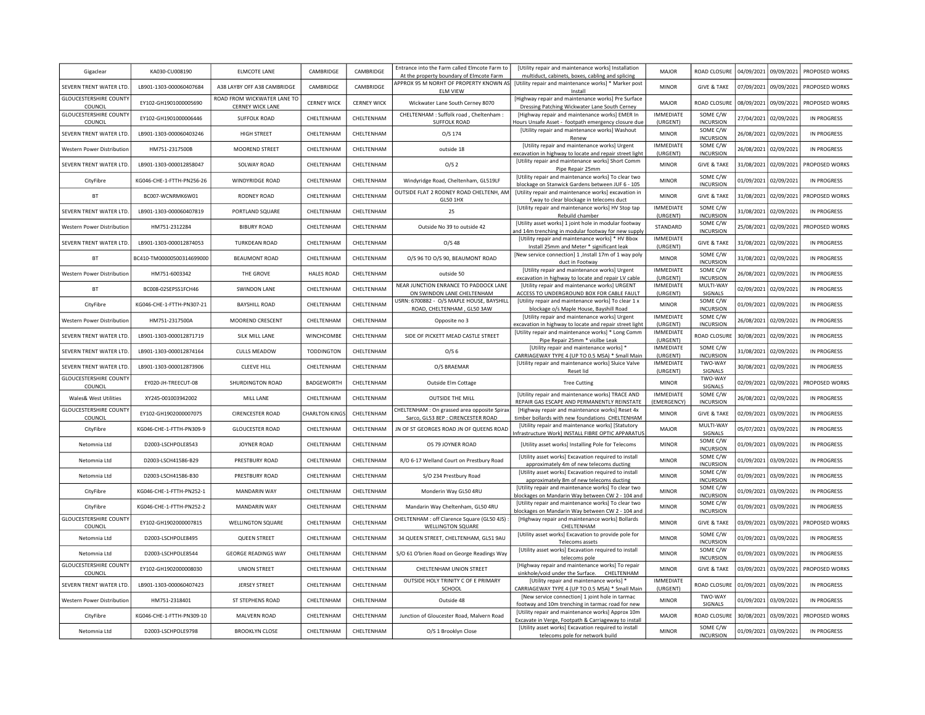| Gigaclear                                      | KA030-CU008190            | ELMCOTE LANE                                           | CAMBRIDGE             | CAMBRIDGE          | Entrance into the Farm called Elmcote Farm to<br>At the property boundary of Elmcote Farm | [Utility repair and maintenance works] Installation<br>multiduct, cabinets, boxes, cabling and splicing       | MAJOR                        | ROAD CLOSURE                        | 04/09/2021 | 09/09/2021 | PROPOSED WORKS     |
|------------------------------------------------|---------------------------|--------------------------------------------------------|-----------------------|--------------------|-------------------------------------------------------------------------------------------|---------------------------------------------------------------------------------------------------------------|------------------------------|-------------------------------------|------------|------------|--------------------|
| SEVERN TRENT WATER LTD.                        | LB901-1303-000060407684   | A38 LAYBY OFF A38 CAMBRIDGE                            | CAMBRIDGE             | CAMBRIDGE          | <b>FIM VIEW</b>                                                                           | APPROX 95 M NORHT OF PROPERTY KNOWN AS [Utility repair and maintenance works] * Marker post<br>Install        | <b>MINOR</b>                 | <b>GIVE &amp; TAKE</b>              | 07/09/2021 | 09/09/2021 | PROPOSED WORKS     |
| <b>GLOUCESTERSHIRE COUNTY</b><br><b>COUNCI</b> | EY102-GH1901000005690     | ROAD FROM WICKWATER LANE TO<br><b>CERNEY WICK LANE</b> | <b>CERNEY WICK</b>    | <b>CERNEY WICK</b> | Wickwater Lane South Cerney 8070                                                          | [Highway repair and maintenance works] Pre Surface<br>Dressing Patching Wickwater Lane South Cerney           | MAJOR                        | ROAD CLOSURE                        | 08/09/2021 | 09/09/2021 | PROPOSED WORKS     |
| <b>GLOUCESTERSHIRE COUNTY</b><br>COUNCIL       | EY102-GH1901000006446     | <b>SUFFOLK ROAD</b>                                    | CHELTENHAM            | CHELTENHAM         | CHELTENHAM : Suffolk road, Cheltenham :<br><b>SUFFOLK ROAD</b>                            | [Highway repair and maintenance works] EMER In<br>Hours Unsafe Asset - footpath emergency closure due         | <b>IMMEDIATE</b><br>(URGENT) | SOME C/W<br><b>INCURSION</b>        | 27/04/2021 | 02/09/2021 | IN PROGRESS        |
| SEVERN TRENT WATER LTD.                        | LB901-1303-000060403246   | <b>HIGH STREET</b>                                     | CHELTENHAM            | CHELTENHAM         | O/S 174                                                                                   | [Utility repair and maintenance works] Washout<br>Renew                                                       | <b>MINOR</b>                 | SOME C/W<br><b>INCURSION</b>        | 26/08/2021 | 02/09/2021 | IN PROGRESS        |
| Western Power Distribution                     | HM751-2317500B            | MOOREND STREET                                         | CHELTENHAM            | CHELTENHAM         | outside 18                                                                                | [Utility repair and maintenance works] Urgent<br>excavation in highway to locate and repair street light      | <b>IMMEDIATE</b><br>(URGENT) | SOME C/W<br><b>INCURSION</b>        | 26/08/2021 | 02/09/2021 | IN PROGRESS        |
| SEVERN TRENT WATER LTD.                        | LB901-1303-000012858047   | SOLWAY ROAD                                            | CHELTENHAM            | CHELTENHAM         | O/S <sub>2</sub>                                                                          | [Utility repair and maintenance works] Short Comm<br>Pipe Repair 25mm                                         | <b>MINOR</b>                 | <b>GIVE &amp; TAKE</b>              | 31/08/2021 | 02/09/2021 | PROPOSED WORKS     |
| CityFibre                                      | KG046-CHE-1-FTTH-PN256-26 | WINDYRIDGE ROAD                                        | CHELTENHAM            | CHELTENHAM         | Windyridge Road, Cheltenham, GL519LF                                                      | [Utility repair and maintenance works] To clear two<br>blockage on Stanwick Gardens between JUF 6 - 105       | <b>MINOR</b>                 | SOME C/W<br><b>INCURSION</b>        | 01/09/2021 | 02/09/2021 | IN PROGRESS        |
| <b>BT</b>                                      | BC007-WCNRMK6W01          | RODNEY ROAD                                            | CHELTENHAM            | CHELTENHAM         | OUTSIDE FLAT 2 RODNEY ROAD CHELTENH, AM<br><b>GL50 1HX</b>                                | [Utility repair and maintenance works] excavation in<br>f, way to clear blockage in telecoms duct             | <b>MINOR</b>                 | <b>GIVE &amp; TAKE</b>              | 31/08/2021 | 02/09/2021 | PROPOSED WORKS     |
| SEVERN TRENT WATER LTD.                        | LB901-1303-000060407819   | PORTLAND SQUARE                                        | CHELTENHAM            | CHELTENHAM         | 25                                                                                        | [Utility repair and maintenance works] HV Stop tap<br>Rebuild chamber                                         | <b>IMMEDIATE</b><br>(URGENT) | SOME C/W<br><b>INCURSION</b>        | 31/08/2021 | 02/09/2021 | IN PROGRESS        |
| Western Power Distribution                     | HM751-2312284             | <b>BIBURY ROAD</b>                                     | CHELTENHAM            | CHELTENHAM         | Outside No 39 to outside 42                                                               | [Utility asset works] 1 joint hole in modular footway<br>and 14m trenching in modular footway for new supply  | STANDARD                     | SOME C/W<br><b>INCURSION</b>        | 25/08/2021 | 02/09/2021 | PROPOSED WORKS     |
| SEVERN TRENT WATER LTD.                        | LB901-1303-000012874053   | <b>TURKDEAN ROAD</b>                                   | CHELTENHAM            | CHELTENHAM         | O/S <sub>48</sub>                                                                         | [Utility repair and maintenance works] * HV Bbox<br>Install 25mm and Meter * significant leak                 | <b>IMMEDIATE</b><br>(URGENT) | <b>GIVE &amp; TAKE</b>              | 31/08/2021 | 02/09/2021 | <b>IN PROGRESS</b> |
| <b>BT</b>                                      | BC410-TM00000500314699000 | <b>BEAUMONT ROAD</b>                                   | CHELTENHAM            | CHELTENHAM         | O/S 96 TO O/S 90, BEAUMONT ROAD                                                           | [New service connection] 1 , Install 17m of 1 way poly<br>duct in Footway                                     | <b>MINOR</b>                 | SOME C/W<br><b>INCURSION</b>        | 31/08/2021 | 02/09/2021 | IN PROGRESS        |
| Western Power Distribution                     | HM751-6003342             | THE GROVE                                              | <b>HALES ROAD</b>     | CHELTENHAM         | outside 50                                                                                | [Utility repair and maintenance works] Urgent<br>excavation in highway to locate and repair LV cable          | <b>IMMFDIATE</b><br>(URGENT) | SOME C/W<br><b>INCURSION</b>        | 26/08/2021 | 02/09/2021 | IN PROGRESS        |
| <b>BT</b>                                      | BC008-02SEPSS1FCH46       | <b>SWINDON LANE</b>                                    | CHELTENHAM            | CHELTENHAM         | NEAR JUNCTION ENRANCE TO PADDOCK LANE<br>ON SWINDON LANE CHELTENHAM                       | [Utility repair and maintenance works] URGENT<br>ACCESS TO UNDERGROUND BOX FOR CABLE FAULT                    | <b>IMMEDIATE</b><br>(URGENT) | MULTI-WAY<br>SIGNALS                | 02/09/2021 | 02/09/2021 | IN PROGRESS        |
| CityFibre                                      | KG046-CHE-1-FTTH-PN307-21 | <b>BAYSHILL ROAD</b>                                   | CHELTENHAM            | CHELTENHAM         | USRN: 6700882 - O/S MAPLE HOUSE, BAYSHILL<br>ROAD, CHELTENHAM, GL50 3AW                   | [Utility repair and maintenance works] To clear 1 x                                                           | <b>MINOR</b>                 | SOME C/W<br><b>INCURSION</b>        | 01/09/2021 | 02/09/2021 | IN PROGRESS        |
| Western Power Distribution                     | HM751-2317500A            | MOOREND CRESCENT                                       | CHELTENHAM            | CHELTENHAM         | Opposite no 3                                                                             | blockage o/s Maple House, Bayshill Road<br>[Utility repair and maintenance works] Urgent                      | <b>IMMEDIATE</b>             | SOME C/W                            | 26/08/2021 | 02/09/2021 | <b>IN PROGRESS</b> |
| SEVERN TRENT WATER LTD.                        | LB901-1303-000012871719   | SILK MILL LANE                                         | WINCHCOMBE            | CHELTENHAM         | SIDE OF PICKETT MEAD CASTLE STREET                                                        | excavation in highway to locate and repair street light<br>[Utility repair and maintenance works] * Long Comm | (URGENT)<br><b>IMMEDIATE</b> | <b>INCURSION</b><br>ROAD CLOSURE    | 30/08/2021 | 02/09/2021 | <b>IN PROGRESS</b> |
| SEVERN TRENT WATER LTD.                        | LB901-1303-000012874164   | <b>CULLS MEADOW</b>                                    | <b>TODDINGTON</b>     | CHELTENHAM         | O/S <sub>6</sub>                                                                          | Pipe Repair 25mm * visilbe Leak<br>[Utility repair and maintenance works] *                                   | (URGENT)<br><b>IMMEDIATE</b> | SOME C/W                            | 31/08/2021 | 02/09/2021 | <b>IN PROGRESS</b> |
| SEVERN TRENT WATER LTD.                        | LB901-1303-000012873906   | <b>CLEEVE HILL</b>                                     | CHELTENHAM            | CHELTENHAM         | O/S BRAEMAR                                                                               | CARRIAGEWAY TYPE 4 (UP TO 0.5 MSA) * Small Main<br>[Utility repair and maintenance works] Sluice Valve        | (URGENT)<br><b>IMMEDIATE</b> | <b>INCURSION</b><br>TWO-WAY         | 30/08/2021 | 02/09/2021 | IN PROGRESS        |
| <b>GLOUCESTERSHIRE COUNTY</b>                  | EY020-JH-TREECUT-08       | SHURDINGTON ROAD                                       | BADGEWORTH            | CHELTENHAM         | Outside Elm Cottage                                                                       | Reset lid<br><b>Tree Cutting</b>                                                                              | (URGENT)<br><b>MINOR</b>     | SIGNALS<br>TWO-WAY                  | 02/09/2021 | 02/09/2021 | PROPOSED WORKS     |
| <b>COUNCI</b><br>Wales& West Utilities         | XY245-001003942002        | MILL LANE                                              | CHELTENHAM            | CHELTENHAM         | <b>OUTSIDE THE MILL</b>                                                                   | [Utility repair and maintenance works] TRACE AND                                                              | <b>IMMEDIATE</b>             | SIGNALS<br>SOME C/W                 | 26/08/2021 | 02/09/2021 | IN PROGRESS        |
| <b>GLOUCESTERSHIRE COUNTY</b>                  |                           |                                                        |                       |                    | HELTENHAM : On grassed area opposite Spirax                                               | REPAIR GAS ESCAPE AND PERMANENTLY REINSTATE<br>[Highway repair and maintenance works] Reset 4x                | (EMERGENCY)                  | <b>INCURSION</b>                    |            |            |                    |
| COUNCIL                                        | EY102-GH1902000007075     | <b>CIRENCESTER ROAD</b>                                | <b>CHARLTON KINGS</b> | CHELTENHAM         | Sarco, GL53 8EP : CIRENCESTER ROAD                                                        | timber bollards with new foundations CHELTENHAN<br>[Utility repair and maintenance works] [Statutory          | <b>MINOR</b>                 | <b>GIVE &amp; TAKE</b><br>MULTI-WAY | 02/09/2021 | 03/09/2021 | IN PROGRESS        |
| CityFibre                                      | KG046-CHE-1-FTTH-PN309-9  | <b>GLOUCESTER ROAD</b>                                 | CHELTENHAM            | CHELTENHAM         | JN OF ST GEORGES ROAD JN OF QUEENS ROAD                                                   | nfrastructure Work] INSTALL FIBRE OPTIC APPARATU!                                                             | MAJOR                        | SIGNALS<br>SOME C/W                 | 05/07/2021 | 03/09/2021 | IN PROGRESS        |
| Netomnia Ltd                                   | D2003-LSCHPOLE8543        | JOYNER ROAD                                            | CHELTENHAM            | CHELTENHAM         | OS 79 JOYNER ROAD                                                                         | [Utility asset works] Installing Pole for Telecoms                                                            | <b>MINOR</b>                 | <b>INCURSION</b>                    | 01/09/2021 | 03/09/2021 | IN PROGRESS        |
| Netomnia Ltd                                   | D2003-LSCH41586-B29       | <b>PRESTBURY ROAD</b>                                  | CHELTENHAM            | CHELTENHAM         | R/O 6-17 Welland Court on Prestbury Road                                                  | [Utility asset works] Excavation required to install<br>approximately 4m of new telecoms ducting              | <b>MINOR</b>                 | SOME C/W<br><b>INCURSION</b>        | 01/09/2021 | 03/09/2021 | <b>IN PROGRESS</b> |
| Netomnia Ltd                                   | D2003-LSCH41586-B30       | PRESTBURY ROAD                                         | CHELTENHAM            | CHELTENHAM         | S/O 234 Prestbury Road                                                                    | [Utility asset works] Excavation required to install<br>approximately 8m of new telecoms ducting              | <b>MINOR</b>                 | SOME C/W<br><b>INCURSION</b>        | 01/09/2021 | 03/09/2021 | IN PROGRESS        |
| CityFibre                                      | KG046-CHE-1-FTTH-PN252-1  | <b>MANDARIN WAY</b>                                    | CHELTENHAM            | CHELTENHAM         | Monderin Way GL50 4RU                                                                     | [Utility repair and maintenance works] To clear two<br>blockages on Mandarin Way between CW 2 - 104 and       | <b>MINOR</b>                 | SOME C/W<br><b>INCURSION</b>        | 01/09/2021 | 03/09/2021 | IN PROGRESS        |
| CityFibre                                      | KG046-CHE-1-FTTH-PN252-2  | <b>MANDARIN WAY</b>                                    | CHELTENHAM            | CHELTENHAM         | Mandarin Way Cheltenham, GL50 4RU                                                         | [Utility repair and maintenance works] To clear two<br>blockages on Mandarin Way between CW 2 - 104 and       | <b>MINOR</b>                 | SOME C/W<br><b>INCURSION</b>        | 01/09/2021 | 03/09/2021 | IN PROGRESS        |
| <b>GLOUCESTERSHIRE COUNTY</b><br>COUNCIL       | EY102-GH1902000007815     | <b>WELLINGTON SQUARE</b>                               | CHELTENHAM            | CHELTENHAM         | CHELTENHAM : off Clarence Square (GL50 4JS)<br><b>WELLINGTON SQUARE</b>                   | [Highway repair and maintenance works] Bollards<br>CHELTENHAM                                                 | <b>MINOR</b>                 | <b>GIVE &amp; TAKE</b>              | 03/09/2021 | 03/09/2021 | PROPOSED WORKS     |
| Netomnia Ltd                                   | D2003-LSCHPOLE8495        | <b>QUEEN STREET</b>                                    | CHELTENHAM            | CHELTENHAM         | 34 QUEEN STREET, CHELTENHAM, GL51 9AU                                                     | [Utility asset works] Excavation to provide pole for<br>Telecoms assets                                       | <b>MINOR</b>                 | SOME C/W<br><b>INCURSION</b>        | 01/09/2021 | 03/09/2021 | IN PROGRESS        |
| Netomnia Ltd                                   | D2003-LSCHPOLE8544        | <b>GEORGE READINGS WAY</b>                             | CHELTENHAM            | CHELTENHAM         | S/O 61 O'brien Road on George Readings Way                                                | [Utility asset works] Excavation required to install<br>telecoms pole                                         | <b>MINOR</b>                 | SOME C/W<br><b>INCURSION</b>        | 01/09/2021 | 03/09/2021 | IN PROGRESS        |
| <b>GLOUCESTERSHIRE COUNTY</b><br>COUNCIL       | EY102-GH1902000008030     | <b>UNION STREET</b>                                    | CHELTENHAM            | CHELTENHAM         | CHELTENHAM UNION STREET                                                                   | [Highway repair and maintenance works] To repair<br>sinkhole/void under the Surface. CHELTENHAM               | <b>MINOR</b>                 | <b>GIVE &amp; TAKE</b>              | 03/09/2021 | 03/09/2021 | PROPOSED WORKS     |
| SEVERN TRENT WATER LTD.                        | LB901-1303-000060407423   | <b>JERSEY STREET</b>                                   | CHELTENHAM            | CHELTENHAM         | OUTSIDE HOLY TRINITY C OF E PRIMARY<br>SCHOOL                                             | [Utility repair and maintenance works] *<br>CARRIAGEWAY TYPE 4 (UP TO 0.5 MSA) * Small Main                   | <b>IMMEDIATE</b><br>(URGENT) | ROAD CLOSURE                        | 01/09/2021 | 03/09/2021 | IN PROGRESS        |
| Western Power Distribution                     | HM751-2318401             | ST STEPHENS ROAD                                       | CHELTENHAM            | CHELTENHAM         | Outside 48                                                                                | [New service connection] 1 joint hole in tarmac<br>footway and 10m trenching in tarmac road for new           | <b>MINOR</b>                 | TWO-WAY<br>SIGNALS                  | 01/09/2021 | 03/09/2021 | IN PROGRESS        |
| CityFibre                                      | KG046-CHE-1-FTTH-PN309-10 | <b>MALVERN ROAD</b>                                    | CHELTENHAM            | CHELTENHAM         | Junction of Gloucester Road, Malvern Road                                                 | [Utility repair and maintenance works] Approx 10m<br>Excavate in Verge, Footpath & Carriageway to install     | MAJOR                        | ROAD CLOSURE                        | 30/08/2021 | 03/09/2021 | PROPOSED WORKS     |
| Netomnia Ltd                                   | D2003-LSCHPOLE9798        | <b>BROOKLYN CLOSE</b>                                  | CHELTENHAM            | CHELTENHAM         | O/S 1 Brooklyn Close                                                                      | [Utility asset works] Excavation required to install<br>telecoms pole for network build                       | <b>MINOR</b>                 | SOME C/W<br><b>INCURSION</b>        | 01/09/2021 | 03/09/2021 | <b>IN PROGRESS</b> |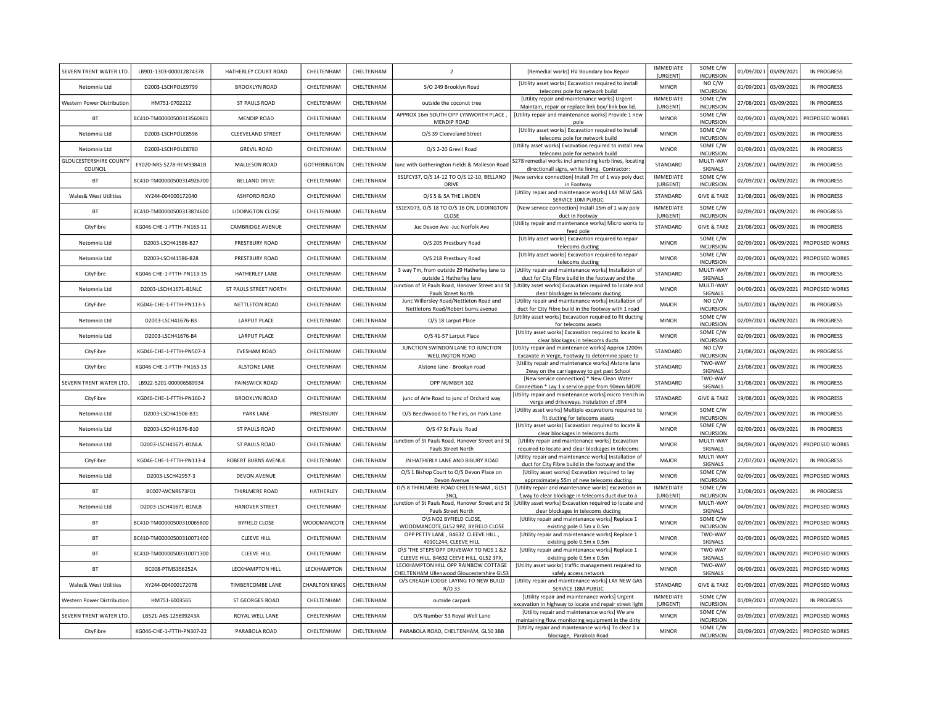| SEVERN TRENT WATER LTD.           | LB901-1303-000012874378   | HATHERLEY COURT ROAD       | CHELTENHAM           | CHELTENHAM        | $\overline{2}$                                                                    | [Remedial works] HV Boundary box Repair                                                                                                                       | <b>IMMEDIATE</b><br>(URGENT) | SOME C/W<br><b>INCURSION</b>               | 01/09/2021 03/09/2021 |                       | IN PROGRESS    |
|-----------------------------------|---------------------------|----------------------------|----------------------|-------------------|-----------------------------------------------------------------------------------|---------------------------------------------------------------------------------------------------------------------------------------------------------------|------------------------------|--------------------------------------------|-----------------------|-----------------------|----------------|
| Netomnia I td                     | D2003-LSCHPOLE9799        | <b>BROOKLYN ROAD</b>       | CHELTENHAM           | <b>CHEITENHAM</b> | S/O 249 Brooklyn Road                                                             | <b>IUtility asset works] Excavation required to install</b><br>telecoms pole for network build                                                                | <b>MINOR</b>                 | NO C/W<br><b>INCURSION</b>                 | 01/09/2021 03/09/2021 |                       | IN PROGRESS    |
| Western Power Distribution        | HM751-0702212             | ST PAULS ROAD              | CHELTENHAM           | CHELTENHAM        | outside the coconut tree                                                          | [Utility repair and maintenance works] Urgent -<br>Maintain, repair or replace link box/ link box lid.                                                        | <b>IMMEDIATE</b><br>(URGENT) | SOME C/W<br><b>INCURSION</b>               | 27/08/2021 03/09/2021 |                       | IN PROGRESS    |
| <b>BT</b>                         | BC410-TM00000500313560801 | MENDIP ROAD                | CHELTENHAM           | CHELTENHAM        | APPROX 16m SOUTH OPP LYNWORTH PLACE,<br>MENDIP ROAD                               | [Utility repair and maintenance works] Provide 1 new<br>pole                                                                                                  | <b>MINOR</b>                 | SOME C/W<br><b>INCURSION</b>               | 02/09/2021            | 03/09/2021            | PROPOSED WORKS |
| Netomnia I td                     | D2003-LSCHPOLE8596        | <b>CLEEVELAND STREET</b>   | CHELTENHAM           | CHELTENHAM        | O/S 39 Cleeveland Street                                                          | [Utility asset works] Excavation required to install<br>telecoms pole for network build                                                                       | <b>MINOR</b>                 | SOME C/W<br><b>INCURSION</b>               | 01/09/2021            | 03/09/2021            | IN PROGRESS    |
| Netomnia Ltd                      | D2003-LSCHPOLE8780        | <b>GREVIL ROAD</b>         | CHELTENHAM           | CHELTENHAM        | O/S 2-20 Grevil Road                                                              | [Utility asset works] Excavation required to install new<br>telecoms pole for network build                                                                   | <b>MINOR</b>                 | SOME C/W<br><b>INCURSION</b>               | 01/09/2021            | 03/09/2021            | IN PROGRESS    |
| <b>GLOUCESTERSHIRE COUNTY</b>     | EY020-NRS-S278-REM93841B  | MALLESON ROAD              | <b>GOTHERINGTON</b>  | CHELTENHAM        | Junc with Gotherington Fields & Malleson Road                                     | S278 remedial works incl amending kerb lines, locating                                                                                                        | STANDARD                     | MULTI-WAY                                  | 23/08/2021            | 04/09/2021            | IN PROGRESS    |
| COUNCIL<br><b>BT</b>              | BC410-TM00000500314926700 | <b>BELLAND DRIVE</b>       | CHELTENHAM           | CHELTENHAM        | SS1FCY37, O/S 14-12 TO O/S 12-10, BELLAND                                         | directionall signs, white lining. Contractor:<br>[New service connection] Install 7m of 1 way poly duct                                                       | <b>IMMEDIATE</b>             | SIGNALS<br>SOME C/W                        | 02/09/2021            | 06/09/2021            | IN PROGRESS    |
| Wales& West Utilities             | XY244-004000172040        | <b>ASHFORD ROAD</b>        | CHELTENHAM           | CHELTENHAM        | <b>DRIVE</b><br>O/S 5 & 5A THE LINDEN                                             | in Footway<br>[Utility repair and maintenance works] LAY NEW GAS                                                                                              | (URGENT)<br>STANDARD         | <b>INCURSION</b><br><b>GIVE &amp; TAKE</b> | 31/08/2021            | 06/09/2021            | IN PROGRESS    |
| <b>BT</b>                         | BC410-TM00000500313874600 | LIDDINGTON CLOSE           | CHELTENHAM           | CHELTENHAM        | SS1EXD73, O/S 18 TO O/S 16 ON, LIDDINGTON                                         | SERVICE 10M PUBLIC<br>[New service connection] Install 15m of 1 way poly                                                                                      | <b>IMMEDIATE</b>             | SOME C/W                                   | 02/09/2021            | 06/09/2021            | IN PROGRESS    |
| CityFibre                         | KG046-CHE-1-FTTH-PN163-11 | CAMBRIDGE AVENUE           | CHELTENHAM           | CHELTENHAM        | CLOSE<br>Juc Devon Ave -Juc Norfolk Ave                                           | duct in Footway<br>[Utility repair and maintenance works] Micro works to                                                                                      | (URGENT)<br>STANDARD         | <b>INCURSION</b><br><b>GIVE &amp; TAKE</b> | 23/08/2021            | 06/09/2021            | IN PROGRESS    |
| Netomnia Ltd                      | D2003-LSCH41586-B27       | PRESTBURY ROAD             | CHELTENHAM           | CHELTENHAM        | O/S 205 Prestbury Road                                                            | feed pole<br>[Utility asset works] Excavation required to repair                                                                                              | <b>MINOR</b>                 | SOME C/W                                   | 02/09/2021            | 06/09/2021            | PROPOSED WORKS |
|                                   |                           |                            |                      |                   |                                                                                   | telecoms ducting<br>[Utility asset works] Excavation required to repair                                                                                       |                              | <b>INCURSION</b><br>SOME C/W               |                       |                       |                |
| Netomnia Ltd                      | D2003-LSCH41586-B28       | PRESTBURY ROAD             | CHELTENHAM           | CHELTENHAM        | O/S 218 Prestbury Road<br>3 way Tm, from outside 29 Hatherley lane to             | telecoms ducting<br>[Utility repair and maintenance works] Installation of                                                                                    | <b>MINOR</b>                 | <b>INCURSION</b><br>MULTI-WAY              | 02/09/2021            | 06/09/2021            | PROPOSED WORKS |
| CityFibre                         | KG046-CHE-1-FTTH-PN113-15 | <b>HATHERLEY LANE</b>      | CHELTENHAM           | CHELTENHAM        | outside 1 Hatherley lane<br>unction of St Pauls Road, Hanover Street and St       | duct for City Fibre build in the footway and the<br>[Utility asset works] Excavation required to locate and                                                   | STANDARD                     | SIGNALS<br>MULTI-WAY                       | 26/08/2021 06/09/2021 |                       | IN PROGRESS    |
| Netomnia Ltd                      | D2003-LSCH41671-B1NLC     | ST PAULS STREET NORTH      | CHELTENHAM           | CHELTENHAM        | Pauls Street North                                                                | clear blockages in telecoms ducting                                                                                                                           | <b>MINOR</b>                 | SIGNALS                                    | 04/09/2021 06/09/2021 |                       | PROPOSED WORKS |
| CityFibre                         | KG046-CHE-1-FTTH-PN113-5  | NETTLETON ROAD             | CHELTENHAM           | CHELTENHAM        | Junc Willersley Road/Nettleton Road and<br>Nettletons Road/Robert burns avenue    | [Utility repair and maintenance works] installation of<br>duct for City Fibre build in the footway with 1 road                                                | MAJOR                        | NO C/W<br><b>INCURSION</b>                 |                       | 16/07/2021 06/09/2021 | IN PROGRESS    |
| Netomnia Ltd                      | D2003-LSCH41676-B3        | <b>LARPUT PLACE</b>        | CHELTENHAM           | CHELTENHAM        | O/S 18 Larput Place                                                               | [Utility asset works] Excavation required to fit ducting<br>for telecoms assets                                                                               | <b>MINOR</b>                 | SOME C/W<br><b>INCURSION</b>               | 02/09/2021 06/09/2021 |                       | IN PROGRESS    |
| Netomnia Ltd                      | D2003-LSCH41676-B4        | <b>LARPUT PLACE</b>        | CHELTENHAM           | CHELTENHAM        | O/S 41-57 Larput Place                                                            | [Utility asset works] Excavation required to locate &<br>clear blockages in telecoms ducts                                                                    | <b>MINOR</b>                 | SOME C/W<br><b>INCURSION</b>               | 02/09/2021 06/09/2021 |                       | IN PROGRESS    |
| CityFibre                         | KG046-CHE-1-FTTH-PN507-3  | <b>EVESHAM ROAD</b>        | CHELTENHAM           | CHELTENHAM        | JUNCTION SWINDON LANE TO JUNCTION<br><b>WELLINGTON ROAD</b>                       | Utility repair and maintenance works] Approx 1200m<br>Excavate in Verge, Footway to determine space to                                                        | STANDARD                     | NO C/W<br><b>INCURSION</b>                 | 23/08/2021 06/09/2021 |                       | IN PROGRESS    |
| CityFibre                         | KG046-CHE-1-FTTH-PN163-13 | <b>ALSTONE LANE</b>        | CHELTENHAM           | CHELTENHAM        | Alstone lane - Brookyn road                                                       | [Utility repair and maintenance works] Alstone lane<br>2way on the carriageway to get past School                                                             | STANDARD                     | TWO-WAY<br>SIGNALS                         | 23/08/2021 06/09/2021 |                       | IN PROGRESS    |
| SEVERN TRENT WATER LTD.           | LB922-5201-000006589934   | PAINSWICK ROAD             | CHELTENHAM           | CHELTENHAM        | OPP NUMBER 102                                                                    | [New service connection] * New Clean Water<br>Connection * Lay 1 x service pipe from 90mm MDPE                                                                | STANDARD                     | TWO-WAY<br>SIGNALS                         | 31/08/2021 06/09/2021 |                       | IN PROGRESS    |
| CityFibre                         | KG046-CHE-1-FTTH-PN160-2  | <b>BROOKLYN ROAD</b>       | CHELTENHAM           | CHELTENHAM        | junc of Arle Road to junc of Orchard way                                          | [Utility repair and maintenance works] micro trench is<br>verge and driveways. Instulation of JBF4                                                            | STANDARD                     | <b>GIVE &amp; TAKE</b>                     | 19/08/2021 06/09/2021 |                       | IN PROGRESS    |
| Netomnia I td                     | D2003-LSCH41506-B31       | PARK LANF                  | PRESTBURY            | CHELTENHAM        | O/S Beechwood to The Firs, on Park Lane                                           | [Utility asset works] Multiple excavations required to<br>fit ducting for telecoms assets                                                                     | <b>MINOR</b>                 | SOME C/W<br><b>INCURSION</b>               | 02/09/2021 06/09/2021 |                       | IN PROGRESS    |
| Netomnia Ltd                      | D2003-LSCH41676-B10       | <b>ST PAULS ROAD</b>       | CHELTENHAM           | CHELTENHAM        | O/S 47 St Pauls Road                                                              | [Utility asset works] Excavation required to locate &<br>clear blockages in telecoms ducts                                                                    | <b>MINOR</b>                 | SOME C/W<br><b>INCURSION</b>               | 02/09/2021 06/09/2021 |                       | IN PROGRESS    |
| Netomnia I td                     | D2003-LSCH41671-B1NLA     | <b>ST PAULS ROAD</b>       | CHELTENHAM           | CHELTENHAM        | unction of St Pauls Road, Hanover Street and St<br>Pauls Street North             | [Utility repair and maintenance works] Excavation<br>required to locate and clear blockages in telecoms                                                       | <b>MINOR</b>                 | MULTI-WAY<br>SIGNALS                       | 04/09/2021            | 06/09/2021            | PROPOSED WORKS |
| CityFibre                         | KG046-CHE-1-FTTH-PN113-4  | <b>ROBERT BURNS AVENUE</b> | CHELTENHAM           | CHELTENHAM        | JN HATHERLY LANE AND BIBURY ROAD                                                  | [Utility repair and maintenance works] Installation of                                                                                                        | <b>MAJOR</b>                 | MULTI-WAY                                  | 27/07/2021 06/09/2021 |                       | IN PROGRESS    |
| Netomnia Ltd                      | D2003-LSCH42957-3         | <b>DEVON AVENUE</b>        | CHELTENHAM           | CHELTENHAM        | O/S 1 Bishop Court to O/S Devon Place on                                          | duct for City Fibre build in the footway and the<br>[Utility asset works] Excavation required to lay                                                          | <b>MINOR</b>                 | SIGNALS<br>SOME C/W                        | 02/09/2021            | 06/09/2021            | PROPOSED WORKS |
| <b>BT</b>                         | BC007-WCNR673F01          | THIRLMERE ROAD             | HATHERLEY            | CHELTENHAM        | Devon Avenue<br>O/S 8 THIRLMERE ROAD CHELTENHAM, GL51                             | approximately 55m of new telecoms ducting<br>[Utility repair and maintenance works] excavation in                                                             | <b>IMMEDIATE</b>             | <b>INCURSION</b><br>SOME C/W               | 31/08/2021 06/09/2021 |                       | IN PROGRESS    |
| Netomnia Ltd                      | D2003-LSCH41671-B1NLB     | <b>HANOVER STREET</b>      | CHELTENHAM           | CHELTENHAM        | 3NO.                                                                              | f, way to clear blockage in telecoms duct due to a<br>unction of St Pauls Road, Hanover Street and St [Utility asset works] Excavation required to locate and | (URGENT)<br><b>MINOR</b>     | <b>INCURSION</b><br>MULTI-WAY              | 04/09/2021            | 06/09/2021            | PROPOSED WORKS |
| <b>BT</b>                         | BC410-TM00000500310065800 | <b>BYFIELD CLOSE</b>       | WOODMANCOTI          | CHELTENHAM        | Pauls Street North<br>O\S NO2 BYFIELD CLOSE,                                      | clear blockages in telecoms ducting<br>[Utility repair and maintenance works] Replace 1                                                                       | <b>MINOR</b>                 | SIGNALS<br>SOME C/W                        | 02/09/2021            | 06/09/2021            | PROPOSED WORKS |
| <b>BT</b>                         | BC410-TM00000500310071400 | <b>CLEEVE HILL</b>         | CHELTENHAM           | CHELTENHAM        | WOODMANCOTE, GL52 9PZ, BYFIELD CLOSE<br>OPP PETTY LANE, B4632 CLEEVE HILL,        | existing pole 0.5m x 0.5m<br>[Utility repair and maintenance works] Replace 1                                                                                 | <b>MINOR</b>                 | <b>INCURSION</b><br>TWO-WAY                | 02/09/2021            | 06/09/2021            |                |
|                                   |                           |                            |                      |                   | 40101244, CLEEVE HILL<br>O\S 'THE STEPS'OPP DRIVEWAY TO NOS 1 &2                  | existing pole 0.5m x 0.5m<br>[Utility repair and maintenance works] Replace 1                                                                                 |                              | SIGNALS<br>TWO-WAY                         |                       |                       | PROPOSED WORKS |
| <b>BT</b>                         | BC410-TM00000500310071300 | <b>CLEEVE HILL</b>         | CHELTENHAM           | CHELTENHAM        | CLEEVE HILL, B4632 CEEVE HILL, GL52 3PX,<br>LECKHAMPTON HILL OPP RAINBOW COTTAGE  | existing pole 0.5m x 0.5m<br>[Utility asset works] traffic management required to                                                                             | <b>MINOR</b>                 | SIGNALS<br>TWO-WAY                         | 02/09/2021            | 06/09/2021            | PROPOSED WORKS |
| <b>BT</b>                         | BC008-PTMS356252A         | <b>LECKHAMPTON HILL</b>    | LECKHAMPTON          | CHELTENHAM        | CHELTENHAM Ullenwood Gloucestershire GL53<br>O/S CREAGH LODGE LAYING TO NEW BUILD | safely access network<br>[Utility repair and maintenance works] LAY NEW GAS                                                                                   | <b>MINOR</b>                 | SIGNALS                                    | 06/09/2021            | 06/09/2021            | PROPOSED WORKS |
| Wales& West Utilities             | XY244-004000172078        | TIMBERCOMBE LANE           | <b>CHARLTON KING</b> | CHELTENHAM        | R/O 33                                                                            | SERVICE 18M PUBLIC                                                                                                                                            | STANDARD                     | <b>GIVE &amp; TAKE</b>                     | 01/09/2021            | 07/09/2021            | PROPOSED WORKS |
| <b>Nestern Power Distribution</b> | HM751-6003565             | ST GEORGES ROAD            | CHELTENHAM           | CHELTENHAM        | outside carpark                                                                   | [Utility repair and maintenance works] Urgent<br>excavation in highway to locate and repair street light                                                      | IMMEDIATE<br>(URGENT)        | SOME C/W<br><b>INCURSION</b>               | 01/09/2021 07/09/2021 |                       | IN PROGRESS    |
| SEVERN TRENT WATER LTD.           | LB521-A6S-125699243A      | ROYAL WELL LANE            | CHELTENHAM           | CHELTENHAM        | O/S Number 53 Royal Well Lane                                                     | [Utility repair and maintenance works] We are<br>maintaining flow monitoring equipment in the dirty                                                           | <b>MINOR</b>                 | SOME C/W<br><b>INCURSION</b>               |                       | 03/09/2021 07/09/2021 | PROPOSED WORKS |
| CityFibre                         | KG046-CHE-1-FTTH-PN307-22 | PARABOLA ROAD              | CHELTENHAM           | CHELTENHAM        | PARABOLA ROAD, CHELTENHAM, GL50 3BB                                               | [Utility repair and maintenance works] To clear 1 x<br>blockage, Parabola Road                                                                                | <b>MINOR</b>                 | SOME C/W<br><b>INCURSION</b>               | 03/09/2021 07/09/2021 |                       | PROPOSED WORKS |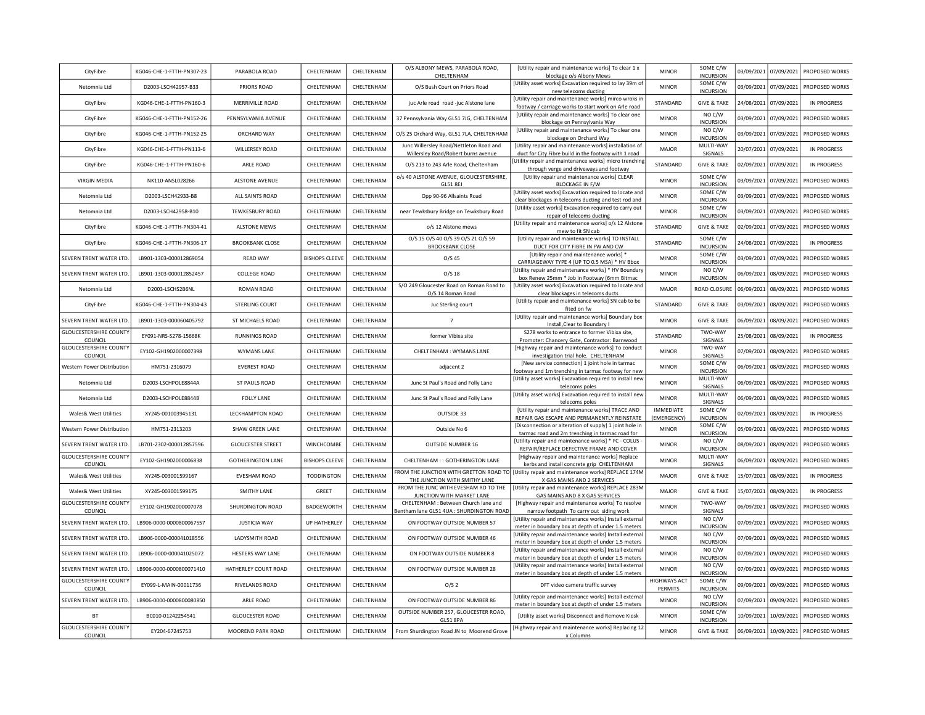| CityFibre                                      | KG046-CHE-1-FTTH-PN307-23 | PARABOLA ROAD            | CHELTENHAM            | CHELTENHAM | O/S ALBONY MEWS, PARABOLA ROAD,<br>CHELTENHAM                                    | [Utility repair and maintenance works] To clear 1 x<br>blockage o/s Albony Mews                                         | <b>MINOR</b>                    | SOME C/W<br><b>INCURSION</b> | 03/09/2021 | 07/09/2021 | PROPOSED WORKS     |
|------------------------------------------------|---------------------------|--------------------------|-----------------------|------------|----------------------------------------------------------------------------------|-------------------------------------------------------------------------------------------------------------------------|---------------------------------|------------------------------|------------|------------|--------------------|
| Netomnia I td                                  | D2003-LSCH42957-B33       | PRIORS ROAD              | CHELTENHAM            | CHELTENHAM | O/S Bush Court on Priors Road                                                    | [Utility asset works] Excavation required to lay 39m of<br>new telecoms ducting                                         | <b>MINOR</b>                    | SOME C/W<br><b>INCURSION</b> | 03/09/2021 | 07/09/2021 | PROPOSED WORKS     |
| CityFibre                                      | KG046-CHE-1-FTTH-PN160-3  | MERRIVILLE ROAD          | CHELTENHAM            | CHELTENHAM | juc Arle road road -juc Alstone lane                                             | [Utility repair and maintenance works] mirco wroks in<br>footway / carriage works to start work on Arle road            | STANDARD                        | <b>GIVE &amp; TAKE</b>       | 24/08/2021 | 07/09/2021 | <b>IN PROGRESS</b> |
| CityFibre                                      | KG046-CHE-1-FTTH-PN152-26 | PENNSYLVANIA AVENUE      | CHELTENHAM            | CHELTENHAM | 37 Pennsylvania Way GL51 7JG, CHELTENHAM                                         | [Utility repair and maintenance works] To clear one<br>blockage on Pennsylvania Way                                     | <b>MINOR</b>                    | NO C/W<br><b>INCURSION</b>   | 03/09/2021 | 07/09/2021 | PROPOSED WORKS     |
| CityFibre                                      | KG046-CHE-1-FTTH-PN152-25 | ORCHARD WAY              | CHELTENHAM            | CHELTENHAM | O/S 25 Orchard Way, GL51 7LA, CHELTENHAM                                         | [Utility repair and maintenance works] To clear one<br>blockage on Orchard Way                                          | <b>MINOR</b>                    | NO C/W<br><b>INCURSION</b>   | 03/09/2021 | 07/09/2021 | PROPOSED WORKS     |
| CityFibre                                      | KG046-CHE-1-FTTH-PN113-6  | <b>WILLERSEY ROAD</b>    | CHELTENHAM            | CHELTENHAM | Junc Willersley Road/Nettleton Road and<br>Willersley Road/Robert burns avenue   | [Utility repair and maintenance works] installation of<br>duct for City Fibre build in the footway with 1 road          | MAJOR                           | MULTI-WAY<br>SIGNALS         | 20/07/2021 | 07/09/2021 | IN PROGRESS        |
| CityFibre                                      | KG046-CHE-1-FTTH-PN160-6  | ARLE ROAD                | CHELTENHAM            | CHELTENHAM | O/S 213 to 243 Arle Road, Cheltenham                                             | [Utility repair and maintenance works] micro trenching<br>through verge and driveways and footway                       | STANDARD                        | <b>GIVE &amp; TAKE</b>       | 02/09/2021 | 07/09/2021 | <b>IN PROGRESS</b> |
| <b>VIRGIN MEDIA</b>                            | NK110-ANSL028266          | <b>ALSTONE AVENUE</b>    | CHELTENHAM            | CHELTENHAM | o/s 40 ALSTONE AVENUE, GLOUCESTERSHIRE,<br><b>GL51 8EJ</b>                       | [Utility repair and maintenance works] CLEAR<br><b>BLOCKAGE IN F/W</b>                                                  | <b>MINOR</b>                    | SOME C/W<br><b>INCURSION</b> | 03/09/2021 | 07/09/2021 | PROPOSED WORKS     |
| Netomnia Ltd                                   | D2003-LSCH42933-B8        | ALL SAINTS ROAD          | CHELTENHAM            | CHELTENHAM | Opp 90-96 Allsaints Road                                                         | [Utility asset works] Excavation required to locate and<br>clear blockages in telecoms ducting and test rod and         | <b>MINOR</b>                    | SOME C/W<br><b>INCURSION</b> | 03/09/2021 | 07/09/2021 | PROPOSED WORKS     |
| Netomnia Ltd                                   | D2003-LSCH42958-B10       | <b>TEWKESBURY ROAD</b>   | CHELTENHAM            | CHELTENHAM | near Tewksbury Bridge on Tewksbury Road                                          | [Utility asset works] Excavation required to carry out<br>repair of telecoms ducting                                    | <b>MINOR</b>                    | SOME C/W<br><b>INCURSION</b> | 03/09/2021 | 07/09/2021 | PROPOSED WORKS     |
| CityFibre                                      | KG046-CHE-1-FTTH-PN304-41 | <b>ALSTONE MEWS</b>      | CHELTENHAM            | CHELTENHAM | o/s 12 Alstone mews                                                              | [Utility repair and maintenance works] o/s 12 Alstone<br>mew to fit SN cab                                              | STANDARD                        | <b>GIVE &amp; TAKE</b>       | 02/09/2021 | 07/09/2021 | PROPOSED WORKS     |
| CityFibre                                      | KG046-CHE-1-FTTH-PN306-17 | <b>BROOKBANK CLOSE</b>   | CHELTENHAM            | CHELTENHAM | 0/S 15 0/S 40 0/S 39 0/S 21 0/S 59<br><b>BROOKBANK CLOSE</b>                     | [Utility repair and maintenance works] TO INSTALL<br>DUCT FOR CITY FIBRE IN FW AND CW                                   | STANDARD                        | SOME C/W<br><b>INCURSION</b> | 24/08/2021 | 07/09/2021 | <b>IN PROGRESS</b> |
| SEVERN TRENT WATER LTD.                        | LB901-1303-000012869054   | <b>RFAD WAY</b>          | <b>BISHOPS CLEEVE</b> | CHELTENHAM | $O/S$ 45                                                                         | [Utility repair and maintenance works] *<br>CARRIAGEWAY TYPE 4 (UP TO 0.5 MSA) * HV Bbox                                | <b>MINOR</b>                    | SOME C/W<br><b>INCURSION</b> | 03/09/2021 | 07/09/2021 | PROPOSED WORKS     |
| SEVERN TRENT WATER LTD.                        | LB901-1303-000012852457   | <b>COLLEGE ROAD</b>      | CHELTENHAM            | CHELTENHAM | O/S <sub>18</sub>                                                                | [Utility repair and maintenance works] * HV Boundary<br>box Renew 25mm * Job in Footway (6mm Bitmac                     | <b>MINOR</b>                    | NO C/W<br><b>INCURSION</b>   | 06/09/2021 | 08/09/2021 | PROPOSED WORKS     |
| Netomnia Ltd                                   | D2003-LSCHS2B6NL          | <b>ROMAN ROAD</b>        | CHELTENHAM            | CHELTENHAM | S/O 249 Gloucester Road on Roman Road to<br>O/S 14 Roman Road                    | [Utility asset works] Excavation required to locate and<br>clear blockages in telecoms ducts                            | MAIOR                           | ROAD CLOSURE                 | 06/09/2021 | 08/09/2021 | PROPOSED WORKS     |
| CityFibre                                      | KG046-CHE-1-FTTH-PN304-43 | <b>STERLING COURT</b>    | CHELTENHAM            | CHELTENHAM | Juc Sterling court                                                               | [Utility repair and maintenance works] SN cab to be<br>fited on fw                                                      | STANDARD                        | <b>GIVE &amp; TAKE</b>       | 03/09/2021 | 08/09/2021 | PROPOSED WORKS     |
| SEVERN TRENT WATER LTD.                        | LB901-1303-000060405792   | ST MICHAELS ROAD         | CHELTENHAM            | CHELTENHAM | $\overline{7}$                                                                   | [Utility repair and maintenance works] Boundary box<br>Install, Clear to Boundary                                       | <b>MINOR</b>                    | <b>GIVE &amp; TAKE</b>       | 06/09/2021 | 08/09/2021 | PROPOSED WORKS     |
| <b>GLOUCESTERSHIRE COUNTY</b><br><b>COUNCI</b> | EY091-NRS-S278-15668K     | <b>RUNNINGS ROAD</b>     | CHELTENHAM            | CHELTENHAM | former Vibixa site                                                               | S278 works to entrance to former Vibixa site,<br>Promoter: Chancery Gate, Contractor: Barnwood                          | STANDARD                        | TWO-WAY<br>SIGNALS           | 25/08/2021 | 08/09/2021 | IN PROGRESS        |
| <b>GLOUCESTERSHIRE COUNTY</b><br><b>COUNCI</b> | EY102-GH1902000007398     | WYMANS LANE              | CHELTENHAM            | CHELTENHAM | CHELTENHAM : WYMANS LANE                                                         | [Highway repair and maintenance works] To conduct<br>investigation trial hole. CHELTENHAM                               | <b>MINOR</b>                    | TWO-WAY<br>SIGNALS           | 07/09/2021 | 08/09/2021 | PROPOSED WORKS     |
| Western Power Distribution                     | HM751-2316079             | <b>EVEREST ROAD</b>      | CHELTENHAM            | CHELTENHAM | adjacent 2                                                                       | [New service connection] 1 joint hole in tarmac<br>footway and 1m trenching in tarmac footway for new                   | <b>MINOR</b>                    | SOME C/W<br><b>INCURSION</b> | 06/09/2021 | 08/09/2021 | PROPOSED WORKS     |
| Netomnia Ltd                                   | D2003-LSCHPOLE8844A       | ST PAULS ROAD            | CHELTENHAM            | CHELTENHAM | Junc St Paul's Road and Folly Lane                                               | [Utility asset works] Excavation required to install new<br>telecoms poles                                              | <b>MINOR</b>                    | MULTI-WAY<br>SIGNALS         | 06/09/2021 | 08/09/2021 | PROPOSED WORKS     |
| Netomnia Ltd                                   | D2003-LSCHPOLE8844B       | <b>FOLLY LANE</b>        | CHELTENHAM            | CHELTENHAM | Junc St Paul's Road and Folly Lane                                               | [Utility asset works] Excavation required to install new<br>telecoms poles                                              | <b>MINOR</b>                    | MULTI-WAY<br>SIGNALS         | 06/09/2021 | 08/09/2021 | PROPOSED WORKS     |
| Wales& West Utilities                          | XY245-001003945131        | LECKHAMPTON ROAD         | CHELTENHAM            | CHELTENHAM | OUTSIDE 33                                                                       | [Utility repair and maintenance works] TRACE AND<br>REPAIR GAS ESCAPE AND PERMANENTLY REINSTATE                         | <b>IMMEDIATE</b><br>(EMERGENCY) | SOME C/W<br><b>INCURSION</b> | 02/09/2021 | 08/09/2021 | IN PROGRESS        |
| Western Power Distribution                     | HM751-2313203             | <b>SHAW GREEN LANE</b>   | CHELTENHAM            | CHELTENHAM | Outside No 6                                                                     | [Disconnection or alteration of supply] 1 joint hole in<br>tarmac road and 2m trenching in tarmac road for              | <b>MINOR</b>                    | SOME C/W<br><b>INCURSION</b> | 05/09/2021 | 08/09/2021 | PROPOSED WORKS     |
| SEVERN TRENT WATER LTD.                        | LB701-2302-000012857596   | <b>GLOUCESTER STREET</b> | WINCHCOMBE            | CHELTENHAM | <b>OUTSIDE NUMBER 16</b>                                                         | [Utility repair and maintenance works] * FC - COLUS<br>REPAIR/REPLACE DEFECTIVE FRAME AND COVER                         | <b>MINOR</b>                    | NO C/W<br><b>INCURSION</b>   | 08/09/2021 | 08/09/2021 | PROPOSED WORKS     |
| <b>GLOUCESTERSHIRE COUNTY</b><br><b>COUNCI</b> | EY102-GH1902000006838     | <b>GOTHERINGTON LANE</b> | <b>BISHOPS CLEEVE</b> | CHELTENHAM | CHELTENHAM :: GOTHERINGTON LANE                                                  | [Highway repair and maintenance works] Replace<br>kerbs and install concrete grip CHELTENHAM                            | <b>MINOR</b>                    | MULTI-WAY<br>SIGNALS         | 06/09/2021 | 08/09/2021 | PROPOSED WORKS     |
| Wales& West Utilities                          | XY245-003001599167        | EVESHAM ROAD             | <b>TODDINGTON</b>     | CHELTENHAM | THE JUNCTION WITH SMITHY LANE                                                    | ROM THE JUNCTION WITH GRETTON ROAD TO [Utility repair and maintenance works] REPLACE 174M<br>X GAS MAINS AND 2 SERVICES | MAJOR                           | <b>GIVE &amp; TAKE</b>       | 15/07/2021 | 08/09/2021 | IN PROGRESS        |
| Wales& West Utilities                          | XY245-003001599175        | <b>SMITHY LANE</b>       | GREET                 | CHELTENHAM | FROM THE JUNC WITH EVESHAM RD TO THE<br>JUNCTION WITH MARKET LANE                | [Utility repair and maintenance works] REPLACE 283M<br>GAS MAINS AND 8 X GAS SERVICES                                   | MAJOR                           | <b>GIVE &amp; TAKE</b>       | 15/07/2021 | 08/09/2021 | IN PROGRESS        |
| <b>GLOUCESTERSHIRE COUNTY</b><br>COUNCIL       | EY102-GH1902000007078     | SHURDINGTON ROAD         | BADGEWORTH            | CHELTENHAM | CHELTENHAM : Between Church lane and<br>Bentham lane GL51 4UA : SHURDINGTON ROAD | [Highway repair and maintenance works] To resolve<br>narrow footpath To carry out siding work                           | <b>MINOR</b>                    | TWO-WAY<br>SIGNALS           | 06/09/2021 | 08/09/2021 | PROPOSED WORKS     |
| SEVERN TRENT WATER LTD.                        | LB906-0000-0000800067557  | <b>JUSTICIA WAY</b>      | UP HATHERLEY          | CHELTENHAM | ON FOOTWAY OUTSIDE NUMBER 57                                                     | [Utility repair and maintenance works] Install external<br>meter in boundary box at depth of under 1.5 meters           | <b>MINOR</b>                    | NO C/W<br><b>INCURSION</b>   | 07/09/2021 | 09/09/2021 | PROPOSED WORKS     |
| SEVERN TRENT WATER LTD.                        | LB906-0000-000041018556   | LADYSMITH ROAD           | CHELTENHAM            | CHELTENHAM | ON FOOTWAY OUTSIDE NUMBER 46                                                     | [Utility repair and maintenance works] Install external<br>meter in boundary box at depth of under 1.5 meters           | <b>MINOR</b>                    | NO C/W<br><b>INCURSION</b>   | 07/09/2021 | 09/09/2021 | PROPOSED WORKS     |
| SEVERN TRENT WATER LTD.                        | LB906-0000-000041025072   | HESTERS WAY LANE         | CHELTENHAM            | CHELTENHAM | ON FOOTWAY OUTSIDE NUMBER 8                                                      | [Utility repair and maintenance works] Install external<br>meter in boundary box at depth of under 1.5 meters           | <b>MINOR</b>                    | NO C/W<br><b>INCURSION</b>   | 07/09/2021 | 09/09/2021 | PROPOSED WORKS     |
| SEVERN TRENT WATER LTD.                        | LB906-0000-0000800071410  | HATHERLEY COURT ROAD     | CHELTENHAM            | CHELTENHAM | ON FOOTWAY OUTSIDE NUMBER 28                                                     | [Utility repair and maintenance works] Install external<br>meter in boundary box at depth of under 1.5 meters           | <b>MINOR</b>                    | NO C/W<br><b>INCURSION</b>   | 07/09/2021 | 09/09/2021 | PROPOSED WORKS     |
| <b>GLOUCESTERSHIRE COUNTY</b><br>COUNCI        | EY099-L-MAIN-00011736     | RIVELANDS ROAD           | CHELTENHAM            | CHELTENHAM | O/S <sub>2</sub>                                                                 | DFT video camera traffic survey                                                                                         | <b>HIGHWAYS ACT</b><br>PERMITS  | SOME C/W<br><b>INCURSION</b> | 09/09/2021 | 09/09/2021 | PROPOSED WORKS     |
| SEVERN TRENT WATER LTD.                        | LB906-0000-0000800080850  | <b>ARLE ROAD</b>         | CHELTENHAM            | CHELTENHAM | ON FOOTWAY OUTSIDE NUMBER 86                                                     | [Utility repair and maintenance works] Install external<br>meter in boundary box at depth of under 1.5 meters           | <b>MINOR</b>                    | NO C/W<br><b>INCURSION</b>   | 07/09/2021 | 09/09/2021 | PROPOSED WORKS     |
| <b>BT</b>                                      | BC010-01242254541         | <b>GLOUCESTER ROAD</b>   | CHELTENHAM            | CHELTENHAM | OUTSIDE NUMBER 257, GLOUCESTER ROAD,<br><b>GL51 8PA</b>                          | [Utility asset works] Disconnect and Remove Kiosk                                                                       | <b>MINOR</b>                    | SOME C/W<br><b>INCURSION</b> | 10/09/2021 | 10/09/2021 | PROPOSED WORKS     |
| <b>GLOUCESTERSHIRE COUNTY</b><br>COUNCIL       | EY204-67245753            | MOOREND PARK ROAD        | CHELTENHAM            | CHELTENHAM | From Shurdington Road JN to Moorend Grove                                        | Highway repair and maintenance works] Replacing 12<br>x Columns                                                         | <b>MINOR</b>                    | <b>GIVE &amp; TAKE</b>       | 06/09/2021 | 10/09/2021 | PROPOSED WORKS     |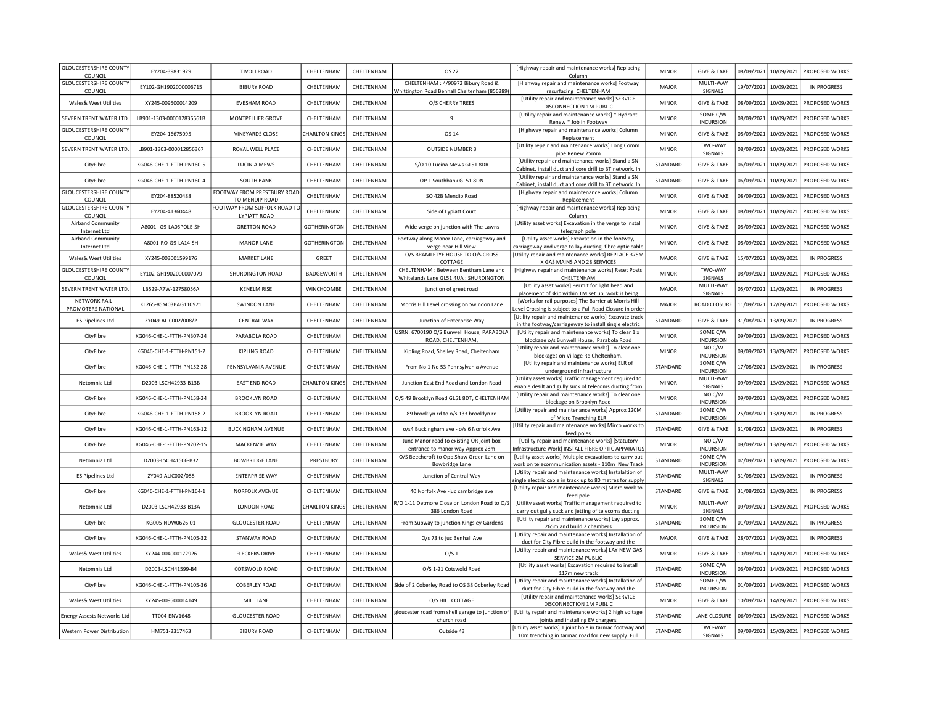| <b>GLOUCESTERSHIRE COUNTY</b><br>[Highway repair and maintenance works] Replacing<br>EY204-39831929<br><b>TIVOLI ROAD</b><br>CHELTENHAM<br>CHELTENHAM<br><b>MINOR</b><br><b>GIVE &amp; TAKE</b><br>08/09/2021<br>10/09/2021<br>PROPOSED WORKS<br>OS 22<br>COUNCIL<br>Column<br><b>GLOUCESTERSHIRE COUNTY</b><br>MULTI-WAY<br>CHELTENHAM: 4/90972 Bibury Road &<br>[Highway repair and maintenance works] Footway<br>EY102-GH1902000006715<br><b>BIBURY ROAD</b><br>CHELTENHAM<br>19/07/2021<br>10/09/2021<br>CHELTENHAM<br>MAIOR<br><b>IN PROGRESS</b><br>SIGNALS<br>COUNCIL<br>Whittington Road Benhall Cheltenham (856289<br>resurfacing CHELTENHAM<br>[Utility repair and maintenance works] SERVICE<br>Wales& West Utilities<br>XY245-009500014209<br><b>EVESHAM ROAD</b><br>CHELTENHAM<br>CHELTENHAM<br><b>GIVE &amp; TAKE</b><br>08/09/2021<br>10/09/2021<br>PROPOSED WORKS<br>O/S CHERRY TREES<br><b>MINOR</b><br>DISCONNECTION 1M PUBLIC<br>SOME C/W<br>[Utility repair and maintenance works] * Hydrant<br>SEVERN TRENT WATER LTD<br>LB901-1303-000012836561B<br>MONTPELLIER GROVE<br>CHELTENHAM<br>CHELTENHAM<br>$\overline{9}$<br>08/09/2021<br>10/09/2021<br>PROPOSED WORKS<br><b>MINOR</b><br>INCURSION<br>Renew * Job in Footway<br><b>GLOUCESTERSHIRE COUNTY</b><br>[Highway repair and maintenance works] Column<br>CHARLTON KINGS<br>EY204-16675095<br><b>VINEYARDS CLOSE</b><br>CHELTENHAM<br>OS 14<br><b>MINOR</b><br><b>GIVE &amp; TAKE</b><br>08/09/2021<br>10/09/2021<br>PROPOSED WORKS<br>COUNCIL<br>Replacement<br>TWO-WAY<br>[Utility repair and maintenance works] Long Comm<br>SEVERN TRENT WATER LTD.<br>ROYAL WELL PLACE<br>10/09/2021<br>LB901-1303-000012856367<br>CHELTENHAM<br>CHELTENHAM<br><b>OUTSIDE NUMBER 3</b><br><b>MINOR</b><br>08/09/2021<br>PROPOSED WORKS<br>SIGNALS<br>pipe Renew 25mm<br>[Utility repair and maintenance works] Stand a SN<br>KG046-CHE-1-FTTH-PN160-5<br>LUCINIA MEWS<br>CHELTENHAM<br>CHELTENHAM<br>S/O 10 Lucina Mews GL51 8DR<br>STANDARD<br><b>GIVE &amp; TAKE</b><br>06/09/2021<br>10/09/2021<br>PROPOSED WORKS<br>CityFibre<br>Cabinet, install duct and core drill to BT network. In<br>[Utility repair and maintenance works] Stand a SN<br>KG046-CHE-1-FTTH-PN160-4<br><b>SOUTH BANK</b><br>CHELTENHAM<br>CHELTENHAM<br>OP 1 Southbank GL51 8DN<br>STANDARD<br><b>GIVE &amp; TAKE</b><br>06/09/2021<br>10/09/2021<br>CityFibre<br>PROPOSED WORKS<br>Cabinet, install duct and core drill to BT network. In<br><b>GLOUCESTERSHIRE COUNTY</b><br>FOOTWAY FROM PRESTBURY ROAD<br>[Highway repair and maintenance works] Column<br>CHELTENHAM<br>CHELTENHAM<br><b>GIVE &amp; TAKE</b><br>08/09/2021<br>10/09/2021<br>EY204-88520488<br>SO 42B Mendip Road<br><b>MINOR</b><br>PROPOSED WORKS<br>COUNCIL<br>TO MENDIP ROAD<br>Replacement<br><b>GLOUCESTERSHIRE COUNTY</b><br>FOOTWAY FROM SUFFOLK ROAD TC<br>[Highway repair and maintenance works] Replacing<br>CHELTENHAM<br><b>GIVE &amp; TAKE</b><br>08/09/2021<br>10/09/2021<br>EY204-41360448<br>CHELTENHAM<br>Side of Lypiatt Court<br><b>MINOR</b><br>PROPOSED WORKS<br>COUNCIL<br>LYPIATT ROAD<br>Column<br>[Utility asset works] Excavation in the verge to install<br>Airband Community<br>A8001 -- G9-LA06POLE-SH<br><b>GRETTON ROAD</b><br><b>GOTHERINGTON</b><br>CHELTENHAM<br>Wide verge on junction with The Lawns<br><b>MINOR</b><br><b>GIVE &amp; TAKE</b><br>08/09/2021<br>10/09/2021<br>PROPOSED WORKS<br>Internet Ltd<br>telegraph pole<br>Footway along Manor Lane, carriageway and<br>[Utility asset works] Excavation in the footway,<br>Airband Community<br><b>MANOR LANE</b><br>GOTHERINGTON<br>10/09/2021<br>A8001-RO-G9-LA14-SH<br>CHELTENHAM<br><b>MINOR</b><br><b>GIVE &amp; TAKE</b><br>08/09/2021<br>PROPOSED WORKS<br>verge near Hill View<br>carriageway and verge to lay ducting, fibre optic cable<br>Internet Ltd<br>O/S BRAMLETYE HOUSE TO O/S CROSS<br>[Utility repair and maintenance works] REPLACE 375M<br>Wales& West Utilities<br>XY245-003001599176<br>MARKET LANE<br>GREET<br>CHELTENHAM<br>MAJOR<br><b>GIVE &amp; TAKE</b><br>15/07/2021<br>10/09/2021<br>IN PROGRESS<br>X GAS MAINS AND 28 SERVICES<br>COTTAGE<br><b>GLOUCESTERSHIRE COUNTY</b><br>CHELTENHAM : Between Bentham Lane and<br>TWO-WAY<br>[Highway repair and maintenance works] Reset Posts<br>SHURDINGTON ROAD<br>EY102-GH1902000007079<br>BADGEWORTH<br>CHELTENHAM<br><b>MINOR</b><br>08/09/2021<br>10/09/2021<br>PROPOSED WORKS<br>COUNCIL<br>Whitelands Lane GL51 4UA : SHURDINGTON<br>CHELTENHAM<br>SIGNALS<br>[Utility asset works] Permit for light head and<br>MULTI-WAY<br>SEVERN TRENT WATER LTD.<br>LB529-A7W-12758056A<br><b>KENELM RISE</b><br>WINCHCOMBE<br>CHELTENHAM<br>MAJOR<br>05/07/2021<br>11/09/2021<br>IN PROGRESS<br>junction of greet road<br>placement of skip within TM set up, work is being<br>SIGNALS<br>NETWORK RAIL -<br>[Works for rail purposes] The Barrier at Morris Hill<br>KL265-85M03BAG110921<br><b>SWINDON LANE</b><br>CHELTENHAM<br>CHELTENHAM<br>Morris Hill Level crossing on Swindon Lane<br>MAJOR<br>ROAD CLOSURE<br>11/09/2021<br>12/09/2021<br>PROPOSED WORKS<br>PROMOTERS NATIONAL<br>evel Crossing is subject to a Full Road Closure in order<br>[Utility repair and maintenance works] Excavate track<br><b>ES Pipelines Ltd</b><br>ZY049-ALIC002/008/2<br><b>CENTRAL WAY</b><br>CHELTENHAM<br>CHELTENHAM<br>STANDARD<br><b>GIVE &amp; TAKE</b><br>31/08/2021<br>13/09/2021<br>IN PROGRESS<br>Junction of Enterprise Way<br>in the footway/carriageway to install single electric<br>USRN: 6700190 O/S Bunwell House, PARABOLA<br>[Utility repair and maintenance works] To clear 1 x<br>SOME C/W<br>KG046-CHE-1-FTTH-PN307-24<br>PARABOLA ROAD<br>CHELTENHAM<br>CHELTENHAM<br><b>MINOR</b><br>13/09/2021<br>PROPOSED WORKS<br>CityFibre<br>09/09/2021<br>ROAD, CHELTENHAM,<br><b>INCURSION</b><br>blockage o/s Bunwell House, Parabola Road<br>[Utility repair and maintenance works] To clear one<br>NO C/W<br>CHELTENHAM<br>13/09/2021<br>CityFibre<br>KG046-CHE-1-FTTH-PN151-2<br><b>KIPLING ROAD</b><br>CHELTENHAM<br>Kipling Road, Shelley Road, Cheltenham<br><b>MINOR</b><br>09/09/2021<br>PROPOSED WORKS<br>blockages on Village Rd Cheltenham.<br><b>INCURSION</b><br>SOME C/W<br>[Utility repair and maintenance works] ELR of<br>KG046-CHE-1-FTTH-PN152-28<br>PENNSYLVANIA AVENUE<br>CHELTENHAM<br>CHELTENHAM<br>STANDARD<br>13/09/2021<br>CityFibre<br>From No 1 No 53 Pennsylvania Avenue<br>17/08/2021<br>IN PROGRESS<br>underground infrastructure<br><b>INCURSION</b><br>[Utility asset works] Traffic management required to<br>MULTI-WAY<br>Netomnia Ltd<br>D2003-LSCH42933-B13B<br><b>EAST END ROAD</b><br><b>CHARLTON KINGS</b><br>CHELTENHAM<br>Junction East End Road and London Road<br><b>MINOR</b><br>09/09/2021<br>13/09/2021<br>PROPOSED WORKS<br>SIGNALS<br>enable desilt and gully suck of telecoms ducting from<br>NO C/W<br>[Utility repair and maintenance works] To clear one<br>13/09/2021<br>CityFibre<br>KG046-CHE-1-FTTH-PN158-24<br><b>BROOKLYN ROAD</b><br>CHELTENHAM<br>CHELTENHAM<br>O/S 49 Brooklyn Road GL51 8DT, CHELTENHAM<br><b>MINOR</b><br>09/09/2021<br>PROPOSED WORKS<br><b>INCURSION</b><br>blockage on Brooklyn Roac<br>[Utility repair and maintenance works] Approx 120M<br>SOME C/W<br>CityFibre<br>KG046-CHE-1-FTTH-PN158-2<br><b>BROOKLYN ROAD</b><br>CHELTENHAM<br>CHELTENHAM<br>STANDARD<br>25/08/2021<br>13/09/2021<br>IN PROGRESS<br>89 brooklyn rd to o/s 133 brooklyn rd<br><b>INCURSION</b><br>of Micro Trenching ELR<br>[Utility repair and maintenance works] Mirco works to<br><b>GIVE &amp; TAKE</b><br>CityFibre<br>KG046-CHE-1-FTTH-PN163-12<br><b>BUCKINGHAM AVENUE</b><br>CHELTENHAM<br>CHELTENHAM<br>o/s4 Buckingham ave - o/s 6 Norfolk Ave<br>STANDARD<br>31/08/2021<br>13/09/2021<br><b>IN PROGRESS</b><br>feed poles<br>NO C/W<br>Junc Manor road to existing OR joint box<br>[Utility repair and maintenance works] [Statutory<br>KG046-CHE-1-FTTH-PN202-15<br>MACKENZIE WAY<br>CHELTENHAM<br>CHELTENHAM<br><b>MINOR</b><br>09/09/2021<br>13/09/2021<br>PROPOSED WORKS<br>CityFibre<br>Infrastructure Work] INSTALL FIBRE OPTIC APPARATU!<br><b>INCURSION</b><br>entrance to manor way Approx 28m<br>[Utility asset works] Multiple excavations to carry out<br>SOME C/W<br>O/S Beechcroft to Opp Shaw Green Lane on<br>Netomnia Ltd<br>D2003-LSCH41506-B32<br><b>BOWBRIDGE LANE</b><br>PRESTBURY<br>CHELTENHAM<br>STANDARD<br>07/09/2021<br>13/09/2021<br>PROPOSED WORKS<br><b>INCURSION</b><br><b>Bowbridge Lane</b><br>work on telecommunication assets - 110m New Track<br>MULTI-WAY<br>[Utility repair and maintenance works] Instalaltion of<br>ZY049-ALIC002/088<br><b>ENTERPRISE WAY</b><br>CHELTENHAM<br>CHELTENHAM<br>STANDARD<br>31/08/2021<br>13/09/2021<br><b>IN PROGRESS</b><br><b>ES Pipelines Ltd</b><br>Junction of Central Way<br>SIGNALS<br>single electric cable in track up to 80 metres for supply<br>[Utility repair and maintenance works] Micro work to<br>KG046-CHE-1-FTTH-PN164-1<br>NORFOLK AVENUE<br>CHELTENHAM<br>CHELTENHAM<br>STANDARD<br><b>GIVE &amp; TAKE</b><br>31/08/2021<br>13/09/2021<br>IN PROGRESS<br>CityFibre<br>40 Norfolk Ave -juc cambridge ave<br>feed pole<br>MULTI-WAY<br>R/O 1-11 Detmore Close on London Road to O/S<br>[Utility asset works] Traffic management required to<br><b>CHARLTON KINGS</b><br>CHELTENHAM<br>13/09/2021<br>D2003-LSCH42933-B13A<br><b>LONDON ROAD</b><br><b>MINOR</b><br>09/09/2021<br>PROPOSED WORKS<br>Netomnia I td<br>SIGNALS<br>386 London Road<br>carry out gully suck and jetting of telecoms ducting<br>SOME C/W<br>[Utility repair and maintenance works] Lay approx.<br><b>GLOUCESTER ROAD</b><br>CHELTENHAM<br>CHELTENHAM<br>STANDARD<br>01/09/2021<br>14/09/2021<br>CityFibre<br>KG005-NDW0626-01<br>IN PROGRESS<br>From Subway to junction Kingsley Gardens<br><b>INCURSION</b><br>265m and build 2 chambers<br>[Utility repair and maintenance works] Installation of<br>28/07/2021<br>KG046-CHE-1-FTTH-PN105-32<br>STANWAY ROAD<br>CHELTENHAM<br>CHELTENHAM<br>MAJOR<br><b>GIVE &amp; TAKE</b><br>14/09/2021<br><b>IN PROGRESS</b><br>CityFibre<br>O/s 73 to juc Benhall Ave<br>duct for City Fibre build in the footway and the<br>[Utility repair and maintenance works] LAY NEW GAS<br><b>MINOR</b><br>10/09/2021<br>14/09/2021<br>Wales& West Utilities<br>XY244-004000172926<br><b>FLECKERS DRIVE</b><br>CHELTENHAM<br>CHELTENHAM<br>O/S <sub>1</sub><br><b>GIVE &amp; TAKE</b><br>PROPOSED WORKS<br><b>SERVICE 2M PUBLIC</b><br>SOME C/W<br>[Utility asset works] Excavation required to install<br>CHELTENHAM<br>CHELTENHAM<br>14/09/2021<br>D2003-LSCH41599-B4<br>COTSWOLD ROAD<br>O/S 1-21 Cotswold Road<br>STANDARD<br>06/09/2021<br>PROPOSED WORKS<br>Netomnia Ltd<br><b>INCURSION</b><br>117m new track<br>[Utility repair and maintenance works] Installation of<br>SOME C/W<br>KG046-CHE-1-FTTH-PN105-36<br><b>COBERLEY ROAD</b><br>CHELTENHAM<br>CHELTENHAM<br>Side of 2 Coberley Road to OS 38 Coberley Road<br>STANDARD<br>01/09/2021<br>14/09/2021<br>PROPOSED WORKS<br>CityFibre<br><b>INCURSION</b><br>duct for City Fibre build in the footway and the<br>[Utility repair and maintenance works] SERVICE<br>10/09/2021<br>MILL LANE<br>CHELTENHAM<br>CHELTENHAM<br>O/S HILL COTTAGE<br><b>MINOR</b><br><b>GIVE &amp; TAKE</b><br>14/09/2021<br><b>Wales&amp; West Utilities</b><br>XY245-009500014149<br>PROPOSED WORKS<br>DISCONNECTION 1M PUBLIC<br>gloucester road from shell garage to junction of<br>[Utility repair and maintenance works] 2 high voltage<br><b>GLOUCESTER ROAD</b><br>15/09/2021<br><b>Energy Assests Networks Ltd</b><br>TT004-ENV1648<br>CHELTENHAM<br>CHELTENHAM<br>STANDARD<br>LANE CLOSURE<br>06/09/2021<br>PROPOSED WORKS<br>joints and installing EV chargers<br>church road<br>[Utility asset works] 1 joint hole in tarmac footway and<br>TWO-WAY<br>HM751-2317463<br><b>BIBURY ROAD</b><br>CHELTENHAM<br>CHELTENHAM<br>Outside 43<br>STANDARD<br>09/09/2021<br>15/09/2021<br>PROPOSED WORKS<br>Western Power Distribution |  |  |  |                                                   |         |  |  |
|------------------------------------------------------------------------------------------------------------------------------------------------------------------------------------------------------------------------------------------------------------------------------------------------------------------------------------------------------------------------------------------------------------------------------------------------------------------------------------------------------------------------------------------------------------------------------------------------------------------------------------------------------------------------------------------------------------------------------------------------------------------------------------------------------------------------------------------------------------------------------------------------------------------------------------------------------------------------------------------------------------------------------------------------------------------------------------------------------------------------------------------------------------------------------------------------------------------------------------------------------------------------------------------------------------------------------------------------------------------------------------------------------------------------------------------------------------------------------------------------------------------------------------------------------------------------------------------------------------------------------------------------------------------------------------------------------------------------------------------------------------------------------------------------------------------------------------------------------------------------------------------------------------------------------------------------------------------------------------------------------------------------------------------------------------------------------------------------------------------------------------------------------------------------------------------------------------------------------------------------------------------------------------------------------------------------------------------------------------------------------------------------------------------------------------------------------------------------------------------------------------------------------------------------------------------------------------------------------------------------------------------------------------------------------------------------------------------------------------------------------------------------------------------------------------------------------------------------------------------------------------------------------------------------------------------------------------------------------------------------------------------------------------------------------------------------------------------------------------------------------------------------------------------------------------------------------------------------------------------------------------------------------------------------------------------------------------------------------------------------------------------------------------------------------------------------------------------------------------------------------------------------------------------------------------------------------------------------------------------------------------------------------------------------------------------------------------------------------------------------------------------------------------------------------------------------------------------------------------------------------------------------------------------------------------------------------------------------------------------------------------------------------------------------------------------------------------------------------------------------------------------------------------------------------------------------------------------------------------------------------------------------------------------------------------------------------------------------------------------------------------------------------------------------------------------------------------------------------------------------------------------------------------------------------------------------------------------------------------------------------------------------------------------------------------------------------------------------------------------------------------------------------------------------------------------------------------------------------------------------------------------------------------------------------------------------------------------------------------------------------------------------------------------------------------------------------------------------------------------------------------------------------------------------------------------------------------------------------------------------------------------------------------------------------------------------------------------------------------------------------------------------------------------------------------------------------------------------------------------------------------------------------------------------------------------------------------------------------------------------------------------------------------------------------------------------------------------------------------------------------------------------------------------------------------------------------------------------------------------------------------------------------------------------------------------------------------------------------------------------------------------------------------------------------------------------------------------------------------------------------------------------------------------------------------------------------------------------------------------------------------------------------------------------------------------------------------------------------------------------------------------------------------------------------------------------------------------------------------------------------------------------------------------------------------------------------------------------------------------------------------------------------------------------------------------------------------------------------------------------------------------------------------------------------------------------------------------------------------------------------------------------------------------------------------------------------------------------------------------------------------------------------------------------------------------------------------------------------------------------------------------------------------------------------------------------------------------------------------------------------------------------------------------------------------------------------------------------------------------------------------------------------------------------------------------------------------------------------------------------------------------------------------------------------------------------------------------------------------------------------------------------------------------------------------------------------------------------------------------------------------------------------------------------------------------------------------------------------------------------------------------------------------------------------------------------------------------------------------------------------------------------------------------------------------------------------------------------------------------------------------------------------------------------------------------------------------------------------------------------------------------------------------------------------------------------------------------------------------------------------------------------------------------------------------------------------------------------------------------------------------------------------------------------------------------------------------------------------------------------------------------------------------------------------------------------------------------------------------------------------------------------------------------------------------------------------------------------------------------------------------------------------------------------------------------------------------------------------------------------------------------------------------------------------------------------------------------------------------------------------------------------------------------------------------------------------------------------------------------------------------------------------------------------------------------------------------------------------------------------------------------------------------------------------------------------------------------------------------------------------------------------------------------------------------------------------------------------------------------------------------------------------------------------------------------------------------------------------------------------------------------------------------------------------------------------------------------------------------------------------------------------------------------------------------------------------------------------------------------------------------------------------------------------------------------------------------------------------------------------------------------------------------------------------------------------------------------------------------------------------------------------------------------------------------------------------------------------------------------------------------------------------------------------------------------------------------------------------------------------------------------------------------------------------------------------------------------------------------------------------------------------------------------------------------------------------------------------------------------------------------------------------------------------------------------------------------------------------------------------------------------------------------------------------------------------------------------------------------------------------------------------------------------------------------------------------------------------------------------------------------------------------------------------------------------------------------------------------------------------------------------------------------------------------------------------------------------------------------------------------------------------------------------------------------------------------------------------------------------------------------------------------------------------------------------------------------------------------------------------------------------------------------------------------------------------------------------------------------------------------------------------------------------------------------------------------------------------------------------------------------------------------------------------------------------------------------------------------------------------------------------------------------------------------------------------------------------------------------------------------------------------|--|--|--|---------------------------------------------------|---------|--|--|
|                                                                                                                                                                                                                                                                                                                                                                                                                                                                                                                                                                                                                                                                                                                                                                                                                                                                                                                                                                                                                                                                                                                                                                                                                                                                                                                                                                                                                                                                                                                                                                                                                                                                                                                                                                                                                                                                                                                                                                                                                                                                                                                                                                                                                                                                                                                                                                                                                                                                                                                                                                                                                                                                                                                                                                                                                                                                                                                                                                                                                                                                                                                                                                                                                                                                                                                                                                                                                                                                                                                                                                                                                                                                                                                                                                                                                                                                                                                                                                                                                                                                                                                                                                                                                                                                                                                                                                                                                                                                                                                                                                                                                                                                                                                                                                                                                                                                                                                                                                                                                                                                                                                                                                                                                                                                                                                                                                                                                                                                                                                                                                                                                                                                                                                                                                                                                                                                                                                                                                                                                                                                                                                                                                                                                                                                                                                                                                                                                                                                                                                                                                                                                                                                                                                                                                                                                                                                                                                                                                                                                                                                                                                                                                                                                                                                                                                                                                                                                                                                                                                                                                                                                                                                                                                                                                                                                                                                                                                                                                                                                                                                                                                                                                                                                                                                                                                                                                                                                                                                                                                                                                                                                                                                                                                                                                                                                                                                                                                                                                                                                                                                                                                                                                                                                                                                                                                                                                                                                                                                                                                                                                                                                                                                                                                                                                                                                                                                                                                                                                                                                                                                                                                                                                                                                                                                                                                                                                                                                                                                                                                                                                                                                                                                                                                                                                                                                                                                                                                                                                                                                                                                                                                                                                                                                                                                                                                                                                                                                                                                                                                                                                                                                                                                                                                                                                                                                                                                                                                                                                                                                                                                                                                                                |  |  |  |                                                   |         |  |  |
|                                                                                                                                                                                                                                                                                                                                                                                                                                                                                                                                                                                                                                                                                                                                                                                                                                                                                                                                                                                                                                                                                                                                                                                                                                                                                                                                                                                                                                                                                                                                                                                                                                                                                                                                                                                                                                                                                                                                                                                                                                                                                                                                                                                                                                                                                                                                                                                                                                                                                                                                                                                                                                                                                                                                                                                                                                                                                                                                                                                                                                                                                                                                                                                                                                                                                                                                                                                                                                                                                                                                                                                                                                                                                                                                                                                                                                                                                                                                                                                                                                                                                                                                                                                                                                                                                                                                                                                                                                                                                                                                                                                                                                                                                                                                                                                                                                                                                                                                                                                                                                                                                                                                                                                                                                                                                                                                                                                                                                                                                                                                                                                                                                                                                                                                                                                                                                                                                                                                                                                                                                                                                                                                                                                                                                                                                                                                                                                                                                                                                                                                                                                                                                                                                                                                                                                                                                                                                                                                                                                                                                                                                                                                                                                                                                                                                                                                                                                                                                                                                                                                                                                                                                                                                                                                                                                                                                                                                                                                                                                                                                                                                                                                                                                                                                                                                                                                                                                                                                                                                                                                                                                                                                                                                                                                                                                                                                                                                                                                                                                                                                                                                                                                                                                                                                                                                                                                                                                                                                                                                                                                                                                                                                                                                                                                                                                                                                                                                                                                                                                                                                                                                                                                                                                                                                                                                                                                                                                                                                                                                                                                                                                                                                                                                                                                                                                                                                                                                                                                                                                                                                                                                                                                                                                                                                                                                                                                                                                                                                                                                                                                                                                                                                                                                                                                                                                                                                                                                                                                                                                                                                                                                                                                                |  |  |  |                                                   |         |  |  |
|                                                                                                                                                                                                                                                                                                                                                                                                                                                                                                                                                                                                                                                                                                                                                                                                                                                                                                                                                                                                                                                                                                                                                                                                                                                                                                                                                                                                                                                                                                                                                                                                                                                                                                                                                                                                                                                                                                                                                                                                                                                                                                                                                                                                                                                                                                                                                                                                                                                                                                                                                                                                                                                                                                                                                                                                                                                                                                                                                                                                                                                                                                                                                                                                                                                                                                                                                                                                                                                                                                                                                                                                                                                                                                                                                                                                                                                                                                                                                                                                                                                                                                                                                                                                                                                                                                                                                                                                                                                                                                                                                                                                                                                                                                                                                                                                                                                                                                                                                                                                                                                                                                                                                                                                                                                                                                                                                                                                                                                                                                                                                                                                                                                                                                                                                                                                                                                                                                                                                                                                                                                                                                                                                                                                                                                                                                                                                                                                                                                                                                                                                                                                                                                                                                                                                                                                                                                                                                                                                                                                                                                                                                                                                                                                                                                                                                                                                                                                                                                                                                                                                                                                                                                                                                                                                                                                                                                                                                                                                                                                                                                                                                                                                                                                                                                                                                                                                                                                                                                                                                                                                                                                                                                                                                                                                                                                                                                                                                                                                                                                                                                                                                                                                                                                                                                                                                                                                                                                                                                                                                                                                                                                                                                                                                                                                                                                                                                                                                                                                                                                                                                                                                                                                                                                                                                                                                                                                                                                                                                                                                                                                                                                                                                                                                                                                                                                                                                                                                                                                                                                                                                                                                                                                                                                                                                                                                                                                                                                                                                                                                                                                                                                                                                                                                                                                                                                                                                                                                                                                                                                                                                                                                                                                |  |  |  |                                                   |         |  |  |
|                                                                                                                                                                                                                                                                                                                                                                                                                                                                                                                                                                                                                                                                                                                                                                                                                                                                                                                                                                                                                                                                                                                                                                                                                                                                                                                                                                                                                                                                                                                                                                                                                                                                                                                                                                                                                                                                                                                                                                                                                                                                                                                                                                                                                                                                                                                                                                                                                                                                                                                                                                                                                                                                                                                                                                                                                                                                                                                                                                                                                                                                                                                                                                                                                                                                                                                                                                                                                                                                                                                                                                                                                                                                                                                                                                                                                                                                                                                                                                                                                                                                                                                                                                                                                                                                                                                                                                                                                                                                                                                                                                                                                                                                                                                                                                                                                                                                                                                                                                                                                                                                                                                                                                                                                                                                                                                                                                                                                                                                                                                                                                                                                                                                                                                                                                                                                                                                                                                                                                                                                                                                                                                                                                                                                                                                                                                                                                                                                                                                                                                                                                                                                                                                                                                                                                                                                                                                                                                                                                                                                                                                                                                                                                                                                                                                                                                                                                                                                                                                                                                                                                                                                                                                                                                                                                                                                                                                                                                                                                                                                                                                                                                                                                                                                                                                                                                                                                                                                                                                                                                                                                                                                                                                                                                                                                                                                                                                                                                                                                                                                                                                                                                                                                                                                                                                                                                                                                                                                                                                                                                                                                                                                                                                                                                                                                                                                                                                                                                                                                                                                                                                                                                                                                                                                                                                                                                                                                                                                                                                                                                                                                                                                                                                                                                                                                                                                                                                                                                                                                                                                                                                                                                                                                                                                                                                                                                                                                                                                                                                                                                                                                                                                                                                                                                                                                                                                                                                                                                                                                                                                                                                                                                                                |  |  |  |                                                   |         |  |  |
|                                                                                                                                                                                                                                                                                                                                                                                                                                                                                                                                                                                                                                                                                                                                                                                                                                                                                                                                                                                                                                                                                                                                                                                                                                                                                                                                                                                                                                                                                                                                                                                                                                                                                                                                                                                                                                                                                                                                                                                                                                                                                                                                                                                                                                                                                                                                                                                                                                                                                                                                                                                                                                                                                                                                                                                                                                                                                                                                                                                                                                                                                                                                                                                                                                                                                                                                                                                                                                                                                                                                                                                                                                                                                                                                                                                                                                                                                                                                                                                                                                                                                                                                                                                                                                                                                                                                                                                                                                                                                                                                                                                                                                                                                                                                                                                                                                                                                                                                                                                                                                                                                                                                                                                                                                                                                                                                                                                                                                                                                                                                                                                                                                                                                                                                                                                                                                                                                                                                                                                                                                                                                                                                                                                                                                                                                                                                                                                                                                                                                                                                                                                                                                                                                                                                                                                                                                                                                                                                                                                                                                                                                                                                                                                                                                                                                                                                                                                                                                                                                                                                                                                                                                                                                                                                                                                                                                                                                                                                                                                                                                                                                                                                                                                                                                                                                                                                                                                                                                                                                                                                                                                                                                                                                                                                                                                                                                                                                                                                                                                                                                                                                                                                                                                                                                                                                                                                                                                                                                                                                                                                                                                                                                                                                                                                                                                                                                                                                                                                                                                                                                                                                                                                                                                                                                                                                                                                                                                                                                                                                                                                                                                                                                                                                                                                                                                                                                                                                                                                                                                                                                                                                                                                                                                                                                                                                                                                                                                                                                                                                                                                                                                                                                                                                                                                                                                                                                                                                                                                                                                                                                                                                                                                                |  |  |  |                                                   |         |  |  |
|                                                                                                                                                                                                                                                                                                                                                                                                                                                                                                                                                                                                                                                                                                                                                                                                                                                                                                                                                                                                                                                                                                                                                                                                                                                                                                                                                                                                                                                                                                                                                                                                                                                                                                                                                                                                                                                                                                                                                                                                                                                                                                                                                                                                                                                                                                                                                                                                                                                                                                                                                                                                                                                                                                                                                                                                                                                                                                                                                                                                                                                                                                                                                                                                                                                                                                                                                                                                                                                                                                                                                                                                                                                                                                                                                                                                                                                                                                                                                                                                                                                                                                                                                                                                                                                                                                                                                                                                                                                                                                                                                                                                                                                                                                                                                                                                                                                                                                                                                                                                                                                                                                                                                                                                                                                                                                                                                                                                                                                                                                                                                                                                                                                                                                                                                                                                                                                                                                                                                                                                                                                                                                                                                                                                                                                                                                                                                                                                                                                                                                                                                                                                                                                                                                                                                                                                                                                                                                                                                                                                                                                                                                                                                                                                                                                                                                                                                                                                                                                                                                                                                                                                                                                                                                                                                                                                                                                                                                                                                                                                                                                                                                                                                                                                                                                                                                                                                                                                                                                                                                                                                                                                                                                                                                                                                                                                                                                                                                                                                                                                                                                                                                                                                                                                                                                                                                                                                                                                                                                                                                                                                                                                                                                                                                                                                                                                                                                                                                                                                                                                                                                                                                                                                                                                                                                                                                                                                                                                                                                                                                                                                                                                                                                                                                                                                                                                                                                                                                                                                                                                                                                                                                                                                                                                                                                                                                                                                                                                                                                                                                                                                                                                                                                                                                                                                                                                                                                                                                                                                                                                                                                                                                                                                |  |  |  |                                                   |         |  |  |
|                                                                                                                                                                                                                                                                                                                                                                                                                                                                                                                                                                                                                                                                                                                                                                                                                                                                                                                                                                                                                                                                                                                                                                                                                                                                                                                                                                                                                                                                                                                                                                                                                                                                                                                                                                                                                                                                                                                                                                                                                                                                                                                                                                                                                                                                                                                                                                                                                                                                                                                                                                                                                                                                                                                                                                                                                                                                                                                                                                                                                                                                                                                                                                                                                                                                                                                                                                                                                                                                                                                                                                                                                                                                                                                                                                                                                                                                                                                                                                                                                                                                                                                                                                                                                                                                                                                                                                                                                                                                                                                                                                                                                                                                                                                                                                                                                                                                                                                                                                                                                                                                                                                                                                                                                                                                                                                                                                                                                                                                                                                                                                                                                                                                                                                                                                                                                                                                                                                                                                                                                                                                                                                                                                                                                                                                                                                                                                                                                                                                                                                                                                                                                                                                                                                                                                                                                                                                                                                                                                                                                                                                                                                                                                                                                                                                                                                                                                                                                                                                                                                                                                                                                                                                                                                                                                                                                                                                                                                                                                                                                                                                                                                                                                                                                                                                                                                                                                                                                                                                                                                                                                                                                                                                                                                                                                                                                                                                                                                                                                                                                                                                                                                                                                                                                                                                                                                                                                                                                                                                                                                                                                                                                                                                                                                                                                                                                                                                                                                                                                                                                                                                                                                                                                                                                                                                                                                                                                                                                                                                                                                                                                                                                                                                                                                                                                                                                                                                                                                                                                                                                                                                                                                                                                                                                                                                                                                                                                                                                                                                                                                                                                                                                                                                                                                                                                                                                                                                                                                                                                                                                                                                                                                                                |  |  |  |                                                   |         |  |  |
|                                                                                                                                                                                                                                                                                                                                                                                                                                                                                                                                                                                                                                                                                                                                                                                                                                                                                                                                                                                                                                                                                                                                                                                                                                                                                                                                                                                                                                                                                                                                                                                                                                                                                                                                                                                                                                                                                                                                                                                                                                                                                                                                                                                                                                                                                                                                                                                                                                                                                                                                                                                                                                                                                                                                                                                                                                                                                                                                                                                                                                                                                                                                                                                                                                                                                                                                                                                                                                                                                                                                                                                                                                                                                                                                                                                                                                                                                                                                                                                                                                                                                                                                                                                                                                                                                                                                                                                                                                                                                                                                                                                                                                                                                                                                                                                                                                                                                                                                                                                                                                                                                                                                                                                                                                                                                                                                                                                                                                                                                                                                                                                                                                                                                                                                                                                                                                                                                                                                                                                                                                                                                                                                                                                                                                                                                                                                                                                                                                                                                                                                                                                                                                                                                                                                                                                                                                                                                                                                                                                                                                                                                                                                                                                                                                                                                                                                                                                                                                                                                                                                                                                                                                                                                                                                                                                                                                                                                                                                                                                                                                                                                                                                                                                                                                                                                                                                                                                                                                                                                                                                                                                                                                                                                                                                                                                                                                                                                                                                                                                                                                                                                                                                                                                                                                                                                                                                                                                                                                                                                                                                                                                                                                                                                                                                                                                                                                                                                                                                                                                                                                                                                                                                                                                                                                                                                                                                                                                                                                                                                                                                                                                                                                                                                                                                                                                                                                                                                                                                                                                                                                                                                                                                                                                                                                                                                                                                                                                                                                                                                                                                                                                                                                                                                                                                                                                                                                                                                                                                                                                                                                                                                                                                                |  |  |  |                                                   |         |  |  |
|                                                                                                                                                                                                                                                                                                                                                                                                                                                                                                                                                                                                                                                                                                                                                                                                                                                                                                                                                                                                                                                                                                                                                                                                                                                                                                                                                                                                                                                                                                                                                                                                                                                                                                                                                                                                                                                                                                                                                                                                                                                                                                                                                                                                                                                                                                                                                                                                                                                                                                                                                                                                                                                                                                                                                                                                                                                                                                                                                                                                                                                                                                                                                                                                                                                                                                                                                                                                                                                                                                                                                                                                                                                                                                                                                                                                                                                                                                                                                                                                                                                                                                                                                                                                                                                                                                                                                                                                                                                                                                                                                                                                                                                                                                                                                                                                                                                                                                                                                                                                                                                                                                                                                                                                                                                                                                                                                                                                                                                                                                                                                                                                                                                                                                                                                                                                                                                                                                                                                                                                                                                                                                                                                                                                                                                                                                                                                                                                                                                                                                                                                                                                                                                                                                                                                                                                                                                                                                                                                                                                                                                                                                                                                                                                                                                                                                                                                                                                                                                                                                                                                                                                                                                                                                                                                                                                                                                                                                                                                                                                                                                                                                                                                                                                                                                                                                                                                                                                                                                                                                                                                                                                                                                                                                                                                                                                                                                                                                                                                                                                                                                                                                                                                                                                                                                                                                                                                                                                                                                                                                                                                                                                                                                                                                                                                                                                                                                                                                                                                                                                                                                                                                                                                                                                                                                                                                                                                                                                                                                                                                                                                                                                                                                                                                                                                                                                                                                                                                                                                                                                                                                                                                                                                                                                                                                                                                                                                                                                                                                                                                                                                                                                                                                                                                                                                                                                                                                                                                                                                                                                                                                                                                                                                |  |  |  |                                                   |         |  |  |
|                                                                                                                                                                                                                                                                                                                                                                                                                                                                                                                                                                                                                                                                                                                                                                                                                                                                                                                                                                                                                                                                                                                                                                                                                                                                                                                                                                                                                                                                                                                                                                                                                                                                                                                                                                                                                                                                                                                                                                                                                                                                                                                                                                                                                                                                                                                                                                                                                                                                                                                                                                                                                                                                                                                                                                                                                                                                                                                                                                                                                                                                                                                                                                                                                                                                                                                                                                                                                                                                                                                                                                                                                                                                                                                                                                                                                                                                                                                                                                                                                                                                                                                                                                                                                                                                                                                                                                                                                                                                                                                                                                                                                                                                                                                                                                                                                                                                                                                                                                                                                                                                                                                                                                                                                                                                                                                                                                                                                                                                                                                                                                                                                                                                                                                                                                                                                                                                                                                                                                                                                                                                                                                                                                                                                                                                                                                                                                                                                                                                                                                                                                                                                                                                                                                                                                                                                                                                                                                                                                                                                                                                                                                                                                                                                                                                                                                                                                                                                                                                                                                                                                                                                                                                                                                                                                                                                                                                                                                                                                                                                                                                                                                                                                                                                                                                                                                                                                                                                                                                                                                                                                                                                                                                                                                                                                                                                                                                                                                                                                                                                                                                                                                                                                                                                                                                                                                                                                                                                                                                                                                                                                                                                                                                                                                                                                                                                                                                                                                                                                                                                                                                                                                                                                                                                                                                                                                                                                                                                                                                                                                                                                                                                                                                                                                                                                                                                                                                                                                                                                                                                                                                                                                                                                                                                                                                                                                                                                                                                                                                                                                                                                                                                                                                                                                                                                                                                                                                                                                                                                                                                                                                                                                                                |  |  |  |                                                   |         |  |  |
|                                                                                                                                                                                                                                                                                                                                                                                                                                                                                                                                                                                                                                                                                                                                                                                                                                                                                                                                                                                                                                                                                                                                                                                                                                                                                                                                                                                                                                                                                                                                                                                                                                                                                                                                                                                                                                                                                                                                                                                                                                                                                                                                                                                                                                                                                                                                                                                                                                                                                                                                                                                                                                                                                                                                                                                                                                                                                                                                                                                                                                                                                                                                                                                                                                                                                                                                                                                                                                                                                                                                                                                                                                                                                                                                                                                                                                                                                                                                                                                                                                                                                                                                                                                                                                                                                                                                                                                                                                                                                                                                                                                                                                                                                                                                                                                                                                                                                                                                                                                                                                                                                                                                                                                                                                                                                                                                                                                                                                                                                                                                                                                                                                                                                                                                                                                                                                                                                                                                                                                                                                                                                                                                                                                                                                                                                                                                                                                                                                                                                                                                                                                                                                                                                                                                                                                                                                                                                                                                                                                                                                                                                                                                                                                                                                                                                                                                                                                                                                                                                                                                                                                                                                                                                                                                                                                                                                                                                                                                                                                                                                                                                                                                                                                                                                                                                                                                                                                                                                                                                                                                                                                                                                                                                                                                                                                                                                                                                                                                                                                                                                                                                                                                                                                                                                                                                                                                                                                                                                                                                                                                                                                                                                                                                                                                                                                                                                                                                                                                                                                                                                                                                                                                                                                                                                                                                                                                                                                                                                                                                                                                                                                                                                                                                                                                                                                                                                                                                                                                                                                                                                                                                                                                                                                                                                                                                                                                                                                                                                                                                                                                                                                                                                                                                                                                                                                                                                                                                                                                                                                                                                                                                                                                                |  |  |  |                                                   |         |  |  |
|                                                                                                                                                                                                                                                                                                                                                                                                                                                                                                                                                                                                                                                                                                                                                                                                                                                                                                                                                                                                                                                                                                                                                                                                                                                                                                                                                                                                                                                                                                                                                                                                                                                                                                                                                                                                                                                                                                                                                                                                                                                                                                                                                                                                                                                                                                                                                                                                                                                                                                                                                                                                                                                                                                                                                                                                                                                                                                                                                                                                                                                                                                                                                                                                                                                                                                                                                                                                                                                                                                                                                                                                                                                                                                                                                                                                                                                                                                                                                                                                                                                                                                                                                                                                                                                                                                                                                                                                                                                                                                                                                                                                                                                                                                                                                                                                                                                                                                                                                                                                                                                                                                                                                                                                                                                                                                                                                                                                                                                                                                                                                                                                                                                                                                                                                                                                                                                                                                                                                                                                                                                                                                                                                                                                                                                                                                                                                                                                                                                                                                                                                                                                                                                                                                                                                                                                                                                                                                                                                                                                                                                                                                                                                                                                                                                                                                                                                                                                                                                                                                                                                                                                                                                                                                                                                                                                                                                                                                                                                                                                                                                                                                                                                                                                                                                                                                                                                                                                                                                                                                                                                                                                                                                                                                                                                                                                                                                                                                                                                                                                                                                                                                                                                                                                                                                                                                                                                                                                                                                                                                                                                                                                                                                                                                                                                                                                                                                                                                                                                                                                                                                                                                                                                                                                                                                                                                                                                                                                                                                                                                                                                                                                                                                                                                                                                                                                                                                                                                                                                                                                                                                                                                                                                                                                                                                                                                                                                                                                                                                                                                                                                                                                                                                                                                                                                                                                                                                                                                                                                                                                                                                                                                                                                |  |  |  |                                                   |         |  |  |
|                                                                                                                                                                                                                                                                                                                                                                                                                                                                                                                                                                                                                                                                                                                                                                                                                                                                                                                                                                                                                                                                                                                                                                                                                                                                                                                                                                                                                                                                                                                                                                                                                                                                                                                                                                                                                                                                                                                                                                                                                                                                                                                                                                                                                                                                                                                                                                                                                                                                                                                                                                                                                                                                                                                                                                                                                                                                                                                                                                                                                                                                                                                                                                                                                                                                                                                                                                                                                                                                                                                                                                                                                                                                                                                                                                                                                                                                                                                                                                                                                                                                                                                                                                                                                                                                                                                                                                                                                                                                                                                                                                                                                                                                                                                                                                                                                                                                                                                                                                                                                                                                                                                                                                                                                                                                                                                                                                                                                                                                                                                                                                                                                                                                                                                                                                                                                                                                                                                                                                                                                                                                                                                                                                                                                                                                                                                                                                                                                                                                                                                                                                                                                                                                                                                                                                                                                                                                                                                                                                                                                                                                                                                                                                                                                                                                                                                                                                                                                                                                                                                                                                                                                                                                                                                                                                                                                                                                                                                                                                                                                                                                                                                                                                                                                                                                                                                                                                                                                                                                                                                                                                                                                                                                                                                                                                                                                                                                                                                                                                                                                                                                                                                                                                                                                                                                                                                                                                                                                                                                                                                                                                                                                                                                                                                                                                                                                                                                                                                                                                                                                                                                                                                                                                                                                                                                                                                                                                                                                                                                                                                                                                                                                                                                                                                                                                                                                                                                                                                                                                                                                                                                                                                                                                                                                                                                                                                                                                                                                                                                                                                                                                                                                                                                                                                                                                                                                                                                                                                                                                                                                                                                                                                                                |  |  |  |                                                   |         |  |  |
|                                                                                                                                                                                                                                                                                                                                                                                                                                                                                                                                                                                                                                                                                                                                                                                                                                                                                                                                                                                                                                                                                                                                                                                                                                                                                                                                                                                                                                                                                                                                                                                                                                                                                                                                                                                                                                                                                                                                                                                                                                                                                                                                                                                                                                                                                                                                                                                                                                                                                                                                                                                                                                                                                                                                                                                                                                                                                                                                                                                                                                                                                                                                                                                                                                                                                                                                                                                                                                                                                                                                                                                                                                                                                                                                                                                                                                                                                                                                                                                                                                                                                                                                                                                                                                                                                                                                                                                                                                                                                                                                                                                                                                                                                                                                                                                                                                                                                                                                                                                                                                                                                                                                                                                                                                                                                                                                                                                                                                                                                                                                                                                                                                                                                                                                                                                                                                                                                                                                                                                                                                                                                                                                                                                                                                                                                                                                                                                                                                                                                                                                                                                                                                                                                                                                                                                                                                                                                                                                                                                                                                                                                                                                                                                                                                                                                                                                                                                                                                                                                                                                                                                                                                                                                                                                                                                                                                                                                                                                                                                                                                                                                                                                                                                                                                                                                                                                                                                                                                                                                                                                                                                                                                                                                                                                                                                                                                                                                                                                                                                                                                                                                                                                                                                                                                                                                                                                                                                                                                                                                                                                                                                                                                                                                                                                                                                                                                                                                                                                                                                                                                                                                                                                                                                                                                                                                                                                                                                                                                                                                                                                                                                                                                                                                                                                                                                                                                                                                                                                                                                                                                                                                                                                                                                                                                                                                                                                                                                                                                                                                                                                                                                                                                                                                                                                                                                                                                                                                                                                                                                                                                                                                                                                                |  |  |  |                                                   |         |  |  |
|                                                                                                                                                                                                                                                                                                                                                                                                                                                                                                                                                                                                                                                                                                                                                                                                                                                                                                                                                                                                                                                                                                                                                                                                                                                                                                                                                                                                                                                                                                                                                                                                                                                                                                                                                                                                                                                                                                                                                                                                                                                                                                                                                                                                                                                                                                                                                                                                                                                                                                                                                                                                                                                                                                                                                                                                                                                                                                                                                                                                                                                                                                                                                                                                                                                                                                                                                                                                                                                                                                                                                                                                                                                                                                                                                                                                                                                                                                                                                                                                                                                                                                                                                                                                                                                                                                                                                                                                                                                                                                                                                                                                                                                                                                                                                                                                                                                                                                                                                                                                                                                                                                                                                                                                                                                                                                                                                                                                                                                                                                                                                                                                                                                                                                                                                                                                                                                                                                                                                                                                                                                                                                                                                                                                                                                                                                                                                                                                                                                                                                                                                                                                                                                                                                                                                                                                                                                                                                                                                                                                                                                                                                                                                                                                                                                                                                                                                                                                                                                                                                                                                                                                                                                                                                                                                                                                                                                                                                                                                                                                                                                                                                                                                                                                                                                                                                                                                                                                                                                                                                                                                                                                                                                                                                                                                                                                                                                                                                                                                                                                                                                                                                                                                                                                                                                                                                                                                                                                                                                                                                                                                                                                                                                                                                                                                                                                                                                                                                                                                                                                                                                                                                                                                                                                                                                                                                                                                                                                                                                                                                                                                                                                                                                                                                                                                                                                                                                                                                                                                                                                                                                                                                                                                                                                                                                                                                                                                                                                                                                                                                                                                                                                                                                                                                                                                                                                                                                                                                                                                                                                                                                                                                                                                |  |  |  |                                                   |         |  |  |
|                                                                                                                                                                                                                                                                                                                                                                                                                                                                                                                                                                                                                                                                                                                                                                                                                                                                                                                                                                                                                                                                                                                                                                                                                                                                                                                                                                                                                                                                                                                                                                                                                                                                                                                                                                                                                                                                                                                                                                                                                                                                                                                                                                                                                                                                                                                                                                                                                                                                                                                                                                                                                                                                                                                                                                                                                                                                                                                                                                                                                                                                                                                                                                                                                                                                                                                                                                                                                                                                                                                                                                                                                                                                                                                                                                                                                                                                                                                                                                                                                                                                                                                                                                                                                                                                                                                                                                                                                                                                                                                                                                                                                                                                                                                                                                                                                                                                                                                                                                                                                                                                                                                                                                                                                                                                                                                                                                                                                                                                                                                                                                                                                                                                                                                                                                                                                                                                                                                                                                                                                                                                                                                                                                                                                                                                                                                                                                                                                                                                                                                                                                                                                                                                                                                                                                                                                                                                                                                                                                                                                                                                                                                                                                                                                                                                                                                                                                                                                                                                                                                                                                                                                                                                                                                                                                                                                                                                                                                                                                                                                                                                                                                                                                                                                                                                                                                                                                                                                                                                                                                                                                                                                                                                                                                                                                                                                                                                                                                                                                                                                                                                                                                                                                                                                                                                                                                                                                                                                                                                                                                                                                                                                                                                                                                                                                                                                                                                                                                                                                                                                                                                                                                                                                                                                                                                                                                                                                                                                                                                                                                                                                                                                                                                                                                                                                                                                                                                                                                                                                                                                                                                                                                                                                                                                                                                                                                                                                                                                                                                                                                                                                                                                                                                                                                                                                                                                                                                                                                                                                                                                                                                                                                                                |  |  |  |                                                   |         |  |  |
|                                                                                                                                                                                                                                                                                                                                                                                                                                                                                                                                                                                                                                                                                                                                                                                                                                                                                                                                                                                                                                                                                                                                                                                                                                                                                                                                                                                                                                                                                                                                                                                                                                                                                                                                                                                                                                                                                                                                                                                                                                                                                                                                                                                                                                                                                                                                                                                                                                                                                                                                                                                                                                                                                                                                                                                                                                                                                                                                                                                                                                                                                                                                                                                                                                                                                                                                                                                                                                                                                                                                                                                                                                                                                                                                                                                                                                                                                                                                                                                                                                                                                                                                                                                                                                                                                                                                                                                                                                                                                                                                                                                                                                                                                                                                                                                                                                                                                                                                                                                                                                                                                                                                                                                                                                                                                                                                                                                                                                                                                                                                                                                                                                                                                                                                                                                                                                                                                                                                                                                                                                                                                                                                                                                                                                                                                                                                                                                                                                                                                                                                                                                                                                                                                                                                                                                                                                                                                                                                                                                                                                                                                                                                                                                                                                                                                                                                                                                                                                                                                                                                                                                                                                                                                                                                                                                                                                                                                                                                                                                                                                                                                                                                                                                                                                                                                                                                                                                                                                                                                                                                                                                                                                                                                                                                                                                                                                                                                                                                                                                                                                                                                                                                                                                                                                                                                                                                                                                                                                                                                                                                                                                                                                                                                                                                                                                                                                                                                                                                                                                                                                                                                                                                                                                                                                                                                                                                                                                                                                                                                                                                                                                                                                                                                                                                                                                                                                                                                                                                                                                                                                                                                                                                                                                                                                                                                                                                                                                                                                                                                                                                                                                                                                                                                                                                                                                                                                                                                                                                                                                                                                                                                                                                                |  |  |  |                                                   |         |  |  |
|                                                                                                                                                                                                                                                                                                                                                                                                                                                                                                                                                                                                                                                                                                                                                                                                                                                                                                                                                                                                                                                                                                                                                                                                                                                                                                                                                                                                                                                                                                                                                                                                                                                                                                                                                                                                                                                                                                                                                                                                                                                                                                                                                                                                                                                                                                                                                                                                                                                                                                                                                                                                                                                                                                                                                                                                                                                                                                                                                                                                                                                                                                                                                                                                                                                                                                                                                                                                                                                                                                                                                                                                                                                                                                                                                                                                                                                                                                                                                                                                                                                                                                                                                                                                                                                                                                                                                                                                                                                                                                                                                                                                                                                                                                                                                                                                                                                                                                                                                                                                                                                                                                                                                                                                                                                                                                                                                                                                                                                                                                                                                                                                                                                                                                                                                                                                                                                                                                                                                                                                                                                                                                                                                                                                                                                                                                                                                                                                                                                                                                                                                                                                                                                                                                                                                                                                                                                                                                                                                                                                                                                                                                                                                                                                                                                                                                                                                                                                                                                                                                                                                                                                                                                                                                                                                                                                                                                                                                                                                                                                                                                                                                                                                                                                                                                                                                                                                                                                                                                                                                                                                                                                                                                                                                                                                                                                                                                                                                                                                                                                                                                                                                                                                                                                                                                                                                                                                                                                                                                                                                                                                                                                                                                                                                                                                                                                                                                                                                                                                                                                                                                                                                                                                                                                                                                                                                                                                                                                                                                                                                                                                                                                                                                                                                                                                                                                                                                                                                                                                                                                                                                                                                                                                                                                                                                                                                                                                                                                                                                                                                                                                                                                                                                                                                                                                                                                                                                                                                                                                                                                                                                                                                                                                |  |  |  |                                                   |         |  |  |
|                                                                                                                                                                                                                                                                                                                                                                                                                                                                                                                                                                                                                                                                                                                                                                                                                                                                                                                                                                                                                                                                                                                                                                                                                                                                                                                                                                                                                                                                                                                                                                                                                                                                                                                                                                                                                                                                                                                                                                                                                                                                                                                                                                                                                                                                                                                                                                                                                                                                                                                                                                                                                                                                                                                                                                                                                                                                                                                                                                                                                                                                                                                                                                                                                                                                                                                                                                                                                                                                                                                                                                                                                                                                                                                                                                                                                                                                                                                                                                                                                                                                                                                                                                                                                                                                                                                                                                                                                                                                                                                                                                                                                                                                                                                                                                                                                                                                                                                                                                                                                                                                                                                                                                                                                                                                                                                                                                                                                                                                                                                                                                                                                                                                                                                                                                                                                                                                                                                                                                                                                                                                                                                                                                                                                                                                                                                                                                                                                                                                                                                                                                                                                                                                                                                                                                                                                                                                                                                                                                                                                                                                                                                                                                                                                                                                                                                                                                                                                                                                                                                                                                                                                                                                                                                                                                                                                                                                                                                                                                                                                                                                                                                                                                                                                                                                                                                                                                                                                                                                                                                                                                                                                                                                                                                                                                                                                                                                                                                                                                                                                                                                                                                                                                                                                                                                                                                                                                                                                                                                                                                                                                                                                                                                                                                                                                                                                                                                                                                                                                                                                                                                                                                                                                                                                                                                                                                                                                                                                                                                                                                                                                                                                                                                                                                                                                                                                                                                                                                                                                                                                                                                                                                                                                                                                                                                                                                                                                                                                                                                                                                                                                                                                                                                                                                                                                                                                                                                                                                                                                                                                                                                                                                                                |  |  |  |                                                   |         |  |  |
|                                                                                                                                                                                                                                                                                                                                                                                                                                                                                                                                                                                                                                                                                                                                                                                                                                                                                                                                                                                                                                                                                                                                                                                                                                                                                                                                                                                                                                                                                                                                                                                                                                                                                                                                                                                                                                                                                                                                                                                                                                                                                                                                                                                                                                                                                                                                                                                                                                                                                                                                                                                                                                                                                                                                                                                                                                                                                                                                                                                                                                                                                                                                                                                                                                                                                                                                                                                                                                                                                                                                                                                                                                                                                                                                                                                                                                                                                                                                                                                                                                                                                                                                                                                                                                                                                                                                                                                                                                                                                                                                                                                                                                                                                                                                                                                                                                                                                                                                                                                                                                                                                                                                                                                                                                                                                                                                                                                                                                                                                                                                                                                                                                                                                                                                                                                                                                                                                                                                                                                                                                                                                                                                                                                                                                                                                                                                                                                                                                                                                                                                                                                                                                                                                                                                                                                                                                                                                                                                                                                                                                                                                                                                                                                                                                                                                                                                                                                                                                                                                                                                                                                                                                                                                                                                                                                                                                                                                                                                                                                                                                                                                                                                                                                                                                                                                                                                                                                                                                                                                                                                                                                                                                                                                                                                                                                                                                                                                                                                                                                                                                                                                                                                                                                                                                                                                                                                                                                                                                                                                                                                                                                                                                                                                                                                                                                                                                                                                                                                                                                                                                                                                                                                                                                                                                                                                                                                                                                                                                                                                                                                                                                                                                                                                                                                                                                                                                                                                                                                                                                                                                                                                                                                                                                                                                                                                                                                                                                                                                                                                                                                                                                                                                                                                                                                                                                                                                                                                                                                                                                                                                                                                                                                                |  |  |  |                                                   |         |  |  |
|                                                                                                                                                                                                                                                                                                                                                                                                                                                                                                                                                                                                                                                                                                                                                                                                                                                                                                                                                                                                                                                                                                                                                                                                                                                                                                                                                                                                                                                                                                                                                                                                                                                                                                                                                                                                                                                                                                                                                                                                                                                                                                                                                                                                                                                                                                                                                                                                                                                                                                                                                                                                                                                                                                                                                                                                                                                                                                                                                                                                                                                                                                                                                                                                                                                                                                                                                                                                                                                                                                                                                                                                                                                                                                                                                                                                                                                                                                                                                                                                                                                                                                                                                                                                                                                                                                                                                                                                                                                                                                                                                                                                                                                                                                                                                                                                                                                                                                                                                                                                                                                                                                                                                                                                                                                                                                                                                                                                                                                                                                                                                                                                                                                                                                                                                                                                                                                                                                                                                                                                                                                                                                                                                                                                                                                                                                                                                                                                                                                                                                                                                                                                                                                                                                                                                                                                                                                                                                                                                                                                                                                                                                                                                                                                                                                                                                                                                                                                                                                                                                                                                                                                                                                                                                                                                                                                                                                                                                                                                                                                                                                                                                                                                                                                                                                                                                                                                                                                                                                                                                                                                                                                                                                                                                                                                                                                                                                                                                                                                                                                                                                                                                                                                                                                                                                                                                                                                                                                                                                                                                                                                                                                                                                                                                                                                                                                                                                                                                                                                                                                                                                                                                                                                                                                                                                                                                                                                                                                                                                                                                                                                                                                                                                                                                                                                                                                                                                                                                                                                                                                                                                                                                                                                                                                                                                                                                                                                                                                                                                                                                                                                                                                                                                                                                                                                                                                                                                                                                                                                                                                                                                                                                                                                |  |  |  |                                                   |         |  |  |
|                                                                                                                                                                                                                                                                                                                                                                                                                                                                                                                                                                                                                                                                                                                                                                                                                                                                                                                                                                                                                                                                                                                                                                                                                                                                                                                                                                                                                                                                                                                                                                                                                                                                                                                                                                                                                                                                                                                                                                                                                                                                                                                                                                                                                                                                                                                                                                                                                                                                                                                                                                                                                                                                                                                                                                                                                                                                                                                                                                                                                                                                                                                                                                                                                                                                                                                                                                                                                                                                                                                                                                                                                                                                                                                                                                                                                                                                                                                                                                                                                                                                                                                                                                                                                                                                                                                                                                                                                                                                                                                                                                                                                                                                                                                                                                                                                                                                                                                                                                                                                                                                                                                                                                                                                                                                                                                                                                                                                                                                                                                                                                                                                                                                                                                                                                                                                                                                                                                                                                                                                                                                                                                                                                                                                                                                                                                                                                                                                                                                                                                                                                                                                                                                                                                                                                                                                                                                                                                                                                                                                                                                                                                                                                                                                                                                                                                                                                                                                                                                                                                                                                                                                                                                                                                                                                                                                                                                                                                                                                                                                                                                                                                                                                                                                                                                                                                                                                                                                                                                                                                                                                                                                                                                                                                                                                                                                                                                                                                                                                                                                                                                                                                                                                                                                                                                                                                                                                                                                                                                                                                                                                                                                                                                                                                                                                                                                                                                                                                                                                                                                                                                                                                                                                                                                                                                                                                                                                                                                                                                                                                                                                                                                                                                                                                                                                                                                                                                                                                                                                                                                                                                                                                                                                                                                                                                                                                                                                                                                                                                                                                                                                                                                                                                                                                                                                                                                                                                                                                                                                                                                                                                                                                                                |  |  |  |                                                   |         |  |  |
|                                                                                                                                                                                                                                                                                                                                                                                                                                                                                                                                                                                                                                                                                                                                                                                                                                                                                                                                                                                                                                                                                                                                                                                                                                                                                                                                                                                                                                                                                                                                                                                                                                                                                                                                                                                                                                                                                                                                                                                                                                                                                                                                                                                                                                                                                                                                                                                                                                                                                                                                                                                                                                                                                                                                                                                                                                                                                                                                                                                                                                                                                                                                                                                                                                                                                                                                                                                                                                                                                                                                                                                                                                                                                                                                                                                                                                                                                                                                                                                                                                                                                                                                                                                                                                                                                                                                                                                                                                                                                                                                                                                                                                                                                                                                                                                                                                                                                                                                                                                                                                                                                                                                                                                                                                                                                                                                                                                                                                                                                                                                                                                                                                                                                                                                                                                                                                                                                                                                                                                                                                                                                                                                                                                                                                                                                                                                                                                                                                                                                                                                                                                                                                                                                                                                                                                                                                                                                                                                                                                                                                                                                                                                                                                                                                                                                                                                                                                                                                                                                                                                                                                                                                                                                                                                                                                                                                                                                                                                                                                                                                                                                                                                                                                                                                                                                                                                                                                                                                                                                                                                                                                                                                                                                                                                                                                                                                                                                                                                                                                                                                                                                                                                                                                                                                                                                                                                                                                                                                                                                                                                                                                                                                                                                                                                                                                                                                                                                                                                                                                                                                                                                                                                                                                                                                                                                                                                                                                                                                                                                                                                                                                                                                                                                                                                                                                                                                                                                                                                                                                                                                                                                                                                                                                                                                                                                                                                                                                                                                                                                                                                                                                                                                                                                                                                                                                                                                                                                                                                                                                                                                                                                                                                                |  |  |  |                                                   |         |  |  |
|                                                                                                                                                                                                                                                                                                                                                                                                                                                                                                                                                                                                                                                                                                                                                                                                                                                                                                                                                                                                                                                                                                                                                                                                                                                                                                                                                                                                                                                                                                                                                                                                                                                                                                                                                                                                                                                                                                                                                                                                                                                                                                                                                                                                                                                                                                                                                                                                                                                                                                                                                                                                                                                                                                                                                                                                                                                                                                                                                                                                                                                                                                                                                                                                                                                                                                                                                                                                                                                                                                                                                                                                                                                                                                                                                                                                                                                                                                                                                                                                                                                                                                                                                                                                                                                                                                                                                                                                                                                                                                                                                                                                                                                                                                                                                                                                                                                                                                                                                                                                                                                                                                                                                                                                                                                                                                                                                                                                                                                                                                                                                                                                                                                                                                                                                                                                                                                                                                                                                                                                                                                                                                                                                                                                                                                                                                                                                                                                                                                                                                                                                                                                                                                                                                                                                                                                                                                                                                                                                                                                                                                                                                                                                                                                                                                                                                                                                                                                                                                                                                                                                                                                                                                                                                                                                                                                                                                                                                                                                                                                                                                                                                                                                                                                                                                                                                                                                                                                                                                                                                                                                                                                                                                                                                                                                                                                                                                                                                                                                                                                                                                                                                                                                                                                                                                                                                                                                                                                                                                                                                                                                                                                                                                                                                                                                                                                                                                                                                                                                                                                                                                                                                                                                                                                                                                                                                                                                                                                                                                                                                                                                                                                                                                                                                                                                                                                                                                                                                                                                                                                                                                                                                                                                                                                                                                                                                                                                                                                                                                                                                                                                                                                                                                                                                                                                                                                                                                                                                                                                                                                                                                                                                                                                |  |  |  |                                                   |         |  |  |
|                                                                                                                                                                                                                                                                                                                                                                                                                                                                                                                                                                                                                                                                                                                                                                                                                                                                                                                                                                                                                                                                                                                                                                                                                                                                                                                                                                                                                                                                                                                                                                                                                                                                                                                                                                                                                                                                                                                                                                                                                                                                                                                                                                                                                                                                                                                                                                                                                                                                                                                                                                                                                                                                                                                                                                                                                                                                                                                                                                                                                                                                                                                                                                                                                                                                                                                                                                                                                                                                                                                                                                                                                                                                                                                                                                                                                                                                                                                                                                                                                                                                                                                                                                                                                                                                                                                                                                                                                                                                                                                                                                                                                                                                                                                                                                                                                                                                                                                                                                                                                                                                                                                                                                                                                                                                                                                                                                                                                                                                                                                                                                                                                                                                                                                                                                                                                                                                                                                                                                                                                                                                                                                                                                                                                                                                                                                                                                                                                                                                                                                                                                                                                                                                                                                                                                                                                                                                                                                                                                                                                                                                                                                                                                                                                                                                                                                                                                                                                                                                                                                                                                                                                                                                                                                                                                                                                                                                                                                                                                                                                                                                                                                                                                                                                                                                                                                                                                                                                                                                                                                                                                                                                                                                                                                                                                                                                                                                                                                                                                                                                                                                                                                                                                                                                                                                                                                                                                                                                                                                                                                                                                                                                                                                                                                                                                                                                                                                                                                                                                                                                                                                                                                                                                                                                                                                                                                                                                                                                                                                                                                                                                                                                                                                                                                                                                                                                                                                                                                                                                                                                                                                                                                                                                                                                                                                                                                                                                                                                                                                                                                                                                                                                                                                                                                                                                                                                                                                                                                                                                                                                                                                                                                                                |  |  |  |                                                   |         |  |  |
|                                                                                                                                                                                                                                                                                                                                                                                                                                                                                                                                                                                                                                                                                                                                                                                                                                                                                                                                                                                                                                                                                                                                                                                                                                                                                                                                                                                                                                                                                                                                                                                                                                                                                                                                                                                                                                                                                                                                                                                                                                                                                                                                                                                                                                                                                                                                                                                                                                                                                                                                                                                                                                                                                                                                                                                                                                                                                                                                                                                                                                                                                                                                                                                                                                                                                                                                                                                                                                                                                                                                                                                                                                                                                                                                                                                                                                                                                                                                                                                                                                                                                                                                                                                                                                                                                                                                                                                                                                                                                                                                                                                                                                                                                                                                                                                                                                                                                                                                                                                                                                                                                                                                                                                                                                                                                                                                                                                                                                                                                                                                                                                                                                                                                                                                                                                                                                                                                                                                                                                                                                                                                                                                                                                                                                                                                                                                                                                                                                                                                                                                                                                                                                                                                                                                                                                                                                                                                                                                                                                                                                                                                                                                                                                                                                                                                                                                                                                                                                                                                                                                                                                                                                                                                                                                                                                                                                                                                                                                                                                                                                                                                                                                                                                                                                                                                                                                                                                                                                                                                                                                                                                                                                                                                                                                                                                                                                                                                                                                                                                                                                                                                                                                                                                                                                                                                                                                                                                                                                                                                                                                                                                                                                                                                                                                                                                                                                                                                                                                                                                                                                                                                                                                                                                                                                                                                                                                                                                                                                                                                                                                                                                                                                                                                                                                                                                                                                                                                                                                                                                                                                                                                                                                                                                                                                                                                                                                                                                                                                                                                                                                                                                                                                                                                                                                                                                                                                                                                                                                                                                                                                                                                                                                                |  |  |  |                                                   |         |  |  |
|                                                                                                                                                                                                                                                                                                                                                                                                                                                                                                                                                                                                                                                                                                                                                                                                                                                                                                                                                                                                                                                                                                                                                                                                                                                                                                                                                                                                                                                                                                                                                                                                                                                                                                                                                                                                                                                                                                                                                                                                                                                                                                                                                                                                                                                                                                                                                                                                                                                                                                                                                                                                                                                                                                                                                                                                                                                                                                                                                                                                                                                                                                                                                                                                                                                                                                                                                                                                                                                                                                                                                                                                                                                                                                                                                                                                                                                                                                                                                                                                                                                                                                                                                                                                                                                                                                                                                                                                                                                                                                                                                                                                                                                                                                                                                                                                                                                                                                                                                                                                                                                                                                                                                                                                                                                                                                                                                                                                                                                                                                                                                                                                                                                                                                                                                                                                                                                                                                                                                                                                                                                                                                                                                                                                                                                                                                                                                                                                                                                                                                                                                                                                                                                                                                                                                                                                                                                                                                                                                                                                                                                                                                                                                                                                                                                                                                                                                                                                                                                                                                                                                                                                                                                                                                                                                                                                                                                                                                                                                                                                                                                                                                                                                                                                                                                                                                                                                                                                                                                                                                                                                                                                                                                                                                                                                                                                                                                                                                                                                                                                                                                                                                                                                                                                                                                                                                                                                                                                                                                                                                                                                                                                                                                                                                                                                                                                                                                                                                                                                                                                                                                                                                                                                                                                                                                                                                                                                                                                                                                                                                                                                                                                                                                                                                                                                                                                                                                                                                                                                                                                                                                                                                                                                                                                                                                                                                                                                                                                                                                                                                                                                                                                                                                                                                                                                                                                                                                                                                                                                                                                                                                                                                                                                |  |  |  |                                                   |         |  |  |
|                                                                                                                                                                                                                                                                                                                                                                                                                                                                                                                                                                                                                                                                                                                                                                                                                                                                                                                                                                                                                                                                                                                                                                                                                                                                                                                                                                                                                                                                                                                                                                                                                                                                                                                                                                                                                                                                                                                                                                                                                                                                                                                                                                                                                                                                                                                                                                                                                                                                                                                                                                                                                                                                                                                                                                                                                                                                                                                                                                                                                                                                                                                                                                                                                                                                                                                                                                                                                                                                                                                                                                                                                                                                                                                                                                                                                                                                                                                                                                                                                                                                                                                                                                                                                                                                                                                                                                                                                                                                                                                                                                                                                                                                                                                                                                                                                                                                                                                                                                                                                                                                                                                                                                                                                                                                                                                                                                                                                                                                                                                                                                                                                                                                                                                                                                                                                                                                                                                                                                                                                                                                                                                                                                                                                                                                                                                                                                                                                                                                                                                                                                                                                                                                                                                                                                                                                                                                                                                                                                                                                                                                                                                                                                                                                                                                                                                                                                                                                                                                                                                                                                                                                                                                                                                                                                                                                                                                                                                                                                                                                                                                                                                                                                                                                                                                                                                                                                                                                                                                                                                                                                                                                                                                                                                                                                                                                                                                                                                                                                                                                                                                                                                                                                                                                                                                                                                                                                                                                                                                                                                                                                                                                                                                                                                                                                                                                                                                                                                                                                                                                                                                                                                                                                                                                                                                                                                                                                                                                                                                                                                                                                                                                                                                                                                                                                                                                                                                                                                                                                                                                                                                                                                                                                                                                                                                                                                                                                                                                                                                                                                                                                                                                                                                                                                                                                                                                                                                                                                                                                                                                                                                                                                                                |  |  |  |                                                   |         |  |  |
|                                                                                                                                                                                                                                                                                                                                                                                                                                                                                                                                                                                                                                                                                                                                                                                                                                                                                                                                                                                                                                                                                                                                                                                                                                                                                                                                                                                                                                                                                                                                                                                                                                                                                                                                                                                                                                                                                                                                                                                                                                                                                                                                                                                                                                                                                                                                                                                                                                                                                                                                                                                                                                                                                                                                                                                                                                                                                                                                                                                                                                                                                                                                                                                                                                                                                                                                                                                                                                                                                                                                                                                                                                                                                                                                                                                                                                                                                                                                                                                                                                                                                                                                                                                                                                                                                                                                                                                                                                                                                                                                                                                                                                                                                                                                                                                                                                                                                                                                                                                                                                                                                                                                                                                                                                                                                                                                                                                                                                                                                                                                                                                                                                                                                                                                                                                                                                                                                                                                                                                                                                                                                                                                                                                                                                                                                                                                                                                                                                                                                                                                                                                                                                                                                                                                                                                                                                                                                                                                                                                                                                                                                                                                                                                                                                                                                                                                                                                                                                                                                                                                                                                                                                                                                                                                                                                                                                                                                                                                                                                                                                                                                                                                                                                                                                                                                                                                                                                                                                                                                                                                                                                                                                                                                                                                                                                                                                                                                                                                                                                                                                                                                                                                                                                                                                                                                                                                                                                                                                                                                                                                                                                                                                                                                                                                                                                                                                                                                                                                                                                                                                                                                                                                                                                                                                                                                                                                                                                                                                                                                                                                                                                                                                                                                                                                                                                                                                                                                                                                                                                                                                                                                                                                                                                                                                                                                                                                                                                                                                                                                                                                                                                                                                                                                                                                                                                                                                                                                                                                                                                                                                                                                                                                                |  |  |  |                                                   |         |  |  |
|                                                                                                                                                                                                                                                                                                                                                                                                                                                                                                                                                                                                                                                                                                                                                                                                                                                                                                                                                                                                                                                                                                                                                                                                                                                                                                                                                                                                                                                                                                                                                                                                                                                                                                                                                                                                                                                                                                                                                                                                                                                                                                                                                                                                                                                                                                                                                                                                                                                                                                                                                                                                                                                                                                                                                                                                                                                                                                                                                                                                                                                                                                                                                                                                                                                                                                                                                                                                                                                                                                                                                                                                                                                                                                                                                                                                                                                                                                                                                                                                                                                                                                                                                                                                                                                                                                                                                                                                                                                                                                                                                                                                                                                                                                                                                                                                                                                                                                                                                                                                                                                                                                                                                                                                                                                                                                                                                                                                                                                                                                                                                                                                                                                                                                                                                                                                                                                                                                                                                                                                                                                                                                                                                                                                                                                                                                                                                                                                                                                                                                                                                                                                                                                                                                                                                                                                                                                                                                                                                                                                                                                                                                                                                                                                                                                                                                                                                                                                                                                                                                                                                                                                                                                                                                                                                                                                                                                                                                                                                                                                                                                                                                                                                                                                                                                                                                                                                                                                                                                                                                                                                                                                                                                                                                                                                                                                                                                                                                                                                                                                                                                                                                                                                                                                                                                                                                                                                                                                                                                                                                                                                                                                                                                                                                                                                                                                                                                                                                                                                                                                                                                                                                                                                                                                                                                                                                                                                                                                                                                                                                                                                                                                                                                                                                                                                                                                                                                                                                                                                                                                                                                                                                                                                                                                                                                                                                                                                                                                                                                                                                                                                                                                                                                                                                                                                                                                                                                                                                                                                                                                                                                                                                                                                |  |  |  |                                                   |         |  |  |
|                                                                                                                                                                                                                                                                                                                                                                                                                                                                                                                                                                                                                                                                                                                                                                                                                                                                                                                                                                                                                                                                                                                                                                                                                                                                                                                                                                                                                                                                                                                                                                                                                                                                                                                                                                                                                                                                                                                                                                                                                                                                                                                                                                                                                                                                                                                                                                                                                                                                                                                                                                                                                                                                                                                                                                                                                                                                                                                                                                                                                                                                                                                                                                                                                                                                                                                                                                                                                                                                                                                                                                                                                                                                                                                                                                                                                                                                                                                                                                                                                                                                                                                                                                                                                                                                                                                                                                                                                                                                                                                                                                                                                                                                                                                                                                                                                                                                                                                                                                                                                                                                                                                                                                                                                                                                                                                                                                                                                                                                                                                                                                                                                                                                                                                                                                                                                                                                                                                                                                                                                                                                                                                                                                                                                                                                                                                                                                                                                                                                                                                                                                                                                                                                                                                                                                                                                                                                                                                                                                                                                                                                                                                                                                                                                                                                                                                                                                                                                                                                                                                                                                                                                                                                                                                                                                                                                                                                                                                                                                                                                                                                                                                                                                                                                                                                                                                                                                                                                                                                                                                                                                                                                                                                                                                                                                                                                                                                                                                                                                                                                                                                                                                                                                                                                                                                                                                                                                                                                                                                                                                                                                                                                                                                                                                                                                                                                                                                                                                                                                                                                                                                                                                                                                                                                                                                                                                                                                                                                                                                                                                                                                                                                                                                                                                                                                                                                                                                                                                                                                                                                                                                                                                                                                                                                                                                                                                                                                                                                                                                                                                                                                                                                                                                                                                                                                                                                                                                                                                                                                                                                                                                                                                                                |  |  |  |                                                   |         |  |  |
|                                                                                                                                                                                                                                                                                                                                                                                                                                                                                                                                                                                                                                                                                                                                                                                                                                                                                                                                                                                                                                                                                                                                                                                                                                                                                                                                                                                                                                                                                                                                                                                                                                                                                                                                                                                                                                                                                                                                                                                                                                                                                                                                                                                                                                                                                                                                                                                                                                                                                                                                                                                                                                                                                                                                                                                                                                                                                                                                                                                                                                                                                                                                                                                                                                                                                                                                                                                                                                                                                                                                                                                                                                                                                                                                                                                                                                                                                                                                                                                                                                                                                                                                                                                                                                                                                                                                                                                                                                                                                                                                                                                                                                                                                                                                                                                                                                                                                                                                                                                                                                                                                                                                                                                                                                                                                                                                                                                                                                                                                                                                                                                                                                                                                                                                                                                                                                                                                                                                                                                                                                                                                                                                                                                                                                                                                                                                                                                                                                                                                                                                                                                                                                                                                                                                                                                                                                                                                                                                                                                                                                                                                                                                                                                                                                                                                                                                                                                                                                                                                                                                                                                                                                                                                                                                                                                                                                                                                                                                                                                                                                                                                                                                                                                                                                                                                                                                                                                                                                                                                                                                                                                                                                                                                                                                                                                                                                                                                                                                                                                                                                                                                                                                                                                                                                                                                                                                                                                                                                                                                                                                                                                                                                                                                                                                                                                                                                                                                                                                                                                                                                                                                                                                                                                                                                                                                                                                                                                                                                                                                                                                                                                                                                                                                                                                                                                                                                                                                                                                                                                                                                                                                                                                                                                                                                                                                                                                                                                                                                                                                                                                                                                                                                                                                                                                                                                                                                                                                                                                                                                                                                                                                                                                                |  |  |  |                                                   |         |  |  |
|                                                                                                                                                                                                                                                                                                                                                                                                                                                                                                                                                                                                                                                                                                                                                                                                                                                                                                                                                                                                                                                                                                                                                                                                                                                                                                                                                                                                                                                                                                                                                                                                                                                                                                                                                                                                                                                                                                                                                                                                                                                                                                                                                                                                                                                                                                                                                                                                                                                                                                                                                                                                                                                                                                                                                                                                                                                                                                                                                                                                                                                                                                                                                                                                                                                                                                                                                                                                                                                                                                                                                                                                                                                                                                                                                                                                                                                                                                                                                                                                                                                                                                                                                                                                                                                                                                                                                                                                                                                                                                                                                                                                                                                                                                                                                                                                                                                                                                                                                                                                                                                                                                                                                                                                                                                                                                                                                                                                                                                                                                                                                                                                                                                                                                                                                                                                                                                                                                                                                                                                                                                                                                                                                                                                                                                                                                                                                                                                                                                                                                                                                                                                                                                                                                                                                                                                                                                                                                                                                                                                                                                                                                                                                                                                                                                                                                                                                                                                                                                                                                                                                                                                                                                                                                                                                                                                                                                                                                                                                                                                                                                                                                                                                                                                                                                                                                                                                                                                                                                                                                                                                                                                                                                                                                                                                                                                                                                                                                                                                                                                                                                                                                                                                                                                                                                                                                                                                                                                                                                                                                                                                                                                                                                                                                                                                                                                                                                                                                                                                                                                                                                                                                                                                                                                                                                                                                                                                                                                                                                                                                                                                                                                                                                                                                                                                                                                                                                                                                                                                                                                                                                                                                                                                                                                                                                                                                                                                                                                                                                                                                                                                                                                                                                                                                                                                                                                                                                                                                                                                                                                                                                                                                                                                |  |  |  |                                                   |         |  |  |
|                                                                                                                                                                                                                                                                                                                                                                                                                                                                                                                                                                                                                                                                                                                                                                                                                                                                                                                                                                                                                                                                                                                                                                                                                                                                                                                                                                                                                                                                                                                                                                                                                                                                                                                                                                                                                                                                                                                                                                                                                                                                                                                                                                                                                                                                                                                                                                                                                                                                                                                                                                                                                                                                                                                                                                                                                                                                                                                                                                                                                                                                                                                                                                                                                                                                                                                                                                                                                                                                                                                                                                                                                                                                                                                                                                                                                                                                                                                                                                                                                                                                                                                                                                                                                                                                                                                                                                                                                                                                                                                                                                                                                                                                                                                                                                                                                                                                                                                                                                                                                                                                                                                                                                                                                                                                                                                                                                                                                                                                                                                                                                                                                                                                                                                                                                                                                                                                                                                                                                                                                                                                                                                                                                                                                                                                                                                                                                                                                                                                                                                                                                                                                                                                                                                                                                                                                                                                                                                                                                                                                                                                                                                                                                                                                                                                                                                                                                                                                                                                                                                                                                                                                                                                                                                                                                                                                                                                                                                                                                                                                                                                                                                                                                                                                                                                                                                                                                                                                                                                                                                                                                                                                                                                                                                                                                                                                                                                                                                                                                                                                                                                                                                                                                                                                                                                                                                                                                                                                                                                                                                                                                                                                                                                                                                                                                                                                                                                                                                                                                                                                                                                                                                                                                                                                                                                                                                                                                                                                                                                                                                                                                                                                                                                                                                                                                                                                                                                                                                                                                                                                                                                                                                                                                                                                                                                                                                                                                                                                                                                                                                                                                                                                                                                                                                                                                                                                                                                                                                                                                                                                                                                                                                                                |  |  |  |                                                   |         |  |  |
|                                                                                                                                                                                                                                                                                                                                                                                                                                                                                                                                                                                                                                                                                                                                                                                                                                                                                                                                                                                                                                                                                                                                                                                                                                                                                                                                                                                                                                                                                                                                                                                                                                                                                                                                                                                                                                                                                                                                                                                                                                                                                                                                                                                                                                                                                                                                                                                                                                                                                                                                                                                                                                                                                                                                                                                                                                                                                                                                                                                                                                                                                                                                                                                                                                                                                                                                                                                                                                                                                                                                                                                                                                                                                                                                                                                                                                                                                                                                                                                                                                                                                                                                                                                                                                                                                                                                                                                                                                                                                                                                                                                                                                                                                                                                                                                                                                                                                                                                                                                                                                                                                                                                                                                                                                                                                                                                                                                                                                                                                                                                                                                                                                                                                                                                                                                                                                                                                                                                                                                                                                                                                                                                                                                                                                                                                                                                                                                                                                                                                                                                                                                                                                                                                                                                                                                                                                                                                                                                                                                                                                                                                                                                                                                                                                                                                                                                                                                                                                                                                                                                                                                                                                                                                                                                                                                                                                                                                                                                                                                                                                                                                                                                                                                                                                                                                                                                                                                                                                                                                                                                                                                                                                                                                                                                                                                                                                                                                                                                                                                                                                                                                                                                                                                                                                                                                                                                                                                                                                                                                                                                                                                                                                                                                                                                                                                                                                                                                                                                                                                                                                                                                                                                                                                                                                                                                                                                                                                                                                                                                                                                                                                                                                                                                                                                                                                                                                                                                                                                                                                                                                                                                                                                                                                                                                                                                                                                                                                                                                                                                                                                                                                                                                                                                                                                                                                                                                                                                                                                                                                                                                                                                                                                                |  |  |  |                                                   |         |  |  |
|                                                                                                                                                                                                                                                                                                                                                                                                                                                                                                                                                                                                                                                                                                                                                                                                                                                                                                                                                                                                                                                                                                                                                                                                                                                                                                                                                                                                                                                                                                                                                                                                                                                                                                                                                                                                                                                                                                                                                                                                                                                                                                                                                                                                                                                                                                                                                                                                                                                                                                                                                                                                                                                                                                                                                                                                                                                                                                                                                                                                                                                                                                                                                                                                                                                                                                                                                                                                                                                                                                                                                                                                                                                                                                                                                                                                                                                                                                                                                                                                                                                                                                                                                                                                                                                                                                                                                                                                                                                                                                                                                                                                                                                                                                                                                                                                                                                                                                                                                                                                                                                                                                                                                                                                                                                                                                                                                                                                                                                                                                                                                                                                                                                                                                                                                                                                                                                                                                                                                                                                                                                                                                                                                                                                                                                                                                                                                                                                                                                                                                                                                                                                                                                                                                                                                                                                                                                                                                                                                                                                                                                                                                                                                                                                                                                                                                                                                                                                                                                                                                                                                                                                                                                                                                                                                                                                                                                                                                                                                                                                                                                                                                                                                                                                                                                                                                                                                                                                                                                                                                                                                                                                                                                                                                                                                                                                                                                                                                                                                                                                                                                                                                                                                                                                                                                                                                                                                                                                                                                                                                                                                                                                                                                                                                                                                                                                                                                                                                                                                                                                                                                                                                                                                                                                                                                                                                                                                                                                                                                                                                                                                                                                                                                                                                                                                                                                                                                                                                                                                                                                                                                                                                                                                                                                                                                                                                                                                                                                                                                                                                                                                                                                                                                                                                                                                                                                                                                                                                                                                                                                                                                                                                                                                |  |  |  |                                                   |         |  |  |
|                                                                                                                                                                                                                                                                                                                                                                                                                                                                                                                                                                                                                                                                                                                                                                                                                                                                                                                                                                                                                                                                                                                                                                                                                                                                                                                                                                                                                                                                                                                                                                                                                                                                                                                                                                                                                                                                                                                                                                                                                                                                                                                                                                                                                                                                                                                                                                                                                                                                                                                                                                                                                                                                                                                                                                                                                                                                                                                                                                                                                                                                                                                                                                                                                                                                                                                                                                                                                                                                                                                                                                                                                                                                                                                                                                                                                                                                                                                                                                                                                                                                                                                                                                                                                                                                                                                                                                                                                                                                                                                                                                                                                                                                                                                                                                                                                                                                                                                                                                                                                                                                                                                                                                                                                                                                                                                                                                                                                                                                                                                                                                                                                                                                                                                                                                                                                                                                                                                                                                                                                                                                                                                                                                                                                                                                                                                                                                                                                                                                                                                                                                                                                                                                                                                                                                                                                                                                                                                                                                                                                                                                                                                                                                                                                                                                                                                                                                                                                                                                                                                                                                                                                                                                                                                                                                                                                                                                                                                                                                                                                                                                                                                                                                                                                                                                                                                                                                                                                                                                                                                                                                                                                                                                                                                                                                                                                                                                                                                                                                                                                                                                                                                                                                                                                                                                                                                                                                                                                                                                                                                                                                                                                                                                                                                                                                                                                                                                                                                                                                                                                                                                                                                                                                                                                                                                                                                                                                                                                                                                                                                                                                                                                                                                                                                                                                                                                                                                                                                                                                                                                                                                                                                                                                                                                                                                                                                                                                                                                                                                                                                                                                                                                                                                                                                                                                                                                                                                                                                                                                                                                                                                                                                                                |  |  |  |                                                   |         |  |  |
|                                                                                                                                                                                                                                                                                                                                                                                                                                                                                                                                                                                                                                                                                                                                                                                                                                                                                                                                                                                                                                                                                                                                                                                                                                                                                                                                                                                                                                                                                                                                                                                                                                                                                                                                                                                                                                                                                                                                                                                                                                                                                                                                                                                                                                                                                                                                                                                                                                                                                                                                                                                                                                                                                                                                                                                                                                                                                                                                                                                                                                                                                                                                                                                                                                                                                                                                                                                                                                                                                                                                                                                                                                                                                                                                                                                                                                                                                                                                                                                                                                                                                                                                                                                                                                                                                                                                                                                                                                                                                                                                                                                                                                                                                                                                                                                                                                                                                                                                                                                                                                                                                                                                                                                                                                                                                                                                                                                                                                                                                                                                                                                                                                                                                                                                                                                                                                                                                                                                                                                                                                                                                                                                                                                                                                                                                                                                                                                                                                                                                                                                                                                                                                                                                                                                                                                                                                                                                                                                                                                                                                                                                                                                                                                                                                                                                                                                                                                                                                                                                                                                                                                                                                                                                                                                                                                                                                                                                                                                                                                                                                                                                                                                                                                                                                                                                                                                                                                                                                                                                                                                                                                                                                                                                                                                                                                                                                                                                                                                                                                                                                                                                                                                                                                                                                                                                                                                                                                                                                                                                                                                                                                                                                                                                                                                                                                                                                                                                                                                                                                                                                                                                                                                                                                                                                                                                                                                                                                                                                                                                                                                                                                                                                                                                                                                                                                                                                                                                                                                                                                                                                                                                                                                                                                                                                                                                                                                                                                                                                                                                                                                                                                                                                                                                                                                                                                                                                                                                                                                                                                                                                                                                                                                                |  |  |  | 10m trenching in tarmac road for new supply. Full | SIGNALS |  |  |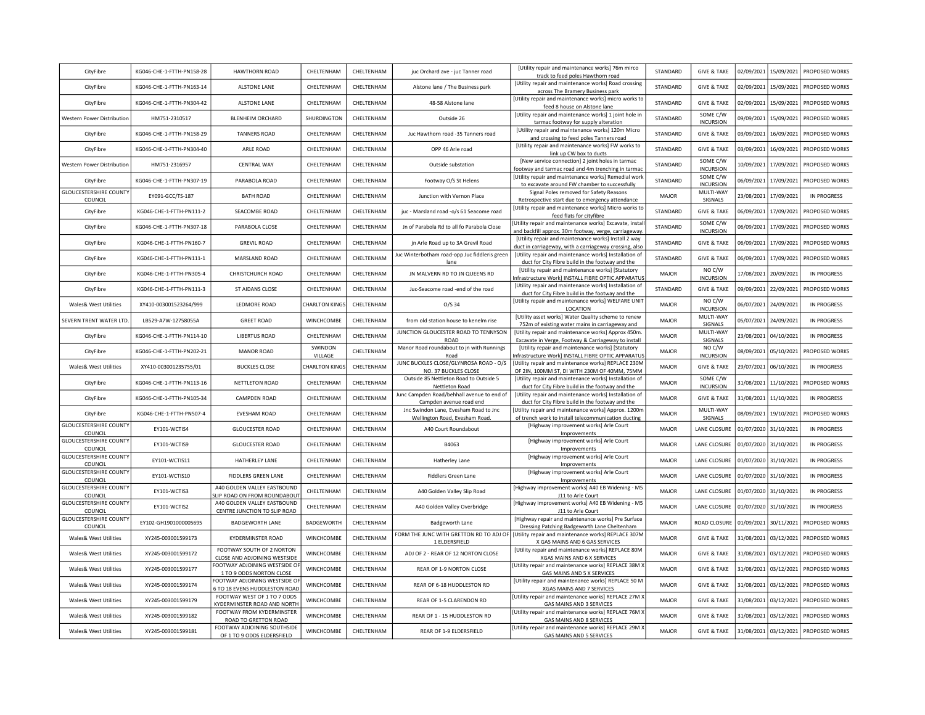| CityFibre                                | KG046-CHE-1-FTTH-PN158-28 | <b>HAWTHORN ROAD</b>                                           | CHELTENHAM            | CHELTENHAM  | juc Orchard ave - juc Tanner road                                             | [Utility repair and maintenance works] 76m mirco<br>track to feed poles Hawthorn road                                           | STANDARD     | <b>GIVE &amp; TAKE</b>                     | 02/09/2021 | 15/09/2021              | PROPOSED WORKS                       |
|------------------------------------------|---------------------------|----------------------------------------------------------------|-----------------------|-------------|-------------------------------------------------------------------------------|---------------------------------------------------------------------------------------------------------------------------------|--------------|--------------------------------------------|------------|-------------------------|--------------------------------------|
| CityFibre                                | KG046-CHE-1-FTTH-PN163-14 | <b>ALSTONE LANE</b>                                            | CHELTENHAM            | CHEI TENHAM | Alstone lane / The Business park                                              | [Utility repair and maintenance works] Road crossing<br>across The Bramery Business park                                        | STANDARD     | <b>GIVE &amp; TAKE</b>                     | 02/09/2021 | 15/09/2021              | PROPOSED WORKS                       |
| CityFibre                                | KG046-CHE-1-FTTH-PN304-42 | ALSTONE LANE                                                   | CHELTENHAM            | CHELTENHAM  | 48-58 Alstone lane                                                            | [Utility repair and maintenance works] micro works to<br>feed 8 house on Alstone lane                                           | STANDARD     | <b>GIVE &amp; TAKE</b>                     | 02/09/2021 |                         | 15/09/2021 PROPOSED WORKS            |
| Western Power Distribution               | HM751-2310517             | <b>BLENHEIM ORCHARD</b>                                        | SHURDINGTON           | CHELTENHAM  | Outside 26                                                                    | [Utility repair and maintenance works] 1 joint hole in<br>tarmac footway for supply alteration                                  | STANDARD     | SOME C/W<br><b>INCURSION</b>               | 09/09/2021 |                         | 15/09/2021   PROPOSED WORKS          |
| CityFibre                                | KG046-CHE-1-FTTH-PN158-29 | <b>TANNERS ROAD</b>                                            | CHELTENHAM            | CHELTENHAM  | Juc Hawthorn road -35 Tanners road                                            | [Utility repair and maintenance works] 120m Micro<br>and crossing to feed poles Tanners road                                    | STANDARD     | <b>GIVE &amp; TAKE</b>                     | 03/09/2021 | 16/09/2021              | <b>PROPOSED WORKS</b>                |
| CityFibre                                | KG046-CHE-1-FTTH-PN304-40 | ARLE ROAD                                                      | CHELTENHAM            | CHELTENHAM  | OPP 46 Arle road                                                              | [Utility repair and maintenance works] FW works to<br>link up CW box to ducts                                                   | STANDARD     | <b>GIVE &amp; TAKE</b>                     | 03/09/2021 | 16/09/2021              | PROPOSED WORKS                       |
| Western Power Distribution               | HM751-2316957             | <b>CENTRAL WAY</b>                                             | CHELTENHAM            | CHELTENHAM  | Outside substation                                                            | [New service connection] 2 joint holes in tarmac<br>footway and tarmac road and 4m trenching in tarmac                          | STANDARD     | SOME C/W<br><b>INCURSION</b>               | 10/09/2021 | 17/09/2021              | PROPOSED WORKS                       |
| CityFibre                                | KG046-CHE-1-FTTH-PN307-19 | PARABOLA ROAD                                                  | CHELTENHAM            | CHELTENHAM  | Footway O/S St Helens                                                         | [Utility repair and maintenance works] Remedial work<br>to excavate around FW chamber to successfully                           | STANDARD     | SOME C/W<br><b>INCURSION</b>               | 06/09/2021 | 17/09/2021              | PROPOSED WORKS                       |
| <b>GLOUCESTERSHIRE COUNTY</b>            | EY091-GCC/TS-187          | <b>BATH ROAD</b>                                               | CHELTENHAM            | CHELTENHAM  | Junction with Vernon Place                                                    | Signal Poles removed for Safety Reasons                                                                                         | MAJOR        | MULTI-WAY                                  | 23/08/2021 | 17/09/2021              | IN PROGRESS                          |
| COUNCIL<br>CityFibre                     | KG046-CHE-1-FTTH-PN111-2  | SEACOMBE ROAD                                                  | CHELTENHAM            | CHELTENHAM  | juc - Marsland road -o/s 61 Seacome road                                      | Retrospective start due to emergency attendance<br>[Utility repair and maintenance works] Micro works to                        | STANDARD     | SIGNALS<br><b>GIVE &amp; TAKE</b>          | 06/09/2021 | 17/09/2021              | PROPOSED WORKS                       |
| CityFibre                                | KG046-CHE-1-FTTH-PN307-18 | PARABOLA CLOSE                                                 | CHELTENHAM            | CHELTENHAM  | Jn of Parabola Rd to all fo Parabola Close                                    | feed flats for cityfibre<br>[Utility repair and maintenance works] Excavate, instal                                             | STANDARD     | SOME C/W                                   | 06/09/2021 | 17/09/2021              | PROPOSED WORKS                       |
| CityFibre                                | KG046-CHE-1-FTTH-PN160-7  | <b>GREVIL ROAD</b>                                             | CHELTENHAM            | CHELTENHAM  | in Arle Road up to 3A Grevil Road                                             | and backfill approx. 30m footway, verge, carriageway<br>[Utility repair and maintenance works] Install 2 way                    | STANDARD     | <b>INCURSION</b><br><b>GIVE &amp; TAKE</b> | 06/09/2021 | 17/09/2021              | PROPOSED WORKS                       |
| CityFibre                                | KG046-CHE-1-FTTH-PN111-1  | MARSLAND ROAD                                                  | CHELTENHAM            | CHELTENHAM  | Juc Winterbotham road-opp Juc fiddleris green                                 | duct in carriageway, with a carriageway crossing, also<br>[Utility repair and maintenance works] Installation of                | STANDARD     | <b>GIVE &amp; TAKE</b>                     | 06/09/2021 | 17/09/2021              | PROPOSED WORKS                       |
| CityFibre                                | KG046-CHE-1-FTTH-PN305-4  | CHRISTCHURCH ROAD                                              | CHELTENHAM            | CHELTENHAM  | lane<br>JN MALVERN RD TO JN QUEENS RD                                         | duct for City Fibre build in the footway and the<br>[Utility repair and maintenance works] [Statutory                           | MAJOR        | NO C/W                                     | 17/08/2021 | 20/09/2021              | IN PROGRESS                          |
| CityFibre                                | KG046-CHE-1-FTTH-PN111-3  | ST AIDANS CLOSE                                                | CHELTENHAM            | CHELTENHAM  | Juc-Seacome road -end of the road                                             | nfrastructure Work] INSTALL FIBRE OPTIC APPARATU<br>[Utility repair and maintenance works] Installation of                      | STANDARD     | <b>INCURSION</b><br><b>GIVE &amp; TAKE</b> | 09/09/2021 | 22/09/2021              | PROPOSED WORKS                       |
| Wales& West Utilities                    | XY410-003001523264/999    | LEDMORE ROAD                                                   | <b>CHARLTON KINGS</b> | CHELTENHAM  | $O/S$ 34                                                                      | duct for City Fibre build in the footway and the<br>[Utility repair and maintenance works] WELFARE UNIT                         | MAJOR        | NO C/W                                     | 06/07/2021 | 24/09/2021              | IN PROGRESS                          |
| SEVERN TRENT WATER LTD.                  | LB529-A7W-12758055A       | <b>GREET ROAD</b>                                              | WINCHCOMBE            | CHELTENHAM  |                                                                               | LOCATION<br>[Utility asset works] Water Quality scheme to renew                                                                 | <b>MAJOR</b> | <b>INCURSION</b><br>MULTI-WAY              |            |                         | IN PROGRESS                          |
|                                          |                           | <b>LIBERTUS ROAD</b>                                           |                       | CHELTENHAM  | from old station house to kenelm rise<br>JUNCTION GLOUCESTER ROAD TO TENNYSON | 752m of existing water mains in carriageway and<br>[Utility repair and maintenance works] Approx 450m                           |              | SIGNALS<br>MULTI-WAY                       | 05/07/2021 | 24/09/2021              |                                      |
| CityFibre                                | KG046-CHE-1-FTTH-PN114-10 |                                                                | CHELTENHAM<br>SWINDON |             | <b>ROAD</b><br>Manor Road roundabout to jn with Runnings                      | Excavate in Verge, Footway & Carriageway to install<br>[Utility repair and maintenance works] [Statutory                        | MAJOR        | SIGNALS<br>NO C/W                          | 23/08/2021 | 04/10/2021              | IN PROGRESS                          |
| CityFibre                                | KG046-CHE-1-FTTH-PN202-21 | <b>MANOR ROAD</b>                                              | VILLAGE               | CHELTENHAM  | Road<br>JUNC BUCKLES CLOSE/GLYNROSA ROAD - O/S                                | nfrastructure Work] INSTALL FIBRE OPTIC APPARATU<br>[Utility repair and maintenance works] REPLACE 230M                         | MAJOR        | <b>INCURSION</b>                           | 08/09/2021 | 05/10/2021              | PROPOSED WORKS                       |
| Wales& West Utilities                    | XY410-003001235755/01     | <b>BUCKLES CLOSE</b>                                           | CHARLTON KINGS        | CHELTENHAM  | NO. 37 BUCKLES CLOSE<br>Outside 85 Nettleton Road to Outside 5                | OF 2IN, 100MM ST, DI WITH 230M OF 40MM, 75MM<br>[Utility repair and maintenance works] Installation of                          | MAJOR        | <b>GIVE &amp; TAKE</b><br>SOME C/W         | 29/07/2021 | 06/10/2021              | <b>IN PROGRESS</b>                   |
| CityFibre                                | KG046-CHE-1-FTTH-PN113-16 | NETTLETON ROAD                                                 | CHELTENHAM            | CHELTENHAM  | Nettleton Road<br>Junc Campden Road/behhall avenue to end of                  | duct for City Fibre build in the footway and the<br>[Utility repair and maintenance works] Installation of                      | MAJOR        | <b>INCURSION</b>                           | 31/08/2021 | 11/10/2021              | PROPOSED WORKS                       |
| CityFibre                                | KG046-CHE-1-FTTH-PN105-34 | <b>CAMPDEN ROAD</b>                                            | CHELTENHAM            | CHELTENHAM  | Campden avenue road end<br>Jnc Swindon Lane, Evesham Road to Jnc              | duct for City Fibre build in the footway and the<br>[Utility repair and maintenance works] Approx. 1200n                        | MAJOR        | <b>GIVE &amp; TAKE</b><br>MULTI-WAY        | 31/08/2021 | 11/10/2021              | <b>IN PROGRESS</b>                   |
| CityFibre                                | KG046-CHE-1-FTTH-PN507-4  | <b>EVESHAM ROAD</b>                                            | CHELTENHAM            | CHELTENHAM  | Wellington Road, Evesham Road.                                                | of trench work to install telecommunication ducting                                                                             | MAJOR        | SIGNALS                                    |            | 08/09/2021   19/10/2021 | PROPOSED WORKS                       |
| <b>GLOUCESTERSHIRE COUNTY</b><br>COUNCIL | EY101-WCTIS4              | <b>GLOUCESTER ROAD</b>                                         | CHELTENHAM            | CHELTENHAM  | A40 Court Roundabout                                                          | [Highway improvement works] Arle Court<br>Improvements                                                                          | MAJOR        | <b>LANE CLOSURE</b>                        |            | 01/07/2020 31/10/2021   | <b>IN PROGRESS</b>                   |
| <b>GLOUCESTERSHIRE COUNTY</b><br>COUNCIL | EY101-WCTIS9              | <b>GLOUCESTER ROAD</b>                                         | CHELTENHAM            | CHELTENHAM  | B4063                                                                         | [Highway improvement works] Arle Court<br>Improvements                                                                          | MAJOR        | LANE CLOSURE                               |            | 01/07/2020 31/10/2021   | <b>IN PROGRESS</b>                   |
| <b>GLOUCESTERSHIRE COUNTY</b><br>COUNCIL | EY101-WCTIS11             | HATHERLEY LANE                                                 | CHELTENHAM            | CHELTENHAM  | Hatherley Lane                                                                | [Highway improvement works] Arle Court<br>Improvements                                                                          | MAJOR        | <b>LANE CLOSURE</b>                        |            | 01/07/2020 31/10/2021   | <b>IN PROGRESS</b>                   |
| <b>GLOUCESTERSHIRE COUNTY</b><br>COUNCIL | EY101-WCTIS10             | <b>FIDDLERS GREEN LANE</b>                                     | CHELTENHAM            | CHELTENHAM  | <b>Fiddlers Green Lane</b>                                                    | [Highway improvement works] Arle Court<br>Improvements                                                                          | MAJOR        | <b>LANE CLOSURE</b>                        |            | 01/07/2020 31/10/2021   | <b>IN PROGRESS</b>                   |
| <b>GLOUCESTERSHIRE COUNTY</b><br>COUNCIL | EY101-WCTIS3              | A40 GOLDEN VALLEY EASTBOUND<br>SLIP ROAD ON FROM ROUNDABOUT    | CHELTENHAM            | CHELTENHAM  | A40 Golden Valley Slip Road                                                   | [Highway improvement works] A40 EB Widening - M5<br>J11 to Arle Court                                                           | MAJOR        | LANE CLOSURE                               |            | 01/07/2020 31/10/2021   | IN PROGRESS                          |
| <b>GLOUCESTERSHIRE COUNTY</b><br>COUNCIL | EY101-WCTIS2              | A40 GOLDEN VALLEY EASTBOUND<br>CENTRE JUNCTION TO SLIP ROAD    | CHELTENHAM            | CHELTENHAM  | A40 Golden Valley Overbridge                                                  | [Highway improvement works] A40 EB Widening - M5<br>J11 to Arle Court                                                           | MAJOR        | LANE CLOSURE                               |            | 01/07/2020 31/10/2021   | <b>IN PROGRESS</b>                   |
| <b>GLOUCESTERSHIRE COUNTY</b><br>COUNCIL | EY102-GH1901000005695     | <b>BADGEWORTH LANE</b>                                         | BADGEWORTH            | CHELTENHAM  | Badgeworth Lane                                                               | [Highway repair and maintenance works] Pre Surface<br>Dressing Patching Badgeworth Lane Cheltenham                              | MAJOR        | ROAD CLOSURE                               | 01/09/2021 | 30/11/2021              | PROPOSED WORKS                       |
| Wales& West Utilities                    | XY245-003001599173        | <b>KYDERMINSTER ROAD</b>                                       | WINCHCOMBE            | CHELTENHAM  | 1 ELDERSFIELD                                                                 | FORM THE JUNC WITH GRETTON RD TO ADJ OF   [Utility repair and maintenance works] REPLACE 307M<br>X GAS MAINS AND 6 GAS SERVICES | MAJOR        | <b>GIVE &amp; TAKE</b>                     | 31/08/2021 | 03/12/2021              | <b>PROPOSED WORKS</b>                |
| Wales& West Utilities                    | XY245-003001599172        | FOOTWAY SOUTH OF 2 NORTON<br>CLOSE AND ADJOINING WESTSIDE      | WINCHCOMBE            | CHELTENHAM  | ADJ OF 2 - REAR OF 12 NORTON CLOSE                                            | [Utility repair and maintenance works] REPLACE 80M<br>XGAS MAINS AND 6 X SERVICES                                               | MAJOR        | <b>GIVE &amp; TAKE</b>                     |            | 31/08/2021 03/12/2021   | PROPOSED WORKS                       |
| Wales& West Utilities                    | XY245-003001599177        | OOTWAY ADJOINING WESTSIDE OF<br>1 TO 9 ODDS NORTON CLOSE       | WINCHCOMBE            | CHELTENHAM  | REAR OF 1-9 NORTON CLOSE                                                      | [Utility repair and maintenance works] REPLACE 38M<br>GAS MAINS AND 5 X SERVICES                                                | MAJOR        | <b>GIVE &amp; TAKE</b>                     | 31/08/2021 | 03/12/2021              | PROPOSED WORKS                       |
| Wales& West Utilities                    | XY245-003001599174        | FOOTWAY ADJOINING WESTSIDE OF<br>6 TO 18 EVENS HUDDLESTON ROAD | WINCHCOMBE            | CHELTENHAM  | REAR OF 6-18 HUDDLESTON RD                                                    | [Utility repair and maintenance works] REPLACE 50 M<br>XGAS MAINS AND 7 SERVICES                                                | MAJOR        | <b>GIVE &amp; TAKE</b>                     | 31/08/2021 | 03/12/2021              | PROPOSED WORKS                       |
| <b>Wales&amp; West Utilities</b>         | XY245-003001599179        | FOOTWAY WEST OF 1 TO 7 ODDS<br>KYDERMINSTER ROAD AND NORTH     | WINCHCOMBE            | CHELTENHAM  | REAR OF 1-5 CLARENDON RD                                                      | [Utility repair and maintenance works] REPLACE 27M )<br>GAS MAINS AND 3 SERVICES                                                | MAJOR        | <b>GIVE &amp; TAKE</b>                     | 31/08/2021 | 03/12/2021              | PROPOSED WORKS                       |
| Wales& West Utilities                    | XY245-003001599182        | FOOTWAY FROM KYDERMINSTER<br>ROAD TO GRETTON ROAD              | WINCHCOMBE            | CHELTENHAM  | REAR OF 1 - 15 HUDDLESTON RD                                                  | [Utility repair and maintenance works] REPLACE 76M ><br><b>GAS MAINS AND 8 SERVICES</b>                                         | MAJOR        | <b>GIVE &amp; TAKE</b>                     | 31/08/2021 | 03/12/2021              | PROPOSED WORKS                       |
| Wales& West Utilities                    | XY245-003001599181        | FOOTWAY ADJOINING SOUTHSIDE<br>OF 1 TO 9 ODDS ELDERSFIELD      | WINCHCOMBE            | CHELTENHAM  | REAR OF 1-9 ELDERSFIELD                                                       | [Utility repair and maintenance works] REPLACE 29M X<br>GAS MAINS AND 5 SERVICES                                                | MAJOR        | <b>GIVE &amp; TAKE</b>                     |            |                         | 31/08/2021 03/12/2021 PROPOSED WORKS |
|                                          |                           |                                                                |                       |             |                                                                               |                                                                                                                                 |              |                                            |            |                         |                                      |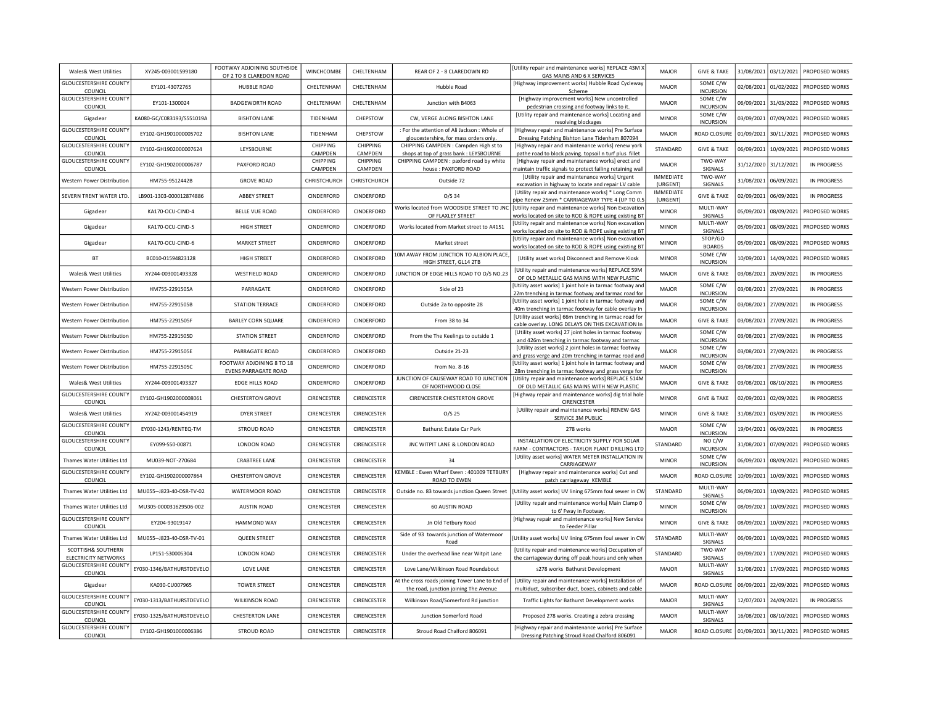| <b>Wales&amp; West Utilities</b>                       | XY245-003001599180        | FOOTWAY ADJOINING SOUTHSIDE | WINCHCOMBE          | CHELTENHAM          | REAR OF 2 - 8 CLAREDOWN RD                                                               | [Utility repair and maintenance works] REPLACE 43M X                                                                                                       | MAJOR                        | <b>GIVE &amp; TAKE</b>       | 31/08/2021 | 03/12/2021            | PROPOSED WORKS     |
|--------------------------------------------------------|---------------------------|-----------------------------|---------------------|---------------------|------------------------------------------------------------------------------------------|------------------------------------------------------------------------------------------------------------------------------------------------------------|------------------------------|------------------------------|------------|-----------------------|--------------------|
| <b>GLOUCESTERSHIRE COUNTY</b>                          |                           | OF 2 TO 8 CLAREDON ROAD     |                     |                     |                                                                                          | GAS MAINS AND 6 X SERVICES<br>[Highway improvement works] Hubble Road Cycleway                                                                             |                              | SOME C/W                     |            |                       |                    |
| COUNCIL                                                | FY101-43072765            | <b>HUBBLE ROAD</b>          | CHELTENHAM          | CHFI TFNHAM         | Hubble Road                                                                              | Scheme                                                                                                                                                     | MAIOR                        | <b>INCURSION</b>             | 02/08/2021 | 01/02/2022            | PROPOSED WORKS     |
| GLOUCESTERSHIRE COUNTY<br>COUNCIL                      | EY101-1300024             | <b>BADGEWORTH ROAD</b>      | CHELTENHAM          | CHELTENHAM          | Junction with B4063                                                                      | [Highway improvement works] New uncontrolled<br>pedestrian crossing and footway links to it                                                                | <b>MAJOR</b>                 | SOME C/W<br><b>INCURSION</b> | 06/09/2021 | 31/03/2022            | PROPOSED WORKS     |
| Gigaclear                                              | KA080-GC/C083193/S551019A | <b>BISHTON LANE</b>         | TIDENHAM            | CHEPSTOW            | CW, VERGE ALONG BISHTON LANE                                                             | [Utility repair and maintenance works] Locating and<br>resolving blockages                                                                                 | <b>MINOR</b>                 | SOME C/W<br>INCURSION        | 03/09/2021 | 07/09/2021            | PROPOSED WORKS     |
| <b>GLOUCESTERSHIRE COUNTY</b><br>COUNCIL               | EY102-GH1901000005702     | <b>BISHTON LANE</b>         | <b>TIDENHAM</b>     | CHEPSTOW            | : For the attention of Ali Jackson : Whole of<br>gloucestershire, for mass orders only.  | [Highway repair and maintenance works] Pre Surface<br>Dressing Patching Bishton Lane Tidenham 807094                                                       | <b>MAJOR</b>                 | ROAD CLOSURE                 | 01/09/2021 | 30/11/2021            | PROPOSED WORKS     |
| <b>GLOUCESTERSHIRE COUNTY</b>                          | EY102-GH1902000007624     | LEYSBOURNE                  | <b>CHIPPING</b>     | <b>CHIPPING</b>     | CHIPPING CAMPDEN : Campden High st to                                                    | [Highway repair and maintenance works] renew york                                                                                                          | STANDARD                     | <b>GIVE &amp; TAKE</b>       | 06/09/2021 | 10/09/2021            | PROPOSED WORKS     |
| COUNCIL<br><b>GLOUCESTERSHIRE COUNTY</b>               |                           |                             | CAMPDEN<br>CHIPPING | CAMPDEN<br>CHIPPING | shops at top of grass bank : LEYSBOURNE<br>CHIPPING CAMPDEN : paxford road by white      | pathe road to block paving. topsoil n turf plus fillet<br>[Highway repair and maintenance works] erect and                                                 |                              | TWO-WAY                      |            |                       |                    |
| COUNCIL                                                | EY102-GH1902000006787     | PAXFORD ROAD                | CAMPDEN             | CAMPDEN             | house: PAXFORD ROAD                                                                      | maintain traffic signals to protect failing retaining wall                                                                                                 | MAIOR                        | SIGNALS                      | 31/12/2020 | 31/12/2021            | IN PROGRESS        |
| Western Power Distribution                             | HM755-9512442B            | <b>GROVE ROAD</b>           | CHRISTCHURCH        | CHRISTCHURCH        | Outside 72                                                                               | [Utility repair and maintenance works] Urgent<br>excavation in highway to locate and repair LV cable                                                       | <b>IMMEDIATE</b><br>(URGENT) | TWO-WAY<br>SIGNALS           | 31/08/2021 | 06/09/2021            | IN PROGRESS        |
| SEVERN TRENT WATER LTD.                                | LB901-1303-000012874886   | <b>ABBEY STREET</b>         | CINDERFORD          | CINDERFORD          | $O/S$ 34                                                                                 | [Utility repair and maintenance works] * Long Comm<br>pipe Renew 25mm * CARRIAGEWAY TYPE 4 (UP TO 0.5                                                      | <b>IMMEDIATE</b><br>(URGENT) | <b>GIVE &amp; TAKE</b>       | 02/09/2021 | 06/09/2021            | IN PROGRESS        |
| Gigaclear                                              | KA170-OCU-CIND-4          | <b>BELLE VUE ROAD</b>       | CINDERFORD          | CINDERFORD          | OF FLAXLEY STREET                                                                        | Works located from WOODSIDE STREET TO JNC   [Utility repair and maintenance works] Non Excavation<br>works located on site to ROD & ROPE using existing BT | <b>MINOR</b>                 | MULTI-WAY<br>SIGNALS         | 05/09/2021 | 08/09/2021            | PROPOSED WORKS     |
| Gigaclear                                              | KA170-OCU-CIND-5          | <b>HIGH STREET</b>          | CINDERFORD          | CINDERFORD          | Works located from Market street to A4151                                                | [Utility repair and maintenance works] Non excavation<br>works located on site to ROD & ROPE using existing BT                                             | <b>MINOR</b>                 | MULTI-WAY<br>SIGNALS         | 05/09/2021 | 08/09/2021            | PROPOSED WORKS     |
| Gigaclear                                              | KA170-OCU-CIND-6          | <b>MARKET STREET</b>        | CINDERFORD          | CINDERFORD          | Market street                                                                            | [Utility repair and maintenance works] Non excavation<br>works located on site to ROD & ROPE using existing BT                                             | <b>MINOR</b>                 | STOP/GO<br><b>BOARDS</b>     | 05/09/2021 | 08/09/2021            | PROPOSED WORKS     |
| BT                                                     | BC010-01594823128         | <b>HIGH STREET</b>          | CINDERFORD          | CINDERFORD          | 10M AWAY FROM JUNCTION TO ALBION PLACE<br>HIGH STREET, GL14 2TB                          | [Utility asset works] Disconnect and Remove Kiosk                                                                                                          | <b>MINOR</b>                 | SOME C/W<br><b>INCURSION</b> | 10/09/2021 | 14/09/2021            | PROPOSED WORKS     |
| Wales& West Utilities                                  | XY244-003001493328        | <b>WESTFIELD ROAD</b>       | CINDERFORD          | CINDERFORD          | JUNCTION OF EDGE HILLS ROAD TO O/S NO.23                                                 | [Utility repair and maintenance works] REPLACE 59M<br>OF OLD METALLIC GAS MAINS WITH NEW PLASTIC                                                           | MAJOR                        | <b>GIVE &amp; TAKE</b>       | 03/08/2021 | 20/09/2021            | <b>IN PROGRESS</b> |
| Western Power Distribution                             | HM755-2291505A            | PARRAGATE                   | CINDERFORD          | CINDERFORD          | Side of 23                                                                               | [Utility asset works] 1 joint hole in tarmac footway and<br>22m trenching in tarmac footway and tarmac road for                                            | MAJOR                        | SOME C/W<br><b>INCURSION</b> | 03/08/2021 | 27/09/2021            | IN PROGRESS        |
| Western Power Distribution                             | HM755-2291505B            | <b>STATION TERRACE</b>      | CINDERFORD          | CINDERFORD          | Outside 2a to opposite 28                                                                | [Utility asset works] 1 joint hole in tarmac footway and<br>40m trenching in tarmac footway for cable overlay In                                           | MAJOR                        | SOME C/W<br>INCURSION        | 03/08/2021 | 27/09/2021            | IN PROGRESS        |
| Western Power Distribution                             | HM755-2291505F            | <b>BARLEY CORN SQUARE</b>   | CINDERFORD          | CINDERFORD          | From 38 to 34                                                                            | [Utility asset works] 66m trenching in tarmac road for                                                                                                     | MAJOR                        | <b>GIVE &amp; TAKE</b>       | 03/08/2021 | 27/09/2021            | IN PROGRESS        |
| Western Power Distribution                             | HM755-2291505D            | <b>STATION STREET</b>       | CINDERFORD          | CINDERFORD          | From the The Keelings to outside 1                                                       | cable overlay. LONG DELAYS ON THIS EXCAVATION In<br>[Utility asset works] 27 joint holes in tarmac footway                                                 | MAJOR                        | SOME C/W                     | 03/08/2021 | 27/09/2021            | IN PROGRESS        |
| Western Power Distribution                             | HM755-2291505E            | PARRAGATE ROAD              | CINDERFORD          | CINDERFORD          | Outside 21-23                                                                            | and 426m trenching in tarmac footway and tarmac<br>[Utility asset works] 2 joint holes in tarmac footway                                                   | <b>MAJOR</b>                 | <b>INCURSION</b><br>SOME C/W | 03/08/2021 | 27/09/2021            | IN PROGRESS        |
| <b>Western Power Distribution</b>                      | HM755-2291505C            | FOOTWAY ADJOINING 8 TO 18   | CINDERFORD          | CINDERFORD          | From No. 8-16                                                                            | and grass verge and 20m trenching in tarmac road and<br>[Utility asset works] 1 joint hole in tarmac footway and                                           | MAJOR                        | <b>INCURSION</b><br>SOME C/W | 03/08/2021 | 27/09/2021            | IN PROGRESS        |
|                                                        |                           | <b>EVENS PARRAGATE ROAD</b> |                     |                     | JUNCTION OF CAUSEWAY ROAD TO JUNCTION                                                    | 28m trenching in tarmac footway and grass verge for<br>[Utility repair and maintenance works] REPLACE 514M                                                 |                              | <b>INCURSION</b>             |            |                       |                    |
| Wales& West Utilities<br><b>GLOUCESTERSHIRE COUNTY</b> | XY244-003001493327        | EDGE HILLS ROAD             | CINDERFORD          | CINDERFORD          | OF NORTHWOOD CLOSE                                                                       | OF OLD METALLIC GAS MAINS WITH NEW PLASTIC<br>[Highway repair and maintenance works] dig trial hole                                                        | <b>MAJOR</b>                 | <b>GIVE &amp; TAKE</b>       | 03/08/2021 | 08/10/2021            | IN PROGRESS        |
| COUNCIL                                                | EY102-GH1902000008061     | <b>CHESTERTON GROVE</b>     | CIRENCESTER         | CIRENCESTER         | CIRENCESTER CHESTERTON GROVE                                                             | CIRENCESTER                                                                                                                                                | <b>MINOR</b>                 | <b>GIVE &amp; TAKE</b>       | 02/09/2021 | 02/09/2021            | IN PROGRESS        |
| Wales& West Utilities                                  | XY242-003001454919        | <b>DYER STREET</b>          | CIRENCESTER         | CIRENCESTER         | $O/S$ 25                                                                                 | [Utility repair and maintenance works] RENEW GAS<br>SERVICE 3M PUBLIC                                                                                      | <b>MINOR</b>                 | <b>GIVE &amp; TAKE</b>       |            | 31/08/2021 03/09/2021 | IN PROGRESS        |
| <b>GLOUCESTERSHIRE COUNTY</b><br>COUNCIL               | EY030-1243/RENTEQ-TM      | <b>STROUD ROAD</b>          | CIRENCESTER         | CIRENCESTER         | Bathurst Estate Car Park                                                                 | 278 works                                                                                                                                                  | MAJOR                        | SOME C/W<br><b>INCURSION</b> | 19/04/2021 | 06/09/2021            | IN PROGRESS        |
| <b>GLOUCESTERSHIRE COUNTY</b><br>COUNCIL               | EY099-S50-00871           | <b>LONDON ROAD</b>          | CIRENCESTER         | CIRENCESTER         | JNC WITPIT LANE & LONDON ROAD                                                            | INSTALLATION OF ELECTRICITY SUPPLY FOR SOLAR<br>FARM - CONTRACTORS - TAYLOR PLANT DRILLING LTD                                                             | STANDARD                     | NO C/W<br><b>INCURSION</b>   |            | 31/08/2021 07/09/2021 | PROPOSED WORKS     |
| Thames Water Utilities Ltd                             | MU039-NOT-270684          | <b>CRABTREE LANE</b>        | CIRENCESTER         | CIRENCESTER         | 34                                                                                       | [Utility asset works] WATER METER INSTALLATION IN<br>CARRIAGEWAY                                                                                           | <b>MINOR</b>                 | SOME C/W<br><b>INCURSION</b> | 06/09/2021 | 08/09/2021            | PROPOSED WORKS     |
| <b>GLOUCESTERSHIRE COUNTY</b><br>COUNCIL               | EY102-GH1902000007864     | <b>CHESTERTON GROVE</b>     | CIRENCESTER         | CIRENCESTER         | KEMBLE: Ewen Wharf Ewen: 401009 TETBURY<br>ROAD TO EWEN                                  | [Highway repair and maintenance works] Cut and<br>patch carriageway KEMBLE                                                                                 | MAJOR                        | ROAD CLOSURE                 | 10/09/2021 | 10/09/2021            | PROPOSED WORKS     |
| Thames Water Utilities Ltd                             | MU055--J823-40-DSR-TV-02  | WATERMOOR ROAD              | CIRENCESTER         | CIRENCESTER         | Outside no. 83 towards junction Queen Street                                             | [Utility asset works] UV lining 675mm foul sewer in CW                                                                                                     | STANDARD                     | MULTI-WAY<br><b>SIGNALS</b>  | 06/09/2021 | 10/09/2021            | PROPOSED WORKS     |
| Thames Water Utilities Ltd                             | MU305-000031629506-002    | <b>AUSTIN ROAD</b>          | CIRENCESTER         | CIRENCESTER         | 60 AUSTIN ROAD                                                                           | [Utility repair and maintenance works] Main Clamp 0<br>to 6' Fway in Footway                                                                               | <b>MINOR</b>                 | SOME C/W<br><b>INCURSION</b> |            | 08/09/2021 10/09/2021 | PROPOSED WORKS     |
| <b>GLOUCESTERSHIRE COUNTY</b><br>COUNCIL               | EY204-93019147            | HAMMOND WAY                 | CIRENCESTER         | CIRENCESTER         | Jn Old Tetbury Road                                                                      | [Highway repair and maintenance works] New Service<br>to Feeder Pillar                                                                                     | <b>MINOR</b>                 | <b>GIVE &amp; TAKE</b>       |            | 08/09/2021 10/09/2021 | PROPOSED WORKS     |
| Thames Water Utilities Ltd                             | MU055--J823-40-DSR-TV-01  | <b>QUEEN STREET</b>         | CIRENCESTER         | CIRENCESTER         | Side of 93 towards junction of Watermoor<br>Road                                         | [Utility asset works] UV lining 675mm foul sewer in CW                                                                                                     | STANDARD                     | MULTI-WAY<br>SIGNALS         |            | 06/09/2021 10/09/2021 | PROPOSED WORKS     |
| SCOTTISH& SOUTHERN<br><b>ELECTRICITY NETWORKS</b>      | LP151-S30005304           | LONDON ROAD                 | CIRENCESTER         | CIRENCESTER         | Under the overhead line near Witpit Lane                                                 | <b>IUtility repair and maintenance works) Occupation of</b><br>the carriageway during off peak hours and only when                                         | STANDARD                     | TWO-WAY<br>SIGNALS           |            | 09/09/2021 17/09/2021 | PROPOSED WORKS     |
| <b>GLOUCESTERSHIRE COUNTY</b><br>COUNCIL               | EY030-1346/BATHURSTDEVELO | <b>LOVE LANE</b>            | CIRENCESTER         | CIRENCESTER         | Love Lane/Wilkinson Road Roundabout                                                      | s278 works Bathurst Development                                                                                                                            | <b>MAJOR</b>                 | MULTI-WAY<br>SIGNALS         |            | 31/08/2021 17/09/2021 | PROPOSED WORKS     |
| Gigaclear                                              | KA030-CU007965            | <b>TOWER STREET</b>         | CIRENCESTER         | CIRENCESTER         | At the cross roads joining Tower Lane to End of<br>the road, junction joining The Avenue | IUtility repair and maintenance works] Installation of<br>multiduct, subscriber duct, boxes, cabinets and cable                                            | MAJOR                        | ROAD CLOSURE                 |            | 06/09/2021 22/09/2021 | PROPOSED WORKS     |
| <b>GLOUCESTERSHIRE COUNTY</b><br>COUNCIL               | EY030-1313/BATHURSTDEVELO | <b>WILKINSON ROAD</b>       | CIRENCESTER         | CIRENCESTER         | Wilkinson Road/Somerford Rd junction                                                     | Traffic Lights for Bathurst Development works                                                                                                              | <b>MAJOR</b>                 | MULTI-WAY<br><b>SIGNALS</b>  |            | 12/07/2021 24/09/2021 | IN PROGRESS        |
| <b>GLOUCESTERSHIRE COUNTY</b><br>COUNCIL               | EY030-1325/BATHURSTDEVELO | <b>CHESTERTON LANE</b>      | CIRENCESTER         | CIRENCESTER         | Junction Somerford Road                                                                  | Proposed 278 works. Creating a zebra crossing                                                                                                              | <b>MAJOR</b>                 | MULTI-WAY<br>SIGNALS         |            | 16/08/2021 08/10/2021 | PROPOSED WORKS     |
| <b>GLOUCESTERSHIRE COUNTY</b><br>COUNCIL               | EY102-GH1901000006386     | <b>STROUD ROAD</b>          | CIRENCESTER         | CIRENCESTER         | Stroud Road Chalford 806091                                                              | [Highway repair and maintenance works] Pre Surface<br>Dressing Patching Stroud Road Chalford 806091                                                        | MAJOR                        | ROAD CLOSURE                 |            | 01/09/2021 30/11/2021 | PROPOSED WORKS     |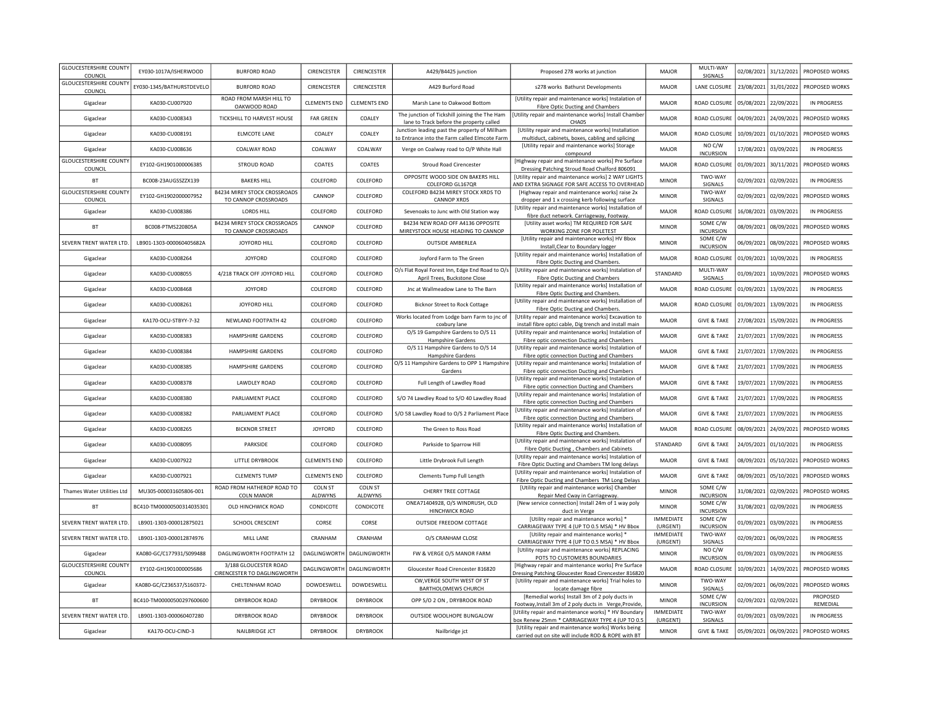| <b>GLOUCESTERSHIRE COUNTY</b><br>COUNCIL | EY030-1017A/ISHERWOOD     | <b>BURFORD ROAD</b>                                  | CIRENCESTER               | CIRENCESTER               | A429/B4425 junction                                                                            | Proposed 278 works at junction                                                                                         | MAJOR                        | MULTI-WAY<br>SIGNALS               | 02/08/2021 | 31/12/2021            | PROPOSED WORKS                 |
|------------------------------------------|---------------------------|------------------------------------------------------|---------------------------|---------------------------|------------------------------------------------------------------------------------------------|------------------------------------------------------------------------------------------------------------------------|------------------------------|------------------------------------|------------|-----------------------|--------------------------------|
| <b>GLOUCESTERSHIRE COUNTY</b><br>COUNCIL | EY030-1345/BATHURSTDEVELO | <b>BURFORD ROAD</b>                                  | CIRENCESTER               | CIRENCESTER               | A429 Burford Road                                                                              | s278 works Bathurst Developments                                                                                       | MAIOR                        | <b>LANE CLOSURE</b>                | 23/08/2021 | 31/01/2022            | PROPOSED WORKS                 |
| Gigaclear                                | KA030-CU007920            | ROAD FROM MARSH HILL TO<br>OAKWOOD ROAD              | <b>CLEMENTS END</b>       | <b>CLEMENTS END</b>       | Marsh Lane to Oakwood Bottom                                                                   | [Utility repair and maintenance works] Instalation of<br>Fibre Optic Ducting and Chambers                              | MAJOR                        | ROAD CLOSURE                       | 05/08/2021 | 22/09/2021            | <b>IN PROGRESS</b>             |
| Gigaclear                                | KA030-CU008343            | TICKSHILL TO HARVEST HOUSE                           | <b>FAR GREEN</b>          | COALEY                    | The junction of Tickshill joining the The Ham<br>lane to Track before the property called      | [Utility repair and maintenance works] Install Chamber<br>CHA05                                                        | <b>MAJOR</b>                 | ROAD CLOSURE                       | 04/09/2021 | 24/09/2021            | PROPOSED WORKS                 |
| Gigaclear                                | KA030-CU008191            | <b>FIMCOTE LANE</b>                                  | COALEY                    | COALEY                    | Junction leading past the property of Millham<br>to Entrance into the Farm called Elmcote Farm | [Utility repair and maintenance works] Installation<br>multiduct, cabinets, boxes, cabling and splicing                | MAIOR                        | ROAD CLOSURE                       | 10/09/2021 | 01/10/2021            | PROPOSED WORKS                 |
| Gigaclear                                | KA030-CU008636            | COALWAY ROAD                                         | COALWAY                   | COALWAY                   | Verge on Coalway road to O/P White Hall                                                        | [Utility repair and maintenance works] Storage<br>compound                                                             | MAJOR                        | NO C/W<br><b>INCURSION</b>         | 17/08/2021 | 03/09/2021            | IN PROGRESS                    |
| <b>GLOUCESTERSHIRE COUNTY</b><br>COUNCIL | EY102-GH1901000006385     | <b>STROUD ROAD</b>                                   | COATES                    | COATES                    | Stroud Road Cirencester                                                                        | [Highway repair and maintenance works] Pre Surface<br>Dressing Patching Stroud Road Chalford 806091                    | <b>MAJOR</b>                 | ROAD CLOSURE                       | 01/09/2021 | 30/11/2021            | PROPOSED WORKS                 |
| BT                                       | BC008-23AUGSSZZX139       | <b>BAKERS HILL</b>                                   | COLEFORD                  | COLEFORD                  | OPPOSITE WOOD SIDE ON BAKERS HILL<br>COLEFORD GL167QR                                          | [Utility repair and maintenance works] 2 WAY LIGHTS<br>AND EXTRA SIGNAGE FOR SAFE ACCESS TO OVERHEAD                   | <b>MINOR</b>                 | TWO-WAY<br>SIGNALS                 | 02/09/2021 | 02/09/2021            | IN PROGRESS                    |
| <b>GLOUCESTERSHIRE COUNTY</b><br>COUNCIL | EY102-GH1902000007952     | B4234 MIREY STOCK CROSSROADS<br>TO CANNOP CROSSROADS | CANNOP                    | COLEFORD                  | COLEFORD B4234 MIREY STOCK XRDS TO<br><b>CANNOP XRDS</b>                                       | [Highway repair and maintenance works] raise 2x<br>dropper and 1 x crossing kerb following surface                     | <b>MINOR</b>                 | TWO-WAY<br>SIGNALS                 | 02/09/2021 | 02/09/2021            | PROPOSED WORKS                 |
| Gigaclear                                | KA030-CU008386            | LORDS HILL                                           | COLEFORD                  | COLEFORD                  | Sevenoaks to Junc with Old Station way                                                         | [Utility repair and maintenance works] Installation of                                                                 | MAJOR                        | ROAD CLOSURE                       | 16/08/2021 | 03/09/2021            | <b>IN PROGRESS</b>             |
| BT                                       | BC008-PTMS220805A         | B4234 MIREY STOCK CROSSROADS                         | CANNOP                    | COLEFORD                  | B4234 NEW ROAD OFF A4136 OPPOSITE                                                              | fibre duct network. Carriageway, Footway.<br>[Utility asset works] TM REQUIRED FOR SAFE                                | <b>MINOR</b>                 | SOME C/W                           | 08/09/2021 | 08/09/2021            | PROPOSED WORKS                 |
| SEVERN TRENT WATER LTD.                  | LB901-1303-000060405682A  | TO CANNOP CROSSROADS<br>JOYFORD HILL                 | COLEFORD                  | COLEFORD                  | MIREYSTOCK HOUSE HEADING TO CANNOP<br>OUTSIDE AMBERLEA                                         | WORKING ZONE FOR POLETEST<br>[Utility repair and maintenance works] HV Bbox                                            | <b>MINOR</b>                 | <b>INCURSION</b><br>SOME C/W       | 06/09/2021 | 08/09/2021            | PROPOSED WORKS                 |
| Gigaclear                                | KA030-CU008264            | <b>JOYFORD</b>                                       | COLEFORD                  | COLEFORD                  | Joyford Farm to The Green                                                                      | Install, Clear to Boundary logger<br>[Utility repair and maintenance works] Installation of                            | MAJOR                        | <b>INCURSION</b><br>ROAD CLOSURE   |            | 01/09/2021 10/09/2021 | <b>IN PROGRESS</b>             |
| Gigaclear                                | KA030-CU008055            | 4/218 TRACK OFF JOYFORD HILL                         | COLEFORD                  | COLEFORD                  | O/s Flat Royal Forest Inn, Edge End Road to O/s                                                | Fibre Optic Ducting and Chambers.<br>[Utility repair and maintenance works] Instalation of                             | STANDARD                     | MULTI-WAY                          | 01/09/2021 | 10/09/2021            | PROPOSED WORKS                 |
|                                          | KA030-CU008468            | <b>JOYFORD</b>                                       | COLEFORD                  | COLEFORD                  | April Trees, Buckstone Close                                                                   | Fibre Optic Ducting and Chambers<br>[Utility repair and maintenance works] Installation of                             | MAJOR                        | SIGNALS<br>ROAD CLOSURE            |            | 01/09/2021 13/09/2021 | <b>IN PROGRESS</b>             |
| Gigaclear                                |                           |                                                      |                           |                           | Jnc at Wallmeadow Lane to The Barn                                                             | Fibre Optic Ducting and Chambers.<br>[Utility repair and maintenance works] Installation of                            |                              |                                    |            |                       |                                |
| Gigaclear                                | KA030-CU008261            | JOYFORD HILL                                         | COLEFORD                  | COLEFORD                  | <b>Bicknor Street to Rock Cottage</b><br>Works located from Lodge barn Farm to jnc of          | Fibre Optic Ducting and Chambers.<br>[Utility repair and maintenance works] Excavation to                              | MAJOR                        | ROAD CLOSURE                       |            | 01/09/2021 13/09/2021 | IN PROGRESS                    |
| Gigaclear                                | KA170-OCU-STBYY-7-32      | NEWLAND FOOTPATH 42                                  | COLEFORD                  | COLEFORD                  | coxbury lane<br>O/S 19 Gampshire Gardens to O/S 11                                             | install fibre optci cable, Dig trench and install main<br><b>IUtility repair and maintenance works] Instalation of</b> | MAJOR                        | <b>GIVE &amp; TAKE</b>             |            | 27/08/2021 15/09/2021 | <b>IN PROGRESS</b>             |
| Gigaclear                                | KA030-CU008383            | <b>HAMPSHIRE GARDENS</b>                             | COLEFORD                  | COLEFORD                  | Hampshire Gardens<br>O/S 11 Hampshire Gardens to O/S 14                                        | Fibre optic connection Ducting and Chambers<br><b>IUtility repair and maintenance works] Instalation of</b>            | MAJOR                        | <b>GIVE &amp; TAKE</b>             |            | 21/07/2021 17/09/2021 | <b>IN PROGRESS</b>             |
| Gigaclear                                | KA030-CU008384            | <b>HAMPSHIRE GARDENS</b>                             | COLEFORD                  | COLEFORD                  | <b>Hampshire Gardens</b><br>O/S 11 Hampshire Gardens to OPP 1 Hampshire                        | Fibre optic connection Ducting and Chambers<br>[Utility repair and maintenance works] Instalation of                   | MAJOR                        | <b>GIVE &amp; TAKE</b>             |            | 21/07/2021 17/09/2021 | IN PROGRESS                    |
| Gigaclear                                | KA030-CU008385            | <b>HAMPSHIRE GARDENS</b>                             | COLEFORD                  | COLEFORD                  | Gardens                                                                                        | Fibre optic connection Ducting and Chambers                                                                            | MAJOR                        | <b>GIVE &amp; TAKE</b>             |            | 21/07/2021 17/09/2021 | IN PROGRESS                    |
| Gigaclear                                | KA030-CU008378            | <b>LAWDLEY ROAD</b>                                  | COLEFORD                  | COLEFORD                  | Full Length of Lawdley Road                                                                    | [Utility repair and maintenance works] Instalation of<br>Fibre optic connection Ducting and Chambers                   | MAJOR                        | <b>GIVE &amp; TAKE</b>             |            | 19/07/2021 17/09/2021 | IN PROGRESS                    |
| Gigaclear                                | KA030-CU008380            | PARLIAMENT PLACE                                     | COLEFORD                  | COLEFORD                  | S/O 74 Lawdley Road to S/O 40 Lawdley Road                                                     | [Utility repair and maintenance works] Instalation of<br>Fibre optic connection Ducting and Chambers                   | MAJOR                        | <b>GIVE &amp; TAKE</b>             |            | 21/07/2021 17/09/2021 | IN PROGRESS                    |
| Gigaclear                                | KA030-CU008382            | PARLIAMENT PLACE                                     | COLEFORD                  | COLEFORD                  | S/O 58 Lawdley Road to O/S 2 Parliament Place                                                  | [Utility repair and maintenance works] Instalation of<br>Fibre optic connection Ducting and Chambers                   | MAJOR                        | <b>GIVE &amp; TAKE</b>             |            | 21/07/2021 17/09/2021 | IN PROGRESS                    |
| Gigaclear                                | KA030-CU008265            | <b>BICKNOR STREET</b>                                | <b>JOYFORD</b>            | COLEFORD                  | The Green to Ross Road                                                                         | [Utility repair and maintenance works] Installation of<br><b>Fibre Optic Ducting and Chambers</b>                      | MAJOR                        | ROAD CLOSURE                       |            | 08/09/2021 24/09/2021 | PROPOSED WORKS                 |
| Gigaclear                                | KA030-CU008095            | PARKSIDE                                             | COLEFORD                  | COLEFORD                  | Parkside to Sparrow Hill                                                                       | [Utility repair and maintenance works] Instalation of<br>Fibre Optic Ducting, Chambers and Cabinets                    | STANDARD                     | <b>GIVE &amp; TAKE</b>             |            | 24/05/2021 01/10/2021 | IN PROGRESS                    |
| Gigaclear                                | KA030-CU007922            | LITTLE DRYBROOK                                      | <b>CLEMENTS END</b>       | COLEFORD                  | Little Drybrook Full Length                                                                    | [Utility repair and maintenance works] Instalation of<br>Fibre Optic Ducting and Chambers TM long delays               | <b>MAJOR</b>                 | <b>GIVE &amp; TAKE</b>             |            | 08/09/2021 05/10/2021 | PROPOSED WORKS                 |
| Gigaclear                                | KA030-CU007921            | <b>CLEMENTS TUMP</b>                                 | <b>CLEMENTS END</b>       | COLEFORD                  | Clements Tump Full Length                                                                      | [Utility repair and maintenance works] Instalation of<br>Fibre Optic Ducting and Chambers TM Long Delays               | MAJOR                        | <b>GIVE &amp; TAKE</b>             |            | 08/09/2021 05/10/2021 | PROPOSED WORKS                 |
| Thames Water Utilities Ltd               | MU305-000031605806-001    | ROAD FROM HATHEROP ROAD TO<br><b>COLN MANOR</b>      | <b>COLN ST</b><br>ALDWYNS | <b>COLN ST</b><br>ALDWYNS | CHERRY TREE COTTAGE                                                                            | [Utility repair and maintenance works] Chamber<br>Repair Med Cway in Carriageway.                                      | <b>MINOR</b>                 | SOME C/W<br><b>INCURSION</b>       |            | 31/08/2021 02/09/2021 | PROPOSED WORKS                 |
| BT                                       | BC410-TM00000500314035301 | OLD HINCHWICK ROAD                                   | CONDICOTE                 | CONDICOTE                 | ONEA71404928, O/S WINDRUSH, OLD<br><b>HINCHWICK ROAD</b>                                       | [New service connection] Install 24m of 1 way poly<br>duct in Verge                                                    | <b>MINOR</b>                 | SOME C/W<br><b>INCURSION</b>       |            | 31/08/2021 02/09/2021 | IN PROGRESS                    |
| SEVERN TRENT WATER LTD.                  | LB901-1303-000012875021   | SCHOOL CRESCENT                                      | CORSE                     | CORSE                     | OUTSIDE FREEDOM COTTAGE                                                                        | [Utility repair and maintenance works] *<br>CARRIAGEWAY TYPE 4 (UP TO 0.5 MSA) * HV Bbox                               | <b>IMMEDIATE</b><br>(URGENT) | SOME C/W<br><b>INCURSION</b>       |            | 01/09/2021 03/09/2021 | IN PROGRESS                    |
| SEVERN TRENT WATER LTD.                  | LB901-1303-000012874976   | MILL LANE                                            | CRANHAM                   | CRANHAM                   | O/S CRANHAM CLOSE                                                                              | [Utility repair and maintenance works] *<br>CARRIAGEWAY TYPE 4 (UP TO 0.5 MSA) * HV Bbox                               | <b>IMMEDIATE</b><br>(URGENT) | TWO-WAY<br>SIGNALS                 | 02/09/2021 | 06/09/2021            | IN PROGRESS                    |
| Gigaclear                                | KA080-GC/C177931/S099488  | DAGLINGWORTH FOOTPATH 12                             | DAGLINGWORTH              | DAGLINGWORTH              | FW & VERGE O/S MANOR FARM                                                                      | [Utility repair and maintenance works] REPLACING<br>POTS TO CUSTOMERS BOUNDARIES                                       | <b>MINOR</b>                 | NO C/W<br><b>INCURSION</b>         |            | 01/09/2021 03/09/2021 | IN PROGRESS                    |
| <b>GLOUCESTERSHIRE COUNTY</b>            | EY102-GH1901000005686     | 3/188 GLOUCESTER ROAD                                | DAGLINGWORTH              | DAGLINGWORTH              | Gloucester Road Cirencester 816820                                                             | [Highway repair and maintenance works] Pre Surface                                                                     | MAJOR                        | ROAD CLOSURE                       | 10/09/2021 | 14/09/2021            | PROPOSED WORKS                 |
| COUNCIL<br>Gigaclear                     | KA080-GC/C236537/S160372- | CIRENCESTER TO DAGLINGWORTH<br>CHELTENHAM ROAD       | DOWDESWELL                | DOWDESWELL                | CW, VERGE SOUTH WEST OF ST                                                                     | Dressing Patching Gloucester Road Cirencester 816820<br>[Utility repair and maintenance works] Trial holes to          | <b>MINOR</b>                 | TWO-WAY                            | 02/09/2021 | 06/09/2021            | PROPOSED WORKS                 |
| BT                                       | BC410-TM00000500297600600 | DRYBROOK ROAD                                        | <b>DRYBROOK</b>           | <b>DRYBROOK</b>           | <b>BARTHOLOMEWS CHURCH</b><br>OPP S/O 2 ON, DRYBROOK ROAD                                      | locate damage fibre<br>[Remedial works] Install 3m of 2 poly ducts in                                                  | <b>MINOR</b>                 | SIGNALS<br>SOME C/W                | 02/09/2021 | 02/09/2021            | PROPOSED                       |
| SEVERN TRENT WATER LTD                   | LB901-1303-000060407280   | DRYBROOK ROAD                                        | <b>DRYBROOK</b>           | <b>DRYBROOK</b>           | OUTSIDE WOOLHOPE BUNGALOW                                                                      | Footway, Install 3m of 2 poly ducts in Verge, Provide,<br>[Utility repair and maintenance works] * HV Boundary         | <b>IMMEDIATE</b>             | <b>INCURSION</b><br><b>TWO-WAY</b> | 01/09/2021 | 03/09/2021            | REMEDIAL<br><b>IN PROGRESS</b> |
| Gigaclear                                | KA170-OCU-CIND-3          | NAILBRIDGE JCT                                       | <b>DRYBROOK</b>           | <b>DRYBROOK</b>           | Nailbridge jct                                                                                 | box Renew 25mm * CARRIAGEWAY TYPE 4 (UP TO 0.5<br>[Utility repair and maintenance works] Works being                   | (URGENT)<br><b>MINOR</b>     | SIGNALS<br><b>GIVE &amp; TAKE</b>  | 05/09/2021 | 06/09/2021            | PROPOSED WORKS                 |
|                                          |                           |                                                      |                           |                           |                                                                                                | carried out on site will include ROD & ROPE with BT                                                                    |                              |                                    |            |                       |                                |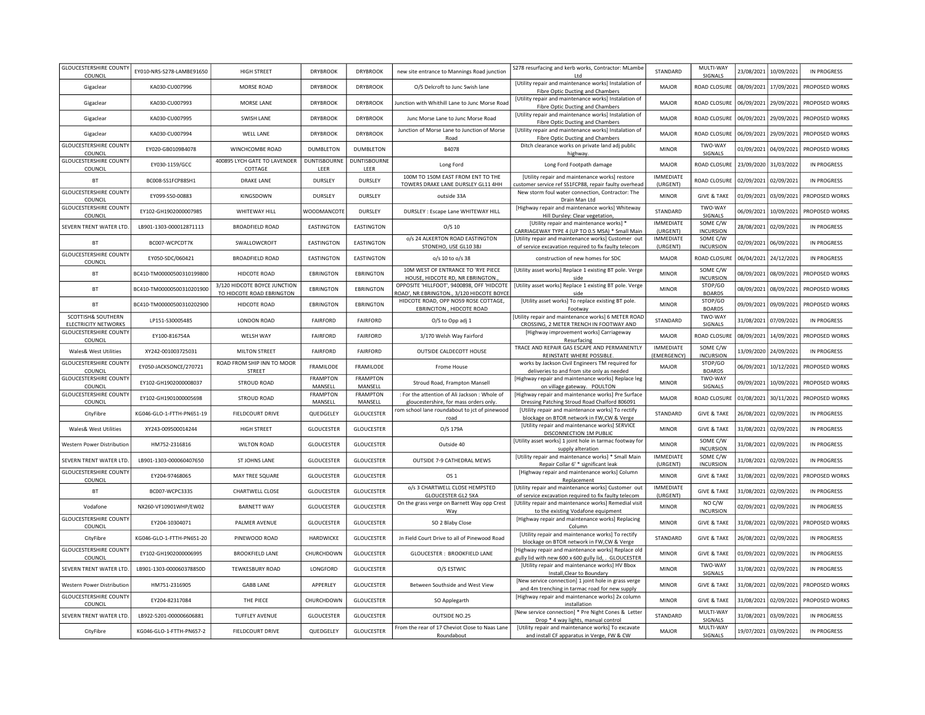| <b>GLOUCESTERSHIRE COUNTY</b><br>COUNCIL                     | EY010-NRS-S278-LAMBE91650 | <b>HIGH STREET</b>                        | <b>DRYBROOK</b>             | <b>DRYBROOK</b>                   | new site entrance to Mannings Road junction                                       | S278 resurfacing and kerb works, Contractor: MLambe<br>I <sub>td</sub>                                      | STANDARD                     | MULTI-WAY<br>SIGNALS         |                       | 23/08/2021 10/09/2021 | <b>IN PROGRESS</b>    |
|--------------------------------------------------------------|---------------------------|-------------------------------------------|-----------------------------|-----------------------------------|-----------------------------------------------------------------------------------|-------------------------------------------------------------------------------------------------------------|------------------------------|------------------------------|-----------------------|-----------------------|-----------------------|
| Gigaclear                                                    | KA030-CU007996            | MORSE ROAD                                | <b>DRYBROOK</b>             | <b>DRYBROOK</b>                   | O/S Delcroft to Junc Swish Jane                                                   | [Utility repair and maintenance works] Instalation of<br>Fibre Optic Ducting and Chambers                   | MAJOR                        | ROAD CLOSURE                 |                       | 08/09/2021 17/09/2021 | PROPOSED WORKS        |
| Gigaclear                                                    | KA030-CU007993            | MORSE LANE                                | <b>DRYBROOK</b>             | <b>DRYBROOK</b>                   | Junction with Whithill Lane to Junc Morse Road                                    | [Utility repair and maintenance works] Instalation of<br>Fibre Optic Ducting and Chambers                   | MAJOR                        | ROAD CLOSURE                 |                       | 06/09/2021 29/09/2021 | PROPOSED WORKS        |
| Gigaclear                                                    | KA030-CU007995            | <b>SWISH LANE</b>                         | <b>DRYBROOK</b>             | <b>DRYBROOK</b>                   | Junc Morse Lane to Junc Morse Road                                                | [Utility repair and maintenance works] Instalation of<br>Fibre Optic Ducting and Chambers                   | MAJOR                        | <b>ROAD CLOSURE</b>          |                       | 06/09/2021 29/09/2021 | PROPOSED WORKS        |
| Gigaclear                                                    | KA030-CU007994            | WELL LANE                                 | <b>DRYBROOK</b>             | <b>DRYBROOK</b>                   | Junction of Morse Lane to Junction of Morse<br>Road                               | [Utility repair and maintenance works] Instalation of<br>Fibre Optic Ducting and Chambers                   | MAIOR                        | <b>ROAD CLOSURE</b>          |                       | 06/09/2021 29/09/2021 | PROPOSED WORKS        |
| <b>GLOUCESTERSHIRE COUNTY</b><br>COUNCIL                     | EY020-GB0109B4078         | WINCHCOMBE ROAD                           | DUMBLETON                   | <b>DUMBLETON</b>                  | B4078                                                                             | Ditch clearance works on private land adj public<br>highway.                                                | <b>MINOR</b>                 | TWO-WAY<br>SIGNALS           |                       | 01/09/2021 04/09/2021 | <b>PROPOSED WORKS</b> |
| <b>GLOUCESTERSHIRE COUNTY</b><br>COUNCIL                     | EY030-1159/GCC            | 400895 LYCH GATE TO LAVENDER<br>COTTAGE   | <b>DUNTISBOURNE</b><br>LEER | <b>DUNTISBOURNE</b><br>LEER       | Long Ford                                                                         | Long Ford Footpath damage                                                                                   | MAJOR                        | ROAD CLOSURE                 |                       | 23/09/2020 31/03/2022 | <b>IN PROGRESS</b>    |
| BT                                                           | BC008-SS1FCP88SH1         | <b>DRAKE LANE</b>                         | <b>DURSLEY</b>              | <b>DURSLEY</b>                    | 100M TO 150M EAST FROM ENT TO THE<br>TOWERS DRAKE LANE DURSLEY GL11 4HH           | [Utility repair and maintenance works] restore<br>customer service ref SS1FCP88, repair faulty overhead     | <b>IMMEDIATE</b><br>(URGENT) | <b>ROAD CLOSURE</b>          | 02/09/2021 02/09/2021 |                       | IN PROGRESS           |
| <b>GLOUCESTERSHIRE COUNTY</b><br>COUNCI                      | EY099-S50-00883           | KINGSDOWN                                 | DURSLEY                     | DURSLEY                           | outside 33A                                                                       | New storm foul water connection, Contractor: The<br>Drain Man Ltd                                           | <b>MINOR</b>                 | <b>GIVE &amp; TAKE</b>       |                       | 01/09/2021 03/09/2021 | PROPOSED WORKS        |
| <b>GLOUCESTERSHIRE COUNTY</b><br>COUNCIL                     | EY102-GH1902000007985     | WHITEWAY HILL                             | WOODMANCOTI                 | <b>DURSLEY</b>                    | DURSLEY : Escape Lane WHITEWAY HILL                                               | [Highway repair and maintenance works] Whiteway<br>Hill Dursley: Clear vegetation,                          | STANDARD                     | TWO-WAY<br>SIGNALS           |                       | 06/09/2021 10/09/2021 | PROPOSED WORKS        |
| SEVERN TRENT WATER LTD.                                      | LB901-1303-000012871113   | <b>BROADFIELD ROAD</b>                    | EASTINGTON                  | <b>EASTINGTON</b>                 | $O/S$ 10                                                                          | [Utility repair and maintenance works] *<br>CARRIAGEWAY TYPE 4 (UP TO 0.5 MSA) * Small Main                 | <b>IMMEDIATE</b><br>(URGENT) | SOME C/W<br><b>INCURSION</b> |                       | 28/08/2021 02/09/2021 | <b>IN PROGRESS</b>    |
| BT                                                           | BC007-WCPCDT7K            | SWALLOWCROFT                              | EASTINGTON                  | EASTINGTON                        | o/s 24 ALKERTON ROAD EASTINGTON<br>STONEHO, USE GL10 3BJ                          | [Utility repair and maintenance works] Customer out                                                         | IMMEDIATE<br>(URGENT)        | SOME C/W<br><b>INCURSION</b> |                       | 02/09/2021 06/09/2021 | <b>IN PROGRESS</b>    |
| <b>GLOUCESTERSHIRE COUNTY</b>                                | EY050-SDC/060421          | <b>BROADFIELD ROAD</b>                    | EASTINGTON                  | EASTINGTON                        | o/s 10 to o/s 38                                                                  | of service excavation required to fix faulty telecom<br>construction of new homes for SDC                   | MAJOR                        | ROAD CLOSURI                 |                       | 06/04/2021 24/12/2021 | <b>IN PROGRESS</b>    |
| COUNCIL<br><b>BT</b>                                         | BC410-TM00000500310199800 | HIDCOTE ROAD                              | <b>EBRINGTON</b>            | EBRINGTON                         | 10M WEST OF ENTRANCE TO 'RYE PIECE                                                | [Utility asset works] Replace 1 existing BT pole. Verge                                                     | <b>MINOR</b>                 | SOME C/W                     |                       | 08/09/2021 08/09/2021 | PROPOSED WORKS        |
| BT                                                           | BC410-TM00000500310201900 | 3/120 HIDCOTE BOYCE JUNCTION              | EBRINGTON                   | EBRINGTON                         | HOUSE, HIDCOTE RD, NR EBRINGTON.,<br>OPPOSITE 'HILLFOOT', 9400898, OFF 'HIDCOTE   | side<br>[Utility asset works] Replace 1 existing BT pole. Verge                                             | <b>MINOR</b>                 | <b>INCURSION</b><br>STOP/GO  |                       | 08/09/2021 08/09/2021 | PROPOSED WORKS        |
| BT                                                           | BC410-TM00000500310202900 | TO HIDCOTE ROAD EBRINGTON<br>HIDCOTE ROAD | EBRINGTON                   | EBRINGTON                         | ROAD', NR EBRINGTON., 3/120 HIDCOTE BOYCI<br>HIDCOTE ROAD, OPP NO59 ROSE COTTAGE, | side<br>[Utility asset works] To replace existing BT pole.                                                  | <b>MINOR</b>                 | <b>BOARDS</b><br>STOP/GO     |                       | 09/09/2021 09/09/2021 | PROPOSED WORKS        |
| SCOTTISH& SOUTHERN                                           | LP151-S30005485           | LONDON ROAD                               | FAIRFORD                    | <b>FAIRFORD</b>                   | EBRINCITON, HIDCOTE ROAD<br>O/S to Opp adj 1                                      | Footway<br>[Utility repair and maintenance works] 6 METER ROAD                                              | STANDARD                     | <b>BOARDS</b><br>TWO-WAY     |                       | 31/08/2021 07/09/2021 | IN PROGRESS           |
| <b>ELECTRICITY NETWORKS</b><br><b>GLOUCESTERSHIRE COUNTY</b> | EY100-816754A             | WELSH WAY                                 | FAIRFORD                    | FAIRFORD                          | 3/170 Welsh Way Fairford                                                          | CROSSING, 2 METER TRENCH IN FOOTWAY AND<br>[Highway improvement works] Carriageway                          | MAJOR                        | SIGNALS<br>ROAD CLOSURI      |                       | 08/09/2021 14/09/2021 | PROPOSED WORKS        |
| COUNCIL<br>Wales& West Utilities                             | XY242-001003725031        | MILTON STREET                             | FAIRFORD                    | FAIRFORD                          | OUTSIDE CALDECOTT HOUSE                                                           | Resurfacing<br>TRACE AND REPAIR GAS ESCAPE AND PERMANENTLY                                                  | <b>IMMEDIATE</b>             | SOME C/W                     |                       | 13/09/2020 24/09/2021 | <b>IN PROGRESS</b>    |
| <b>GLOUCESTERSHIRE COUNTY</b>                                | EY050-JACKSONCE/270721    | ROAD FROM SHIP INN TO MOOR                | FRAMILODE                   | FRAMILODE                         | Frome House                                                                       | REINSTATE WHERE POSSIBLE.<br>works by Jackson Civil Engineers TM required for                               | (EMERGENCY)<br>MAJOR         | <b>INCURSION</b><br>STOP/GO  |                       | 06/09/2021 10/12/2021 | PROPOSED WORKS        |
| COUNCIL<br><b>GLOUCESTERSHIRE COUNTY</b>                     | EY102-GH1902000008037     | <b>STREET</b><br><b>STROUD ROAD</b>       | <b>FRAMPTON</b>             | <b>FRAMPTON</b>                   |                                                                                   | deliveries to and from site only as needed<br>[Highway repair and maintenance works] Replace leg            | <b>MINOR</b>                 | <b>BOARDS</b><br>TWO-WAY     |                       | 09/09/2021 10/09/2021 | PROPOSED WORKS        |
| COUNCIL<br><b>GLOUCESTERSHIRE COUNTY</b>                     |                           |                                           | MANSELL<br><b>FRAMPTON</b>  | <b>MANSELL</b><br><b>FRAMPTON</b> | Stroud Road, Frampton Mansell<br>: For the attention of Ali Jackson : Whole of    | on village gateway. POULTON<br>[Highway repair and maintenance works] Pre Surface                           |                              | SIGNALS                      |                       |                       |                       |
| COUNCIL                                                      | EY102-GH1901000005698     | STROUD ROAD                               | MANSELL                     | MANSELL                           | gloucestershire, for mass orders only.                                            | Dressing Patching Stroud Road Chalford 806091                                                               | MAJOR                        | ROAD CLOSURE                 |                       | 01/08/2021 30/11/2021 | PROPOSED WORKS        |
| CityFibre                                                    | KG046-GLO-1-FTTH-PN651-19 | FIELDCOURT DRIVE                          | QUEDGELEY                   | <b>GLOUCESTER</b>                 | rom school lane roundabout to jct of pinewood<br>road                             | [Utility repair and maintenance works] To rectify<br>blockage on BTOR network in FW,CW & Verge              | STANDARD                     | <b>GIVE &amp; TAKE</b>       |                       | 26/08/2021 02/09/2021 | <b>IN PROGRESS</b>    |
| Wales& West Utilities                                        | XY243-009500014244        | <b>HIGH STREET</b>                        | <b>GLOUCESTER</b>           | GLOUCESTER                        | O/S 179A                                                                          | [Utility repair and maintenance works] SERVICE<br>DISCONNECTION 1M PUBLIC                                   | <b>MINOR</b>                 | <b>GIVE &amp; TAKE</b>       |                       | 31/08/2021 02/09/2021 | <b>IN PROGRESS</b>    |
| Western Power Distribution                                   | HM752-2316816             | <b>WILTON ROAD</b>                        | <b>GLOUCESTER</b>           | <b>GLOUCESTER</b>                 | Outside 40                                                                        | [Utility asset works] 1 joint hole in tarmac footway for<br>supply alteration                               | <b>MINOR</b>                 | SOME C/W<br><b>INCURSION</b> |                       | 31/08/2021 02/09/2021 | <b>IN PROGRESS</b>    |
| SEVERN TRENT WATER LTD.                                      | LB901-1303-000060407650   | ST JOHNS LANE                             | <b>GLOUCESTER</b>           | GLOUCESTER                        | OUTSIDE 7-9 CATHEDRAL MEWS                                                        | [Utility repair and maintenance works] * Small Main<br>Repair Collar 6' * significant leak                  | <b>IMMEDIATE</b><br>(URGENT) | SOME C/W<br><b>INCURSION</b> |                       | 31/08/2021 02/09/2021 | <b>IN PROGRESS</b>    |
| <b>GLOUCESTERSHIRE COUNTY</b><br>COUNCIL                     | EY204-97468065            | MAY TREE SQUARE                           | <b>GLOUCESTER</b>           | GLOUCESTER                        | OS 1                                                                              | [Highway repair and maintenance works] Column<br>Replacement                                                | <b>MINOR</b>                 | <b>GIVE &amp; TAKE</b>       |                       | 31/08/2021 02/09/2021 | PROPOSED WORKS        |
| <b>BT</b>                                                    | BC007-WCPC333S            | CHARTWELL CLOSE                           | <b>GLOUCESTER</b>           | <b>GLOUCESTER</b>                 | o/s 3 CHARTWELL CLOSE HEMPSTED<br><b>GLOUCESTER GL2 5XA</b>                       | [Utility repair and maintenance works] Customer out<br>of service excavation required to fix faulty telecom | <b>IMMEDIATE</b><br>(URGENT) | <b>GIVE &amp; TAKE</b>       |                       | 31/08/2021 02/09/2021 | IN PROGRESS           |
| Vodafone                                                     | NX260-VF10901WHP/EW02     | <b>BARNETT WAY</b>                        | <b>GLOUCESTER</b>           | <b>GLOUCESTER</b>                 | On the grass verge on Barnett Way opp Crest<br>Way                                | [Utility repair and maintenance works] Remedial visit<br>to the existing Vodafone equipment                 | <b>MINOR</b>                 | NO C/W<br><b>INCURSION</b>   |                       | 02/09/2021 02/09/2021 | IN PROGRESS           |
| <b>GLOUCESTERSHIRE COUNTY</b><br>COUNCIL                     | EY204-10304071            | PALMER AVENUE                             | <b>GLOUCESTER</b>           | GLOUCESTER                        | SO 2 Blaby Close                                                                  | [Highway repair and maintenance works] Replacing<br>Column                                                  | <b>MINOR</b>                 | <b>GIVE &amp; TAKE</b>       |                       | 31/08/2021 02/09/2021 | <b>PROPOSED WORKS</b> |
| CityFibre                                                    | KG046-GLO-1-FTTH-PN651-20 | PINEWOOD ROAD                             | HARDWICKE                   | <b>GLOUCESTER</b>                 | Jn Field Court Drive to all of Pinewood Road                                      | [Utility repair and maintenance works] To rectify<br>blockage on BTOR network in FW,CW & Verge              | STANDARD                     | <b>GIVE &amp; TAKE</b>       |                       | 26/08/2021 02/09/2021 | <b>IN PROGRESS</b>    |
| <b>GLOUCESTERSHIRE COUNTY</b><br>COUNCIL                     | EY102-GH1902000006995     | <b>BROOKFIELD LANE</b>                    | CHURCHDOWN                  | <b>GLOUCESTER</b>                 | GLOUCESTER : BROOKFIELD LANE                                                      | [Highway repair and maintenance works] Replace old<br>gully lid with new 600 x 600 gully lid, . GLOUCESTER  | <b>MINOR</b>                 | <b>GIVE &amp; TAKE</b>       |                       | 01/09/2021 02/09/2021 | <b>IN PROGRESS</b>    |
| SEVERN TRENT WATER LTD.                                      | LB901-1303-000060378850D  | TEWKESBURY ROAD                           | LONGFORD                    | GLOUCESTER                        | O/S ESTWIC                                                                        | [Utility repair and maintenance works] HV Bbox<br>Install, Clear to Boundary                                | <b>MINOR</b>                 | TWO-WAY<br>SIGNALS           |                       | 31/08/2021 02/09/2021 | <b>IN PROGRESS</b>    |
| Western Power Distribution                                   | HM751-2316905             | <b>GABB LANE</b>                          | APPERLEY                    | GLOUCESTER                        | Between Southside and West View                                                   | [New service connection] 1 joint hole in grass verge<br>and 4m trenching in tarmac road for new supply      | <b>MINOR</b>                 | <b>GIVE &amp; TAKE</b>       |                       | 31/08/2021 02/09/2021 | PROPOSED WORKS        |
| <b>GLOUCESTERSHIRE COUNTY</b><br>COUNCIL                     | EY204-82317084            | THE PIECE                                 | CHURCHDOWN                  | GLOUCESTER                        | SO Applegarth                                                                     | [Highway repair and maintenance works] 2x column<br>installation                                            | <b>MINOR</b>                 | <b>GIVE &amp; TAKE</b>       |                       | 31/08/2021 02/09/2021 | PROPOSED WORKS        |
| SEVERN TRENT WATER LTD.                                      | LB922-5201-000006606881   | <b>TUFFLEY AVENUE</b>                     | <b>GLOUCESTER</b>           | <b>GLOUCESTER</b>                 | <b>OUTSIDE NO.25</b>                                                              | [New service connection] * Pre Night Cones & Letter<br>Drop * 4 way lights, manual control                  | STANDARD                     | MULTI-WAY<br>SIGNALS         |                       | 31/08/2021 03/09/2021 | IN PROGRESS           |
| CityFibre                                                    | KG046-GLO-1-FTTH-PN657-2  | FIELDCOURT DRIVE                          | QUEDGELEY                   | <b>GLOUCESTER</b>                 | From the rear of 17 Cheviot Close to Naas Lane                                    | [Utility repair and maintenance works] To excavate                                                          | MAJOR                        | MULTI-WAY                    |                       | 19/07/2021 03/09/2021 | IN PROGRESS           |
|                                                              |                           |                                           |                             |                                   | Roundabout                                                                        | and install CF apparatus in Verge, FW & CW                                                                  |                              | SIGNALS                      |                       |                       |                       |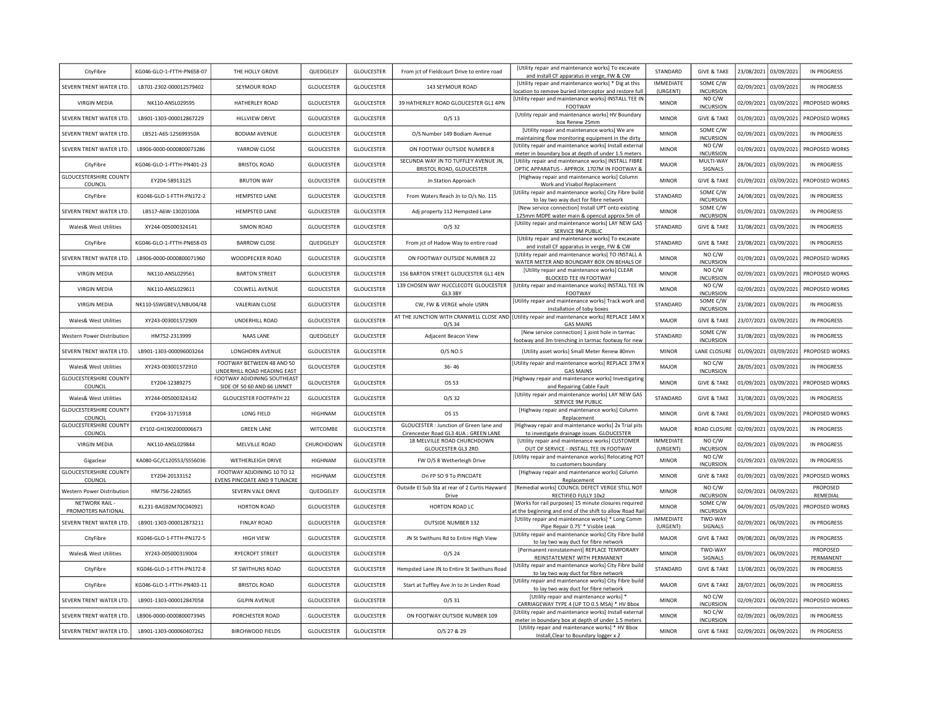| CityFibre                                    | KG046-GLO-1-FTTH-PN658-07 | THE HOLLY GROVE                                              | QUEDGELEY         | <b>GLOUCESTER</b> | From jct of Fieldcourt Drive to entire road                          | [Utility repair and maintenance works] To excavate<br>and install CF apparatus in verge, FW & CW                           | STANDARD                     | <b>GIVE &amp; TAKE</b>                     | 23/08/2021 | 03/09/2021            | IN PROGRESS                    |
|----------------------------------------------|---------------------------|--------------------------------------------------------------|-------------------|-------------------|----------------------------------------------------------------------|----------------------------------------------------------------------------------------------------------------------------|------------------------------|--------------------------------------------|------------|-----------------------|--------------------------------|
| SEVERN TRENT WATER LTD                       | LB701-2302-000012579402   | SEYMOUR ROAD                                                 | <b>GLOUCESTER</b> | <b>GLOUCESTER</b> | 143 SEYMOUR ROAD                                                     | [Utility repair and maintenance works] * Dig at this<br>ocation to remove buried interceptor and restore full              | <b>IMMEDIATE</b><br>(URGENT) | SOME C/W<br><b>INCURSION</b>               | 02/09/2021 | 03/09/2021            | IN PROGRESS                    |
| <b>VIRGIN MEDIA</b>                          | NK110-ANSL029595          | HATHERLEY ROAD                                               | <b>GLOUCESTER</b> | GLOUCESTER        | 39 HATHERLEY ROAD GLOUCESTER GL1 4PN                                 | [Utility repair and maintenance works] INSTALL TEE IN<br>FOOTWAY                                                           | <b>MINOR</b>                 | NO C/W<br><b>INCURSION</b>                 | 02/09/2021 | 03/09/2021            | PROPOSED WORKS                 |
| SEVERN TRENT WATER LTD                       | LB901-1303-000012867229   | HILLVIEW DRIVE                                               | <b>GLOUCESTER</b> | <b>GLOUCESTER</b> | $O/S$ 13                                                             | [Utility repair and maintenance works] HV Boundary<br>box Renew 25mm                                                       | <b>MINOR</b>                 | <b>GIVE &amp; TAKE</b>                     | 01/09/2021 | 03/09/2021            | PROPOSED WORKS                 |
| SEVERN TRENT WATER LTD                       | LB521-A6S-125699350A      | <b>BODIAM AVENUE</b>                                         | <b>GLOUCESTER</b> | GLOUCESTER        | O/S Number 149 Bodiam Avenue                                         | [Utility repair and maintenance works] We are<br>maintaining flow monitoring equipment in the dirty                        | <b>MINOR</b>                 | SOME C/W<br><b>INCURSION</b>               | 02/09/2021 | 03/09/2021            | <b>IN PROGRESS</b>             |
| SEVERN TRENT WATER LTD                       | LB906-0000-0000800073286  | YARROW CLOSE                                                 | GLOUCESTER        | GLOUCESTER        | ON FOOTWAY OUTSIDE NUMBER 8                                          | [Utility repair and maintenance works] Install external<br>meter in boundary box at depth of under 1.5 meters              | <b>MINOR</b>                 | NO C/W<br><b>INCURSION</b>                 | 01/09/2021 | 03/09/2021            | PROPOSED WORKS                 |
| CityFibre                                    | KG046-GLO-1-FTTH-PN401-23 | <b>BRISTOL ROAD</b>                                          | <b>GLOUCESTER</b> | GLOUCESTER        | SECUNDA WAY JN TO TUFFLEY AVENUE JN,<br>BRISTOL ROAD, GLOUCESTER     | [Utility repair and maintenance works] INSTALL FIBRE<br>OPTIC APPARATUS - APPROX. 1707M IN FOOTWAY &                       | MAJOR                        | MULTI-WAY<br>SIGNALS                       | 28/06/2021 | 03/09/2021            | <b>IN PROGRESS</b>             |
| <b>GLOUCESTERSHIRE COUNTY</b><br>COUNCIL     | EY204-58913125            | <b>BRUTON WAY</b>                                            | <b>GLOUCESTER</b> | GLOUCESTER        | Jn Station Approach                                                  | [Highway repair and maintenance works] Column<br>Work and Visabol Replacement                                              | <b>MINOR</b>                 | <b>GIVE &amp; TAKE</b>                     | 01/09/2021 | 03/09/2021            | PROPOSED WORKS                 |
| CityFibre                                    | KG046-GLO-1-FTTH-PN172-2  | HEMPSTED LANE                                                | <b>GLOUCESTER</b> | GLOUCESTER        | From Waters Reach Jn to O/s No. 115                                  | [Utility repair and maintenance works] City Fibre build<br>to lay two way duct for fibre network                           | STANDARD                     | SOME C/W<br><b>INCURSION</b>               | 24/08/2021 | 03/09/2021            | IN PROGRESS                    |
| SEVERN TRENT WATER LTD                       | LB517-A6W-13020100A       | <b>HEMPSTED LANE</b>                                         | <b>GLOUCESTER</b> | GLOUCESTER        | Adj property 112 Hempsted Lane                                       | [New service connection] Install UPT onto existing<br>125mm MDPE water main & opencut approx.5m of                         | <b>MINOR</b>                 | SOME C/W<br><b>INCURSION</b>               | 01/09/2021 | 03/09/2021            | IN PROGRESS                    |
| Wales& West Utilities                        | XY244-005000324141        | <b>SIMON ROAD</b>                                            | <b>GLOUCESTER</b> | GLOUCESTER        | $O/S$ 32                                                             | [Utility repair and maintenance works] LAY NEW GAS<br>SERVICE 9M PUBLIC                                                    | STANDARD                     | <b>GIVE &amp; TAKE</b>                     | 31/08/2021 | 03/09/2021            | IN PROGRESS                    |
| CityFibre                                    | KG046-GLO-1-FTTH-PN658-03 | <b>BARROW CLOSE</b>                                          | QUEDGELEY         | GLOUCESTER        | From jct of Hadow Way to entire road                                 | [Utility repair and maintenance works] To excavate<br>and install CF apparatus in verge, FW & CW                           | STANDARD                     | <b>GIVE &amp; TAKE</b>                     | 23/08/2021 | 03/09/2021            | IN PROGRESS                    |
| SEVERN TRENT WATER LTD.                      | LB906-0000-0000800071960  | WOODPECKER ROAD                                              | <b>GLOUCESTER</b> | <b>GLOUCESTER</b> | ON FOOTWAY OUTSIDE NUMBER 22                                         | [Utility repair and maintenance works] TO INSTALL A<br>WATER METER AND BOUNDARY BOX ON BEHALS OF                           | <b>MINOR</b>                 | NO C/W<br><b>INCURSION</b>                 | 01/09/2021 | 03/09/2021            | PROPOSED WORKS                 |
| <b>VIRGIN MEDIA</b>                          | NK110-ANSL029561          | <b>BARTON STREET</b>                                         | <b>GLOUCESTER</b> | GLOUCESTER        | 156 BARTON STREET GLOUCESTER GL1 4EN                                 | [Utility repair and maintenance works] CLEAR                                                                               | <b>MINOR</b>                 | NO C/W                                     | 02/09/2021 | 03/09/2021            | PROPOSED WORKS                 |
| <b>VIRGIN MEDIA</b>                          | NK110-ANSL029611          | COLWELL AVENUE                                               | <b>GLOUCESTER</b> | <b>GLOUCESTER</b> | 139 CHOSEN WAY HUCCLECOTE GLOUCESTER                                 | BLOCKED TEE IN FOOTWAY<br>[Utility repair and maintenance works] INSTALL TEE IN                                            | <b>MINOR</b>                 | <b>INCURSION</b><br>NO C/W                 | 02/09/2021 | 03/09/2021            | PROPOSED WORKS                 |
| <b>VIRGIN MEDIA</b>                          | NK110-SSWGBEV/LNBU04/48   | <b>VALERIAN CLOSE</b>                                        | <b>GLOUCESTER</b> | <b>GLOUCESTER</b> | GL3 3BY<br>CW, FW & VERGE whole USRN                                 | FOOTWAY<br>[Utility repair and maintenance works] Track work and                                                           | STANDARD                     | <b>INCURSION</b><br>SOME C/W               | 23/08/2021 | 03/09/2021            | IN PROGRESS                    |
| Wales& West Utilities                        | XY243-003001572909        | UNDERHILL ROAD                                               | <b>GLOUCESTER</b> | <b>GLOUCESTER</b> |                                                                      | installation of toby boxes<br>AT THE JUNCTION WITH CRANWELL CLOSE AND [Utility repair and maintenance works] REPLACE 14M ) | MAJOR                        | <b>INCURSION</b><br><b>GIVE &amp; TAKE</b> | 23/07/2021 | 03/09/2021            | <b>IN PROGRESS</b>             |
| Western Power Distribution                   | HM752-2313999             | <b>NAAS LANE</b>                                             | QUEDGELEY         | <b>GLOUCESTER</b> | $O/S$ 34<br>Adjacent Beacon View                                     | <b>GAS MAINS</b><br>[New service connection] 1 joint hole in tarmac                                                        | STANDARD                     | SOME C/W                                   | 31/08/2021 | 03/09/2021            | <b>IN PROGRESS</b>             |
| SEVERN TRENT WATER LTD.                      | LB901-1303-000096003264   | <b>LONGHORN AVENUE</b>                                       | <b>GLOUCESTER</b> | <b>GLOUCESTER</b> | 0/S NO.5                                                             | footway and 3m trenching in tarmac footway for new<br>[Utility asset works] Small Meter Renew 80mm                         | <b>MINOR</b>                 | <b>INCURSION</b><br>LANE CLOSURE           |            | 01/09/2021 03/09/2021 | PROPOSED WORKS                 |
| Wales& West Utilities                        | XY243-003001572910        | FOOTWAY BETWEEN 48 AND 50                                    | <b>GLOUCESTER</b> | <b>GLOUCESTER</b> | $36 - 46$                                                            | [Utility repair and maintenance works] REPLACE 37M )                                                                       | MAJOR                        | NO C/W                                     | 28/05/2021 | 03/09/2021            | IN PROGRESS                    |
| <b>GLOUCESTERSHIRE COUNTY</b>                | EY204-12389275            | UNDERHILL ROAD HEADING EAST<br>FOOTWAY ADJOINING SOUTHEAST   | <b>GLOUCESTER</b> | <b>GLOUCESTER</b> | OS 53                                                                | <b>GAS MAINS</b><br>[Highway repair and maintenance works] Investigating                                                   | <b>MINOR</b>                 | <b>INCURSION</b><br><b>GIVE &amp; TAKE</b> | 01/09/2021 | 03/09/2021            | PROPOSED WORKS                 |
| COUNCIL<br>Wales& West Utilities             | XY244-005000324142        | SIDE OF 50 60 AND 66 LINNET<br><b>GLOUCESTER FOOTPATH 22</b> | <b>GLOUCESTER</b> | <b>GLOUCESTER</b> | $O/S$ 32                                                             | and Repairing Cable Fault<br>[Utility repair and maintenance works] LAY NEW GAS                                            | STANDARD                     | <b>GIVE &amp; TAKE</b>                     | 31/08/2021 | 03/09/2021            | IN PROGRESS                    |
| <b>GLOUCESTERSHIRE COUNTY</b>                | EY204-31715918            | LONG FIELD                                                   | <b>HIGHNAM</b>    | GLOUCESTER        | OS 15                                                                | SERVICE 9M PUBLIC<br>[Highway repair and maintenance works] Column                                                         | <b>MINOR</b>                 | <b>GIVE &amp; TAKE</b>                     | 01/09/2021 | 03/09/2021            | PROPOSED WORKS                 |
| COUNCIL<br><b>GLOUCESTERSHIRE COUNTY</b>     | EY102-GH1902000006673     | <b>GREEN LANE</b>                                            | WITCOMBE          | GLOUCESTER        | GLOUCESTER : Junction of Green lane and                              | Replacemen <sup>®</sup><br>[Highway repair and maintenance works] 2x Trial pits                                            | MAJOR                        | ROAD CLOSURE                               |            | 02/09/2021 03/09/2021 | IN PROGRESS                    |
| COUNCIL<br><b>VIRGIN MEDIA</b>               | NK110-ANSL029844          | MELVILLE ROAD                                                | CHURCHDOWN        | GLOUCESTER        | Cirencester Road GL3 4UA : GREEN LANE<br>18 MELVILLE ROAD CHURCHDOWN | to investigate drainage issues GLOUCESTER<br>[Utility repair and maintenance works] CUSTOMER                               | <b>IMMEDIATE</b>             | NO C/W                                     | 02/09/2021 | 03/09/2021            | IN PROGRESS                    |
| Gigaclear                                    | KA080-GC/C120553/S556036  | WETHERLEIGH DRIVE                                            | <b>HIGHNAM</b>    | GLOUCESTER        | <b>GLOUCESTER GL3 2RD</b><br>FW O/S 8 Wetherleigh Drive              | OUT OF SERVICE - INSTALL TEE IN FOOTWAY<br>[Utility repair and maintenance works] Relocating PO'                           | (URGENT)<br><b>MINOR</b>     | <b>INCURSION</b><br>NO C/W                 | 01/09/2021 | 03/09/2021            | IN PROGRESS                    |
| <b>GLOUCESTERSHIRE COUNTY</b>                | EY204-20133152            | FOOTWAY ADJOINING 10 TO 12                                   | HIGHNAM           | <b>GLOUCESTER</b> | On FP SO 9 To PINCOATE                                               | to customers boundary<br>[Highway repair and maintenance works] Column                                                     | <b>MINOR</b>                 | <b>INCURSION</b><br><b>GIVE &amp; TAKE</b> | 01/09/2021 | 03/09/2021            | PROPOSED WORKS                 |
| COUNCIL<br>Western Power Distribution        | HM756-2240565             | EVENS PINCOATE AND 9 TUNACRE<br>SEVERN VALE DRIVE            | QUEDGELEY         | GLOUCESTER        | Outside El Sub Sta at rear of 2 Curtis Hayward                       | Replacement<br>[Remedial works] COUNCIL DEFECT VERGE STILL NOT                                                             | <b>MINOR</b>                 | NO C/W                                     | 02/09/2021 | 04/09/2021            | PROPOSED                       |
| <b>NETWORK RAIL</b>                          | KL231-BAG92M70C040921     | <b>HORTON ROAD</b>                                           | <b>GLOUCESTER</b> | GLOUCESTER        | Drive<br>HORTON ROAD LC                                              | RECTIFIED FULLY 10x2<br>[Works for rail purposes] 15 minute closures required                                              | <b>MINOR</b>                 | <b>INCURSION</b><br>SOME C/W               | 04/09/2021 | 05/09/2021            | REMEDIAL<br>PROPOSED WORKS     |
| PROMOTERS NATIONAL<br>SEVERN TRENT WATER LTD |                           | <b>FINLAY ROAD</b>                                           |                   |                   |                                                                      | at the beginning and end of the shift to allow Road Rai<br>[Utility repair and maintenance works] * Long Comm              | <b>IMMEDIATE</b>             | <b>INCURSION</b><br>TWO-WAY                |            |                       |                                |
|                                              | LB901-1303-000012873211   |                                                              | <b>GLOUCESTER</b> | GLOUCESTER        | OUTSIDE NUMBER 132                                                   | Pipe Repair 0.75' * Visible Leak<br>[Utility repair and maintenance works] City Fibre build                                | (URGENT)                     | SIGNALS                                    | 02/09/2021 | 06/09/2021            | <b>IN PROGRESS</b>             |
| CityFibre                                    | KG046-GLO-1-FTTH-PN172-5  | <b>HIGH VIEW</b>                                             | <b>GLOUCESTER</b> | GLOUCESTER        | JN St Swithuns Rd to Entire High View                                | to lay two way duct for fibre network<br>[Permanent reinstatement] REPLACE TEMPORARY                                       | MAJOR                        | <b>GIVE &amp; TAKE</b><br>TWO-WAY          | 09/08/2021 | 06/09/2021            | <b>IN PROGRESS</b><br>PROPOSED |
| Wales& West Utilities                        | XY243-005000319004        | RYECROFT STREET                                              | <b>GLOUCESTER</b> | GLOUCESTER        | $O/S$ 24                                                             | REINSTATEMENT WITH PERMANENT<br>[Utility repair and maintenance works] City Fibre build                                    | <b>MINOR</b>                 | SIGNALS                                    | 03/09/2021 | 06/09/2021            | PERMANENT                      |
| CityFibre                                    | KG046-GLO-1-FTTH-PN172-8  | ST SWITHUNS ROAD                                             | <b>GLOUCESTER</b> | GLOUCESTER        | Hempsted Lane JN to Entire St Swithuns Road                          | to lay two way duct for fibre network<br>[Utility repair and maintenance works] City Fibre build                           | STANDARD                     | <b>GIVE &amp; TAKE</b>                     | 13/08/2021 | 06/09/2021            | <b>IN PROGRESS</b>             |
| CityFibre                                    | KG046-GLO-1-FTTH-PN403-11 | <b>BRISTOL ROAD</b>                                          | <b>GLOUCESTER</b> | <b>GLOUCESTER</b> | Start at Tuffley Ave Jn to Jn Linden Road                            | to lay two way duct for fibre network<br>[Utility repair and maintenance works] *                                          | MAJOR                        | <b>GIVE &amp; TAKE</b><br>NO C/W           | 28/07/2021 | 06/09/2021            | <b>IN PROGRESS</b>             |
| SEVERN TRENT WATER LTD                       | LB901-1303-000012847058   | <b>GILPIN AVENUE</b>                                         | <b>GLOUCESTER</b> | GLOUCESTER        | O/S 31                                                               | CARRIAGEWAY TYPE 4 (UP TO 0.5 MSA) * HV Bbox<br>[Utility repair and maintenance works] Install external                    | <b>MINOR</b>                 | <b>INCURSION</b><br>NO C/W                 | 02/09/2021 | 06/09/2021            | PROPOSED WORKS                 |
| SEVERN TRENT WATER LTD                       | LB906-0000-0000800073945  | PORCHESTER ROAD                                              | <b>GLOUCESTER</b> | <b>GLOUCESTER</b> | ON FOOTWAY OUTSIDE NUMBER 109                                        | meter in boundary box at depth of under 1.5 meters<br>[Utility repair and maintenance works] * HV Bbox                     | <b>MINOR</b>                 | <b>INCURSION</b>                           | 02/09/2021 | 06/09/2021            | <b>IN PROGRESS</b>             |
| SEVERN TRENT WATER LTD                       | LB901-1303-000060407262   | <b>BIRCHWOOD FIELDS</b>                                      | <b>GLOUCESTER</b> | GLOUCESTER        | O/S 27 & 29                                                          | Install, Clear to Boundary logger x 2                                                                                      | <b>MINOR</b>                 | <b>GIVE &amp; TAKE</b>                     | 02/09/2021 | 06/09/2021            | <b>IN PROGRESS</b>             |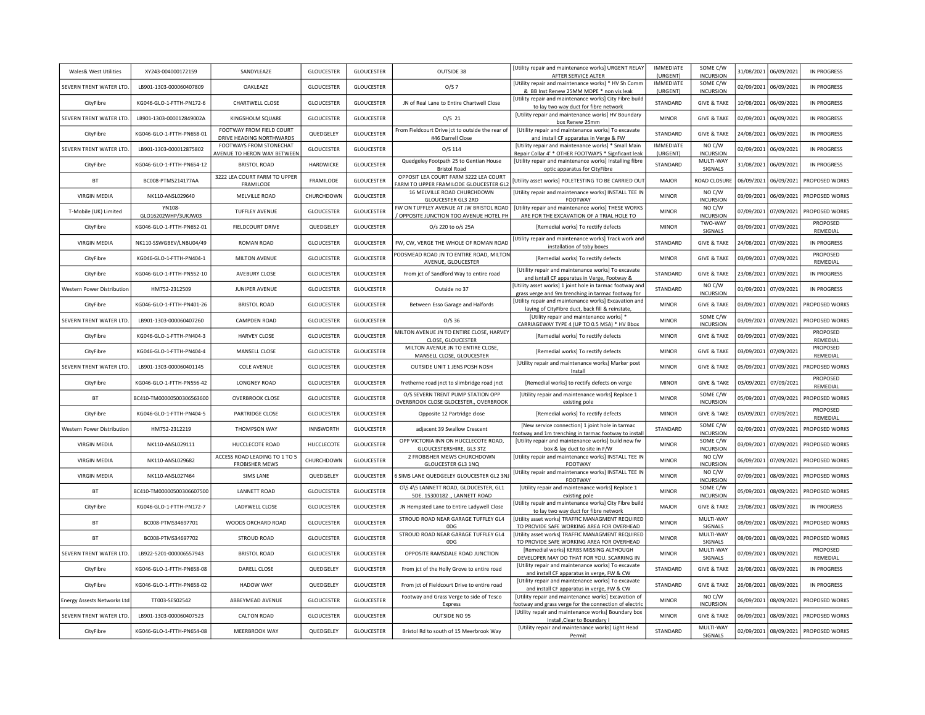| Wales& West Utilities              | XY243-004000172159            | SANDYLEAZE                                                    | <b>GLOUCESTER</b> | <b>GLOUCESTER</b> | OUTSIDE 38                                                                       | [Utility repair and maintenance works] URGENT RELAY<br>AFTER SERVICE AI TER                                    | IMMEDIATE<br>(URGENT)        | SOME C/W<br><b>INCURSION</b>               | 31/08/2021 | 06/09/2021            | IN PROGRESS                    |
|------------------------------------|-------------------------------|---------------------------------------------------------------|-------------------|-------------------|----------------------------------------------------------------------------------|----------------------------------------------------------------------------------------------------------------|------------------------------|--------------------------------------------|------------|-----------------------|--------------------------------|
| SEVERN TRENT WATER LTD             | 18901-1303-000060407809       | OAKLEAZE                                                      | <b>GLOUCESTER</b> | <b>GLOUCESTER</b> | O/S 7                                                                            | [Utility repair and maintenance works] * HV Sh Comm<br>& BB Inst Renew 25MM MDPE * non vis leak                | <b>IMMEDIATE</b><br>(URGENT) | SOME C/W<br><b>INCURSION</b>               | 02/09/2021 | 06/09/2021            | IN PROGRESS                    |
| CityFibre                          | KG046-GLO-1-FTTH-PN172-6      | CHARTWELL CLOSE                                               | <b>GLOUCESTER</b> | <b>GLOUCESTER</b> | JN of Real Lane to Entire Chartwell Close                                        | [Utility repair and maintenance works] City Fibre build<br>to lay two way duct for fibre network               | <b>STANDARD</b>              | <b>GIVE &amp; TAKE</b>                     | 10/08/2021 | 06/09/2021            | IN PROGRESS                    |
| SEVERN TRENT WATER LTD.            | LB901-1303-000012849002A      | KINGSHOLM SQUARE                                              | <b>GLOUCESTER</b> | <b>GLOUCESTER</b> | $O/S$ 21                                                                         | [Utility repair and maintenance works] HV Boundary<br>box Renew 25mm                                           | <b>MINOR</b>                 | <b>GIVE &amp; TAKE</b>                     | 02/09/2021 | 06/09/2021            | IN PROGRESS                    |
| CityFibre                          | KG046-GLO-1-FTTH-PN658-01     | FOOTWAY FROM FIELD COURT<br>DRIVE HEADING NORTHWARDS          | QUEDGELEY         | GLOUCESTER        | From Fieldcourt Drive jct to outside the rear of<br>#46 Darrell Close            | [Utility repair and maintenance works] To excavate<br>and install CF apparatus in Verge & FW                   | STANDARD                     | <b>GIVE &amp; TAKE</b>                     | 24/08/2021 | 06/09/2021            | IN PROGRESS                    |
| SEVERN TRENT WATER LTD.            | LB901-1303-000012875802       | FOOTWAYS FROM STONECHAT<br><b>AVENUE TO HERON WAY BETWEEN</b> | GLOUCESTER        | GLOUCESTER        | O/S 114                                                                          | [Utility repair and maintenance works] * Small Main<br>Repair Collar 4' * OTHER FOOTWAYS * Signficant leak     | <b>IMMEDIATE</b><br>(URGENT) | NO C/W<br><b>INCURSION</b>                 | 02/09/2021 | 06/09/2021            | IN PROGRESS                    |
| CityFibre                          | KG046-GLO-1-FTTH-PN654-12     | <b>BRISTOL ROAD</b>                                           | HARDWICKE         | GLOUCESTER        | Quedgeley Footpath 25 to Gentian House<br><b>Bristol Road</b>                    | [Utility repair and maintenance works] Installing fibre<br>optic apparatus for CityFibre                       | STANDARD                     | MULTI-WAY<br>SIGNALS                       | 31/08/2021 | 06/09/2021            | IN PROGRESS                    |
| BT                                 | BC008-PTMS214177AA            | 3222 LEA COURT FARM TO UPPER<br>FRAMILODE                     | FRAMILODE         | <b>GLOUCESTER</b> | OPPOSIT LEA COURT FARM 3222 LEA COURT<br>ARM TO UPPER FRAMILODE GLOUCESTER GL2   | [Utility asset works] POLETESTING TO BE CARRIED OUT                                                            | MAJOR                        | ROAD CLOSURE                               | 06/09/2021 | 06/09/2021            | PROPOSED WORKS                 |
| <b>VIRGIN MEDIA</b>                | NK110-ANSL029640              | MELVILLE ROAD                                                 | CHURCHDOWN        | GLOUCESTER        | 16 MELVILLE ROAD CHURCHDOWN<br><b>GLOUCESTER GL3 2RD</b>                         | [Utility repair and maintenance works] INSTALL TEE IN<br><b>FOOTWAY</b>                                        | <b>MINOR</b>                 | NO C/W<br><b>INCURSION</b>                 | 03/09/2021 | 06/09/2021            | PROPOSED WORKS                 |
| T-Mobile (UK) Limited              | YN108-<br>GLO16202WHP/3UKJW03 | TUFFLEY AVENUE                                                | <b>GLOUCESTER</b> | GLOUCESTER        | FW ON TUFFLEY AVENUE AT JW BRISTOL ROAD<br>OPPOSITE JUNCTION TOO AVENUE HOTEL PH | [Utility repair and maintenance works] THESE WORKS<br>ARE FOR THE EXCAVATION OF A TRIAL HOLE TO                | <b>MINOR</b>                 | NO C/W<br><b>INCURSION</b>                 | 07/09/2021 | 07/09/2021            | PROPOSED WORKS                 |
| CityFibre                          | KG046-GLO-1-FTTH-PN652-01     | FIELDCOURT DRIVE                                              | QUEDGELEY         | <b>GLOUCESTER</b> | O/s 220 to o/s 25A                                                               | [Remedial works] To rectify defects                                                                            | <b>MINOR</b>                 | TWO-WAY<br>SIGNALS                         | 03/09/2021 | 07/09/2021            | PROPOSED<br>REMEDIAL           |
| <b>VIRGIN MEDIA</b>                | NK110-SSWGBEV/LNBU04/49       | ROMAN ROAD                                                    | <b>GLOUCESTER</b> | GLOUCESTER        | FW, CW, VERGE THE WHOLE OF ROMAN ROAD                                            | [Utility repair and maintenance works] Track work and<br>installation of toby boxes                            | STANDARD                     | <b>GIVE &amp; TAKE</b>                     | 24/08/2021 | 07/09/2021            | <b>IN PROGRESS</b>             |
| CityFibre                          | KG046-GLO-1-FTTH-PN404-1      | MILTON AVENUE                                                 | <b>GLOUCESTER</b> | <b>GLOUCESTER</b> | PODSMEAD ROAD JN TO ENTIRE ROAD, MILTON<br>AVENUE, GLOUCESTER                    | [Remedial works] To rectify defects                                                                            | <b>MINOR</b>                 | <b>GIVE &amp; TAKE</b>                     | 03/09/2021 | 07/09/2021            | PROPOSED<br>REMEDIAL           |
| CityFibre                          | KG046-GLO-1-FTTH-PN552-10     | <b>AVEBURY CLOSE</b>                                          | <b>GLOUCESTER</b> | <b>GLOUCESTER</b> | From jct of Sandford Way to entire road                                          | [Utility repair and maintenance works] To excavate<br>and isntall CF apparatus in Verge, Footway &             | STANDARD                     | <b>GIVE &amp; TAKE</b>                     | 23/08/2021 | 07/09/2021            | IN PROGRESS                    |
| Western Power Distribution         | HM752-2312509                 | JUNIPER AVENUE                                                | <b>GLOUCESTER</b> | <b>GLOUCESTER</b> | Outside no 37                                                                    | [Utility asset works] 1 joint hole in tarmac footway and<br>grass verge and 9m trenching in tarmac footway for | STANDARD                     | NO C/W<br><b>INCURSION</b>                 | 01/09/2021 | 07/09/2021            | IN PROGRESS                    |
| CityFibre                          | KG046-GLO-1-FTTH-PN401-26     | <b>BRISTOL ROAD</b>                                           | <b>GLOUCESTER</b> | <b>GLOUCESTER</b> | Between Esso Garage and Halfords                                                 | [Utility repair and maintenance works] Excavation and                                                          | <b>MINOR</b>                 | <b>GIVE &amp; TAKE</b>                     |            | 03/09/2021 07/09/2021 | PROPOSED WORKS                 |
| SEVERN TRENT WATER LTD.            | LB901-1303-000060407260       | <b>CAMPDEN ROAD</b>                                           | <b>GLOUCESTER</b> | <b>GLOUCESTER</b> | $O/S$ 36                                                                         | laying of CityFibre duct, back fill & reinstate,<br>[Utility repair and maintenance works] *                   | <b>MINOR</b>                 | SOME C/W                                   | 03/09/2021 | 07/09/2021            | PROPOSED WORKS                 |
| CityFibre                          | KG046-GLO-1-FTTH-PN404-3      | <b>HARVEY CLOSE</b>                                           | <b>GLOUCESTER</b> | GLOUCESTER        | MILTON AVENUE JN TO ENTIRE CLOSE, HARVEY                                         | CARRIAGEWAY TYPE 4 (UP TO 0.5 MSA) * HV Bbox<br>[Remedial works] To rectify defects                            | <b>MINOR</b>                 | <b>INCURSION</b><br><b>GIVE &amp; TAKE</b> | 03/09/2021 | 07/09/2021            | PROPOSED                       |
| CityFibre                          | KG046-GLO-1-FTTH-PN404-4      | MANSELL CLOSE                                                 | <b>GLOUCESTER</b> | <b>GLOUCESTER</b> | CLOSE, GLOUCESTER<br>MILTON AVENUE JN TO ENTIRE CLOSE,                           | [Remedial works] To rectify defects                                                                            | <b>MINOR</b>                 | <b>GIVE &amp; TAKE</b>                     | 03/09/2021 | 07/09/2021            | REMEDIAL<br>PROPOSED           |
| SEVERN TRENT WATER LTD.            | LB901-1303-000060401145       | <b>COLE AVENUE</b>                                            | <b>GLOUCESTER</b> | <b>GLOUCESTER</b> | MANSELL CLOSE, GLOUCESTER<br>OUTSIDE UNIT 1 JENS POSH NOSH                       | [Utility repair and maintenance works] Marker post                                                             | <b>MINOR</b>                 | <b>GIVE &amp; TAKE</b>                     | 05/09/2021 | 07/09/2021            | REMEDIAL<br>PROPOSED WORKS     |
| CityFibre                          | KG046-GLO-1-FTTH-PN556-42     | <b>LONGNEY ROAD</b>                                           | <b>GLOUCESTER</b> | <b>GLOUCESTER</b> | Fretherne road jnct to slimbridge road jnct                                      | Install<br>[Remedial works] to rectify defects on verge                                                        | <b>MINOR</b>                 | <b>GIVE &amp; TAKE</b>                     |            | 03/09/2021 07/09/2021 | PROPOSED<br>REMEDIAL           |
| <b>BT</b>                          | BC410-TM00000500306563600     | <b>OVERBROOK CLOSE</b>                                        | <b>GLOUCESTER</b> | <b>GLOUCESTER</b> | O/S SEVERN TRENT PUMP STATION OPP                                                | <b>IUtility repair and maintenance worksl Replace 1</b>                                                        | <b>MINOR</b>                 | SOME C/W                                   | 05/09/2021 | 07/09/2021            | PROPOSED WORKS                 |
| CityFibre                          | KG046-GLO-1-FTTH-PN404-5      | <b>PARTRIDGE CLOSE</b>                                        | <b>GLOUCESTER</b> | <b>GLOUCESTER</b> | OVERBROOK CLOSE GLOCESTER., OVERBROOK<br>Opposite 12 Partridge close             | existing pole<br>[Remedial works] To rectify defects                                                           | <b>MINOR</b>                 | <b>INCURSION</b><br><b>GIVE &amp; TAKE</b> |            | 03/09/2021 07/09/2021 | PROPOSED                       |
| <b>Western Power Distribution</b>  | HM752-2312219                 | THOMPSON WAY                                                  | <b>INNSWORTH</b>  | <b>GLOUCESTER</b> | adjacent 39 Swallow Crescent                                                     | [New service connection] 1 joint hole in tarmac                                                                | STANDARD                     | SOME C/W                                   | 02/09/2021 | 07/09/2021            | REMEDIAL<br>PROPOSED WORKS     |
| <b>VIRGIN MEDIA</b>                | NK110-ANSL029111              | HUCCLECOTE ROAD                                               | HUCCLECOTE        | <b>GLOUCESTER</b> | OPP VICTORIA INN ON HUCCLECOTE ROAD,                                             | ootway and 1m trenching in tarmac footway to install<br>[Utility repair and maintenance works] build new fw    | <b>MINOR</b>                 | <b>INCURSION</b><br>SOME C/W               | 03/09/2021 | 07/09/2021            | PROPOSED WORKS                 |
| <b>VIRGIN MEDIA</b>                | NK110-ANSL029682              | ACCESS ROAD LEADING TO 1 TO 5                                 | CHURCHDOWN        | <b>GLOUCESTER</b> | GLOUCESTERSHIRE, GL3 3TZ<br>2 FROBISHER MEWS CHURCHDOWN                          | box & lay duct to site in F/W<br>[Utility repair and maintenance works] INSTALL TEE IN                         | <b>MINOR</b>                 | <b>INCURSION</b><br>NO C/W                 | 06/09/2021 | 07/09/2021            | PROPOSED WORKS                 |
| <b>VIRGIN MEDIA</b>                | NK110-ANSL027464              | <b>FROBISHER MEWS</b><br><b>SIMS LANE</b>                     | QUEDGELEY         | <b>GLOUCESTER</b> | <b>GLOUCESTER GL3 1NQ</b><br>6 SIMS LANE QUEDGELEY GLOUCESTER GL2 3N             | <b>FOOTWAY</b><br>[Utility repair and maintenance works] INSTALL TEE IN                                        | <b>MINOR</b>                 | <b>INCURSION</b><br>NO C/W                 | 07/09/2021 | 08/09/2021            | PROPOSED WORKS                 |
| <b>BT</b>                          | BC410-TM00000500306607500     | <b>LANNETT ROAD</b>                                           | <b>GLOUCESTER</b> | <b>GLOUCESTER</b> | O\S 4\5 LANNETT ROAD, GLOUCESTER, GL1                                            | <b>FOOTWAY</b><br>[Utility repair and maintenance works] Replace 1                                             | <b>MINOR</b>                 | <b>INCURSION</b><br>SOME C/W               | 05/09/2021 | 08/09/2021            | PROPOSED WORKS                 |
| CityFibre                          | KG046-GLO-1-FTTH-PN172-7      | LADYWELL CLOSE                                                | <b>GLOUCESTER</b> | GLOUCESTER        | 5DE. 15300182., LANNETT ROAD<br>JN Hempsted Lane to Entire Ladywell Close        | existing pol<br>[Utility repair and maintenance works] City Fibre build                                        | MAJOR                        | <b>INCURSION</b><br><b>GIVE &amp; TAKE</b> | 19/08/2021 | 08/09/2021            | IN PROGRESS                    |
| <b>BT</b>                          | BC008-PTMS34697701            | WOODS ORCHARD ROAD                                            | <b>GLOUCESTER</b> | <b>GLOUCESTER</b> | STROUD ROAD NEAR GARAGE TUFFLEY GL4                                              | to lay two way duct for fibre network<br>[Utility asset works] TRAFFIC MANAGMENT REQUIRED                      | <b>MINOR</b>                 | MULTI-WAY                                  | 08/09/2021 | 08/09/2021            | PROPOSED WORKS                 |
| <b>BT</b>                          | BC008-PTMS34697702            | <b>STROUD ROAD</b>                                            | <b>GLOUCESTER</b> | GLOUCESTER        | 0DG<br>STROUD ROAD NEAR GARAGE TUFFLEY GL4                                       | TO PROVIDE SAFE WORKING AREA FOR OVERHEAD<br>[Utility asset works] TRAFFIC MANAGMENT REQUIRED                  | <b>MINOR</b>                 | SIGNALS<br>MULTI-WAY                       | 08/09/2021 | 08/09/2021            | PROPOSED WORKS                 |
| SEVERN TRENT WATER LTD.            | LB922-5201-000006557943       | <b>BRISTOL ROAD</b>                                           | <b>GLOUCESTER</b> | <b>GLOUCESTER</b> | 0 <sub>D</sub> G<br>OPPOSITE RAMSDALE ROAD JUNCTION                              | TO PROVIDE SAFE WORKING AREA FOR OVERHEAD<br>[Remedial works] KERBS MISSING ALTHOUGH                           | <b>MINOR</b>                 | SIGNALS<br>MULTI-WAY                       | 07/09/2021 | 08/09/2021            | PROPOSED                       |
| CityFibre                          | KG046-GLO-1-FTTH-PN658-08     | DARELL CLOSE                                                  | QUEDGELEY         | <b>GLOUCESTER</b> | From jct of the Holly Grove to entire road                                       | DEVELOPER MAY DO THAT FOR YOU. SCARRING IN<br>[Utility repair and maintenance works] To excavate               | STANDARD                     | SIGNALS<br><b>GIVE &amp; TAKE</b>          | 26/08/2021 | 08/09/2021            | REMEDIAL<br><b>IN PROGRESS</b> |
| CityFibre                          | KG046-GLO-1-FTTH-PN658-02     | <b>HADOW WAY</b>                                              | QUEDGELEY         | GLOUCESTER        | From jct of Fieldcourt Drive to entire road                                      | and install CF apparatus in verge, FW & CW<br>[Utility repair and maintenance works] To excavate               | STANDARD                     | <b>GIVE &amp; TAKE</b>                     | 26/08/2021 | 08/09/2021            | <b>IN PROGRESS</b>             |
|                                    |                               |                                                               |                   |                   | Footway and Grass Verge to side of Tesco                                         | and install CF apparatus in verge, FW & CW<br>[Utility repair and maintenance works] Excavation of             |                              | NO C/W                                     |            |                       |                                |
| <b>Energy Assests Networks Ltc</b> | TT003-SES02542                | ABBEYMEAD AVENUE                                              | <b>GLOUCESTER</b> | GLOUCESTER        | Express                                                                          | footway and grass verge for the connection of electric<br>[Utility repair and maintenance works] Boundary box  | <b>MINOR</b>                 | <b>INCURSION</b>                           | 06/09/2021 | 08/09/2021            | PROPOSED WORKS                 |
| SEVERN TRENT WATER LTD.            | LB901-1303-000060407523       | <b>CALTON ROAD</b>                                            | <b>GLOUCESTER</b> | GLOUCESTER        | OUTSIDE NO 95                                                                    | Install, Clear to Boundary I<br>[Utility repair and maintenance works] Light Head                              | <b>MINOR</b>                 | <b>GIVE &amp; TAKE</b><br>MULTI-WAY        | 06/09/2021 | 08/09/2021            | PROPOSED WORKS                 |
| CityFibre                          | KG046-GLO-1-FTTH-PN654-08     | <b>MEERBROOK WAY</b>                                          | QUEDGELEY         | <b>GLOUCESTER</b> | Bristol Rd to south of 15 Meerbrook Way                                          | Permit                                                                                                         | STANDARD                     | SIGNALS                                    | 02/09/2021 | 08/09/2021            | PROPOSED WORKS                 |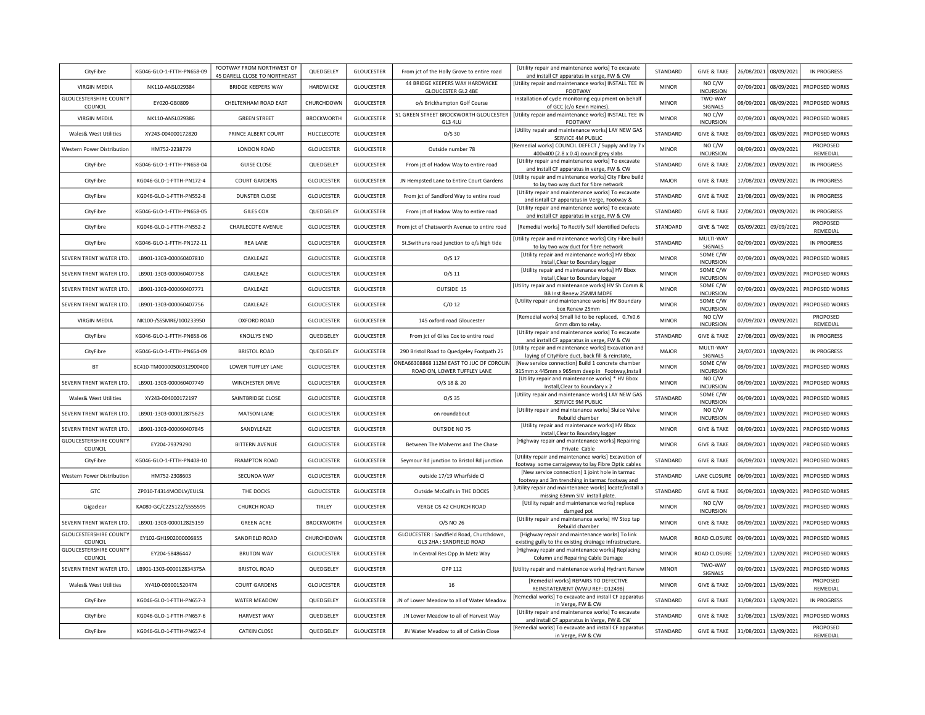| CityFibre                                | KG046-GLO-1-FTTH-PN658-09 | FOOTWAY FROM NORTHWEST OF<br>45 DARELL CLOSE TO NORTHEAST | QUEDGELEY         | <b>GLOUCESTER</b> | From jct of the Holly Grove to entire road                              | [Utility repair and maintenance works] To excavate<br>and install CF apparatus in verge, FW & CW                                                        | STANDARD     | <b>GIVE &amp; TAKE</b>                     | 26/08/2021 | 08/09/2021            | IN PROGRESS                 |
|------------------------------------------|---------------------------|-----------------------------------------------------------|-------------------|-------------------|-------------------------------------------------------------------------|---------------------------------------------------------------------------------------------------------------------------------------------------------|--------------|--------------------------------------------|------------|-----------------------|-----------------------------|
| <b>VIRGIN MEDIA</b>                      | NK110-ANSL029384          | <b>BRIDGE KEEPERS WAY</b>                                 | <b>HARDWICKE</b>  | <b>GLOUCESTER</b> | 44 BRIDGE KEEPERS WAY HARDWICKE<br><b>GLOUCESTER GL2 4BE</b>            | [Utility repair and maintenance works] INSTALL TEE IN<br><b>FOOTWAY</b>                                                                                 | <b>MINOR</b> | NO C/W<br><b>INCURSION</b>                 | 07/09/2021 | 08/09/2021            | PROPOSED WORKS              |
| <b>GLOUCESTERSHIRE COUNTY</b><br>COUNCIL | EY020-GB0809              | CHELTENHAM ROAD EAST                                      | CHURCHDOWN        | <b>GLOUCESTER</b> | o/s Brickhampton Golf Course                                            | Installation of cycle monitoring equipment on behalf<br>of GCC (c/o Kevin Haines)                                                                       | <b>MINOR</b> | TWO-WAY<br>SIGNALS                         | 08/09/2021 | 08/09/2021            | PROPOSED WORKS              |
| VIRGIN MEDIA                             | NK110-ANSL029386          | <b>GREEN STREET</b>                                       | <b>BROCKWORTH</b> | <b>GLOUCESTER</b> | GL3 4LU                                                                 | 51 GREEN STREET BROCKWORTH GLOUCESTER   [Utility repair and maintenance works] INSTALL TEE IN<br>FOOTWAY                                                | <b>MINOR</b> | NO C/W<br><b>INCURSION</b>                 | 07/09/2021 | 08/09/2021            | PROPOSED WORKS              |
| Wales& West Utilities                    | XY243-004000172820        | PRINCE ALBERT COURT                                       | HUCCLECOTE        | GLOUCESTER        | $O/S$ 30                                                                | [Utility repair and maintenance works] LAY NEW GAS<br>SERVICE 4M PUBLIC                                                                                 | STANDARD     | <b>GIVE &amp; TAKE</b>                     | 03/09/2021 | 08/09/2021            | PROPOSED WORKS              |
| Western Power Distribution               | HM752-2238779             | <b>LONDON ROAD</b>                                        | <b>GLOUCESTER</b> | GLOUCESTER        | Outside number 78                                                       | [Remedial works] COUNCIL DEFECT / Supply and lay 7:<br>400x400 (2.8 x 0.4) council grey slabs                                                           | <b>MINOR</b> | NO C/W<br><b>INCURSION</b>                 | 08/09/2021 | 09/09/2021            | <b>PROPOSED</b><br>REMEDIAL |
| CityFibre                                | KG046-GLO-1-FTTH-PN658-04 | <b>GUISE CLOSE</b>                                        | QUEDGELEY         | GLOUCESTER        | From jct of Hadow Way to entire road                                    | [Utility repair and maintenance works] To excavate<br>and install CF apparatus in verge, FW & CW                                                        | STANDARD     | <b>GIVE &amp; TAKE</b>                     | 27/08/2021 | 09/09/2021            | IN PROGRESS                 |
| CityFibre                                | KG046-GLO-1-FTTH-PN172-4  | <b>COURT GARDENS</b>                                      | <b>GLOUCESTER</b> | <b>GLOUCESTER</b> | JN Hempsted Lane to Entire Court Gardens                                | [Utility repair and maintenance works] City Fibre build<br>to lay two way duct for fibre network                                                        | MAJOR        | <b>GIVE &amp; TAKE</b>                     | 17/08/2021 | 09/09/2021            | IN PROGRESS                 |
| CityFibre                                | KG046-GLO-1-FTTH-PN552-8  | DUNSTER CLOSE                                             | <b>GLOUCESTER</b> | GLOUCESTER        | From jct of Sandford Way to entire road                                 | [Utility repair and maintenance works] To excavate<br>and isntall CF apparatus in Verge, Footway &                                                      | STANDARD     | <b>GIVE &amp; TAKE</b>                     | 23/08/2021 | 09/09/2021            | IN PROGRESS                 |
| CityFibre                                | KG046-GLO-1-FTTH-PN658-05 | <b>GILES COX</b>                                          | QUEDGELEY         | <b>GLOUCESTER</b> | From jct of Hadow Way to entire road                                    | [Utility repair and maintenance works] To excavate<br>and install CF apparatus in verge, FW & CW                                                        | STANDARD     | <b>GIVE &amp; TAKE</b>                     | 27/08/2021 | 09/09/2021            | IN PROGRESS                 |
| CityFibre                                | KG046-GLO-1-FTTH-PN552-2  | CHARLECOTE AVENUE                                         | <b>GLOUCESTER</b> | <b>GLOUCESTER</b> | From jct of Chatsworth Avenue to entire road                            | [Remedial works] To Rectify Self Identified Defects                                                                                                     | STANDARD     | <b>GIVE &amp; TAKE</b>                     | 03/09/2021 | 09/09/2021            | PROPOSED<br>REMEDIAL        |
| CityFibre                                | KG046-GLO-1-FTTH-PN172-11 | <b>REA LANE</b>                                           | <b>GLOUCESTER</b> | GLOUCESTER        | St. Swithuns road junction to o/s high tide                             | [Utility repair and maintenance works] City Fibre build<br>to lay two way duct for fibre network                                                        | STANDARD     | MULTI-WAY<br>SIGNALS                       | 02/09/2021 | 09/09/2021            | IN PROGRESS                 |
| SEVERN TRENT WATER LTD.                  | LB901-1303-000060407810   | OAKLEAZE                                                  | <b>GLOUCESTER</b> | GLOUCESTER        | $O/S$ 17                                                                | [Utility repair and maintenance works] HV Bbox<br>Install, Clear to Boundary logger                                                                     | <b>MINOR</b> | SOME C/W<br><b>INCURSION</b>               | 07/09/2021 | 09/09/2021            | PROPOSED WORKS              |
| SEVERN TRENT WATER LTD.                  | LB901-1303-000060407758   | OAKLEAZE                                                  | <b>GLOUCESTER</b> | GLOUCESTER        | $O/S$ 11                                                                | [Utility repair and maintenance works] HV Bbox<br>Install, Clear to Boundary logger                                                                     | <b>MINOR</b> | SOME C/W<br><b>INCURSION</b>               | 07/09/2021 | 09/09/2021            | PROPOSED WORKS              |
| SEVERN TRENT WATER LTD.                  | LB901-1303-000060407771   | OAKLEAZE                                                  | <b>GLOUCESTER</b> | GLOUCESTER        | OUTSIDE 15                                                              | [Utility repair and maintenance works] HV Sh Comm &<br>BB Inst Renew 25MM MDPE                                                                          | <b>MINOR</b> | SOME C/W<br><b>INCURSION</b>               |            | 07/09/2021 09/09/2021 | PROPOSED WORKS              |
| SEVERN TRENT WATER LTD.                  | LB901-1303-000060407756   | OAKLEAZE                                                  | <b>GLOUCESTER</b> | GLOUCESTER        | $C/O$ 12                                                                | [Utility repair and maintenance works] HV Boundary<br>box Renew 25mm                                                                                    | <b>MINOR</b> | SOME C/W<br><b>INCURSION</b>               |            | 07/09/2021 09/09/2021 | PROPOSED WORKS              |
| <b>VIRGIN MEDIA</b>                      | NK100-/SSSMRE/100233950   | <b>OXFORD ROAD</b>                                        | <b>GLOUCESTER</b> | <b>GLOUCESTER</b> | 145 oxford road Gloucester                                              | [Remedial works] Small lid to be replaced, 0.7x0.6<br>6mm dbm to relay.                                                                                 | <b>MINOR</b> | NO C/W<br><b>INCURSION</b>                 | 07/09/2021 | 09/09/2021            | PROPOSED<br>REMEDIAL        |
| CityFibre                                | KG046-GLO-1-FTTH-PN658-06 | <b>KNOLLYS END</b>                                        | QUEDGELEY         | <b>GLOUCESTER</b> | From jct of Giles Cox to entire road                                    | [Utility repair and maintenance works] To excavate<br>and install CF apparatus in verge, FW & CW                                                        | STANDARD     | <b>GIVE &amp; TAKE</b>                     | 27/08/2021 | 09/09/2021            | IN PROGRESS                 |
| CityFibre                                | KG046-GLO-1-FTTH-PN654-09 | <b>BRISTOL ROAD</b>                                       | QUEDGELEY         | <b>GLOUCESTER</b> | 290 Bristol Road to Quedgeley Footpath 25                               | [Utility repair and maintenance works] Excavation and                                                                                                   | MAJOR        | MULTI-WAY<br>SIGNALS                       | 28/07/2021 | 10/09/2021            | IN PROGRESS                 |
| <b>BT</b>                                | BC410-TM00000500312900400 | LOWER TUFFLEY LANE                                        | <b>GLOUCESTER</b> | <b>GLOUCESTER</b> | ONEA66308868 112M EAST TO JUC OF COROLIN<br>ROAD ON, LOWER TUFFLEY LANE | laying of CityFibre duct, back fill & reinstate,<br>[New service connection] Build 1 concrete chamber<br>915mm x 445mm x 965mm deep in Footway, Install | <b>MINOR</b> | SOME C/W<br><b>INCURSION</b>               | 08/09/2021 | 10/09/2021            | PROPOSED WORKS              |
| SEVERN TRENT WATER LTD.                  | LB901-1303-000060407749   | WINCHESTER DRIVE                                          | <b>GLOUCESTER</b> | <b>GLOUCESTER</b> | O/S 18 & 20                                                             | [Utility repair and maintenance works] * HV Bbox<br>Install Clear to Boundary x 2                                                                       | <b>MINOR</b> | NO C/W<br><b>INCURSION</b>                 | 08/09/2021 | 10/09/2021            | PROPOSED WORKS              |
| Wales& West Utilities                    | XY243-004000172197        | SAINTBRIDGE CLOSE                                         | <b>GLOUCESTER</b> | <b>GLOUCESTER</b> | $O/S$ 35                                                                | [Utility repair and maintenance works] LAY NEW GAS                                                                                                      | STANDARD     | SOME C/W                                   | 06/09/2021 | 10/09/2021            | PROPOSED WORKS              |
| SEVERN TRENT WATER LTD.                  | LB901-1303-000012875623   | MATSON LANE                                               | <b>GLOUCESTER</b> | <b>GLOUCESTER</b> | on roundabout                                                           | SERVICE 9M PUBLIC<br>[Utility repair and maintenance works] Sluice Valve                                                                                | <b>MINOR</b> | <b>INCURSION</b><br>NO C/W                 | 08/09/2021 | 10/09/2021            | PROPOSED WORKS              |
| SEVERN TRENT WATER LTD.                  | LB901-1303-000060407845   | SANDYLEAZE                                                | <b>GLOUCESTER</b> | <b>GLOUCESTER</b> | OUTSIDE NO 75                                                           | Rebuild chamber<br>[Utility repair and maintenance works] HV Bbox                                                                                       | <b>MINOR</b> | <b>INCURSION</b><br><b>GIVE &amp; TAKE</b> | 08/09/2021 | 10/09/2021            | PROPOSED WORKS              |
| <b>GLOUCESTERSHIRE COUNTY</b>            | FY204-79379290            | <b>BITTERN AVENUE</b>                                     | <b>GLOUCESTER</b> | <b>GLOUCESTER</b> | Between The Malverns and The Chase                                      | Install, Clear to Boundary logger<br>[Highway repair and maintenance works] Repairing                                                                   | <b>MINOR</b> | <b>GIVE &amp; TAKE</b>                     | 08/09/2021 | 10/09/2021            | PROPOSED WORKS              |
| COUNCIL<br>CityFibre                     | KG046-GLO-1-FTTH-PN408-10 | <b>FRAMPTON ROAD</b>                                      | <b>GLOUCESTER</b> | <b>GLOUCESTER</b> | Seymour Rd junction to Bristol Rd junction                              | Private Cable<br>[Utility repair and maintenance works] Excavation of                                                                                   | STANDARD     | <b>GIVE &amp; TAKE</b>                     | 06/09/2021 | 10/09/2021            | PROPOSED WORKS              |
| Western Power Distribution               | HM752-2308603             | SECUNDA WAY                                               | <b>GLOUCESTER</b> | <b>GLOUCESTER</b> | outside 17/19 Wharfside Cl                                              | footway some carraigeway to lay Fibre Optic cables<br>[New service connection] 1 joint hole in tarmac                                                   | STANDARD     | LANE CLOSURE                               | 06/09/2021 | 10/09/2021            | PROPOSED WORKS              |
| GTC.                                     | ZP010-T4314MODLV/EULSL    | THE DOCKS                                                 | <b>GLOUCESTER</b> | <b>GLOUCESTER</b> | Outside McColl's in THE DOCKS                                           | footway and 3m trenching in tarmac footway and<br>[Utility repair and maintenance works] locate/install a                                               | STANDARD     | <b>GIVE &amp; TAKE</b>                     | 06/09/2021 | 10/09/2021            | PROPOSED WORKS              |
| Gigaclear                                | KA080-GC/C225122/S555595  | CHURCH ROAD                                               | TIRLEY            | GLOUCESTER        | VERGE OS 42 CHURCH ROAD                                                 | missing 63mm SIV install plate<br>[Utility repair and maintenance works] replace                                                                        | <b>MINOR</b> | NO C/W                                     | 08/09/2021 | 10/09/2021            | PROPOSED WORKS              |
| SEVERN TRENT WATER LTD.                  | LB901-1303-000012825159   | <b>GREEN ACRE</b>                                         | <b>BROCKWORTH</b> | GLOUCESTER        | O/S NO 26                                                               | damged pot<br>[Utility repair and maintenance works] HV Stop tap                                                                                        | <b>MINOR</b> | <b>INCURSION</b><br><b>GIVE &amp; TAKE</b> | 08/09/2021 | 10/09/2021            | PROPOSED WORKS              |
| <b>GLOUCESTERSHIRE COUNTY</b>            | EY102-GH1902000006855     | SANDFIELD ROAD                                            | CHURCHDOWN        | GLOUCESTER        | GLOUCESTER : Sandfield Road, Churchdown,                                | Rebuild chamber<br>[Highway repair and maintenance works] To link                                                                                       | MAJOR        | ROAD CLOSURE                               | 09/09/2021 | 10/09/2021            | PROPOSED WORKS              |
| COUNCIL<br><b>GLOUCESTERSHIRE COUNTY</b> | EY204-58486447            | <b>BRUTON WAY</b>                                         | <b>GLOUCESTER</b> | GLOUCESTER        | GL3 2HA : SANDFIELD ROAD<br>In Central Res Opp Jn Metz Way              | existing gully to the existing drainage infrastructure.<br>[Highway repair and maintenance works] Replacing                                             | <b>MINOR</b> | ROAD CLOSURE                               | 12/09/2021 | 12/09/2021            | PROPOSED WORKS              |
| COUNCIL<br>SEVERN TRENT WATER LTD.       | LB901-1303-000012834375A  | <b>BRISTOL ROAD</b>                                       | QUEDGELEY         | GLOUCESTER        | OPP 112                                                                 | Column and Repairing Cable Damage<br>[Utility repair and maintenance works] Hydrant Renev                                                               | <b>MINOR</b> | TWO-WAY                                    | 09/09/2021 | 13/09/2021            | PROPOSED WORKS              |
| Wales& West Utilities                    | XY410-003001520474        | <b>COURT GARDENS</b>                                      | <b>GLOUCESTER</b> | <b>GLOUCESTER</b> | 16                                                                      | [Remedial works] REPAIRS TO DEFECTIVE                                                                                                                   | <b>MINOR</b> | SIGNALS<br><b>GIVE &amp; TAKE</b>          | 10/09/2021 | 13/09/2021            | PROPOSED                    |
| CityFibre                                | KG046-GLO-1-FTTH-PN657-3  | WATER MEADOW                                              | QUEDGELEY         | GLOUCESTER        | JN of Lower Meadow to all of Water Meadow                               | REINSTATEMENT (WWU REF: D12498)<br>[Remedial works] To excavate and install CF apparatus                                                                | STANDARD     | <b>GIVE &amp; TAKE</b>                     | 31/08/2021 | 13/09/2021            | REMEDIAL<br>IN PROGRESS     |
| CityFibre                                | KG046-GLO-1-FTTH-PN657-6  | <b>HARVEST WAY</b>                                        | QUEDGELEY         | <b>GLOUCESTER</b> | JN Lower Meadow to all of Harvest Wav                                   | in Verge, FW & CW<br>[Utility repair and maintenance works] To excavate                                                                                 | STANDARD     | <b>GIVE &amp; TAKE</b>                     | 31/08/2021 | 13/09/2021            | PROPOSED WORKS              |
|                                          | KG046-GLO-1-FTTH-PN657-4  | <b>CATKIN CLOSE</b>                                       | QUEDGELEY         | <b>GLOUCESTER</b> | JN Water Meadow to all of Catkin Close                                  | and install CF apparatus in Verge, FW & CW<br>[Remedial works] To excavate and install CF apparatus                                                     | STANDARD     | <b>GIVE &amp; TAKE</b>                     | 31/08/2021 | 13/09/2021            | PROPOSED                    |
| CityFibre                                |                           |                                                           |                   |                   |                                                                         | in Verge, FW & CW                                                                                                                                       |              |                                            |            |                       | REMEDIAL                    |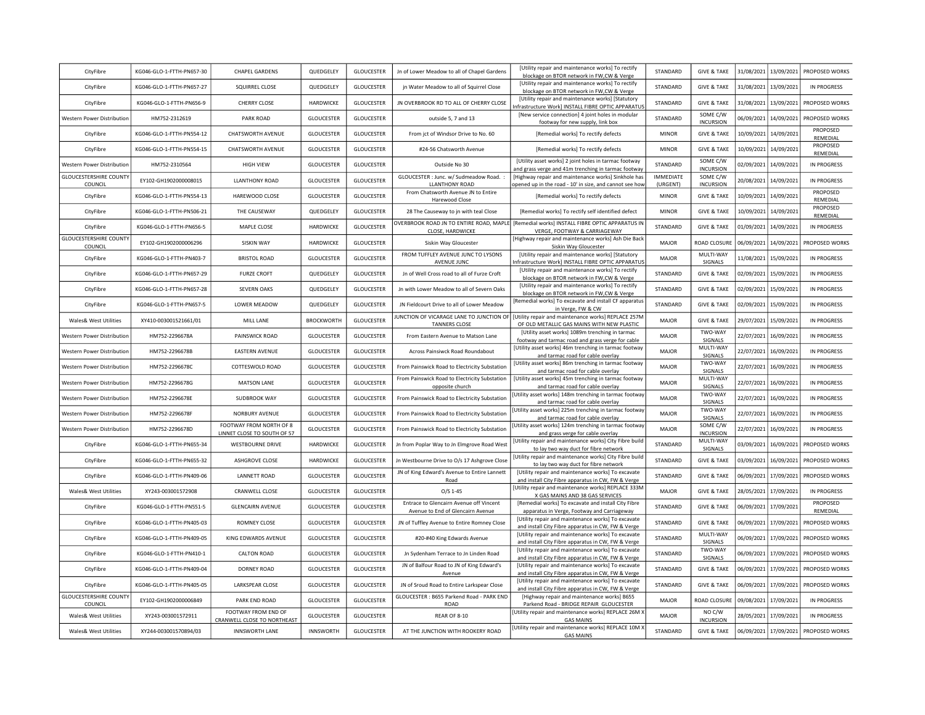| CityFibre                                | KG046-GLO-1-FTTH-PN657-30 | <b>CHAPEL GARDENS</b>                                  | QUEDGELEY         | <b>GLOUCESTER</b> | Jn of Lower Meadow to all of Chapel Gardens                                  | <b>IUtility repair and maintenance works) To rectify</b><br>blockage on BTOR network in FW,CW & Verge                                     | STANDARD              | <b>GIVE &amp; TAKE</b>       |            | 31/08/2021 13/09/2021 | PROPOSED WORKS       |
|------------------------------------------|---------------------------|--------------------------------------------------------|-------------------|-------------------|------------------------------------------------------------------------------|-------------------------------------------------------------------------------------------------------------------------------------------|-----------------------|------------------------------|------------|-----------------------|----------------------|
| CityFibre                                | KG046-GLO-1-FTTH-PN657-27 | SQUIRREL CLOSE                                         | QUEDGELEY         | <b>GLOUCESTER</b> | in Water Meadow to all of Squirrel Close                                     | [Utility repair and maintenance works] To rectify<br>blockage on BTOR network in FW,CW & Verge                                            | STANDARD              | <b>GIVE &amp; TAKE</b>       |            | 31/08/2021 13/09/2021 | IN PROGRESS          |
| CityFibre                                | KG046-GLO-1-FTTH-PN656-9  | <b>CHERRY CLOSE</b>                                    | <b>HARDWICKE</b>  | <b>GLOUCESTER</b> | JN OVERBROOK RD TO ALL OF CHERRY CLOSE                                       | [Utility repair and maintenance works] [Statutory<br>nfrastructure Work] INSTALL FIBRE OPTIC APPARATUS                                    | STANDARD              | <b>GIVE &amp; TAKE</b>       |            | 31/08/2021 13/09/2021 | PROPOSED WORKS       |
| Western Power Distribution               | HM752-2312619             | <b>PARK ROAD</b>                                       | <b>GLOUCESTER</b> | <b>GLOUCESTER</b> | outside 5, 7 and 13                                                          | [New service connection] 4 joint holes in modular<br>footway for new supply, link box                                                     | STANDARD              | SOME C/W<br><b>INCURSION</b> |            | 06/09/2021 14/09/2021 | PROPOSED WORKS       |
| CityFibre                                | KG046-GLO-1-FTTH-PN554-12 | CHATSWORTH AVENUE                                      | GLOUCESTER        | <b>GLOUCESTER</b> | From jct of Windsor Drive to No. 60                                          | [Remedial works] To rectify defects                                                                                                       | <b>MINOR</b>          | <b>GIVE &amp; TAKE</b>       |            | 10/09/2021 14/09/2021 | PROPOSED<br>REMEDIAL |
| CityFibre                                | KG046-GLO-1-FTTH-PN554-15 | <b>CHATSWORTH AVENUE</b>                               | GLOUCESTER        | GLOUCESTER        | #24-56 Chatsworth Avenue                                                     | [Remedial works] To rectify defects                                                                                                       | <b>MINOR</b>          | <b>GIVE &amp; TAKE</b>       | 10/09/2021 | 14/09/2021            | PROPOSED<br>REMEDIAL |
| Western Power Distribution               | HM752-2310564             | <b>HIGH VIEW</b>                                       | <b>GLOUCESTER</b> | <b>GLOUCESTER</b> | Outside No 30                                                                | [Utility asset works] 2 joint holes in tarmac footway<br>and grass verge and 41m trenching in tarmac footway                              | STANDARD              | SOME C/W<br><b>INCURSION</b> | 02/09/2021 | 14/09/2021            | <b>IN PROGRESS</b>   |
| <b>GLOUCESTERSHIRE COUNTY</b><br>COUNCIL | EY102-GH1902000008015     | <b>LLANTHONY ROAD</b>                                  | <b>GLOUCESTER</b> | <b>GLOUCESTER</b> | GLOUCESTER : Junc. w/ Sudmeadow Road. :<br><b>LLANTHONY ROAD</b>             | [Highway repair and maintenance works] Sinkhole has<br>opened up in the road - 10' in size, and cannot see how                            | IMMEDIATE<br>(URGENT) | SOME C/W<br><b>INCURSION</b> | 20/08/2021 | 14/09/2021            | <b>IN PROGRESS</b>   |
| CityFibre                                | KG046-GLO-1-FTTH-PN554-13 | HAREWOOD CLOSE                                         | <b>GLOUCESTER</b> | <b>GLOUCESTER</b> | From Chatsworth Avenue JN to Entire<br>Harewood Close                        | [Remedial works] To rectify defects                                                                                                       | <b>MINOR</b>          | <b>GIVE &amp; TAKE</b>       | 10/09/2021 | 14/09/2021            | PROPOSED<br>REMEDIAL |
| CityFibre                                | KG046-GLO-1-FTTH-PN506-21 | THE CAUSEWAY                                           | QUEDGELEY         | <b>GLOUCESTER</b> | 28 The Causeway to jn with teal Close                                        | [Remedial works] To rectify self identified defect                                                                                        | <b>MINOR</b>          | <b>GIVE &amp; TAKE</b>       | 10/09/2021 | 14/09/2021            | PROPOSED<br>REMEDIAL |
| CityFibre                                | KG046-GLO-1-FTTH-PN656-5  | MAPLE CLOSE                                            | HARDWICKE         | <b>GLOUCESTER</b> | CLOSE, HARDWICKE                                                             | OVERBROOK ROAD JN TO ENTIRE ROAD, MAPLE [Remedial works] INSTALL FIBRE OPTIC APPARATUS IN<br>VERGE, FOOTWAY & CARRIAGEWAY                 | STANDARD              | <b>GIVE &amp; TAKE</b>       | 01/09/2021 | 14/09/2021            | <b>IN PROGRESS</b>   |
| <b>GLOUCESTERSHIRE COUNTY</b><br>COUNCIL | EY102-GH1902000006296     | <b>SISKIN WAY</b>                                      | HARDWICKE         | <b>GLOUCESTER</b> | Siskin Way Gloucester                                                        | [Highway repair and maintenance works] Ash Die Back<br>Siskin Way Gloucester                                                              | MAJOR                 | ROAD CLOSUR                  | 06/09/2021 | 14/09/2021            | PROPOSED WORKS       |
| CityFibre                                | KG046-GLO-1-FTTH-PN403-7  | <b>BRISTOL ROAD</b>                                    | <b>GLOUCESTER</b> | GLOUCESTER        | FROM TUFFLEY AVENUE JUNC TO LYSONS<br>AVENUE JUNC                            | [Utility repair and maintenance works] [Statutory<br>nfrastructure Work] INSTALL FIBRE OPTIC APPARATU                                     | MAJOR                 | MULTI-WAY<br>SIGNALS         | 11/08/2021 | 15/09/2021            | IN PROGRESS          |
| CityFibre                                | KG046-GLO-1-FTTH-PN657-29 | <b>FURZE CROFT</b>                                     | QUEDGELEY         | <b>GLOUCESTER</b> | Jn of Well Cross road to all of Furze Croft                                  | [Utility repair and maintenance works] To rectify<br>blockage on BTOR network in FW,CW & Verge                                            | STANDARD              | <b>GIVE &amp; TAKE</b>       | 02/09/2021 | 15/09/2021            | <b>IN PROGRESS</b>   |
| CityFibre                                | KG046-GLO-1-FTTH-PN657-28 | <b>SEVERN OAKS</b>                                     | QUEDGELEY         | GLOUCESTER        | Jn with Lower Meadow to all of Severn Oaks                                   | [Utility repair and maintenance works] To rectify<br>blockage on BTOR network in FW,CW & Verge                                            | STANDARD              | <b>GIVE &amp; TAKE</b>       | 02/09/2021 | 15/09/2021            | <b>IN PROGRESS</b>   |
| CityFibre                                | KG046-GLO-1-FTTH-PN657-5  | <b>LOWER MEADOW</b>                                    | QUEDGELEY         | GLOUCESTER        | JN Fieldcourt Drive to all of Lower Meadow                                   | [Remedial works] To excavate and install CF apparatus<br>in Verge, FW & CW                                                                | STANDARD              | <b>GIVE &amp; TAKE</b>       | 02/09/2021 | 15/09/2021            | <b>IN PROGRESS</b>   |
| Wales& West Utilities                    | XY410-003001521661/01     | MILL LANE                                              | <b>BROCKWORTH</b> | <b>GLOUCESTER</b> | <b>TANNERS CLOSE</b>                                                         | JUNCTION OF VICARAGE LANE TO JUNCTION OF Utility repair and maintenance works] REPLACE 257M<br>OF OLD METALLIC GAS MAINS WITH NEW PLASTIC | MAJOR                 | <b>GIVE &amp; TAKE</b>       | 29/07/2021 | 15/09/2021            | <b>IN PROGRESS</b>   |
| Western Power Distribution               | HM752-2296678A            | PAINSWICK ROAD                                         | <b>GLOUCESTER</b> | GLOUCESTER        | From Eastern Avenue to Matson Lane                                           | [Utility asset works] 1089m trenching in tarmac<br>footway and tarmac road and grass verge for cable                                      | MAJOR                 | TWO-WAY<br>SIGNALS           | 22/07/2021 | 16/09/2021            | <b>IN PROGRESS</b>   |
| Western Power Distribution               | HM752-2296678B            | <b>EASTERN AVENUE</b>                                  | GLOUCESTER        | GLOUCESTER        | Across Painsiwck Road Roundabout                                             | [Utility asset works] 46m trenching in tarmac footway<br>and tarmac road for cable overlay                                                | <b>MAJOR</b>          | MULTI-WAY<br>SIGNALS         | 22/07/2021 | 16/09/2021            | IN PROGRESS          |
| Western Power Distribution               | HM752-2296678C            | COTTESWOLD ROAD                                        | <b>GLOUCESTER</b> | GLOUCESTER        | From Painswick Road to Electricity Substation                                | [Utility asset works] 86m trenching in tarmac footway<br>and tarmac road for cable overlay                                                | MAJOR                 | TWO-WAY<br>SIGNALS           |            | 22/07/2021 16/09/2021 | <b>IN PROGRESS</b>   |
| <b>Western Power Distribution</b>        | HM752-2296678G            | <b>MATSON LANE</b>                                     | <b>GLOUCESTER</b> | <b>GLOUCESTER</b> | From Painswick Road to Electricity Substation<br>opposite church             | [Utility asset works] 45m trenching in tarmac footway<br>and tarmac road for cable overlay                                                | MAJOR                 | MULTI-WAY<br>SIGNALS         |            | 22/07/2021 16/09/2021 | <b>IN PROGRESS</b>   |
| <b>Western Power Distribution</b>        | HM752-2296678E            | SUDBROOK WAY                                           | <b>GLOUCESTER</b> | GLOUCESTER        | From Painswick Road to Electricity Substation                                | [Utility asset works] 148m trenching in tarmac footway<br>and tarmac road for cable overlay                                               | MAJOR                 | TWO-WAY<br>SIGNALS           |            | 22/07/2021 16/09/2021 | <b>IN PROGRESS</b>   |
| Western Power Distribution               | HM752-2296678F            | NORBURY AVENUE                                         | <b>GLOUCESTER</b> | GLOUCESTER        | From Painswick Road to Electricity Substation                                | [Utility asset works] 225m trenching in tarmac footway<br>and tarmac road for cable overlay                                               | MAIOR                 | TWO-WAY<br>SIGNALS           |            | 22/07/2021 16/09/2021 | <b>IN PROGRESS</b>   |
| Western Power Distribution               | HM752-2296678D            | FOOTWAY FROM NORTH OF 8<br>LINNET CLOSE TO SOUTH OF 57 | <b>GLOUCESTER</b> | <b>GLOUCESTER</b> | From Painswick Road to Electricity Substation                                | [Utility asset works] 124m trenching in tarmac footway<br>and grass verge for cable overlay                                               | MAJOR                 | SOME C/W<br><b>INCURSION</b> |            | 22/07/2021 16/09/2021 | <b>IN PROGRESS</b>   |
| CityFibre                                | KG046-GLO-1-FTTH-PN655-34 | <b>WESTBOURNE DRIVE</b>                                | HARDWICKE         | GLOUCESTER        | Jn from Poplar Way to Jn Elmgrove Road West                                  | [Utility repair and maintenance works] City Fibre build<br>to lay two way duct for fibre network                                          | STANDARD              | MULTI-WAY<br>SIGNALS         |            | 03/09/2021 16/09/2021 | PROPOSED WORKS       |
| CityFibre                                | KG046-GLO-1-FTTH-PN655-32 | ASHGROVE CLOSE                                         | HARDWICKE         | <b>GLOUCESTER</b> | Jn Westbourne Drive to O/s 17 Ashgrove Close                                 | [Utility repair and maintenance works] City Fibre build<br>to lay two way duct for fibre network                                          | STANDARD              | <b>GIVE &amp; TAKE</b>       |            | 03/09/2021 16/09/2021 | PROPOSED WORKS       |
| CityFibre                                | KG046-GLO-1-FTTH-PN409-06 | <b>LANNETT ROAD</b>                                    | <b>GLOUCESTER</b> | <b>GLOUCESTER</b> | JN of King Edward's Avenue to Entire Lannett<br>Road                         | [Utility repair and maintenance works] To excavate<br>and install City Fibre apparatus in CW, FW & Verge                                  | STANDARD              | <b>GIVE &amp; TAKE</b>       |            | 06/09/2021 17/09/2021 | PROPOSED WORKS       |
| Wales& West Utilities                    | XY243-003001572908        | CRANWELL CLOSE                                         | <b>GLOUCESTER</b> | <b>GLOUCESTER</b> | $O/S$ 1-45                                                                   | [Utility repair and maintenance works] REPLACE 333M<br>X GAS MAINS AND 38 GAS SERVICES                                                    | MAJOR                 | <b>GIVE &amp; TAKE</b>       |            | 28/05/2021 17/09/2021 | IN PROGRESS          |
| CityFibre                                | KG046-GLO-1-FTTH-PN551-5  | <b>GLENCAIRN AVENUE</b>                                | <b>GLOUCESTER</b> | <b>GLOUCESTER</b> | Entrace to Glencairn Avenue off Vincent<br>Avenue to End of Glencairn Avenue | [Remedial works] To excavate and install City Fibre<br>apparatus in Verge, Footway and Carriageway                                        | STANDARD              | <b>GIVE &amp; TAKE</b>       |            | 06/09/2021 17/09/2021 | PROPOSED<br>REMEDIAL |
| CityFibre                                | KG046-GLO-1-FTTH-PN405-03 | ROMNEY CLOSE                                           | <b>GLOUCESTER</b> | <b>GLOUCESTER</b> | JN of Tuffley Avenue to Entire Romney Close                                  | [Utility repair and maintenance works] To excavate<br>and install City Fibre apparatus in CW, FW & Verge                                  | STANDARD              | <b>GIVE &amp; TAKE</b>       |            | 06/09/2021 17/09/2021 | PROPOSED WORKS       |
| CityFibre                                | KG046-GLO-1-FTTH-PN409-05 | KING EDWARDS AVENUE                                    | <b>GLOUCESTER</b> | <b>GLOUCESTER</b> | #20-#40 King Edwards Avenue                                                  | [Utility repair and maintenance works] To excavate<br>and install City Fibre apparatus in CW, FW & Verge                                  | STANDARD              | MULTI-WAY<br>SIGNALS         |            | 06/09/2021 17/09/2021 | PROPOSED WORKS       |
| CityFibre                                | KG046-GLO-1-FTTH-PN410-1  | <b>CALTON ROAD</b>                                     | GLOUCESTER        | <b>GLOUCESTER</b> | Jn Sydenham Terrace to Jn Linden Road                                        | [Utility repair and maintenance works] To excavate<br>and install City Fibre apparatus in CW, FW & Verge                                  | STANDARD              | TWO-WAY<br>SIGNALS           |            | 06/09/2021 17/09/2021 | PROPOSED WORKS       |
| CityFibre                                | KG046-GLO-1-FTTH-PN409-04 | <b>DORNEY ROAD</b>                                     | <b>GLOUCESTER</b> | <b>GLOUCESTER</b> | JN of Balfour Road to JN of King Edward's<br>Avenue                          | [Utility repair and maintenance works] To excavate<br>and install City Fibre apparatus in CW, FW & Verge                                  | STANDARD              | <b>GIVE &amp; TAKE</b>       |            | 06/09/2021 17/09/2021 | PROPOSED WORKS       |
| CityFibre                                | KG046-GLO-1-FTTH-PN405-05 | LARKSPEAR CLOSE                                        | <b>GLOUCESTER</b> | <b>GLOUCESTER</b> | JN of Sroud Road to Entire Larkspear Close                                   | [Utility repair and maintenance works] To excavate<br>and install City Fibre apparatus in CW, FW & Verge                                  | STANDARD              | <b>GIVE &amp; TAKE</b>       |            | 06/09/2021 17/09/2021 | PROPOSED WORKS       |
| <b>GLOUCESTERSHIRE COUNTY</b><br>COUNCIL | EY102-GH1902000006849     | PARK END ROAD                                          | <b>GLOUCESTER</b> | <b>GLOUCESTER</b> | GLOUCESTER : B655 Parkend Road - PARK END<br>ROAD                            | [Highway repair and maintenance works] B655<br>Parkend Road - BRIDGE REPAIR GLOUCESTER                                                    | MAJOR                 | ROAD CLOSURE                 | 09/08/2021 | 17/09/2021            | <b>IN PROGRESS</b>   |
| Wales& West Utilities                    | XY243-003001572911        | FOOTWAY FROM END OF<br>CRANWELL CLOSE TO NORTHEAST     | <b>GLOUCESTER</b> | <b>GLOUCESTER</b> | REAR OF 8-10                                                                 | Utility repair and maintenance works] REPLACE 26M ><br><b>GAS MAINS</b>                                                                   | MAJOR                 | NO C/W<br><b>INCURSION</b>   |            | 28/05/2021 17/09/2021 | IN PROGRESS          |
| Wales& West Utilities                    | XY244-003001570894/03     | INNSWORTH LANE                                         | <b>INNSWORTH</b>  | <b>GLOUCESTER</b> | AT THE JUNCTION WITH ROOKERY ROAD                                            | [Utility repair and maintenance works] REPLACE 10M X<br><b>GAS MAINS</b>                                                                  | STANDARD              | <b>GIVE &amp; TAKE</b>       |            | 06/09/2021 17/09/2021 | PROPOSED WORKS       |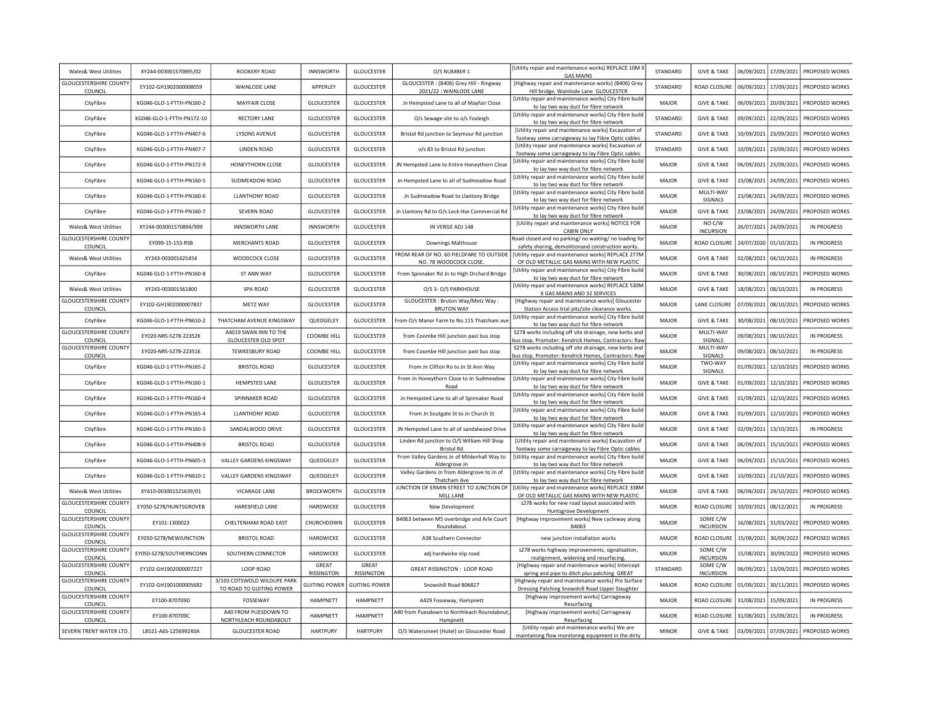| Wales& West Utilities                                  | XY244-003001570895/02     | ROOKERY ROAD                                        | <b>INNSWORTH</b>                   | <b>GLOUCESTER</b>                  | O/S NUMBER 1                                                           | [Utility repair and maintenance works] REPLACE 10M X<br><b>GAS MAINS</b>                                      | STANDARD        | <b>GIVE &amp; TAKE</b>            | 06/09/2021 | 17/09/2021            | PROPOSED WORKS     |
|--------------------------------------------------------|---------------------------|-----------------------------------------------------|------------------------------------|------------------------------------|------------------------------------------------------------------------|---------------------------------------------------------------------------------------------------------------|-----------------|-----------------------------------|------------|-----------------------|--------------------|
| <b>GLOUCESTERSHIRE COUNTY</b><br>COUNCIL               | EY102-GH1902000008059     | WAINI ODE LANE                                      | APPERLEY                           | <b>GLOUCESTER</b>                  | GLOUCESTER: (B406) Grey Hill - Ringway<br>2021/22 : WAINLODE LANE      | [Highway repair and maintenance works] (B406) Grey<br>Hill bridge, Wainlode Lane GLOUCESTER                   | <b>STANDARD</b> | ROAD CLOSURE                      | 06/09/2021 | 17/09/2021            | PROPOSED WORKS     |
| CityFibre                                              | KG046-GLO-1-FTTH-PN160-2  | <b>MAYFAIR CLOSE</b>                                | <b>GLOUCESTER</b>                  | <b>GLOUCESTER</b>                  | Jn Hempsted Lane to all of Mayfair Close                               | [Utility repair and maintenance works] City Fibre build<br>to lay two way duct for fibre network              | <b>MAJOR</b>    | <b>GIVE &amp; TAKE</b>            | 06/09/2021 | 20/09/2021            | PROPOSED WORKS     |
| CityFibre                                              | KG046-GLO-1-FTTH-PN172-10 | <b>RECTORY LANE</b>                                 | GLOUCESTER                         | <b>GLOUCESTER</b>                  | O/s Sewage site to o/s Foxleigh                                        | [Utility repair and maintenance works] City Fibre build<br>to lay two way duct for fibre network              | STANDARD        | <b>GIVE &amp; TAKE</b>            | 09/09/2021 | 22/09/2021            | PROPOSED WORKS     |
| CityFibre                                              | KG046-GLO-1-FTTH-PN407-6  | <b>LYSONS AVENUE</b>                                | <b>GLOUCESTER</b>                  | <b>GLOUCESTER</b>                  | Bristol Rd junction to Seymour Rd junction                             | [Utility repair and maintenance works] Excavation of                                                          | <b>STANDARD</b> | <b>GIVE &amp; TAKE</b>            | 10/09/2021 | 23/09/2021            | PROPOSED WORKS     |
| CityFibre                                              | KG046-GLO-1-FTTH-PN407-7  | <b>I INDEN ROAD</b>                                 | <b>GLOUCESTER</b>                  | <b>GLOUCESTER</b>                  | o/s 83 to Bristol Rd junction                                          | footway some carraigeway to lay Fibre Optic cables<br>[Utility repair and maintenance works] Excavation of    | STANDARD        | <b>GIVE &amp; TAKE</b>            | 10/09/2021 | 23/09/2021            | PROPOSED WORKS     |
| CityFibre                                              | KG046-GLO-1-FTTH-PN172-9  | HONEYTHORN CLOSE                                    | GLOUCESTER                         | GLOUCESTER                         | JN Hempsted Lane to Entire Honeythorn Close                            | footway some carraigeway to lay Fibre Optic cables<br>[Utility repair and maintenance works] City Fibre build | <b>MAJOR</b>    | <b>GIVE &amp; TAKE</b>            | 06/09/2021 | 23/09/2021            | PROPOSED WORKS     |
| CityFibre                                              | KG046-GLO-1-FTTH-PN160-5  | SUDMEADOW ROAD                                      | <b>GLOUCESTER</b>                  | GLOUCESTER                         | Jn Hempsted Lane to all of Sudmeadow Road                              | to lay two way duct for fibre network<br>[Utility repair and maintenance works] City Fibre build              | <b>MAJOR</b>    | <b>GIVE &amp; TAKE</b>            | 23/08/2021 | 24/09/2021            | PROPOSED WORKS     |
| CityFibre                                              | KG046-GLO-1-FTTH-PN160-6  | <b>ILANTHONY ROAD</b>                               | GLOUCESTER                         | GLOUCESTER                         | Jn Sudmeadow Road to Llantony Bridge                                   | to lay two way duct for fibre network<br>[Utility repair and maintenance works] City Fibre build              | MAJOR           | MULTI-WAY                         | 23/08/2021 | 24/09/2021            | PROPOSED WORKS     |
| CityFibre                                              | KG046-GLO-1-FTTH-PN160-7  | <b>SEVERN ROAD</b>                                  | <b>GLOUCESTER</b>                  | <b>GLOUCESTER</b>                  | Jn Llantony Rd to O/s Lock Hse Commercial Rd                           | to lay two way duct for fibre network<br>[Utility repair and maintenance works] City Fibre build              | <b>MAJOR</b>    | SIGNALS<br><b>GIVE &amp; TAKE</b> | 23/08/2021 | 24/09/2021            | PROPOSED WORKS     |
| Wales& West Utilities                                  | XY244-003001570894/999    | <b>INNSWORTH LANE</b>                               | <b>INNSWORTH</b>                   | <b>GLOUCESTER</b>                  | IN VERGE ADJ 148                                                       | to lay two way duct for fibre network<br>[Utility repair and maintenance works] NOTICE FOR                    | MAJOR           | NO C/W                            | 26/07/2021 | 24/09/2021            | IN PROGRESS        |
| <b>GLOUCESTERSHIRE COUNTY</b>                          | EY099-15-153-RSB          | <b>MERCHANTS ROAD</b>                               | GLOUCESTER                         | GLOUCESTER                         | Downings Malthouse                                                     | <b>CABIN ONLY</b><br>Road closed and no parking/ no waiting/ no loading for                                   | MAJOR           | <b>INCURSION</b><br>ROAD CLOSURE  |            | 24/07/2020 01/10/2021 | IN PROGRESS        |
| COUNCIL                                                |                           |                                                     |                                    |                                    | FROM REAR OF NO. 60 FIELDFARE TO OUTSIDE                               | safety shoring, demolitionand construction works.<br>[Utility repair and maintenance works] REPLACE 277M      |                 |                                   |            |                       |                    |
| Wales& West Utilities                                  | XY243-003001625454        | WOODCOCK CLOSE                                      | <b>GLOUCESTER</b>                  | <b>GLOUCESTER</b>                  | NO. 78 WOODCOCK CLOSE.                                                 | OF OLD METALLIC GAS MAINS WITH NEW PLASTIC<br>[Utility repair and maintenance works] City Fibre build         | MAJOR           | <b>GIVE &amp; TAKE</b>            | 02/08/2021 | 04/10/2021            | IN PROGRESS        |
| CityFibre                                              | KG046-GLO-1-FTTH-PN160-8  | ST ANN WAY                                          | <b>GLOUCESTER</b>                  | <b>GLOUCESTER</b>                  | From Spinnaker Rd Jn to High Orchard Bridge                            | to lay two way duct for fibre network<br>[Utility repair and maintenance works] REPLACE 530M                  | MAJOR           | <b>GIVE &amp; TAKE</b>            | 30/08/2021 | 08/10/2021            | PROPOSED WORKS     |
| Wales& West Utilities<br><b>GLOUCESTERSHIRE COUNTY</b> | XY243-003001561800        | SPA ROAD                                            | <b>GLOUCESTER</b>                  | GLOUCESTER                         | O/S 3- O/S PARKHOUSE<br>GLOUCESTER : Bruton Way/Metz Way :             | X GAS MAINS AND 32 SERVICES<br>[Highway repair and maintenance works] Gloucester                              | MAJOR           | <b>GIVE &amp; TAKE</b>            | 18/08/2021 | 08/10/2021            | IN PROGRESS        |
| COUNCIL                                                | EY102-GH1902000007837     | METZ WAY                                            | <b>GLOUCESTER</b>                  | <b>GLOUCESTER</b>                  | <b>BRUTON WAY</b>                                                      | Station Access trial pits/site clearance works.                                                               | MAJOR           | <b>LANE CLOSURE</b>               | 07/09/2021 | 08/10/2021            | PROPOSED WORKS     |
| CityFibre                                              | KG046-GLO-1-FTTH-PN610-2  | THATCHAM AVENUE KINGSWAY                            | QUEDGELEY                          | <b>GLOUCESTER</b>                  | From O/s Manor Farm to No.115 Thatcham ave                             | [Utility repair and maintenance works] City Fibre build<br>to lay two way duct for fibre network              | MAJOR           | <b>GIVE &amp; TAKE</b>            |            | 30/08/2021 08/10/2021 | PROPOSED WORKS     |
| <b>GLOUCESTERSHIRE COUNT</b><br>COUNCIL                | EY020-NRS-S278-22352K     | A4019 SWAN INN TO THE<br><b>GLOUCESTER OLD SPOT</b> | COOMBE HILL                        | <b>GLOUCESTER</b>                  | from Coombe Hill junction past bus stop                                | S278 works including off site drainage, new kerbs and<br>bus stop, Promoter: Kendrick Homes, Contractors: Raw | MAJOR           | MULTI-WAY<br>SIGNALS              |            | 09/08/2021 08/10/2021 | IN PROGRESS        |
| <b>GLOUCESTERSHIRE COUNTY</b><br>COUNCIL               | EY020-NRS-S278-22351K     | <b>TEWKESBURY ROAD</b>                              | COOMBE HILL                        | <b>GLOUCESTER</b>                  | from Coombe Hill junction past bus stop                                | S278 works including off site drainage, new kerbs and<br>bus stop, Promoter: Kendrick Homes, Contractors: Raw | MAJOR           | MULTI-WAY<br>SIGNALS              |            | 09/08/2021 08/10/2021 | IN PROGRESS        |
| CityFibre                                              | KG046-GLO-1-FTTH-PN165-2  | <b>BRISTOL ROAD</b>                                 | <b>GLOUCESTER</b>                  | <b>GLOUCESTER</b>                  | From Jn Clifton Ro to Jn St Ann Way                                    | [Utility repair and maintenance works] City Fibre build<br>to lay two way duct for fibre network              | MAJOR           | TWO-WAY<br>SIGNALS                |            | 01/09/2021 12/10/2021 | PROPOSED WORKS     |
| CityFibre                                              | KG046-GLO-1-FTTH-PN160-1  | <b>HEMPSTED LANE</b>                                | <b>GLOUCESTER</b>                  | <b>GLOUCESTER</b>                  | From Jn Honeythorn Close to Jn Sudmeadow<br>Road                       | [Utility repair and maintenance works] City Fibre build<br>to lay two way duct for fibre network              | MAJOR           | <b>GIVE &amp; TAKE</b>            |            | 01/09/2021 12/10/2021 | PROPOSED WORKS     |
| CityFibre                                              | KG046-GLO-1-FTTH-PN160-4  | SPINNAKER ROAD                                      | <b>GLOUCESTER</b>                  | <b>GLOUCESTER</b>                  | Jn Hempsted Lane to all of Spinnaker Road                              | [Utility repair and maintenance works] City Fibre build<br>to lay two way duct for fibre network              | MAJOR           | <b>GIVE &amp; TAKE</b>            |            | 01/09/2021 12/10/2021 | PROPOSED WORKS     |
| CityFibre                                              | KG046-GLO-1-FTTH-PN165-4  | <b>LLANTHONY ROAD</b>                               | <b>GLOUCESTER</b>                  | <b>GLOUCESTER</b>                  | From Jn Soutgate St to Jn Church St                                    | [Utility repair and maintenance works] City Fibre build<br>to lay two way duct for fibre network              | <b>MAJOR</b>    | <b>GIVE &amp; TAKE</b>            |            | 01/09/2021 12/10/2021 | PROPOSED WORKS     |
| CityFibre                                              | KG046-GLO-1-FTTH-PN160-3  | SANDALWOOD DRIVE                                    | <b>GLOUCESTER</b>                  | <b>GLOUCESTER</b>                  | JN Hempsted Lane to all of sandalwood Drive                            | [Utility repair and maintenance works] City Fibre build<br>to lay two way duct for fibre network              | MAJOR           | <b>GIVE &amp; TAKE</b>            |            | 02/09/2021 13/10/2021 | <b>IN PROGRESS</b> |
| CityFibre                                              | KG046-GLO-1-FTTH-PN408-9  | <b>BRISTOL ROAD</b>                                 | <b>GLOUCESTER</b>                  | <b>GLOUCESTER</b>                  | Linden Rd junction to O/S William Hill Shop<br><b>Bristol Rd</b>       | [Utility repair and maintenance works] Excavation of<br>footway some carraigeway to lay Fibre Optic cables    | MAIOR           | <b>GIVE &amp; TAKE</b>            |            | 06/09/2021 15/10/2021 | PROPOSED WORKS     |
| CityFibre                                              | KG046-GLO-1-FTTH-PN605-3  | VALLEY GARDENS KINGSWAY                             | QUEDGELEY                          | <b>GLOUCESTER</b>                  | From Valley Gardens Jn of Mildenhall Way to<br>Aldergrove Jn           | [Utility repair and maintenance works] City Fibre build<br>to lay two way duct for fibre network              | <b>MAJOR</b>    | <b>GIVE &amp; TAKE</b>            |            | 06/09/2021 15/10/2021 | PROPOSED WORKS     |
| CityFibre                                              | KG046-GLO-1-FTTH-PN610-1  | VALLEY GARDENS KINGSWAY                             | QUEDGELEY                          | <b>GLOUCESTER</b>                  | Valley Gardens Jn from Aldergrove to Jn of                             | [Utility repair and maintenance works] City Fibre build                                                       | <b>MAJOR</b>    | <b>GIVE &amp; TAKE</b>            |            | 10/09/2021 21/10/2021 | PROPOSED WORKS     |
| Wales& West Utilities                                  | XY410-003001521639/01     | <b>VICARAGE LANE</b>                                | <b>BROCKWORTH</b>                  | <b>GLOUCESTER</b>                  | Thatcham Ave<br>JUNCTION OF ERMIN STREET TO JUNCTION OF                | to lay two way duct for fibre network<br>[Utility repair and maintenance works] REPLACE 338M                  | MAIOR           | <b>GIVE &amp; TAKE</b>            |            | 06/09/2021 29/10/2021 | PROPOSED WORKS     |
| <b>GLOUCESTERSHIRE COUNTY</b>                          | EY050-S278/HUNTSGROVEB    | HARESFIELD LANE                                     | HARDWICKE                          | GLOUCESTER                         | MILL LANE<br>New Development                                           | OF OLD METALLIC GAS MAINS WITH NEW PLASTIC<br>s278 works for new road layout associated with                  | MAJOR           | ROAD CLOSURE                      |            | 10/03/2021 08/12/2021 | <b>IN PROGRESS</b> |
| COUNCIL<br><b>GLOUCESTERSHIRE COUNTY</b>               | EY101-1300023             | CHELTENHAM ROAD EAST                                | CHURCHDOWN                         | <b>GLOUCESTER</b>                  | B4063 between M5 overbridge and Arle Court                             | Huntsgrove Development<br>[Highway improvement works] New cycleway along                                      | MAJOR           | SOME C/W                          |            | 16/08/2021 31/03/2022 | PROPOSED WORKS     |
| COUNCIL<br><b>GLOUCESTERSHIRE COUNTY</b>               | EY050-S278/NEWJUNCTION    | <b>BRISTOL ROAD</b>                                 | HARDWICKE                          | <b>GLOUCESTER</b>                  | Roundabout<br>A38 Southern Connector                                   | B4063<br>new junction installation works                                                                      | MAJOR           | <b>INCURSION</b><br>ROAD CLOSURE  | 15/08/2021 | 30/09/2022            | PROPOSED WORKS     |
| COUNCIL<br><b>GLOUCESTERSHIRE COUNTY</b>               | EY050-S278/SOUTHERNCONN   | SOUTHERN CONNECTOR                                  | HARDWICKE                          | <b>GLOUCESTER</b>                  | adj hardwicke slip road                                                | s278 works highway improvements, signalisation,                                                               | MAJOR           | SOME C/W                          |            | 15/08/2021 30/09/2022 | PROPOSED WORKS     |
| COUNCIL<br><b>GLOUCESTERSHIRE COUNTY</b>               | EY102-GH1902000007227     | <b>LOOP ROAD</b>                                    | GREAT                              | GREAT                              | <b>GREAT RISSINGTON: LOOP ROAD</b>                                     | realignment, widening and resurfacing<br>[Highway repair and maintenance works] Intercept                     | STANDARD        | <b>INCURSION</b><br>SOME C/W      | 06/09/2021 | 13/09/2021            | PROPOSED WORKS     |
| COUNCIL<br><b>GLOUCESTERSHIRE COUNTY</b>               | EY102-GH1901000005682     | 3/103 COTSWOLD WILDLIFE PARK                        | RISSINGTON<br><b>GUITING POWER</b> | RISSINGTON<br><b>GUITING POWER</b> | Snowshill Road 806827                                                  | spring and pipe to ditch plus patching GREAT<br>[Highway repair and maintenance works] Pre Surface            | MAJOR           | <b>INCURSION</b><br>ROAD CLOSURE  | 01/09/2021 | 30/11/2021            | PROPOSED WORKS     |
| COUNCIL<br><b>GLOUCESTERSHIRE COUNTY</b>               |                           | TO ROAD TO GUITING POWER                            |                                    |                                    |                                                                        | Dressing Patching Snowshill Road Upper Slaughter<br>[Highway improvement works] Carriageway                   |                 |                                   |            |                       |                    |
| COUNCIL<br><b>GLOUCESTERSHIRE COUNTY</b>               | EY100-870709D             | FOSSEWAY<br>A40 FROM PUESDOWN TO                    | HAMPNETT                           | HAMPNETT                           | A429 Fosseway, Hampnett<br>A40 from Puesdown to Northleach Roundabout, | Resurfacing<br>[Highway improvement works] Carriageway                                                        | MAJOR           | ROAD CLOSURE                      | 31/08/2021 | 15/09/2021            | <b>IN PROGRESS</b> |
| COUNCIL                                                | EY100-870709C             | NORTHLEACH ROUNDABOUT                               | HAMPNETT                           | HAMPNETT                           | Hampnett                                                               | Resurfacing<br>[Utility repair and maintenance works] We are                                                  | MAJOR           | ROAD CLOSURE                      | 31/08/2021 | 15/09/2021            | <b>IN PROGRESS</b> |
| SEVERN TRENT WATER LTD                                 | LB521-A6S-125699240A      | <b>GLOUCESTER ROAD</b>                              | <b>HARTPURY</b>                    | <b>HARTPURY</b>                    | O/S Watersmeet (Hotel) on Gloucester Road                              | maintaining flow monitoring equipment in the dirty                                                            | <b>MINOR</b>    | <b>GIVE &amp; TAKE</b>            | 03/09/2021 | 07/09/2021            | PROPOSED WORKS     |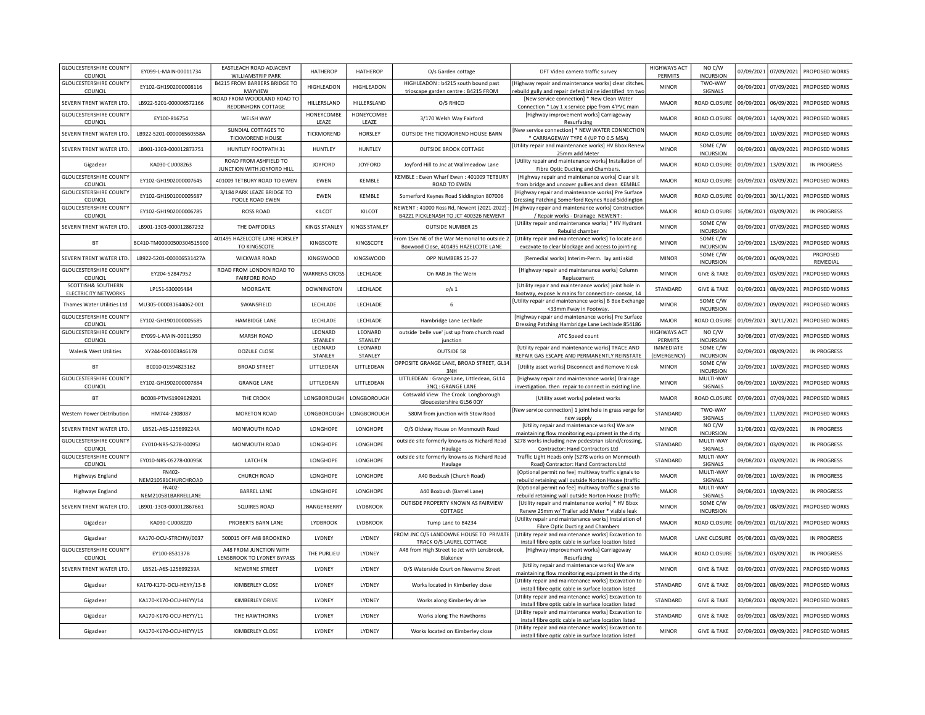| <b>GLOUCESTERSHIRE COUNTY</b><br>COUNCIL | EY099-L-MAIN-00011734                          | <b>FASTLEACH ROAD ADJACENT</b><br><b>WILLIAMSTRIP PARK</b> | <b>HATHEROP</b>       | <b>HATHEROP</b>       | O/s Garden cottage                                                                  | DFT Video camera traffic survey                                                                                  | <b>HIGHWAYS ACT</b><br>PERMITS | NO C/W<br><b>INCURSION</b>               |            | 07/09/2021 07/09/2021 | PROPOSED WORKS     |
|------------------------------------------|------------------------------------------------|------------------------------------------------------------|-----------------------|-----------------------|-------------------------------------------------------------------------------------|------------------------------------------------------------------------------------------------------------------|--------------------------------|------------------------------------------|------------|-----------------------|--------------------|
| <b>GLOUCESTERSHIRE COUNTY</b><br>COUNCIL | EY102-GH1902000008116                          | <b>B4215 FROM BARBERS BRIDGE TO</b><br><b>MAYVIEW</b>      | HIGHI FADON           | <b>HIGHI FADON</b>    | HIGHLEADON : b4215 south bound past<br>trioscape garden centre : B4215 FROM         | [Highway repair and maintenance works] clear ditches<br>rebuild gully and repair defect inline identified tm two | <b>MINOR</b>                   | TWO-WAY<br>SIGNALS                       |            | 06/09/2021 07/09/2021 | PROPOSED WORKS     |
| SEVERN TRENT WATER LTD.                  | LB922-5201-000006572166                        | ROAD FROM WOODLAND ROAD TO<br>REDDINHORN COTTAGE           | HILLERSLAND           | HILLERSLAND           | O/S RHICO                                                                           | [New service connection] * New Clean Water<br>Connection * Lay 1 x service pipe from 4'PVC main                  | <b>MAJOR</b>                   | ROAD CLOSURE                             | 06/09/2021 | 06/09/2021            | PROPOSED WORKS     |
| <b>GLOUCESTERSHIRE COUNTY</b><br>COUNCIL | EY100-816754                                   | WELSH WAY                                                  | HONEYCOMBE<br>LEAZE   | HONEYCOMBE<br>LEAZE   | 3/170 Welsh Way Fairford                                                            | [Highway improvement works] Carriageway<br>Resurfacing                                                           | MAJOR                          | ROAD CLOSURE                             | 08/09/2021 | 14/09/2021            | PROPOSED WORKS     |
| SEVERN TRENT WATER LTD.                  | LB922-5201-000006560558A                       | SUNDIAL COTTAGES TO<br><b>TICKMOREND HOUSE</b>             | TICKMOREND            | HORSLEY               | OUTSIDE THE TICKMOREND HOUSE BARN                                                   | [New service connection] * NEW WATER CONNECTION<br>* CARRIAGEWAY TYPE 4 (UP TO 0.5 MSA)                          | MAJOR                          | ROAD CLOSURE                             | 08/09/2021 | 10/09/2021            | PROPOSED WORKS     |
| SEVERN TRENT WATER LTD.                  | LB901-1303-000012873751                        | HUNTLEY FOOTPATH 31                                        | HUNTLEY               | <b>HUNTLEY</b>        | <b>OUTSIDE BROOK COTTAGE</b>                                                        | [Utility repair and maintenance works] HV Bbox Renev<br>25mm add Meter                                           | <b>MINOR</b>                   | SOME C/W<br><b>INCURSION</b>             | 06/09/2021 | 08/09/2021            | PROPOSED WORKS     |
| Gigaclear                                | KA030-CU008263                                 | ROAD FROM ASHFIELD TO<br>JUNCTION WITH JOYFORD HILL        | <b>JOYFORD</b>        | <b>IOYFORD</b>        | Joyford Hill to Jnc at Wallmeadow Lane                                              | [Utility repair and maintenance works] Installation of<br>Fibre Optic Ducting and Chambers.                      | MAJOR                          | ROAD CLOSURE                             | 01/09/2021 | 13/09/2021            | <b>IN PROGRESS</b> |
| <b>GLOUCESTERSHIRE COUNTY</b><br>COUNCIL | EY102-GH1902000007645                          | 401009 TETBURY ROAD TO EWEN                                | EWEN                  | <b>KFMBIF</b>         | KEMBLE: Ewen Wharf Ewen: 401009 TETBURY<br>ROAD TO EWEN                             | [Highway repair and maintenance works] Clear silt<br>from bridge and uncover gullies and clean KEMBLE            | MAJOR                          | ROAD CLOSURI                             | 03/09/2021 | 03/09/2021            | PROPOSED WORKS     |
| <b>GLOUCESTERSHIRE COUNTY</b><br>COUNCIL | EY102-GH1901000005687                          | 3/184 PARK LEAZE BRIDGE TO<br>POOLE ROAD EWEN              | <b>EWEN</b>           | KEMBLE                | Somerford Keynes Road Siddington 807006                                             | [Highway repair and maintenance works] Pre Surface<br>Dressing Patching Somerford Keynes Road Siddington         | MAJOR                          | ROAD CLOSURI                             | 01/09/2021 | 30/11/2021            | PROPOSED WORKS     |
| <b>GLOUCESTERSHIRE COUNTY</b><br>COUNCIL | EY102-GH1902000006785                          | <b>ROSS ROAD</b>                                           | KILCOT                | KILCOT                | NEWENT: 41000 Ross Rd, Newent (2021-2022)<br>B4221 PICKLENASH TO JCT 400326 NEWENT  | [Highway repair and maintenance works] Construction<br>/ Repair works - Drainage NEWENT :                        | MAJOR                          | ROAD CLOSUR                              | 16/08/2021 | 03/09/2021            | <b>IN PROGRESS</b> |
| SEVERN TRENT WATER LTD.                  | LB901-1303-000012867232                        | THE DAFFODILS                                              | <b>KINGS STANLEY</b>  | <b>KINGS STANLEY</b>  | <b>OUTSIDE NUMBER 25</b>                                                            | [Utility repair and maintenance works] * HV Hydrant<br>Rebuild chamber                                           | <b>MINOR</b>                   | SOME C/W<br><b>INCURSION</b>             | 03/09/2021 | 07/09/2021            | PROPOSED WORKS     |
| BT                                       | BC410-TM00000500304515900                      | 401495 HAZELCOTE LANE HORSLEY<br>TO KINGSCOTE              | KINGSCOTE             | KINGSCOTE             | rom 15m NE of the War Memorial to outside 2<br>Boxwood Close, 401495 HAZELCOTE LANE | [Utility repair and maintenance works] To locate and<br>excavate to clear blockage and access to jointing        | <b>MINOR</b>                   | SOME C/W<br><b>INCURSION</b>             | 10/09/2021 | 13/09/2021            | PROPOSED WORKS     |
| SEVERN TRENT WATER LTD.                  | LB922-5201-000006531427A                       | WICKWAR ROAD                                               | <b>KINGSWOOD</b>      | KINGSWOOD             | OPP NUMBERS 25-27                                                                   | [Remedial works] Interim-Perm. lay anti skid                                                                     | <b>MINOR</b>                   | SOME C/W                                 | 06/09/2021 | 06/09/2021            | PROPOSED           |
| <b>GLOUCESTERSHIRE COUNTY</b>            |                                                | ROAD FROM LONDON ROAD TO                                   |                       |                       |                                                                                     | [Highway repair and maintenance works] Column                                                                    |                                | <b>INCURSION</b>                         |            |                       | REMEDIAL           |
| COUNCIL<br>SCOTTISH& SOUTHERN            | EY204-52847952                                 | <b>FAIRFORD ROAD</b>                                       | <b>WARRENS CROSS</b>  | LECHLADE              | On RAB Jn The Wern                                                                  | Replacement<br>[Utility repair and maintenance works] joint hole in                                              | <b>MINOR</b>                   | <b>GIVE &amp; TAKE</b>                   | 01/09/2021 | 03/09/2021            | PROPOSED WORKS     |
| ELECTRICITY NETWORKS                     | LP151-S30005484                                | MOORGATE                                                   | <b>DOWNINGTON</b>     | LECHLADE              | 0/s <sub>1</sub>                                                                    | footway, expose lv mains for connection-consac, 14                                                               | STANDARD                       | <b>GIVE &amp; TAKE</b>                   | 01/09/2021 | 08/09/2021            | PROPOSED WORKS     |
| Thames Water Utilities Ltd               | MU305-000031644062-001                         | SWANSFIFI D                                                | LECHLADE              | LECHLADE              | 6                                                                                   | [Utility repair and maintenance works] B Box Exchange<br><33mm Fway in Footway                                   | <b>MINOR</b>                   | SOME C/W<br><b>INCURSION</b>             | 07/09/2021 | 09/09/2021            | PROPOSED WORKS     |
| <b>GLOUCESTERSHIRE COUNTY</b><br>COUNCIL | EY102-GH1901000005685                          | HAMBIDGE LANE                                              | LECHLADE              | LECHLADE              | Hambridge Lane Lechlade                                                             | [Highway repair and maintenance works] Pre Surface<br>Dressing Patching Hambridge Lane Lechlade 854186           | MAJOR                          | ROAD CLOSURE                             | 01/09/2021 | 30/11/2021            | PROPOSED WORKS     |
| <b>GLOUCESTERSHIRE COUNTY</b><br>COUNCIL | EY099-L-MAIN-00011950                          | MARSH ROAD                                                 | LEONARD<br>STANLEY    | LEONARD<br>STANLEY    | outside 'belle vue' just up from church road<br>junction                            | ATC Speed count                                                                                                  | <b>HIGHWAYS ACT</b><br>PERMITS | NO C/W<br><b>INCURSION</b>               | 30/08/2021 | 07/09/2021            | PROPOSED WORKS     |
| Wales& West Utilities                    | XY244-001003846178                             | DOZULE CLOSE                                               | LEONARD               | LEONARD               | OUTSIDE 58                                                                          | [Utility repair and maintenance works] TRACE AND                                                                 | <b>IMMEDIATE</b>               | SOME C/W                                 | 02/09/2021 | 08/09/2021            | IN PROGRESS        |
| <b>BT</b>                                | BC010-01594823162                              | <b>BROAD STREET</b>                                        | STANLEY<br>LITTLEDEAN | STANLEY<br>LITTLEDEAN | OPPOSITE GRANGE LANE, BROAD STREET, GL14                                            | REPAIR GAS ESCAPE AND PERMANENTLY REINSTATE<br>[Utility asset works] Disconnect and Remove Kiosk                 | (EMERGENCY)<br><b>MINOR</b>    | <b>INCURSION</b><br>SOME C/W             | 10/09/2021 | 10/09/2021            | PROPOSED WORKS     |
| <b>GLOUCESTERSHIRE COUNTY</b><br>COUNCIL | EY102-GH1902000007884                          | <b>GRANGE LANE</b>                                         | LITTLEDEAN            | LITTLEDEAN            | 3NH<br>LITTLEDEAN : Grange Lane, Littledean, GL14<br>3NQ: GRANGE LANE               | [Highway repair and maintenance works] Drainage<br>investigation. then repair to connect in existing line.       | <b>MINOR</b>                   | <b>INCURSION</b><br>MULTI-WAY<br>SIGNALS | 06/09/2021 | 10/09/2021            | PROPOSED WORKS     |
| <b>BT</b>                                | BC008-PTMS1909629201                           | THE CROOK                                                  | LONGBOROUGH           | LONGBOROUGH           | Cotswald View The Crook Longborough<br>Gloucestershire GL56 0QY                     | [Utility asset works] poletest works                                                                             | MAJOR                          | <b>ROAD CLOSUR</b>                       |            | 07/09/2021 07/09/2021 | PROPOSED WORKS     |
| Western Power Distribution               | HM744-2308087                                  | MORETON ROAD                                               | LONGBOROUGH           | LONGBOROUGH           | 580M from junction with Stow Road                                                   | [New service connection] 1 joint hole in grass verge fo                                                          | STANDARD                       | TWO-WAY<br>SIGNALS                       | 06/09/2021 | 11/09/2021            | PROPOSED WORKS     |
| SEVERN TRENT WATER LTD.                  | LB521-A6S-125699224A                           | MONMOUTH ROAD                                              | LONGHOPE              | LONGHOPE              | O/S Oldway House on Monmouth Road                                                   | new supply<br>[Utility repair and maintenance works] We are                                                      | <b>MINOR</b>                   | NO C/W<br><b>INCURSION</b>               |            | 31/08/2021 02/09/2021 | <b>IN PROGRESS</b> |
| <b>GLOUCESTERSHIRE COUNTY</b><br>COUNCIL | EY010-NRS-S278-00095J                          | MONMOUTH ROAD                                              | LONGHOPE              | LONGHOPE              | outside site formerly knowns as Richard Read<br>Haulage                             | maintaining flow monitoring equipment in the dirty<br>S278 works including new pedestrian island/crossing,       | STANDARD                       | MULTI-WAY<br>SIGNALS                     |            | 09/08/2021 03/09/2021 | <b>IN PROGRESS</b> |
| <b>GLOUCESTERSHIRE COUNTY</b><br>COUNCIL | EY010-NRS-0S278-00095K                         | LATCHEN                                                    | LONGHOPE              | LONGHOPE              | outside site formerly knowns as Richard Read                                        | Contractor: Hand Contractors Ltd<br>Traffic Light Heads only (S278 works on Monmouth                             | STANDARD                       | MULTI-WAY                                |            | 09/08/2021 03/09/2021 | <b>IN PROGRESS</b> |
| Highways England                         | FN402-<br>NEM210581CHURCHROAD                  | <b>CHURCH ROAD</b>                                         | LONGHOPE              | LONGHOPE              | Haulage<br>A40 Boxbush (Church Road)                                                | Road) Contractor: Hand Contractors Ltd<br>[Optional permit no fee] multiway traffic signals to                   | <b>MAJOR</b>                   | SIGNALS<br>MULTI-WAY<br>SIGNALS          | 09/08/2021 | 10/09/2021            | IN PROGRESS        |
| Highways England                         | <b>FN402</b>                                   | <b>BARREL LANE</b>                                         | LONGHOPE              | LONGHOPE              | A40 Boxbush (Barrel Lane)                                                           | rebuild retaining wall outside Norton House (traffic<br>[Optional permit no fee] multiway traffic signals to     | MAJOR                          | MULTI-WAY                                | 09/08/2021 | 10/09/2021            | IN PROGRESS        |
| SEVERN TRENT WATER LTD                   | NEM210581BARRELLANE<br>LB901-1303-000012867661 | <b>SQUIRES ROAD</b>                                        | HANGERBERRY           | LYDBROOK              | <b>OUTISDE PROPERTY KNOWN AS FAIRVIEW</b>                                           | rebuild retaining wall outside Norton House (traffic<br>[Utility repair and maintenance works] * HV Bbox         | <b>MINOR</b>                   | SIGNALS<br>SOME C/W                      | 06/09/2021 | 08/09/2021            | PROPOSED WORKS     |
| Gigaclear                                | KA030-CU008220                                 | PROBERTS BARN LANE                                         | LYDBROOK              | LYDBROOK              | COTTAGE<br>Tump Lane to B4234                                                       | Renew 25mm w/ Trailer add Meter * visible leak<br>[Utility repair and maintenance works] Instalation of          | MAJOR                          | <b>INCURSION</b><br>ROAD CLOSURE         |            | 06/09/2021 01/10/2021 | PROPOSED WORKS     |
| Gigaclear                                | KA170-OCU-STRCHW/0037                          | 500015 OFF A48 BROOKEND                                    | LYDNEY                | LYDNEY                | ROM JNC O/S LANDOWNE HOUSE TO PRIVATE                                               | Fibre Optic Ducting and Chambers<br>[Utility repair and maintenance works] Excavation to                         | MAJOR                          | <b>LANE CLOSURE</b>                      | 05/08/2021 | 03/09/2021            | <b>IN PROGRESS</b> |
| <b>GLOUCESTERSHIRE COUNTY</b>            | EY100-853137B                                  | A48 FROM JUNCTION WITH                                     | THE PURLIEU           | LYDNEY                | TRACK O/S LAUREL COTTAGE<br>A48 from High Street to Jct with Lensbrook,             | install fibre optic cable in surface location listed<br>[Highway improvement works] Carriageway                  | MAJOR                          | ROAD CLOSURE                             |            | 16/08/2021 03/09/2021 | IN PROGRESS        |
| COUNCIL<br>SEVERN TRENT WATER LTD.       | LB521-A6S-125699239A                           | LENSBROOK TO LYDNEY BYPASS<br>NEWERNE STREET               | LYDNEY                | LYDNEY                | Blakeney<br>O/S Waterside Court on Newerne Street                                   | Resurfacing<br>[Utility repair and maintenance works] We are                                                     | <b>MINOR</b>                   | <b>GIVE &amp; TAKE</b>                   | 03/09/2021 | 07/09/2021            | PROPOSED WORKS     |
| Gigaclear                                | KA170-K170-OCU-HEYY/13-B                       | KIMBERLEY CLOSE                                            | LYDNEY                | LYDNEY                | Works located in Kimberley close                                                    | maintaining flow monitoring equipment in the dirty<br>[Utility repair and maintenance works] Excavation to       | STANDARD                       | <b>GIVE &amp; TAKE</b>                   | 03/09/2021 | 08/09/2021            | PROPOSED WORKS     |
|                                          | KA170-K170-OCU-HEYY/14                         | KIMBERLEY DRIVE                                            | LYDNEY                | LYDNEY                |                                                                                     | install fibre optic cable in surface location listed<br>[Utility repair and maintenance works] Excavation to     | STANDARD                       | <b>GIVE &amp; TAKE</b>                   | 30/08/2021 | 08/09/2021            | PROPOSED WORKS     |
| Gigaclear<br>Gigaclear                   | KA170-K170-OCU-HEYY/11                         | THE HAWTHORNS                                              | LYDNEY                | LYDNEY                | Works along Kimberley drive<br>Works along The Hawthorns                            | install fibre optic cable in surface location listed<br>[Utility repair and maintenance works] Excavation to     | STANDARD                       | <b>GIVE &amp; TAKE</b>                   | 03/09/2021 | 08/09/2021            | PROPOSED WORKS     |
|                                          |                                                |                                                            |                       |                       |                                                                                     | install fibre optic cable in surface location listed<br>[Utility repair and maintenance works] Excavation to     |                                |                                          |            |                       |                    |
| Gigaclear                                | KA170-K170-OCU-HEYY/15                         | KIMBERLEY CLOSE                                            | LYDNEY                | LYDNEY                | Works located on Kimberley close                                                    | install fibre optic cable in surface location listed                                                             | <b>MINOR</b>                   | <b>GIVE &amp; TAKE</b>                   | 07/09/2021 | 09/09/2021            | PROPOSED WORKS     |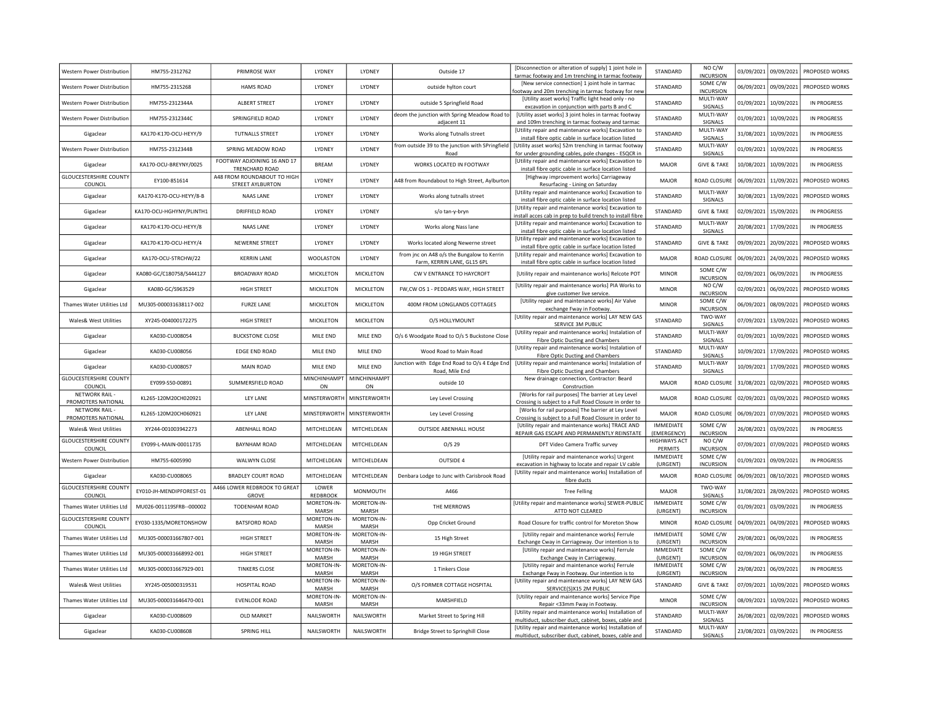| <b>Western Power Distribution</b>                      | HM755-2312762            | PRIMROSE WAY                                    | LYDNEY               | LYDNEY               | Outside 17                                                      | [Disconnection or alteration of supply] 1 joint hole in<br>tarmac footway and 1m trenching in tarmac footway        | STANDARD                       | NO C/W<br><b>INCURSION</b>   | 03/09/2021 | 09/09/2021            | PROPOSED WORKS |
|--------------------------------------------------------|--------------------------|-------------------------------------------------|----------------------|----------------------|-----------------------------------------------------------------|---------------------------------------------------------------------------------------------------------------------|--------------------------------|------------------------------|------------|-----------------------|----------------|
| Western Power Distribution                             | HM755-2315268            | <b>HAMS ROAD</b>                                | <b>I YDNEY</b>       | <b>I YDNEY</b>       | outside hylton court                                            | [New service connection] 1 joint hole in tarmac<br>footway and 20m trenching in tarmac footway for new              | STANDARD                       | SOME C/W<br><b>INCURSION</b> | 06/09/2021 | 09/09/2021            | PROPOSED WORKS |
| Western Power Distribution                             | HM755-2312344A           | ALBERT STREET                                   | <b>I YDNEY</b>       | <b>I YDNEY</b>       | outside 5 Springfield Road                                      | [Utility asset works] Traffic light head only - no                                                                  | <b>STANDARD</b>                | MULTI-WAY                    | 01/09/2021 | 10/09/2021            | IN PROGRESS    |
| Western Power Distribution                             | HM755-2312344C           | SPRINGFIELD ROAD                                | LYDNEY               | LYDNEY               | deom the junction with Spring Meadow Road to                    | excavation in conjunction with parts B and C<br>[Utility asset works] 3 joint holes in tarmac footway               | STANDARD                       | SIGNALS<br>MULTI-WAY         | 01/09/2021 | 10/09/2021            | IN PROGRESS    |
| Gigaclear                                              | KA170-K170-OCU-HEYY/9    | <b>TUTNALLS STREET</b>                          | <b>I YDNEY</b>       | <b>I YDNEY</b>       | adjacent 11<br>Works along Tutnalls street                      | and 109m trenching in tarmac footway and tarmac<br>[Utility repair and maintenance works] Excavation to             | <b>STANDARD</b>                | SIGNALS<br>MULTI-WAY         | 31/08/2021 | 10/09/2021            | IN PROGRESS    |
|                                                        |                          |                                                 |                      |                      | from outside 39 to the junction with SPringfield                | install fibre optic cable in surface location listed<br>[Utility asset works] 52m trenching in tarmac footway       |                                | SIGNALS<br>MULTI-WAY         |            |                       |                |
| Western Power Distribution                             | HM755-2312344B           | SPRING MEADOW ROAD                              | LYDNEY               | <b>I YDNEY</b>       | Road                                                            | for under grounding cables, pole changes - ESQCR in                                                                 | STANDARD                       | SIGNALS                      | 01/09/2021 | 10/09/2021            | IN PROGRESS    |
| Gigaclear                                              | KA170-OCU-BREYNY/0025    | FOOTWAY ADJOINING 16 AND 17<br>TRENCHARD ROAD   | <b>BREAM</b>         | LYDNEY               | WORKS LOCATED IN FOOTWAY                                        | [Utility repair and maintenance works] Excavation to<br>install fibre optic cable in surface location listed        | <b>MAJOR</b>                   | <b>GIVE &amp; TAKE</b>       | 10/08/2021 | 10/09/2021            | IN PROGRESS    |
| <b>GLOUCESTERSHIRE COUNTY</b><br>COUNCIL               | EY100-851614             | A48 FROM ROUNDABOUT TO HIGH<br>STREET AYLBURTON | LYDNEY               | LYDNEY               | A48 from Roundabout to High Street, Aylburton                   | [Highway improvement works] Carriageway<br>Resurfacing - Lining on Saturday                                         | <b>MAJOR</b>                   | ROAD CLOSURE                 | 06/09/2021 | 11/09/2021            | PROPOSED WORKS |
| Gigaclear                                              | KA170-K170-OCU-HEYY/8-B  | NAAS LANE                                       | LYDNEY               | LYDNEY               | Works along tutnalls street                                     | [Utility repair and maintenance works] Excavation to<br>install fibre optic cable in surface location listed        | STANDARD                       | MULTI-WAY<br>SIGNALS         | 30/08/2021 | 13/09/2021            | PROPOSED WORKS |
| Gigaclear                                              | KA170-OCU-HGHYNY/PLINTH1 | <b>DRIFFIELD ROAD</b>                           | LYDNEY               | LYDNEY               | s/o tan-y-bryn                                                  | [Utility repair and maintenance works] Excavation to<br>install acces cab in prep to build trench to install fibre  | STANDARD                       | <b>GIVE &amp; TAKE</b>       | 02/09/2021 | 15/09/2021            | IN PROGRESS    |
| Gigaclear                                              | KA170-K170-OCU-HEYY/8    | <b>NAAS LANE</b>                                | LYDNEY               | LYDNEY               | Works along Nass lane                                           | <b>IUtility repair and maintenance works) Excavation to</b><br>install fibre optic cable in surface location listed | STANDARD                       | MULTI-WAY<br>SIGNALS         | 20/08/2021 | 17/09/2021            | IN PROGRESS    |
| Gigaclear                                              | KA170-K170-OCU-HEYY/4    | NEWERNE STREET                                  | LYDNEY               | LYDNEY               | Works located along Newerne street                              | [Utility repair and maintenance works] Excavation to                                                                | STANDARD                       | <b>GIVE &amp; TAKE</b>       | 09/09/2021 | 20/09/2021            | PROPOSED WORKS |
| Gigaclear                                              | KA170-OCU-STRCHW/22      | <b>KERRIN LANE</b>                              | <b>WOOLASTON</b>     | LYDNEY               | from jnc on A48 o/s the Bungalow to Kerrin                      | install fibre optic cable in surface location listed<br>[Utility repair and maintenance works] Excavation to        | MAJOR                          | ROAD CLOSURE                 | 06/09/2021 | 24/09/2021            | PROPOSED WORKS |
|                                                        |                          |                                                 |                      |                      | Farm, KERRIN LANE, GL15 6PL                                     | install fibre optic cable in surface location listed                                                                |                                | SOME C/W                     |            |                       |                |
| Gigaclear                                              | KA080-GC/C180758/S444127 | <b>BROADWAY ROAD</b>                            | MICKLETON            | <b>MICKLETON</b>     | CW V ENTRANCE TO HAYCROFT                                       | [Utility repair and maintenance works] Relcote POT<br>[Utility repair and maintenance works] PIA Works to           | <b>MINOR</b>                   | <b>INCURSION</b><br>NO C/W   | 02/09/2021 | 06/09/2021            | IN PROGRESS    |
| Gigaclear                                              | KA080-GC/S963529         | <b>HIGH STREET</b>                              | MICKLETON            | <b>MICKLETON</b>     | FW, CW OS 1 - PEDDARS WAY, HIGH STREET                          | give customer live service                                                                                          | <b>MINOR</b>                   | <b>INCURSION</b>             | 02/09/2021 | 06/09/2021            | PROPOSED WORKS |
| Thames Water Utilities Ltd                             | MU305-000031638117-002   | <b>FURZE LANE</b>                               | MICKLETON            | <b>MICKLETON</b>     | 400M FROM LONGLANDS COTTAGES                                    | [Utility repair and maintenance works] Air Valve<br>exchange Fway in Footway.                                       | <b>MINOR</b>                   | SOME C/W<br><b>INCURSION</b> | 06/09/2021 | 08/09/2021            | PROPOSED WORKS |
| Wales& West Utilities                                  | XY245-004000172275       | <b>HIGH STREET</b>                              | MICKLETON            | <b>MICKLETON</b>     | O/S HOLLYMOUNT                                                  | [Utility repair and maintenance works] LAY NEW GAS<br>SERVICE 3M PUBLIC                                             | STANDARD                       | TWO-WAY<br>SIGNALS           |            | 07/09/2021 13/09/2021 | PROPOSED WORKS |
| Gigaclear                                              | KA030-CU008054           | <b>BUCKSTONE CLOSE</b>                          | MILE END             | MILE END             | O/s 6 Woodgate Road to O/s 5 Buckstone Close                    | [Utility repair and maintenance works] Instalation of<br>Fibre Optic Ducting and Chambers                           | STANDARD                       | MULTI-WAY<br>SIGNALS         |            | 01/09/2021 10/09/2021 | PROPOSED WORKS |
| Gigaclear                                              | KA030-CU008056           | <b>EDGE END ROAD</b>                            | MILE END             | MILE END             | Wood Road to Main Road                                          | [Utility repair and maintenance works] Instalation of<br>Fibre Optic Ducting and Chambers                           | STANDARD                       | MULTI-WAY<br>SIGNALS         |            | 10/09/2021 17/09/2021 | PROPOSED WORKS |
| Gigaclear                                              | KA030-CU008057           | MAIN ROAD                                       | MILE END             | MILE END             | Junction with Edge End Road to O/s 4 Edge End<br>Road, Mile End | [Utility repair and maintenance works] Instalation of<br>Fibre Optic Ducting and Chambers                           | STANDARD                       | MULTI-WAY<br>SIGNALS         |            | 10/09/2021 17/09/2021 | PROPOSED WORKS |
| <b>GLOUCESTERSHIRE COUNTY</b>                          | EY099-S50-00891          | SUMMERSFIELD ROAD                               | MINCHINHAMPT         | MINCHINHAMPT         | outside 10                                                      | New drainage connection, Contractor: Beard                                                                          | MAJOR                          | ROAD CLOSURE                 |            | 31/08/2021 02/09/2021 | PROPOSED WORKS |
| COUNCIL<br>NFTWORK RAIL                                | KL265-120M20CH020921     | LEY LANE                                        | ON<br>MINSTERWORTH   | ON<br>MINSTERWORTH   | Ley Level Crossing                                              | Construction<br>[Works for rail purposes] The barrier at Ley Level                                                  | MAJOR                          | ROAD CLOSURE                 |            | 02/09/2021 03/09/2021 | PROPOSED WORKS |
| PROMOTERS NATIONAL<br>NFTWORK RAIL -                   | KL265-120M20CH060921     | LEY LANE                                        | <b>MINSTERWORTH</b>  | MINSTERWORTH         |                                                                 | Crossing is subject to a Full Road Closure in order to<br>[Works for rail purposes] The barrier at Ley Level        | <b>MAJOR</b>                   | ROAD CLOSURE                 |            | 06/09/2021 07/09/2021 | PROPOSED WORKS |
| PROMOTERS NATIONAL                                     |                          |                                                 |                      |                      | Lev Level Crossing                                              | Crossing is subject to a Full Road Closure in order to<br><b>IUtility repair and maintenance works] TRACE AND</b>   | <b>IMMEDIATE</b>               | SOME C/W                     |            |                       |                |
| Wales& West Utilities<br><b>GLOUCESTERSHIRE COUNTY</b> | XY244-001003942273       | ABENHALL ROAD                                   | MITCHELDEAN          | MITCHELDEAN          | OUTSIDE ABENHALL HOUSE                                          | REPAIR GAS ESCAPE AND PERMANENTLY REINSTATE                                                                         | (EMERGENCY)                    | <b>INCURSION</b>             |            | 26/08/2021 03/09/2021 | IN PROGRESS    |
| COUNCIL                                                | EY099-L-MAIN-00011735    | <b>BAYNHAM ROAD</b>                             | MITCHELDEAN          | MITCHELDEAN          | $O/S$ 29                                                        | DFT Video Camera Traffic survey                                                                                     | <b>HIGHWAYS ACT</b><br>PERMITS | NO C/W<br><b>INCURSION</b>   |            | 07/09/2021 07/09/2021 | PROPOSED WORKS |
| Western Power Distribution                             | HM755-6005990            | <b>WALWYN CLOSE</b>                             | MITCHELDEAN          | MITCHELDEAN          | <b>OUTSIDE 4</b>                                                | [Utility repair and maintenance works] Urgent<br>excavation in highway to locate and repair LV cable                | IMMEDIATE<br>(URGENT)          | SOME C/W<br><b>INCURSION</b> |            | 01/09/2021 09/09/2021 | IN PROGRESS    |
| Gigaclear                                              | KA030-CU008065           | <b>BRADLEY COURT ROAD</b>                       | MITCHELDEAN          | MITCHELDEAN          | Denbara Lodge to Junc with Carisbrook Road                      | [Utility repair and maintenance works] Installation of<br>fibre ducts                                               | MAJOR                          | ROAD CLOSURE                 |            | 06/09/2021 08/10/2021 | PROPOSED WORKS |
| <b>GLOUCESTERSHIRE COUNTY</b><br>COUNCI                | EY010-JH-MENDIPFOREST-01 | 4466 LOWER REDBROOK TO GREAT<br>GROVE           | LOWER<br>REDBROOK    | MONMOUTH             | A466                                                            | <b>Tree Felling</b>                                                                                                 | MAJOR                          | TWO-WAY<br>SIGNALS           |            | 31/08/2021 28/09/2021 | PROPOSED WORKS |
| Thames Water Utilities Ltd                             | MU026-001119SFRB--000002 | TODENHAM ROAD                                   | MORETON-IN-<br>MARSH | MORETON-IN-<br>MARSH | THE MERROWS                                                     | [Utility repair and maintenance works] SEWER-PUBLIC<br>ATTD NOT CLEARED                                             | <b>IMMEDIATE</b><br>(URGENT)   | SOME C/W<br><b>INCURSION</b> |            | 01/09/2021 03/09/2021 | IN PROGRESS    |
| <b>GLOUCESTERSHIRE COUNT</b>                           | EY030-1335/MORETONSHOW   | <b>BATSFORD ROAD</b>                            | MORETON-IN-          | MORETON-IN-          | Opp Cricket Ground                                              | Road Closure for traffic control for Moreton Show                                                                   | <b>MINOR</b>                   | ROAD CLOSURE                 |            | 04/09/2021 04/09/2021 | PROPOSED WORKS |
| COUNCI<br>Thames Water Utilities Ltd                   | MU305-000031667807-001   | <b>HIGH STREET</b>                              | MARSH<br>MORETON-IN- | MARSH<br>MORETON-IN- | 15 High Street                                                  | [Utility repair and maintenance works] Ferrule                                                                      | <b>IMMEDIATE</b>               | SOME C/W                     |            | 29/08/2021 06/09/2021 | IN PROGRESS    |
| Thames Water Utilities Lto                             | MU305-000031668992-001   | HIGH STREET                                     | MARSH<br>MORETON-IN- | MARSH<br>MORETON-IN- | 19 HIGH STREET                                                  | Exchange Cway in Carriageway. Our intention is to<br>[Utility repair and maintenance works] Ferrule                 | (URGENT)<br>IMMEDIATE          | <b>INCURSION</b><br>SOME C/W |            | 02/09/2021 06/09/2021 | IN PROGRESS    |
|                                                        |                          |                                                 | MARSH<br>MORETON-IN- | MARSH<br>MORETON-IN  |                                                                 | Exchange Cway in Carriageway.<br>[Utility repair and maintenance works] Ferrule                                     | (URGENT)<br>IMMEDIATE          | <b>INCURSION</b><br>SOME C/W |            |                       |                |
| Thames Water Utilities Ltd                             | MU305-000031667929-001   | <b>TINKERS CLOSE</b>                            | MARSH                | MARSH                | 1 Tinkers Close                                                 | Exchange Fway in Footway. Our intention is to                                                                       | (URGENT)                       | <b>INCURSION</b>             | 29/08/2021 | 06/09/2021            | IN PROGRESS    |
| Wales& West Utilities                                  | XY245-005000319531       | HOSPITAL ROAD                                   | MORETON-IN-<br>MARSH | MORETON-IN-<br>MARSH | O/S FORMER COTTAGE HOSPITAL                                     | [Utility repair and maintenance works] LAY NEW GAS<br>SERVICE(S)X15 2M PUBLIC                                       | STANDARD                       | <b>GIVE &amp; TAKE</b>       | 07/09/2021 | 10/09/2021            | PROPOSED WORKS |
| Thames Water Utilities Ltd                             | MU305-000031646470-001   | EVENLODE ROAD                                   | MORETON-IN-<br>MARSH | MORETON-IN<br>MARSH  | MARSHFIELD                                                      | [Utility repair and maintenance works] Service Pipe<br>Repair <33mm Fway in Footway.                                | <b>MINOR</b>                   | SOME C/W<br><b>INCURSION</b> | 08/09/2021 | 10/09/2021            | PROPOSED WORKS |
| Gigaclear                                              | KA030-CU008609           | <b>OLD MARKET</b>                               | NAILSWORTH           | NAILSWORTH           | Market Street to Spring Hill                                    | [Utility repair and maintenance works] Installation of<br>multiduct, subscriber duct, cabinet, boxes, cable and     | STANDARD                       | MULTI-WAY<br>SIGNALS         | 26/08/2021 | 02/09/2021            | PROPOSED WORKS |
| Gigaclear                                              | KA030-CU008608           | SPRING HILL                                     | NAILSWORTH           | NAILSWORTH           | <b>Bridge Street to Springhill Close</b>                        | [Utility repair and maintenance works] Installation of<br>multiduct, subscriber duct, cabinet, boxes, cable and     | STANDARD                       | MULTI-WAY<br>SIGNALS         |            | 23/08/2021 03/09/2021 | IN PROGRESS    |
|                                                        |                          |                                                 |                      |                      |                                                                 |                                                                                                                     |                                |                              |            |                       |                |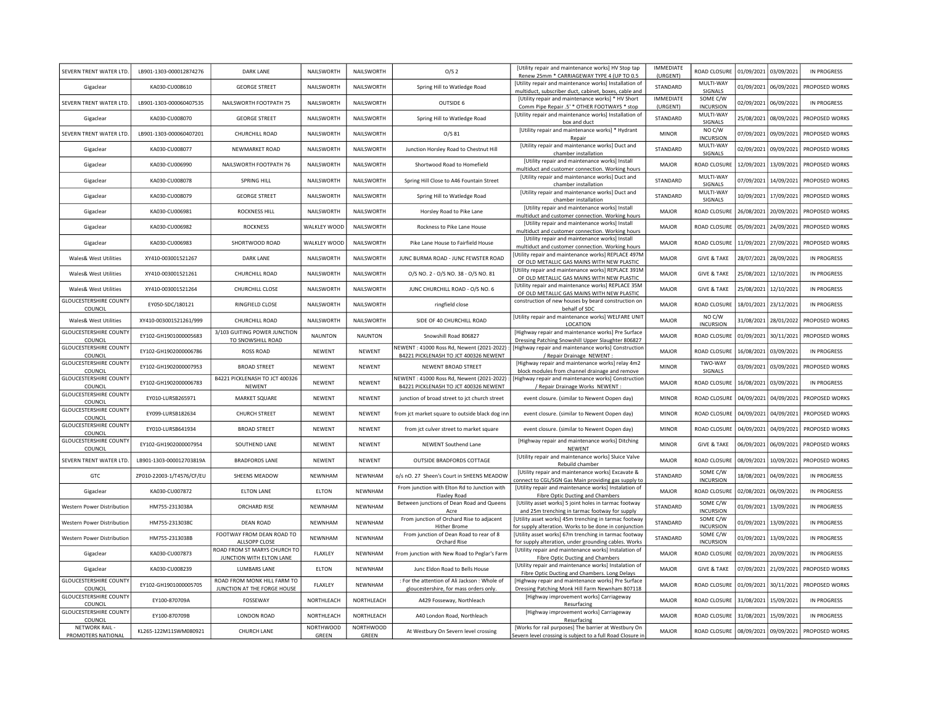| SEVERN TRENT WATER LTD.                  | LB901-1303-000012874276   | <b>DARK LANE</b>                                         | NAILSWORTH                | NAILSWORTH                | O/S <sub>2</sub>                                                 | [Utility repair and maintenance works] HV Stop tap<br>Renew 25mm * CARRIAGEWAY TYPE 4 (UP TO 0.5                   | <b>IMMEDIATE</b><br>(URGENT) | ROAD CLOSURE                     | 01/09/2021 | 03/09/2021            | <b>IN PROGRESS</b> |
|------------------------------------------|---------------------------|----------------------------------------------------------|---------------------------|---------------------------|------------------------------------------------------------------|--------------------------------------------------------------------------------------------------------------------|------------------------------|----------------------------------|------------|-----------------------|--------------------|
| Gigaclear                                | KA030-CU008610            | <b>GEORGE STREET</b>                                     | NAILSWORTH                | NAILSWORTH                | Spring Hill to Watledge Road                                     | [Utility repair and maintenance works] Installation of<br>multiduct, subscriber duct, cabinet, boxes, cable and    | <b>STANDARD</b>              | MULTI-WAY<br><b>SIGNALS</b>      | 01/09/2021 | 06/09/2021            | PROPOSED WORKS     |
| SEVERN TRENT WATER LTD.                  | LB901-1303-000060407535   | NAILSWORTH FOOTPATH 75                                   | NAILSWORTH                | NAILSWORTH                | OUTSIDE 6                                                        | [Utility repair and maintenance works] * HV Short                                                                  | <b>IMMEDIATE</b>             | SOME C/W                         | 02/09/2021 | 06/09/2021            | IN PROGRESS        |
| Gigaclear                                | KA030-CU008070            | <b>GEORGE STREET</b>                                     | NAILSWORTH                | NAILSWORTH                | Spring Hill to Watledge Road                                     | Comm Pipe Repair .5' * OTHER FOOTWAYS * stop<br>[Utility repair and maintenance works] Installation of             | (URGENT)<br>STANDARD         | <b>INCURSION</b><br>MULTI-WAY    | 25/08/2021 | 08/09/2021            | PROPOSED WORKS     |
|                                          |                           |                                                          |                           |                           |                                                                  | box and duct<br>[Utility repair and maintenance works] * Hydrant                                                   |                              | SIGNALS<br>NO C/W                |            |                       |                    |
| SEVERN TRENT WATER LTD.                  | LB901-1303-000060407201   | CHURCHILL ROAD                                           | NAILSWORTH                | NAILSWORTH                | $O/S$ 81                                                         | Repair                                                                                                             | <b>MINOR</b>                 | <b>INCURSION</b>                 | 07/09/2021 | 09/09/2021            | PROPOSED WORKS     |
| Gigaclear                                | KA030-CU008077            | NEWMARKET ROAD                                           | NAILSWORTH                | NAILSWORTH                | Junction Horsley Road to Chestnut Hill                           | [Utility repair and maintenance works] Duct and<br>chamber installation                                            | STANDARD                     | MULTI-WAY<br>SIGNALS             | 02/09/2021 | 09/09/2021            | PROPOSED WORKS     |
| Gigaclear                                | KA030-CU006990            | NAILSWORTH FOOTPATH 76                                   | NAILSWORTH                | NAILSWORTH                | Shortwood Road to Homefield                                      | [Utility repair and maintenance works] Install<br>multiduct and customer connection. Working hours                 | MAJOR                        | ROAD CLOSURE                     | 12/09/2021 | 13/09/2021            | PROPOSED WORKS     |
| Gigaclear                                | KA030-CU008078            | SPRING HILL                                              | NAILSWORTH                | NAILSWORTH                | Spring Hill Close to A46 Fountain Street                         | [Utility repair and maintenance works] Duct and<br>chamber installation                                            | STANDARD                     | MULTI-WAY<br>SIGNALS             | 07/09/2021 | 14/09/2021            | PROPOSED WORKS     |
| Gigaclear                                | KA030-CU008079            | <b>GEORGE STREET</b>                                     | NAILSWORTH                | NAILSWORTH                | Spring Hill to Watledge Road                                     | [Utility repair and maintenance works] Duct and<br>chamber installation                                            | <b>STANDARD</b>              | MULTI-WAY<br>SIGNALS             | 10/09/2021 | 17/09/2021            | PROPOSED WORKS     |
| Gigaclear                                | KA030-CU006981            | ROCKNESS HILL                                            | NAILSWORTH                | NAILSWORTH                | Horsley Road to Pike Lane                                        | [Utility repair and maintenance works] Install                                                                     | MAJOR                        | ROAD CLOSURE                     | 26/08/2021 | 20/09/2021            | PROPOSED WORKS     |
| Gigaclear                                | KA030-CU006982            | <b>ROCKNESS</b>                                          | WALKLEY WOOD              | NAILSWORTH                | Rockness to Pike Lane House                                      | multiduct and customer connection. Working hours<br>[Utility repair and maintenance works] Install                 | MAJOR                        | <b>ROAD CLOSURE</b>              | 05/09/2021 | 24/09/2021            | PROPOSED WORKS     |
|                                          |                           |                                                          |                           |                           |                                                                  | multiduct and customer connection. Working hours<br>[Utility repair and maintenance works] Install                 |                              |                                  |            |                       |                    |
| Gigaclear                                | KA030-CU006983            | SHORTWOOD ROAD                                           | <b>WALKLEY WOOD</b>       | NAILSWORTH                | Pike Lane House to Fairfield House                               | multiduct and customer connection. Working hours<br>[Utility repair and maintenance works] REPLACE 497M            | MAJOR                        | ROAD CLOSURE                     | 11/09/2021 | 27/09/2021            | PROPOSED WORKS     |
| Wales& West Utilities                    | XY410-003001521267        | <b>DARK LANE</b>                                         | NAILSWORTH                | NAILSWORTH                | JUNC BURMA ROAD - JUNC FEWSTER ROAD                              | OF OLD METALLIC GAS MAINS WITH NEW PLASTIC                                                                         | MAJOR                        | <b>GIVE &amp; TAKE</b>           | 28/07/2021 | 28/09/2021            | IN PROGRESS        |
| Wales& West Utilities                    | XY410-003001521261        | CHURCHILL ROAD                                           | NAILSWORTH                | NAILSWORTH                | 0/S NO. 2 - 0/S NO. 38 - 0/S NO. 81                              | [Utility repair and maintenance works] REPLACE 391M<br>OF OLD METALLIC GAS MAINS WITH NEW PLASTIC                  | MAJOR                        | <b>GIVE &amp; TAKE</b>           |            | 25/08/2021 12/10/2021 | IN PROGRESS        |
| Wales& West Utilities                    | XY410-003001521264        | CHURCHILL CLOSE                                          | NAILSWORTH                | NAILSWORTH                | JUNC CHURCHILL ROAD - O/S NO. 6                                  | [Utility repair and maintenance works] REPLACE 35M<br>OF OLD METALLIC GAS MAINS WITH NEW PLASTIC                   | MAJOR                        | <b>GIVE &amp; TAKE</b>           |            | 25/08/2021 12/10/2021 | <b>IN PROGRESS</b> |
| <b>GLOUCESTERSHIRE COUNTY</b><br>COUNCIL | EY050-SDC/180121          | RINGFIELD CLOSE                                          | NAILSWORTH                | NAILSWORTH                | ringfield close                                                  | construction of new houses by beard construction on<br>behalf of SDC                                               | MAJOR                        | ROAD CLOSURE                     |            | 18/01/2021 23/12/2021 | IN PROGRESS        |
| Wales& West Utilities                    | XY410-003001521261/999    | CHURCHILL ROAD                                           | NAILSWORTH                | NAILSWORTH                | SIDE OF 40 CHURCHILL ROAD                                        | [Utility repair and maintenance works] WELFARE UNIT<br>LOCATION                                                    | MAJOR                        | NO C/W<br><b>INCURSION</b>       | 31/08/2021 | 28/01/2022            | PROPOSED WORKS     |
| <b>GLOUCESTERSHIRE COUNTY</b>            | EY102-GH1901000005683     | 3/103 GUITING POWER JUNCTION                             | <b>NAUNTON</b>            | <b>NAUNTON</b>            | Snowshill Road 806827                                            | [Highway repair and maintenance works] Pre Surface                                                                 | MAJOR                        | ROAD CLOSURE                     | 01/09/2021 | 30/11/2021            | PROPOSED WORKS     |
| COUNCIL<br><b>GLOUCESTERSHIRE COUNTY</b> | EY102-GH1902000006786     | TO SNOWSHILL ROAD<br><b>ROSS ROAD</b>                    | NEWENT                    | NEWENT                    | NEWENT: 41000 Ross Rd, Newent (2021-2022)                        | Dressing Patching Snowshill Upper Slaughter 806827<br>[Highway repair and maintenance works] Construction          | MAJOR                        | ROAD CLOSURE                     |            | 16/08/2021 03/09/2021 | <b>IN PROGRESS</b> |
| COUNCIL<br><b>GLOUCESTERSHIRE COUNTY</b> | EY102-GH1902000007953     | <b>BROAD STREET</b>                                      | NEWENT                    | NEWENT                    | B4221 PICKLENASH TO JCT 400326 NEWENT<br>NEWENT BROAD STREET     | / Repair Drainage NEWENT<br>[Highway repair and maintenance works] relay 4m2                                       | <b>MINOR</b>                 | TWO-WAY                          |            | 03/09/2021 03/09/2021 | PROPOSED WORKS     |
| COUNCIL<br><b>GLOUCESTERSHIRE COUNTY</b> |                           | B4221 PICKLENASH TO JCT 400326                           |                           |                           | NEWENT: 41000 Ross Rd, Newent (2021-2022)                        | block modules from channel drainage and remove<br>[Highway repair and maintenance works] Construction              |                              | SIGNALS                          |            |                       |                    |
| COUNCIL<br><b>GLOUCESTERSHIRE COUNTY</b> | EY102-GH1902000006783     | NEWENT                                                   | NEWENT                    | NEWENT                    | B4221 PICKLENASH TO JCT 400326 NEWENT                            | / Repair Drainage Works NEWENT :                                                                                   | MAJOR                        | ROAD CLOSURE                     |            | 16/08/2021 03/09/2021 | <b>IN PROGRESS</b> |
| COUNCIL                                  | EY010-LURSB265971         | MARKET SQUARE                                            | NEWENT                    | NEWENT                    | junction of broad street to jct church street                    | event closure. (similar to Newent Oopen day)                                                                       | <b>MINOR</b>                 | ROAD CLOSURE                     |            | 04/09/2021 04/09/2021 | PROPOSED WORKS     |
| <b>GLOUCESTERSHIRE COUNTY</b><br>COUNCIL | EY099-LURSB182634         | <b>CHURCH STREET</b>                                     | NEWENT                    | NEWENT                    | from ict market square to outside black dog inr                  | event closure. (similar to Newent Oopen day)                                                                       | <b>MINOR</b>                 | ROAD CLOSURE                     |            | 04/09/2021 04/09/2021 | PROPOSED WORKS     |
| <b>GLOUCESTERSHIRE COUNTY</b><br>COUNCIL | EY010-LURSB641934         | <b>BROAD STREET</b>                                      | NEWENT                    | NEWENT                    | from jct culver street to market square                          | event closure. (similar to Newent Oopen day)                                                                       | <b>MINOR</b>                 | ROAD CLOSURE                     |            | 04/09/2021 04/09/2021 | PROPOSED WORKS     |
| <b>GLOUCESTERSHIRE COUNTY</b><br>COUNCIL | EY102-GH1902000007954     | SOUTHEND LANE                                            | NEWENT                    | <b>NEWENT</b>             | <b>NEWENT Southend Lane</b>                                      | [Highway repair and maintenance works] Ditching<br><b>NEWENT</b>                                                   | <b>MINOR</b>                 | <b>GIVE &amp; TAKE</b>           |            | 06/09/2021 06/09/2021 | PROPOSED WORKS     |
| SEVERN TRENT WATER LTD.                  | LB901-1303-000012703819A  | <b>BRADFORDS LANE</b>                                    | <b>NEWENT</b>             | <b>NEWENT</b>             | OUTSIDE BRADFORDS COTTAGE                                        | [Utility repair and maintenance works] Sluice Valve                                                                | <b>MAJOR</b>                 | ROAD CLOSURE                     | 08/09/2021 | 10/09/2021            | PROPOSED WORKS     |
| GTC.                                     | ZP010-22003-1/T4576/CF/EU | SHEENS MEADOW                                            | NEWNHAM                   | NEWNHAM                   | o/s nO. 27 Sheen's Court in SHEENS MEADOW                        | Rebuild chamber<br>[Utility repair and maintenance works] Excavate &                                               | STANDARD                     | SOME C/W                         | 18/08/2021 | 04/09/2021            | IN PROGRESS        |
|                                          |                           |                                                          |                           | NEWNHAM                   | From junction with Elton Rd to Junction with                     | connect to CGL/SGN Gas Main providing gas supply to<br>[Utility repair and maintenance works] Instalation of       |                              | <b>INCURSION</b><br>ROAD CLOSURE |            |                       | IN PROGRESS        |
| Gigaclear                                | KA030-CU007872            | <b>ELTON LANE</b>                                        | <b>ELTON</b>              |                           | <b>Flaxley Road</b><br>Between junctions of Dean Road and Queens | Fibre Optic Ducting and Chambers<br>[Utility asset works] 5 joint holes in tarmac footway                          | MAJOR                        | SOME C/W                         |            | 02/08/2021 06/09/2021 |                    |
| Western Power Distributior               | HM755-2313038A            | <b>ORCHARD RISE</b>                                      | NEWNHAM                   | <b>NEWNHAM</b>            | Acre                                                             | and 25m trenching in tarmac footway for supply                                                                     | STANDARD                     | <b>INCURSION</b>                 | 01/09/2021 | 13/09/2021            | IN PROGRESS        |
| Western Power Distribution               | HM755-2313038C            | <b>DEAN ROAD</b>                                         | NEWNHAM                   | NEWNHAM                   | From junction of Orchard Rise to adjacent<br>Hither Brome        | [Utility asset works] 45m trenching in tarmac footway<br>for supply alteration. Works to be done in conjunction    | STANDARD                     | SOME C/W<br><b>INCURSION</b>     | 01/09/2021 | 13/09/2021            | IN PROGRESS        |
| Western Power Distribution               | HM755-2313038B            | FOOTWAY FROM DEAN ROAD TO<br>ALLSOPP CLOSE               | NFWNHAM                   | NEWNHAM                   | From junction of Dean Road to rear of 8<br>Orchard Rise          | [Utility asset works] 67m trenching in tarmac footway<br>for supply alteration, under grounding cables. Works      | STANDARD                     | SOME C/W<br><b>INCURSION</b>     |            | 01/09/2021 13/09/2021 | IN PROGRESS        |
| Gigaclear                                | KA030-CU007873            | ROAD FROM ST MARYS CHURCH TO<br>JUNCTION WITH ELTON LANE | FLAXLEY                   | NEWNHAM                   | From junction with New Road to Peglar's Farm                     | [Utility repair and maintenance works] Instalation of<br>Fibre Optic Ducting and Chambers                          | MAJOR                        | ROAD CLOSURE                     |            | 02/09/2021 20/09/2021 | <b>IN PROGRESS</b> |
| Gigaclear                                | KA030-CU008239            | <b>LUMBARS LANE</b>                                      | <b>ELTON</b>              | NEWNHAM                   | Junc Eldon Road to Bells House                                   | [Utility repair and maintenance works] Instalation of                                                              | MAJOR                        | <b>GIVE &amp; TAKE</b>           | 07/09/2021 | 21/09/2021            | PROPOSED WORKS     |
| <b>GLOUCESTERSHIRE COUNTY</b>            | EY102-GH1901000005705     | ROAD FROM MONK HILL FARM TO                              | FLAXLEY                   | NEWNHAM                   | : For the attention of Ali Jackson : Whole of                    | Fibre Optic Ducting and Chambers. Long Delays<br>[Highway repair and maintenance works] Pre Surface                | MAJOR                        | ROAD CLOSURE                     | 01/09/2021 | 30/11/2021            | PROPOSED WORKS     |
| COUNCIL<br><b>GLOUCESTERSHIRE COUNTY</b> |                           | JUNCTION AT THE FORGE HOUSE                              |                           |                           | gloucestershire, for mass orders only.                           | Dressing Patching Monk Hill Farm Newnham 807118<br>[Highway improvement works] Carriageway                         |                              |                                  |            |                       |                    |
| COUNCIL<br><b>GLOUCESTERSHIRE COUNTY</b> | EY100-870709A             | FOSSEWAY                                                 | NORTHLEACH                | NORTHLEACH                | A429 Fosseway, Northleach                                        | Resurfacing<br>[Highway improvement works] Carriageway                                                             | MAJOR                        | ROAD CLOSURE                     | 31/08/2021 | 15/09/2021            | <b>IN PROGRESS</b> |
| COUNCIL                                  | EY100-870709B             | <b>LONDON ROAD</b>                                       | NORTHLEACH                | NORTHLEACH                | A40 London Road, Northleach                                      | Resurfacing                                                                                                        | MAJOR                        | <b>ROAD CLOSURE</b>              | 31/08/2021 | 15/09/2021            | <b>IN PROGRESS</b> |
| NETWORK RAIL<br>PROMOTERS NATIONAL       | KL265-122M11SWM080921     | CHURCH LANE                                              | <b>NORTHWOOD</b><br>GREEN | <b>NORTHWOOD</b><br>GREEN | At Westbury On Severn level crossing                             | [Works for rail purposes] The barrier at Westbury On<br>Severn level crossing is subject to a full Road Closure in | MAJOR                        | ROAD CLOSURE                     | 08/09/2021 | 09/09/2021            | PROPOSED WORKS     |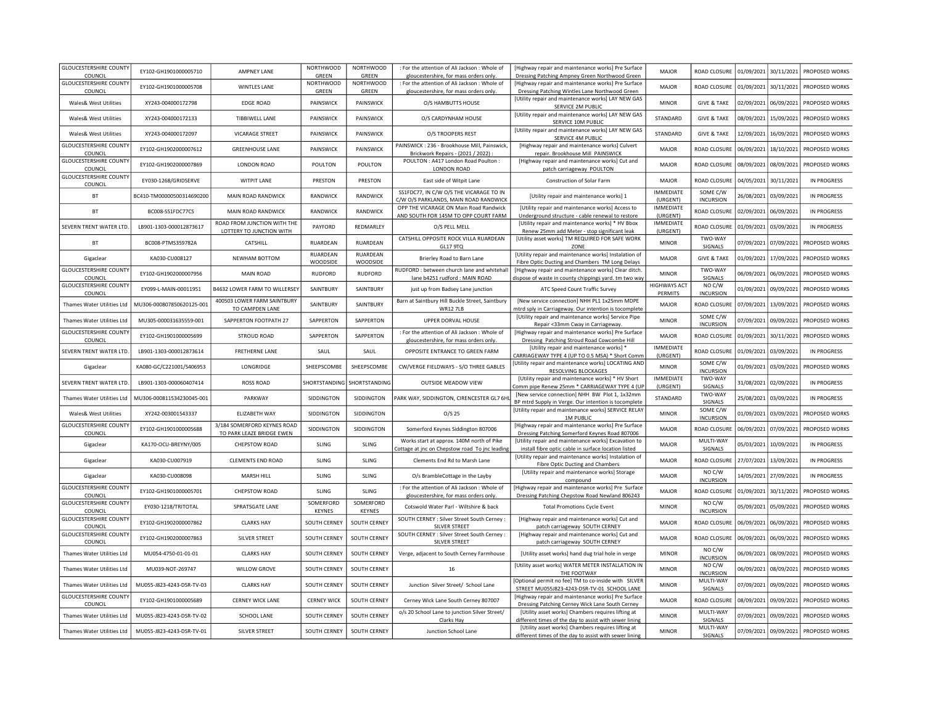| <b>GLOUCESTERSHIRE COUNTY</b><br>COUNCIL | EY102-GH1901000005710     | AMPNEY LANE                                              | <b>NORTHWOOD</b><br>GREEN     | <b>NORTHWOOD</b><br>GREEN     | : For the attention of Ali Jackson : Whole of<br>gloucestershire, for mass orders only      | [Highway repair and maintenance works] Pre Surface                                                           | MAJOR                          | ROAD CLOSURE                     | 01/09/2021 | 30/11/2021 | PROPOSED WORKS     |
|------------------------------------------|---------------------------|----------------------------------------------------------|-------------------------------|-------------------------------|---------------------------------------------------------------------------------------------|--------------------------------------------------------------------------------------------------------------|--------------------------------|----------------------------------|------------|------------|--------------------|
| <b>GLOUCESTERSHIRE COUNTY</b>            | FY102-GH1901000005708     | <b>WINTLES LANE</b>                                      | <b>NORTHWOOD</b>              | <b>NORTHWOOD</b>              | : For the attention of Ali Jackson : Whole of                                               | Dressing Patching Ampney Green Northwood Green<br>[Highway repair and maintenance works] Pre Surface         | MAIOR                          |                                  |            |            | PROPOSED WORKS     |
| COUNCIL                                  |                           |                                                          | GREEN                         | GREEN                         | gloucestershire, for mass orders only.                                                      | Dressing Patching Wintles Lane Northwood Green                                                               |                                | ROAD CLOSURE                     | 01/09/2021 | 30/11/2021 |                    |
| Wales& West Utilities                    | XY243-004000172798        | <b>EDGE ROAD</b>                                         | PAINSWICK                     | <b>PAINSWICK</b>              | O/S HAMBUTTS HOUSE                                                                          | [Utility repair and maintenance works] LAY NEW GAS<br>SERVICE 2M PUBLIC                                      | <b>MINOR</b>                   | <b>GIVE &amp; TAKE</b>           | 02/09/2021 | 06/09/2021 | PROPOSED WORKS     |
| Wales& West Utilities                    | XY243-004000172133        | TIBBIWELL LANE                                           | PAINSWICK                     | PAINSWICK                     | O/S CARDYNHAM HOUSE                                                                         | [Utility repair and maintenance works] LAY NEW GAS<br>SERVICE 10M PUBLIC                                     | STANDARD                       | <b>GIVE &amp; TAKE</b>           | 08/09/2021 | 15/09/2021 | PROPOSED WORKS     |
| Wales& West Utilities                    | XY243-004000172097        | VICARAGE STREET                                          | PAINSWICK                     | PAINSWICK                     | O/S TROOPERS REST                                                                           | [Utility repair and maintenance works] LAY NEW GAS<br>SERVICE 4M PUBLIC                                      | STANDARD                       | <b>GIVE &amp; TAKE</b>           | 12/09/2021 | 16/09/2021 | PROPOSED WORKS     |
| <b>GLOUCESTERSHIRE COUNTY</b><br>COUNCIL | EY102-GH1902000007612     | <b>GREENHOUSE LANE</b>                                   | PAINSWICK                     | PAINSWICK                     | PAINSWICK: 236 - Brookhouse Mill, Painswick,<br>Brickwork Repairs - (2021 / 2022) :         | [Highway repair and maintenance works] Culvert<br>repair. Brookhouse Mill PAINSWICK                          | MAJOR                          | ROAD CLOSURE                     | 06/09/2021 | 18/10/2021 | PROPOSED WORKS     |
| <b>GLOUCESTERSHIRE COUNTY</b>            | EY102-GH1902000007869     | LONDON ROAD                                              | POULTON                       | POULTON                       | POULTON : A417 London Road Poulton :                                                        | [Highway repair and maintenance works] Cut and                                                               | MAJOR                          | ROAD CLOSURE                     | 08/09/2021 | 08/09/2021 | PROPOSED WORKS     |
| COUNCIL<br><b>GLOUCESTERSHIRE COUNTY</b> | EY030-1268/GRIDSERVE      | <b>WITPIT LANE</b>                                       | PRESTON                       | PRESTON                       | LONDON ROAD<br>East side of Witpit Lane                                                     | patch carriageway POULTON<br>Construction of Solar Farm                                                      | <b>MAJOR</b>                   | ROAD CLOSURE                     | 04/05/2021 | 30/11/2021 | IN PROGRESS        |
| COUNCIL<br><b>BT</b>                     | BC410-TM00000500314690200 | MAIN ROAD RANDWICK                                       | RANDWICK                      | RANDWICK                      | SS1FDC77, IN C/W O/S THE VICARAGE TO IN                                                     | [Utility repair and maintenance works] 1                                                                     | IMMEDIATE                      | SOME C/W                         | 26/08/2021 | 03/09/2021 | IN PROGRESS        |
| <b>BT</b>                                | BC008-SS1FDC77CS          | MAIN ROAD RANDWICK                                       | RANDWICK                      | RANDWICK                      | C/W O/S PARKLANDS, MAIN ROAD RANDWICK<br>OPP THE VICARAGE ON Main Road Randwick             | [Utility repair and maintenance works] Access to                                                             | (URGENT)<br><b>IMMEDIATE</b>   | <b>INCURSION</b>                 | 02/09/2021 | 06/09/2021 | IN PROGRESS        |
|                                          |                           | ROAD FROM JUNCTION WITH THE                              |                               |                               | AND SOUTH FOR 145M TO OPP COURT FARM                                                        | Underground structure - cable renewal to restore<br>[Utility repair and maintenance works] * HV Bbox         | (URGENT)<br><b>IMMEDIATE</b>   | ROAD CLOSURE                     |            |            |                    |
| SEVERN TRENT WATER LTD.                  | LB901-1303-000012873617   | LOTTERY TO JUNCTION WITH                                 | PAYFORD                       | REDMARLEY                     | O/S PELL MELL                                                                               | Renew 25mm add Meter - stop significant leak                                                                 | (URGENT)                       | ROAD CLOSURE                     | 01/09/2021 | 03/09/2021 | <b>IN PROGRESS</b> |
| <b>BT</b>                                | BC008-PTMS359782A         | CATSHILL                                                 | RUARDEAN                      | RUARDEAN                      | CATSHILL OPPOSITE ROCK VILLA RUARDEAN<br>GL17 9TQ                                           | [Utility asset works] TM REQUIRED FOR SAFE WORK<br>ZONE                                                      | <b>MINOR</b>                   | TWO-WAY<br>SIGNALS               | 07/09/2021 | 07/09/2021 | PROPOSED WORKS     |
| Gigaclear                                | KA030-CU008127            | NEWHAM BOTTOM                                            | RUARDEAN<br>WOODSIDE          | RUARDEAN<br>WOODSIDE          | Brierley Road to Barn Lane                                                                  | [Utility repair and maintenance works] Instalation of<br>Fibre Optic Ducting and Chambers TM Long Delays     | MAJOR                          | <b>GIVE &amp; TAKE</b>           | 01/09/2021 | 17/09/2021 | PROPOSED WORKS     |
| <b>GLOUCESTERSHIRE COUNTY</b><br>COUNCIL | EY102-GH1902000007956     | <b>MAIN ROAD</b>                                         | <b>RUDFORD</b>                | <b>RUDFORD</b>                | RUDFORD : between church lane and whitehal<br>lane b4251 rudford : MAIN ROAD                | [Highway repair and maintenance works] Clear ditch.<br>dispose of waste in county chippings yard. tm two way | <b>MINOR</b>                   | TWO-WAY<br>SIGNALS               | 06/09/2021 | 06/09/2021 | PROPOSED WORKS     |
| <b>GLOUCESTERSHIRE COUNTY</b><br>COUNCIL | EY099-L-MAIN-00011951     | <b>B4632 LOWER FARM TO WILLERSEY</b>                     | SAINTBURY                     | SAINTBURY                     | just up from Badsey Lane junction                                                           | ATC Speed Count Traffic Survey                                                                               | <b>HIGHWAYS ACT</b><br>PERMITS | NO C/W<br><b>INCURSION</b>       | 01/09/2021 | 09/09/2021 | PROPOSED WORKS     |
| Thames Water Utilities Ltd               | MU306-000807850620125-001 | 400503 LOWER FARM SAINTBURY<br>TO CAMPDEN LANE           | SAINTBURY                     | SAINTBURY                     | Barn at Saintbury Hill Buckle Street, Saintbury<br><b>WR12 7LB</b>                          | [New service connection] NHH PL1 1x25mm MDPE<br>mtrd sply in Carriageway. Our intention is tocomplete        | MAJOR                          | ROAD CLOSURE                     | 07/09/2021 | 13/09/2021 | PROPOSED WORKS     |
| Thames Water Utilities Ltd               | MU305-000031635559-001    | SAPPERTON FOOTPATH 27                                    | SAPPERTON                     | SAPPERTON                     | UPPER DORVAL HOUSE                                                                          | [Utility repair and maintenance works] Service Pipe<br>Repair <33mm Cway in Carriageway.                     | <b>MINOR</b>                   | SOME C/W<br><b>INCURSION</b>     | 07/09/2021 | 09/09/2021 | PROPOSED WORKS     |
| <b>GLOUCESTERSHIRE COUNT</b><br>COUNCIL  | EY102-GH1901000005699     | <b>STROUD ROAD</b>                                       | SAPPERTON                     | SAPPERTON                     | : For the attention of Ali Jackson : Whole of<br>gloucestershire, for mass orders only      | [Highway repair and maintenance works] Pre Surface<br>Dressing Patching Stroud Road Cowcombe Hill            | MAJOR                          | ROAD CLOSURE                     | 01/09/2021 | 30/11/2021 | PROPOSED WORKS     |
| SEVERN TRENT WATER LTD.                  | LB901-1303-000012873614   | <b>FRETHERNE LANE</b>                                    | SAUL                          | SAUL                          | OPPOSITE ENTRANCE TO GREEN FARM                                                             | f Utility repair and maintenance worksl *                                                                    | <b>IMMEDIATE</b>               | ROAD CLOSURE                     | 01/09/2021 | 03/09/2021 | <b>IN PROGRESS</b> |
|                                          |                           |                                                          |                               |                               |                                                                                             | CARRIAGEWAY TYPE 4 (UP TO 0.5 MSA) * Short Comm<br>[Utility repair and maintenance works] LOCATING AND       | (URGENT)                       | SOME C/W                         |            |            |                    |
| Gigaclear                                | KA080-GC/C221001/S406953  | LONGRIDGE                                                | SHEEPSCOMBE                   | SHEEPSCOMBE                   | CW/VERGE FIELDWAYS - S/O THREE GABLES                                                       | RESOLVING BLOCKAGES                                                                                          | <b>MINOR</b>                   | <b>INCURSION</b>                 | 01/09/2021 | 03/09/2021 | PROPOSED WORKS     |
| SEVERN TRENT WATER LTD.                  | LB901-1303-000060407414   | <b>ROSS ROAD</b>                                         | SHORTSTANDING                 | SHORTSTANDING                 | OUTSIDE MEADOW VIEW                                                                         | [Utility repair and maintenance works] * HV Short<br>Comm pipe Renew 25mm * CARRIAGEWAY TYPE 4 (UP           | <b>IMMEDIATE</b><br>(URGENT)   | TWO-WAY<br>SIGNALS               | 31/08/2021 | 02/09/2021 | IN PROGRESS        |
| Thames Water Utilities Ltd               | MU306-000811534230045-001 | PARKWAY                                                  | SIDDINGTON                    | SIDDINGTON                    | PARK WAY, SIDDINGTON, CIRENCESTER GL7 6H                                                    | [New service connection] NHH BW Plot 1, 1x32mm<br>BP mtrd Supply in Verge. Our intention is tocomplete       | STANDARD                       | TWO-WAY<br>SIGNALS               | 25/08/2021 | 03/09/2021 | IN PROGRESS        |
| Wales& West Utilities                    | XY242-003001543337        | ELIZABETH WAY                                            | SIDDINGTON                    | SIDDINGTON                    | $O/S$ 25                                                                                    | [Utility repair and maintenance works] SERVICE RELAY<br>1M PUBLIC                                            | <b>MINOR</b>                   | SOME C/W<br><b>INCURSION</b>     | 01/09/2021 | 03/09/2021 | PROPOSED WORKS     |
| <b>GLOUCESTERSHIRE COUNTY</b><br>COUNCIL | EY102-GH1901000005688     | 3/184 SOMERFORD KEYNES ROAD<br>TO PARK LEAZE BRIDGE EWEN | SIDDINGTON                    | SIDDINGTON                    | Somerford Keynes Siddington 807006                                                          | [Highway repair and maintenance works] Pre Surface<br>Dressing Patching Somerford Keynes Road 807006         | <b>MAJOR</b>                   | ROAD CLOSURE                     | 06/09/2021 | 07/09/2021 | PROPOSED WORKS     |
| Gigaclear                                | KA170-OCU-BREYNY/005      | CHEPSTOW ROAD                                            | <b>SLING</b>                  | <b>SLING</b>                  | Works start at approx. 140M north of Pike<br>Cottage at jnc on Chepstow road To jnc leading | [Utility repair and maintenance works] Excavation to<br>install fibre optic cable in surface location listed | <b>MAJOR</b>                   | MULTI-WAY<br>SIGNALS             | 05/03/2021 | 10/09/2021 | IN PROGRESS        |
| Gigaclear                                | KA030-CU007919            | <b>CLEMENTS END ROAD</b>                                 | <b>SLING</b>                  | <b>SLING</b>                  | Clements End Rd to Marsh Lane                                                               | [Utility repair and maintenance works] Instalation of<br>Fibre Optic Ducting and Chambers                    | <b>MAJOR</b>                   | ROAD CLOSURE                     | 27/07/2021 | 13/09/2021 | <b>IN PROGRESS</b> |
| Gigaclear                                | KA030-CU008098            | <b>MARSH HILL</b>                                        | <b>SLING</b>                  | <b>SLING</b>                  | O/s BrambleCottage in the Layby                                                             | [Utility repair and maintenance works] Storage                                                               | MAJOR                          | NO C/W<br>INCURSION              | 14/05/2021 | 27/09/2021 | IN PROGRESS        |
| <b>GLOUCESTERSHIRE COUNTY</b>            | EY102-GH1901000005701     | CHEPSTOW ROAD                                            | SLING                         | <b>SLING</b>                  | : For the attention of Ali Jackson : Whole of                                               | compound<br>[Highway repair and maintenance works] Pre Surface                                               | MAJOR                          | ROAD CLOSURE                     | 01/09/2021 | 30/11/2021 | PROPOSED WORKS     |
| COUNCIL<br><b>GLOUCESTERSHIRE COUNTY</b> | EY030-1218/TRITOTAL       | SPRATSGATE LANE                                          | SOMERFORD                     | SOMERFORD                     | gloucestershire, for mass orders only<br>Cotswold Water Parl - Wiltshire & back             | Dressing Patching Chepstow Road Newland 806243<br><b>Total Promotions Cycle Event</b>                        | <b>MINOR</b>                   | NO C/W                           | 05/09/2021 | 05/09/2021 | PROPOSED WORKS     |
| COUNCIL<br><b>GLOUCESTERSHIRE COUNTY</b> | EY102-GH1902000007862     | <b>CLARKS HAY</b>                                        | KEYNES<br><b>SOUTH CERNEY</b> | <b>KEYNES</b><br>SOUTH CERNEY | SOUTH CERNEY : Silver Street South Cerney                                                   | [Highway repair and maintenance works] Cut and                                                               | MAJOR                          | <b>INCURSION</b><br>ROAD CLOSURE | 06/09/2021 | 06/09/2021 | PROPOSED WORKS     |
| COUNCIL<br><b>GLOUCESTERSHIRE COUNTY</b> |                           |                                                          |                               |                               | SILVER STREET<br>SOUTH CERNEY : Silver Street South Cerney                                  | patch carriageway SOUTH CERNEY<br>[Highway repair and maintenance works] Cut and                             |                                |                                  |            |            |                    |
| COUNCIL                                  | EY102-GH1902000007863     | <b>SILVER STREET</b>                                     | <b>SOUTH CERNEY</b>           | SOUTH CERNEY                  | SILVER STREET                                                                               | patch carriageway SOUTH CERNEY                                                                               | MAJOR                          | ROAD CLOSURE<br>NO C/W           | 06/09/2021 | 06/09/2021 | PROPOSED WORKS     |
| Thames Water Utilities Ltd               | MU054-4750-01-01-01       | <b>CLARKS HAY</b>                                        | SOUTH CERNEY                  | SOUTH CERNEY                  | Verge, adjacent to South Cerney Farmhouse                                                   | [Utility asset works] hand dug trial hole in verge<br>[Utility asset works] WATER METER INSTALLATION IN      | <b>MINOR</b>                   | <b>INCURSION</b><br>NO C/W       | 06/09/2021 | 08/09/2021 | PROPOSED WORKS     |
| Thames Water Utilities Ltd               | MU039-NOT-269747          | <b>WILLOW GROVE</b>                                      | SOUTH CERNEY                  | SOUTH CERNEY                  | 16                                                                                          | THE FOOTWAY                                                                                                  | <b>MINOR</b>                   | <b>INCURSION</b>                 | 06/09/2021 | 08/09/2021 | PROPOSED WORKS     |
| Thames Water Utilities Ltd               | MU055-J823-4243-DSR-TV-03 | <b>CLARKS HAY</b>                                        | <b>SOUTH CERNEY</b>           | SOUTH CERNEY                  | Junction Silver Street/ School Lane                                                         | [Optional permit no fee] TM to co-inside with SILVER<br>STREET MU055J823-4243-DSR-TV-01 SCHOOL LANE          | <b>MINOR</b>                   | MULTI-WAY<br>SIGNALS             | 07/09/2021 | 09/09/2021 | PROPOSED WORKS     |
| <b>GLOUCESTERSHIRE COUNT</b><br>COUNCIL  | EY102-GH1901000005689     | <b>CERNEY WICK LANE</b>                                  | <b>CERNEY WICK</b>            | SOUTH CERNEY                  | Cerney Wick Lane South Cerney 807007                                                        | [Highway repair and maintenance works] Pre Surface<br>Dressing Patching Cerney Wick Lane South Cerney        | MAJOR                          | ROAD CLOSURE                     | 08/09/2021 | 09/09/2021 | PROPOSED WORKS     |
| Thames Water Utilities Ltd               | MU055-J823-4243-DSR-TV-02 | SCHOOL LANE                                              | <b>SOUTH CERNEY</b>           | SOUTH CERNEY                  | o/s 20 School Lane to junction Silver Street/<br>Clarks Hay                                 | [Utility asset works] Chambers requires lifting at<br>different times of the day to assist with sewer lining | <b>MINOR</b>                   | MULTI-WAY<br>SIGNALS             | 07/09/2021 | 09/09/2021 | PROPOSED WORKS     |
| Thames Water Utilities Ltd               | MU055-J823-4243-DSR-TV-01 | SILVER STREET                                            | SOUTH CERNEY                  | SOUTH CERNEY                  | Junction School Lane                                                                        | [Utility asset works] Chambers requires lifting at<br>different times of the day to assist with sewer lining | <b>MINOR</b>                   | MULTI-WAY<br>SIGNALS             | 07/09/2021 | 09/09/2021 | PROPOSED WORKS     |
|                                          |                           |                                                          |                               |                               |                                                                                             |                                                                                                              |                                |                                  |            |            |                    |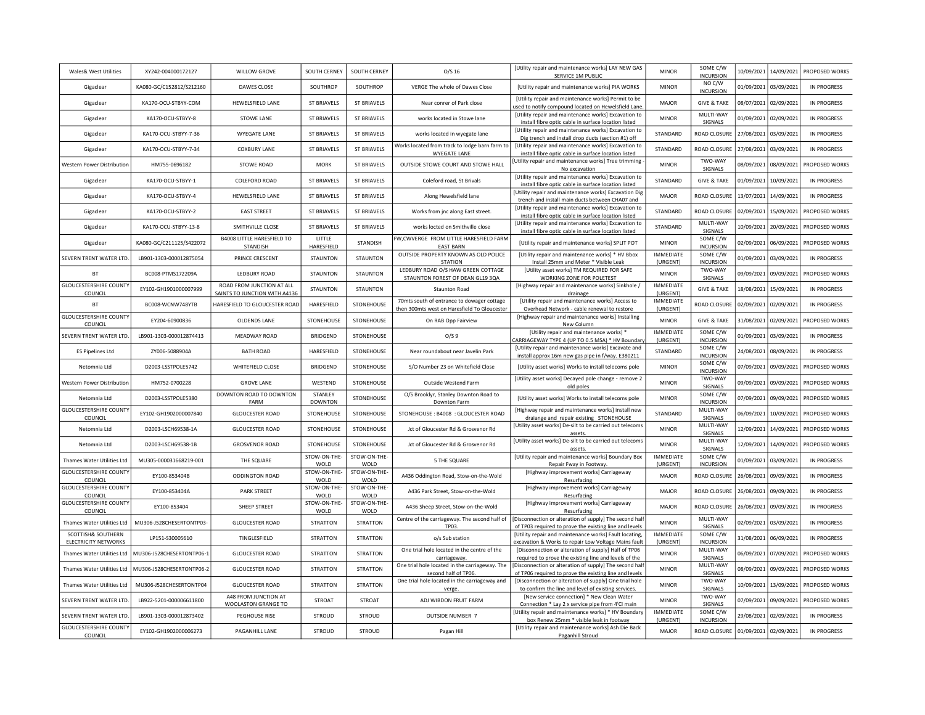| Wales& West Utilities                                        | XY242-004000172127                                     | <b>WILLOW GROVE</b>                                            | SOUTH CERNEY                 | SOUTH CERNEY                | $O/S$ 16                                                                             | [Utility repair and maintenance works] LAY NEW GAS<br>SERVICE 1M PUBLIC                                           | <b>MINOR</b>                     | SOME C/W<br><b>INCURSION</b>      |            | 10/09/2021 14/09/2021 | PROPOSED WORKS     |
|--------------------------------------------------------------|--------------------------------------------------------|----------------------------------------------------------------|------------------------------|-----------------------------|--------------------------------------------------------------------------------------|-------------------------------------------------------------------------------------------------------------------|----------------------------------|-----------------------------------|------------|-----------------------|--------------------|
| Gigaclear                                                    | KA080-GC/C152812/S212160                               | DAWES CLOSE                                                    | SOUTHROP                     | SOUTHROP                    | VERGE The whole of Dawes Close                                                       | [Utility repair and maintenance works] PIA WORKS                                                                  | <b>MINOR</b>                     | NO C/W<br><b>INCURSION</b>        |            | 01/09/2021 03/09/2021 | IN PROGRESS        |
| Gigaclear                                                    | KA170-OCU-STBYY-COM                                    | HEWELSFIELD LANE                                               | <b>ST BRIAVELS</b>           | ST BRIAVELS                 | Near conrer of Park close                                                            | [Utility repair and maintenance works] Permit to be<br>used to notify compound located on Hewelsfield Lane        | MAIOR                            | <b>GIVE &amp; TAKE</b>            |            | 08/07/2021 02/09/2021 | IN PROGRESS        |
| Gigaclear                                                    | KA170-OCU-STBYY-8                                      | STOWE LANE                                                     | <b>ST BRIAVELS</b>           | ST BRIAVELS                 | works located in Stowe lane                                                          | [Utility repair and maintenance works] Excavation to<br>install fibre optic cable in surface location listed      | <b>MINOR</b>                     | MULTI-WAY<br>SIGNALS              | 01/09/2021 | 02/09/2021            | IN PROGRESS        |
| Gigaclear                                                    | KA170-OCU-STBYY-7-36                                   | <b>WYEGATE LANE</b>                                            | <b>ST BRIAVELS</b>           | ST BRIAVELS                 | works located in wyegate lane                                                        | [Utility repair and maintenance works] Excavation to<br>Dig trench and install drop ducts (section #1) off        | STANDARD                         | ROAD CLOSURE                      | 27/08/2021 | 03/09/2021            | <b>IN PROGRESS</b> |
| Gigaclear                                                    | KA170-OCU-STBYY-7-34                                   | <b>COXBURY LANE</b>                                            | ST BRIAVELS                  | ST BRIAVELS                 | Works located from track to lodge barn farm to<br>WYEGATE LANE                       | [Utility repair and maintenance works] Excavation to<br>install fibre optic cable in surface location listed      | STANDARD                         | <b>ROAD CLOSURE</b>               | 27/08/2021 | 03/09/2021            | <b>IN PROGRESS</b> |
| Western Power Distribution                                   | HM755-0696182                                          | <b>STOWE ROAD</b>                                              | <b>MORK</b>                  | ST BRIAVELS                 | OUTSIDE STOWE COURT AND STOWE HALL                                                   | Utility repair and maintenance works] Tree trimming<br>No excavation                                              | <b>MINOR</b>                     | TWO-WAY<br>SIGNALS                | 08/09/2021 | 08/09/2021            | PROPOSED WORKS     |
| Gigaclear                                                    | KA170-OCU-STBYY-1                                      | <b>COLEFORD ROAD</b>                                           | <b>ST BRIAVELS</b>           | ST BRIAVELS                 | Coleford road, St Brivals                                                            | [Utility repair and maintenance works] Excavation to<br>install fibre optic cable in surface location listed      | STANDARD                         | <b>GIVE &amp; TAKE</b>            | 01/09/2021 | 10/09/2021            | IN PROGRESS        |
| Gigaclear                                                    | KA170-OCU-STBYY-4                                      | HEWELSFIELD LANE                                               | ST BRIAVELS                  | <b>ST BRIAVELS</b>          | Along Hewelsfield lane                                                               | [Utility repair and maintenance works] Excavation Dig<br>trench and install main ducts between CHA07 and          | MAJOR                            | ROAD CLOSURE                      | 13/07/2021 | 14/09/2021            | <b>IN PROGRESS</b> |
| Gigaclear                                                    | KA170-OCU-STBYY-2                                      | <b>EAST STREET</b>                                             | ST BRIAVELS                  | ST BRIAVELS                 | Works from jnc along East street.                                                    | [Utility repair and maintenance works] Excavation to                                                              | STANDARD                         | ROAD CLOSURE                      | 02/09/2021 | 15/09/2021            | PROPOSED WORKS     |
| Gigaclear                                                    | KA170-OCU-STBYY-13-8                                   | SMITHVILLE CLOSE                                               | ST BRIAVELS                  | ST BRIAVELS                 | works locted on Smithville close                                                     | install fibre optic cable in surface location listed<br>[Utility repair and maintenance works] Excavation to      | STANDARD                         | MULTI-WAY<br>SIGNALS              | 10/09/2021 | 20/09/2021            | PROPOSED WORKS     |
| Gigaclear                                                    | KA080-GC/C211125/S422072                               | <b>B4008 LITTLE HARESFIELD TO</b><br>STANDISH                  | LITTLE<br>HARESFIELD         | STANDISH                    | FW, CWVERGE FROM LITTLE HARESFIELD FARM<br><b>EAST BARN</b>                          | install fibre optic cable in surface location listed<br>[Utility repair and maintenance works] SPLIT POT          | <b>MINOR</b>                     | SOME C/W<br><b>INCURSION</b>      | 02/09/2021 | 06/09/2021            | PROPOSED WORKS     |
| SEVERN TRENT WATER LTD.                                      | LB901-1303-000012875054                                | PRINCE CRESCENT                                                | <b>STAUNTON</b>              | <b>STAUNTON</b>             | OUTSIDE PROPERTY KNOWN AS OLD POLICE                                                 | [Utility repair and maintenance works] * HV Bbox                                                                  | <b>IMMEDIATE</b>                 | SOME C/W                          |            | 01/09/2021 03/09/2021 | IN PROGRESS        |
| <b>BT</b>                                                    | BC008-PTMS172209A                                      | LEDBURY ROAD                                                   | <b>STAUNTON</b>              | <b>STAUNTON</b>             | <b>STATION</b><br>LEDBURY ROAD O/S HAW GREEN COTTAGE                                 | Install 25mm and Meter * Visible Leak<br>[Utility asset works] TM REQUIRED FOR SAFE                               | (URGENT)<br><b>MINOR</b>         | <b>INCURSION</b><br>TWO-WAY       |            | 09/09/2021 09/09/2021 | PROPOSED WORKS     |
| <b>GLOUCESTERSHIRE COUNTY</b>                                | EY102-GH1901000007999                                  | ROAD FROM JUNCTION AT ALL                                      | STAUNTON                     | STAUNTON                    | STAUNTON FOREST OF DEAN GL19 3QA<br><b>Staunton Road</b>                             | WORKING ZONE FOR POLETEST<br>[Highway repair and maintenance works] Sinkhole /                                    | <b>IMMEDIATE</b>                 | SIGNALS<br><b>GIVE &amp; TAKE</b> | 18/08/2021 | 15/09/2021            | IN PROGRESS        |
| COUNCI<br><b>BT</b>                                          | BC008-WCNW748YTB                                       | SAINTS TO JUNCTION WITH A4136<br>HARESFIELD TO GLOUCESTER ROAD | HARESFIELD                   | STONEHOUSE                  | 70mts south of entrance to dowager cottage                                           | drainage<br>[Utility repair and maintenance works] Access to                                                      | (URGENT)<br><b>IMMEDIATE</b>     | ROAD CLOSURE                      |            | 02/09/2021 02/09/2021 | <b>IN PROGRESS</b> |
| <b>GLOUCESTERSHIRE COUNTY</b>                                | EY204-60900836                                         | OLDENDS LANE                                                   | STONEHOUSE                   | STONEHOUSE                  | then 300mts west on Haresfield To Gloucester<br>On RAB Opp Fairview                  | Overhead Network - cable renewal to restore<br>[Highway repair and maintenance works] Installing                  | (URGENT)<br><b>MINOR</b>         | <b>GIVE &amp; TAKE</b>            |            | 31/08/2021 02/09/2021 | PROPOSED WORKS     |
| COUNCIL<br>SEVERN TRENT WATER LTD.                           | LB901-1303-000012874413                                | MEADWAY ROAD                                                   | BRIDGEND                     | STONEHOUSE                  | O/S9                                                                                 | New Column<br><b>IUtility repair and maintenance worksl *</b>                                                     | <b>IMMEDIATE</b>                 | SOME C/W                          |            | 01/09/2021 03/09/2021 | IN PROGRESS        |
| <b>ES Pipelines Ltd</b>                                      | ZY006-5088904A                                         | <b>BATH ROAD</b>                                               | HARESFIELD                   | STONEHOUSE                  | Near roundabout near Javelin Park                                                    | CARRIAGEWAY TYPE 4 (UP TO 0.5 MSA) * HV Boundary<br>[Utility repair and maintenance works] Excavate and           | (URGENT)<br>STANDARD             | <b>INCURSION</b><br>SOME C/W      |            | 24/08/2021 08/09/2021 | IN PROGRESS        |
| Netomnia Ltd                                                 | D2003-LSSTPOLE5742                                     | WHITEFIELD CLOSE                                               | <b>BRIDGEND</b>              | STONEHOUSE                  | S/O Number 23 on Whitefield Close                                                    | install approx 16m new gas pipe in f/way. E380211<br>[Utility asset works] Works to install telecoms pole         | <b>MINOR</b>                     | <b>INCURSION</b><br>SOME C/W      |            | 07/09/2021 09/09/2021 | PROPOSED WORKS     |
| Western Power Distribution                                   | HM752-0700228                                          | <b>GROVE LANE</b>                                              | WESTEND                      | STONEHOUSE                  | Outside Westend Farm                                                                 | [Utility asset works] Decayed pole change - remove 2                                                              | <b>MINOR</b>                     | <b>INCURSION</b><br>TWO-WAY       |            | 09/09/2021 09/09/2021 | PROPOSED WORKS     |
| Netomnia Ltd                                                 | D2003-LSSTPOLE5380                                     | DOWNTON ROAD TO DOWNTON                                        | <b>STANI FY</b>              | STONEHOUSE                  | O/S Brooklyr, Stanley Downton Road to                                                | old poles<br>[Utility asset works] Works to install telecoms pole                                                 | <b>MINOR</b>                     | <b>SIGNALS</b><br>SOME C/W        |            | 07/09/2021 09/09/2021 | PROPOSED WORKS     |
| <b>GLOUCESTERSHIRE COUNTY</b>                                | EY102-GH1902000007840                                  | FARM<br><b>GLOUCESTER ROAD</b>                                 | <b>DOWNTON</b><br>STONEHOUSE | STONEHOUSE                  | Downton Farm<br>STONEHOUSE: B4008 : GLOUCESTER ROAD                                  | [Highway repair and maintenance works] install new                                                                | STANDARD                         | <b>INCURSION</b><br>MUITI-WAY     |            | 06/09/2021 10/09/2021 | PROPOSED WORKS     |
| COUNCIL<br>Netomnia Ltd                                      | D2003-LSCH69538-1A                                     | <b>GLOUCESTER ROAD</b>                                         | STONEHOUSE                   | STONEHOUSE                  | Jct of Gloucester Rd & Grosvenor Rd                                                  | draiange and repair existing STONEHOUSE<br>[Utility asset works] De-silt to be carried out telecoms               | <b>MINOR</b>                     | <b>SIGNALS</b><br>MULTI-WAY       | 12/09/2021 |                       | PROPOSED WORKS     |
|                                                              |                                                        |                                                                |                              |                             |                                                                                      | assets<br>[Utility asset works] De-silt to be carried out telecoms                                                |                                  | SIGNALS<br>MUITI-WAY              |            | 14/09/2021            |                    |
| Netomnia I td                                                | D2003-LSCH69538-1B                                     | <b>GROSVENOR ROAD</b>                                          | STONEHOUSE<br>STOW-ON-THE-   | STONEHOUSE<br>STOW-ON-THE   | Ict of Gloucester Rd & Grosvenor Rd                                                  | assets<br>[Utility repair and maintenance works] Boundary Box                                                     | <b>MINOR</b><br><b>IMMEDIATE</b> | SIGNALS<br>SOME C/W               | 12/09/2021 | 14/09/2021            | PROPOSED WORKS     |
| Thames Water Utilities I td<br><b>GLOUCESTERSHIRE COUNTY</b> | MU305-000031668219-001                                 | THE SQUARE                                                     | <b>WOLD</b><br>STOW-ON-THE-  | <b>WOLD</b><br>STOW-ON-THE- | 5 THE SQUARE                                                                         | Repair Fway in Footway.<br>[Highway improvement works] Carriageway                                                | (URGENT)                         | <b>INCURSION</b>                  |            | 01/09/2021 03/09/2021 | IN PROGRESS        |
| COUNCIL<br><b>GLOUCESTERSHIRE COUNTY</b>                     | EY100-853404B                                          | <b>ODDINGTON ROAD</b>                                          | WOLD<br>STOW-ON-THE-         | WOLD<br>STOW-ON-THE-        | A436 Oddington Road, Stow-on-the-Wold                                                | Resurfacing<br>[Highway improvement works] Carriageway                                                            | MAJOR                            | ROAD CLOSURE                      | 26/08/2021 | 09/09/2021            | <b>IN PROGRESS</b> |
| COUNCIL<br><b>GLOUCESTERSHIRE COUNTY</b>                     | EY100-853404A                                          | <b>PARK STREET</b>                                             | WOLD<br>STOW-ON-THE-         | WOLD<br>STOW-ON-THE-        | A436 Park Street, Stow-on-the-Wold                                                   | Resurfacing<br>[Highway improvement works] Carriageway                                                            | MAJOR                            | ROAD CLOSURE                      |            | 26/08/2021 09/09/2021 | <b>IN PROGRESS</b> |
| COUNCIL                                                      | FY100-853404                                           | SHEEP STREET                                                   | WOLD                         | WOLD                        | A436 Sheep Street, Stow-on-the-Wold<br>Centre of the carriageway. The second half of | Resurfacing<br>[Disconnection or alteration of supply] The second half                                            | MAJOR                            | ROAD CLOSURE<br>MULTI-WAY         |            | 26/08/2021 09/09/2021 | <b>IN PROGRESS</b> |
| Thames Water Utilities Ltd<br>SCOTTISH& SOUTHERN             | MU306-J528CHESERTONTP03-                               | <b>GLOUCESTER ROAD</b>                                         | <b>STRATTON</b>              | <b>STRATTON</b>             | <b>TP03.</b>                                                                         | of TP03 required to prove the existing line and levels                                                            | <b>MINOR</b><br><b>IMMEDIATE</b> | SIGNALS<br>SOME C/W               | 02/09/2021 | 03/09/2021            | IN PROGRESS        |
| ELECTRICITY NETWORKS                                         | LP151-S30005610                                        | TINGLESFIELD                                                   | <b>STRATTON</b>              | <b>STRATTON</b>             | o/s Sub station                                                                      | [Utility repair and maintenance works] Fault locating,<br>excavation & Works to repair Low Voltage Mains fault    | (URGENT)                         | <b>INCURSION</b>                  |            | 31/08/2021 06/09/2021 | IN PROGRESS        |
|                                                              | Thames Water Utilities Ltd   MU306-J528CHESERTONTP06-1 | <b>GLOUCESTER ROAD</b>                                         | <b>STRATTON</b>              | STRATTON                    | One trial hole located in the centre of the<br>carriageway.                          | [Disconnection or alteration of supply] Half of TP06<br>required to prove the existing line and levels of the     | <b>MINOR</b>                     | MULTI-WAY<br>SIGNALS              |            | 06/09/2021 07/09/2021 | PROPOSED WORKS     |
|                                                              | Thames Water Utilities Ltd   MU306-J528CHESERTONTP06-2 | <b>GLOUCESTER ROAD</b>                                         | STRATTON                     | <b>STRATTON</b>             | One trial hole located in the carriageway. The<br>second half of TP06.               | [Disconnection or alteration of supply] The second half<br>of TP06 required to prove the existing line and levels | <b>MINOR</b>                     | MULTI-WAY<br>SIGNALS              | 08/09/2021 | 09/09/2021            | PROPOSED WORKS     |
| Thames Water Utilities Ltd                                   | MU306-J528CHESERTONTP04                                | <b>GLOUCESTER ROAD</b>                                         | <b>STRATTON</b>              | <b>STRATTON</b>             | One trial hole located in the carriageway and<br>verge.                              | [Disconnection or alteration of supply] One trial hole<br>to confirm the line and level of existing services.     | <b>MINOR</b>                     | TWO-WAY<br>SIGNALS                | 10/09/2021 | 13/09/2021            | PROPOSED WORKS     |
| SEVERN TRENT WATER LTD.                                      | LB922-5201-000006611800                                | A48 FROM JUNCTION AT<br>WOOLASTON GRANGE TO                    | <b>STROAT</b>                | <b>STROAT</b>               | ADJ WIBDON FRUIT FARM                                                                | [New service connection] * New Clean Water<br>Connection * Lay 2 x service pipe from 4'CI main                    | <b>MINOR</b>                     | TWO-WAY<br>SIGNALS                | 07/09/2021 | 09/09/2021            | PROPOSED WORKS     |
| SEVERN TRENT WATER LTD.                                      | LB901-1303-000012873402                                | PEGHOUSE RISE                                                  | <b>STROUD</b>                | <b>STROUD</b>               | <b>OUTSIDE NUMBER 7</b>                                                              | [Utility repair and maintenance works] * HV Boundary<br>box Renew 25mm * visible leak in footway                  | <b>IMMEDIATE</b><br>(URGENT)     | SOME C/W<br><b>INCURSION</b>      |            | 29/08/2021 02/09/2021 | IN PROGRESS        |
| <b>GLOUCESTERSHIRE COUNTY</b><br>COUNCIL                     | EY102-GH1902000006273                                  | PAGANHILL LANE                                                 | STROUD                       | <b>STROUD</b>               | Pagan Hill                                                                           | [Utility repair and maintenance works] Ash Die Back<br>Paganhill Stroud                                           | MAJOR                            | ROAD CLOSURE                      | 01/09/2021 | 02/09/2021            | <b>IN PROGRESS</b> |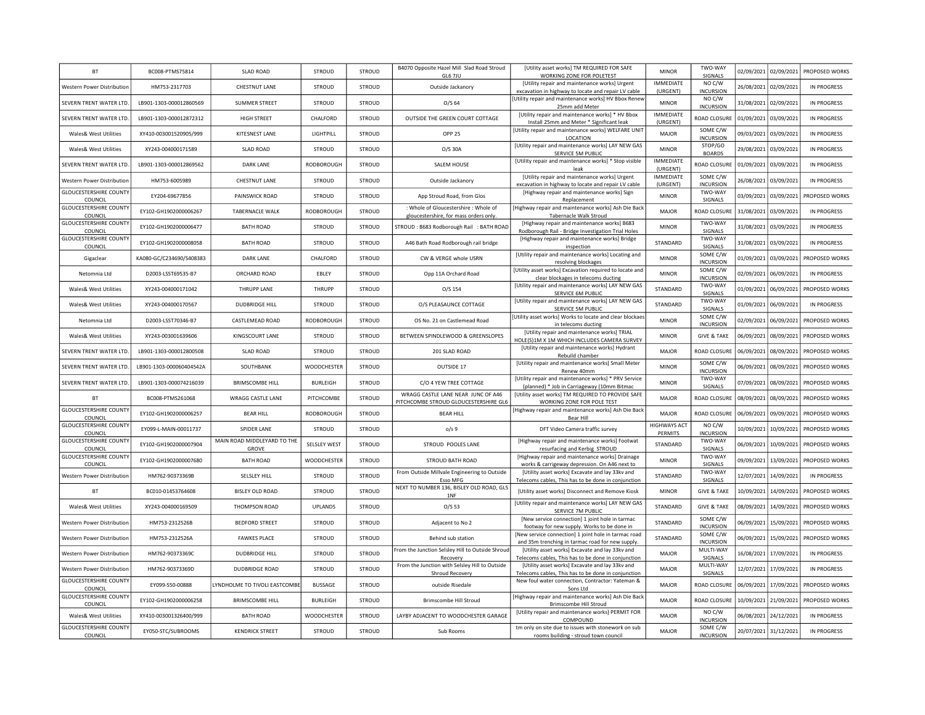| <b>BT</b>                                                   | BC008-PTMS75814          | <b>SLAD ROAD</b>              | STROUD             | STROUD        | B4070 Opposite Hazel Mill Slad Road Stroud<br>GL6 7JU               | [Utility asset works] TM REQUIRED FOR SAFE<br>WORKING ZONE FOR POLETEST                                    | <b>MINOR</b>                 | TWO-WAY<br><b>SIGNALS</b>        | 02/09/2021 | 02/09/2021              | PROPOSED WORKS     |
|-------------------------------------------------------------|--------------------------|-------------------------------|--------------------|---------------|---------------------------------------------------------------------|------------------------------------------------------------------------------------------------------------|------------------------------|----------------------------------|------------|-------------------------|--------------------|
| <b>Western Power Distribution</b>                           | HM753-2317703            | CHESTNUT LANE                 | <b>STROUD</b>      | <b>STROUD</b> | Outside Jackanory                                                   | [Utility repair and maintenance works] Urgent                                                              | <b>IMMEDIATE</b><br>(URGENT) | NO C/W<br><b>INCURSION</b>       | 26/08/2021 | 02/09/2021              | IN PROGRESS        |
| SEVERN TRENT WATER LTD.                                     | LB901-1303-000012860569  | <b>SUMMER STREET</b>          | STROUD             | <b>STROUD</b> | $O/S$ 64                                                            | excavation in highway to locate and repair LV cable<br>Utility repair and maintenance works] HV Bbox Renew | <b>MINOR</b>                 | NO C/W                           | 31/08/2021 | 02/09/2021              | IN PROGRESS        |
| SEVERN TRENT WATER LTD                                      | LB901-1303-000012872312  | <b>HIGH STREET</b>            | CHALFORD           | <b>STROUD</b> | OUTSIDE THE GREEN COURT COTTAGE                                     | 25mm add Meter<br>[Utility repair and maintenance works] * HV Bbox                                         | <b>IMMEDIATE</b>             | <b>INCURSION</b><br>ROAD CLOSURE | 01/09/2021 | 03/09/2021              | <b>IN PROGRESS</b> |
| Wales& West Utilities                                       | XY410-003001520905/999   | KITESNEST LANE                | LIGHTPILL          | <b>STROUD</b> | OPP 25                                                              | Install 25mm and Meter * Significant leak<br>[Utility repair and maintenance works] WELFARE UNIT           | (URGENT)<br>MAIOR            | SOME C/W                         | 09/03/2021 | 03/09/2021              | IN PROGRESS        |
| Wales& West Utilities                                       | XY243-004000171589       | <b>SLAD ROAD</b>              | STROUD             | STROUD        | O/S 30A                                                             | LOCATION<br>[Utility repair and maintenance works] LAY NEW GAS                                             | <b>MINOR</b>                 | <b>INCURSION</b><br>STOP/GO      | 29/08/2021 | 03/09/2021              | IN PROGRESS        |
| SEVERN TRENT WATER LTD.                                     | LB901-1303-000012869562  | DARK LANE                     | RODBOROUGH         | <b>STROUD</b> | SALEM HOUSE                                                         | SERVICE 5M PUBLIC<br>[Utility repair and maintenance works] * Stop visible                                 | IMMEDIATE                    | <b>BOARDS</b><br>ROAD CLOSURE    | 01/09/2021 | 03/09/2021              | <b>IN PROGRESS</b> |
|                                                             | HM753-6005989            | CHESTNUT LANE                 | STROUD             | STROUD        |                                                                     | leak<br>[Utility repair and maintenance works] Urgent                                                      | (URGENT)<br><b>IMMEDIATE</b> | SOME C/W                         |            |                         | IN PROGRESS        |
| Western Power Distribution<br><b>GLOUCESTERSHIRE COUNTY</b> |                          |                               |                    |               | Outside Jackanory                                                   | excavation in highway to locate and repair LV cable<br>[Highway repair and maintenance works] Sign         | (URGENT)                     | <b>INCURSION</b><br>TWO-WAY      | 26/08/2021 | 03/09/2021              |                    |
| COUNCI<br><b>GLOUCESTERSHIRE COUNTY</b>                     | EY204-69677856           | PAINSWICK ROAD                | STROUD             | STROUD        | App Stroud Road, from Glos<br>: Whole of Gloucestershire : Whole of | Replacement<br>[Highway repair and maintenance works] Ash Die Back                                         | <b>MINOR</b>                 | SIGNALS                          | 03/09/2021 | 03/09/2021              | PROPOSED WORKS     |
| COUNCIL<br><b>GLOUCESTERSHIRE COUNTY</b>                    | EY102-GH1902000006267    | TABERNACLE WALK               | RODBOROUGH         | <b>STROUD</b> | gloucestershire, for mass orders only.                              | <b>Tabernacle Walk Stroud</b>                                                                              | MAJOR                        | ROAD CLOSURE<br>TWO-WAY          | 31/08/2021 | 03/09/2021              | <b>IN PROGRESS</b> |
| COUNCI                                                      | EY102-GH1902000006477    | <b>BATH ROAD</b>              | STROUD             | STROUD        | STROUD: B683 Rodborough Rail : BATH ROAD                            | [Highway repair and maintenance works] B683<br>Rodborough Rail - Bridge Investigation Trial Holes          | <b>MINOR</b>                 | SIGNALS                          | 31/08/2021 | 03/09/2021              | IN PROGRESS        |
| <b>GLOUCESTERSHIRE COUNTY</b><br>COUNCIL                    | EY102-GH1902000008058    | <b>BATH ROAD</b>              | STROUD             | STROUD        | A46 Bath Road Rodborough rail bridge                                | [Highway repair and maintenance works] Bridge<br>inspection                                                | STANDARD                     | TWO-WAY<br>SIGNALS               | 31/08/2021 | 03/09/2021              | IN PROGRESS        |
| Gigaclear                                                   | KA080-GC/C234690/S408383 | <b>DARK LANE</b>              | CHALFORD           | <b>STROUD</b> | CW & VERGE whole USRN                                               | [Utility repair and maintenance works] Locating and<br>resolving blockages                                 | <b>MINOR</b>                 | SOME C/W<br><b>INCURSION</b>     | 01/09/2021 | 03/09/2021              | PROPOSED WORKS     |
| Netomnia Ltd                                                | D2003-LSST69535-B7       | ORCHARD ROAD                  | EBLEY              | <b>STROUD</b> | Opp 11A Orchard Road                                                | [Utility asset works] Excavation required to locate and<br>clear blockages in telecoms ducting             | <b>MINOR</b>                 | SOME C/W<br><b>INCURSION</b>     | 02/09/2021 | 06/09/2021              | IN PROGRESS        |
| Wales& West Utilities                                       | XY243-004000171042       | THRUPP LANE                   | THRUPP             | <b>STROUD</b> | O/S 154                                                             | [Utility repair and maintenance works] LAY NEW GAS<br>SERVICE 6M PUBLIC                                    | STANDARD                     | TWO-WAY<br>SIGNALS               | 01/09/2021 | 06/09/2021              | PROPOSED WORKS     |
| Wales& West Utilities                                       | XY243-004000170567       | <b>DUDBRIDGE HILL</b>         | STROUD             | <b>STROUD</b> | O/S PLEASAUNCE COTTAGE                                              | [Utility repair and maintenance works] LAY NEW GAS<br>SERVICE 5M PUBLIC                                    | STANDARD                     | TWO-WAY<br>SIGNALS               | 01/09/2021 | 06/09/2021              | IN PROGRESS        |
| Netomnia Ltd                                                | D2003-LSST70346-B7       | CASTLEMEAD ROAD               | RODBOROUGH         | STROUD        | OS No. 21 on Castlemead Road                                        | [Utility asset works] Works to locate and clear blockaes<br>in telecoms ducting                            | <b>MINOR</b>                 | SOME C/W<br><b>INCURSION</b>     |            | 02/09/2021 06/09/2021   | PROPOSED WORKS     |
| Wales& West Utilities                                       | XY243-003001639606       | KINGSCOURT LANE               | STROUD             | STROUD        | BETWEEN SPINDLEWOOD & GREENSLOPES                                   | [Utility repair and maintenance works] TRIAL<br>HOLE(S)1M X 1M WHICH INCLUDES CAMERA SURVEY                | <b>MINOR</b>                 | <b>GIVE &amp; TAKE</b>           |            | 06/09/2021 08/09/2021   | PROPOSED WORKS     |
| SEVERN TRENT WATER LTD.                                     | LB901-1303-000012800508  | <b>SLAD ROAD</b>              | STROUD             | <b>STROUD</b> | 201 SLAD ROAD                                                       | [Utility repair and maintenance works] Hydrant<br>Rebuild chamber                                          | MAJOR                        | ROAD CLOSURE                     |            | 06/09/2021 08/09/2021   | PROPOSED WORKS     |
| SEVERN TRENT WATER LTD.                                     | LB901-1303-000060404542A | SOUTHBANK                     | <b>WOODCHESTER</b> | <b>STROUD</b> | OUTSIDE 17                                                          | [Utility repair and maintenance works] Small Meter<br>Renew 40mm                                           | <b>MINOR</b>                 | SOME C/W<br><b>INCURSION</b>     |            | 06/09/2021 08/09/2021   | PROPOSED WORKS     |
| SEVERN TRENT WATER LTD.                                     | LB901-1303-000074216039  | <b>BRIMSCOMBE HILL</b>        | <b>BURLEIGH</b>    | <b>STROUD</b> | C/O 4 YEW TREE COTTAGE                                              | [Utility repair and maintenance works] * PRV Service                                                       | <b>MINOR</b>                 | TWO-WAY                          |            | 07/09/2021 08/09/2021   | PROPOSED WORKS     |
| <b>BT</b>                                                   | BC008-PTMS261068         | <b>WRAGG CASTLE LANE</b>      | PITCHCOMBE         | STROUD        | WRAGG CASTLE LANE NEAR JUNC OF A46                                  | (planned) * Job in Carriageway (10mm Bitmac<br>[Utility asset works] TM REQUIRED TO PROVIDE SAFE           | MAJOR                        | SIGNALS<br>ROAD CLOSURE          |            | 08/09/2021 08/09/2021   | PROPOSED WORKS     |
| <b>GLOUCESTERSHIRE COUNTY</b>                               | EY102-GH1902000006257    | <b>BEAR HILL</b>              | <b>RODBOROUGH</b>  | <b>STROUD</b> | PITCHCOMBE STROUD GLOUCESTERSHIRE GL6<br><b>BEAR HILL</b>           | WORKING ZONE FOR POLE TEST<br>[Highway repair and maintenance works] Ash Die Back                          | <b>MAJOR</b>                 | ROAD CLOSURE                     |            | 06/09/2021 09/09/2021   | PROPOSED WORKS     |
| COUNCIL<br><b>GLOUCESTERSHIRE COUNTY</b>                    | EY099-L-MAIN-00011737    | SPIDER LANE                   | STROUD             | STROUD        | o/s <sub>9</sub>                                                    | <b>Bear Hill</b><br>DFT Video Camera traffic survey                                                        | <b>HIGHWAYS ACT</b>          | NO C/W                           |            | 10/09/2021 10/09/2021   | PROPOSED WORKS     |
| COUNCIL<br><b>GLOUCESTERSHIRE COUNTY</b>                    | EY102-GH1902000007904    | MAIN ROAD MIDDLEYARD TO THE   | SELSLEY WEST       | <b>STROUD</b> | STROUD POOLES LANE                                                  | [Highway repair and maintenance works] Footwat                                                             | PERMITS<br><b>STANDARD</b>   | <b>INCURSION</b><br>TWO-WAY      |            | 06/09/2021 10/09/2021   | PROPOSED WORKS     |
| COUNCIL<br><b>GLOUCESTERSHIRE COUNTY</b>                    |                          | GROVE                         |                    |               |                                                                     | resurfacing and Kerbig STROUD<br>[Highway repair and maintenance works] Drainage                           |                              | SIGNALS<br>TWO-WAY               |            |                         |                    |
| COUNCIL                                                     | EY102-GH1902000007680    | <b>BATH ROAD</b>              | WOODCHESTER        | <b>STROUD</b> | STROUD BATH ROAD<br>From Outside Millvale Engineering to Outside    | works & carrigeway depression. On A46 next to<br>[Utility asset works] Excavate and lay 33kv and           | <b>MINOR</b>                 | SIGNALS<br>TWO-WAY               |            | 09/09/2021 13/09/2021   | PROPOSED WORKS     |
| Western Power Distribution                                  | HM762-90373369B          | SELSLEY HILL                  | STROUD             | STROUD        | <b>Esso MFG</b>                                                     | Telecoms cables, This has to be done in conjunction                                                        | STANDARD                     | SIGNALS                          | 12/07/2021 | 14/09/2021              | <b>IN PROGRESS</b> |
| <b>BT</b>                                                   | BC010-01453764608        | BISLEY OLD ROAD               | <b>STROUD</b>      | <b>STROUD</b> | NEXT TO NUMBER 136, BISLEY OLD ROAD, GL5<br>1NF                     | [Utility asset works] Disconnect and Remove Kiosk                                                          | <b>MINOR</b>                 | <b>GIVE &amp; TAKE</b>           | 10/09/2021 | 14/09/2021              | PROPOSED WORKS     |
| Wales& West Utilities                                       | XY243-004000169509       | THOMPSON ROAD                 | <b>UPLANDS</b>     | STROUD        | O/S 53                                                              | [Utility repair and maintenance works] LAY NEW GAS<br>SERVICE 7M PUBLIC                                    | <b>STANDARD</b>              | <b>GIVE &amp; TAKE</b>           | 08/09/2021 | 14/09/2021              | PROPOSED WORKS     |
| Western Power Distributior                                  | HM753-2312526B           | <b>BEDFORD STREET</b>         | STROUD             | STROUD        | Adjacent to No 2                                                    | [New service connection] 1 joint hole in tarmac<br>footway for new supply. Works to be done in             | STANDARD                     | SOME C/W<br><b>INCURSION</b>     | 06/09/2021 | 15/09/2021              | PROPOSED WORKS     |
| Western Power Distribution                                  | HM753-2312526A           | <b>FAWKES PLACE</b>           | STROUD             | <b>STROUD</b> | Behind sub station                                                  | [New service connection] 1 joint hole in tarmac road<br>and 35m trenching in tarmac road for new supply    | STANDARD                     | SOME C/W<br><b>INCURSION</b>     |            | 06/09/2021 15/09/2021   | PROPOSED WORKS     |
| Western Power Distributior                                  | HM762-90373369C          | <b>DUDBRIDGE HILL</b>         | STROUD             | STROUD        | From the Junction Selsley Hill to Outside Shroud<br>Recovery        | [Utility asset works] Excavate and lay 33kv and<br>Telecoms cables, This has to be done in conjunction     | <b>MAJOR</b>                 | MULTI-WAY<br>SIGNALS             |            | 16/08/2021 17/09/2021   | IN PROGRESS        |
| Western Power Distribution                                  | HM762-90373369D          | <b>DUDBRIDGE ROAD</b>         | STROUD             | <b>STROUD</b> | From the Junction with Selsley Hill to Outside                      | [Utility asset works] Excavate and lay 33kv and                                                            | MAJOR                        | MULTI-WAY<br>SIGNALS             |            | 12/07/2021   17/09/2021 | IN PROGRESS        |
| <b>GLOUCESTERSHIRE COUNTY</b>                               | EY099-S50-00888          | LYNDHOLME TO TIVOLI EASTCOMBE | <b>BUSSAGE</b>     | <b>STROUD</b> | Shroud Recovery<br>outside Risedale                                 | Telecoms cables, This has to be done in conjunction<br>New foul water connection, Contractor: Yateman &    | <b>MAJOR</b>                 | ROAD CLOSURE                     |            | 06/09/2021 17/09/2021   | PROPOSED WORKS     |
| COUNCI<br><b>GLOUCESTERSHIRE COUNTY</b>                     | EY102-GH1902000006258    | <b>BRIMSCOMBE HILL</b>        | <b>BURLEIGH</b>    | STROUD        | <b>Brimscombe Hill Stroud</b>                                       | Sons Ltd<br>[Highway repair and maintenance works] Ash Die Back                                            | MAJOR                        | ROAD CLOSURE                     |            | 10/09/2021 21/09/2021   | PROPOSED WORKS     |
| COUNCIL<br>Wales& West Utilities                            | XY410-003001326400/999   | <b>BATH ROAD</b>              | WOODCHESTER        | STROUD        | LAYBY ADJACENT TO WOODCHESTER GARAGE                                | <b>Brimscombe Hill Stroud</b><br>[Utility repair and maintenance works] PERMIT FOR                         | MAJOR                        | NO C/W                           | 06/08/2021 | 24/12/2021              | IN PROGRESS        |
| <b>GLOUCESTERSHIRE COUNTY</b>                               |                          |                               |                    |               |                                                                     | COMPOUND<br>tm only on site due to issues with stonework on sub                                            |                              | <b>INCURSION</b><br>SOME C/W     |            |                         |                    |
| COUNCIL                                                     | EY050-STC/SUBROOMS       | <b>KENDRICK STREET</b>        | STROUD             | <b>STROUD</b> | Sub Rooms                                                           | rooms building - stroud town council                                                                       | MAJOR                        | <b>INCURSION</b>                 | 20/07/2021 | 31/12/2021              | IN PROGRESS        |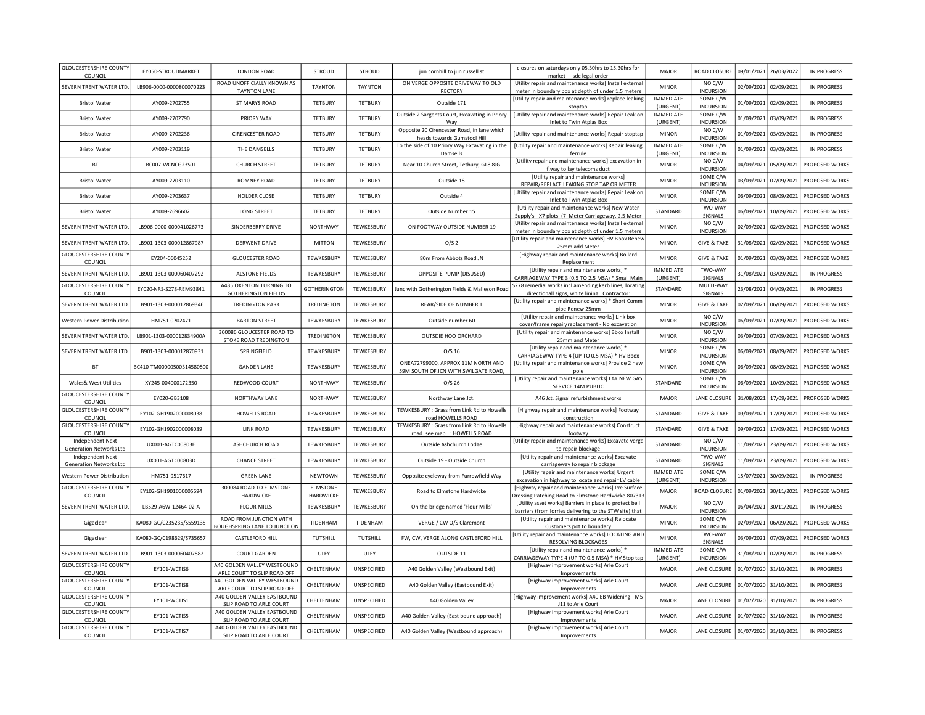| <b>GLOUCESTERSHIRE COUNTY</b><br>COUNCIL                     | EY050-STROUDMARKET        | <b>LONDON ROAD</b>                                         | STROUD          | STROUD         | jun cornhill to jun russell st                                             | closures on saturdays only 05.30hrs to 15.30hrs for<br>market----sdc legal order                               | <b>MAJOR</b>                     | ROAD CLOSURE                 | 09/01/2021 | 26/03/2022 | IN PROGRESS        |
|--------------------------------------------------------------|---------------------------|------------------------------------------------------------|-----------------|----------------|----------------------------------------------------------------------------|----------------------------------------------------------------------------------------------------------------|----------------------------------|------------------------------|------------|------------|--------------------|
| SEVERN TRENT WATER LTD.                                      | LB906-0000-0000800070223  | ROAD UNOFFICIALLY KNOWN AS<br><b>TAYNTON LANE</b>          | <b>TAYNTON</b>  | <b>TAYNTON</b> | ON VERGE OPPOSITE DRIVEWAY TO OLD<br>RECTORY                               | [Utility repair and maintenance works] Install external                                                        | <b>MINOR</b>                     | NO C/W<br><b>INCURSION</b>   | 02/09/2021 | 02/09/2021 | IN PROGRESS        |
| <b>Bristol Water</b>                                         | AY009-2702755             | ST MARYS ROAD                                              | <b>TETBURY</b>  | TFTBURY        | Outside 171                                                                | meter in boundary box at depth of under 1.5 meters<br>[Utility repair and maintenance works] replace leaking   | IMMEDIATE                        | SOME C/W                     | 01/09/2021 | 02/09/2021 | IN PROGRESS        |
| <b>Bristol Water</b>                                         | AY009-2702790             | PRIORY WAY                                                 | <b>TETBURY</b>  | <b>TETBURY</b> | Outside 2 Sargents Court, Excavating in Priory                             | stoptap<br>[Utility repair and maintenance works] Repair Leak on                                               | (URGENT)<br><b>IMMEDIATE</b>     | <b>INCURSION</b><br>SOME C/W | 01/09/2021 |            | <b>IN PROGRESS</b> |
|                                                              |                           |                                                            |                 |                | Way<br>Opposite 20 Cirencester Road, in lane which                         | Inlet to Twin Atplas Box                                                                                       | (URGENT)                         | <b>INCURSION</b><br>NO C/W   |            | 03/09/2021 |                    |
| <b>Bristol Water</b>                                         | AY009-2702236             | <b>CIRENCESTER ROAD</b>                                    | TFTBURY         | <b>TETBURY</b> | heads towards Gumstool Hill                                                | [Utility repair and maintenance works] Repair stoptap                                                          | <b>MINOR</b><br><b>IMMEDIATE</b> | <b>INCURSION</b>             | 01/09/2021 | 03/09/2021 | IN PROGRESS        |
| <b>Bristol Water</b>                                         | AY009-2703119             | THE DAMSELLS                                               | <b>TETBURY</b>  | <b>TETBURY</b> | To the side of 10 Priory Way Excavating in the<br>Damsells                 | [Utility repair and maintenance works] Repair leaking<br>ferrule                                               | (URGENT)                         | SOME C/W<br><b>INCURSION</b> | 01/09/2021 | 03/09/2021 | IN PROGRESS        |
| <b>BT</b>                                                    | BC007-WCNCG23S01          | <b>CHURCH STREET</b>                                       | <b>TETBURY</b>  | <b>TETBURY</b> | Near 10 Church Street, Tetbury, GL8 8JG                                    | [Utility repair and maintenance works] excavation in<br>f.way to lay telecoms duct                             | <b>MINOR</b>                     | NO C/W<br><b>INCURSION</b>   | 04/09/2021 | 05/09/2021 | PROPOSED WORKS     |
| <b>Bristol Water</b>                                         | AY009-2703110             | <b>ROMNEY ROAD</b>                                         | <b>TETBURY</b>  | <b>TETBURY</b> | Outside 18                                                                 | [Utility repair and maintenance works]<br>REPAIR/REPLACE LEAKING STOP TAP OR METER                             | <b>MINOR</b>                     | SOME C/W<br><b>INCURSION</b> | 03/09/2021 | 07/09/2021 | PROPOSED WORKS     |
| <b>Bristol Water</b>                                         | AY009-2703637             | HOLDER CLOSE                                               | TFTBURY         | TETBURY        | Outside 4                                                                  | [Utility repair and maintenance works] Repair Leak or<br>Inlet to Twin Atplas Box                              | <b>MINOR</b>                     | SOME C/W<br><b>INCURSION</b> | 06/09/2021 | 08/09/2021 | PROPOSED WORKS     |
| <b>Bristol Water</b>                                         | AY009-2696602             | <b>LONG STREET</b>                                         | <b>TETBURY</b>  | <b>TETBURY</b> | Outside Number 15                                                          | [Utility repair and maintenance works] New Water                                                               | STANDARD                         | TWO-WAY                      | 06/09/2021 | 10/09/2021 | PROPOSED WORKS     |
| SEVERN TRENT WATER LTD.                                      | LB906-0000-000041026773   | SINDERBERRY DRIVE                                          | NORTHWAY        | TEWKESBURY     | ON FOOTWAY OUTSIDE NUMBER 19                                               | Supply's - X7 plots. (7 Meter Carriageway, 2.5 Meter<br>[Utility repair and maintenance works] Install externa | <b>MINOR</b>                     | SIGNALS<br>NO C/W            | 02/09/2021 | 02/09/2021 | PROPOSED WORKS     |
|                                                              |                           | <b>DERWENT DRIVE</b>                                       | <b>MITTON</b>   |                |                                                                            | meter in boundary box at depth of under 1.5 meters<br>[Utility repair and maintenance works] HV Bbox Renev     |                                  | <b>INCURSION</b>             |            |            |                    |
| SEVERN TRENT WATER LTD.<br><b>GLOUCESTERSHIRE COUNTY</b>     | LB901-1303-000012867987   |                                                            |                 | TEWKESBURY     | O/S <sub>2</sub>                                                           | 25mm add Meter<br>[Highway repair and maintenance works] Bollard                                               | <b>MINOR</b>                     | <b>GIVE &amp; TAKE</b>       | 31/08/2021 | 02/09/2021 | PROPOSED WORKS     |
| COUNCIL                                                      | EY204-06045252            | <b>GLOUCESTER ROAD</b>                                     | TEWKESBURY      | TEWKESBURY     | 80m From Abbots Road JN                                                    | Replacement                                                                                                    | <b>MINOR</b>                     | <b>GIVE &amp; TAKE</b>       | 01/09/2021 | 03/09/2021 | PROPOSED WORKS     |
| SEVERN TRENT WATER LTD.                                      | LB901-1303-000060407292   | ALSTONE FIELDS                                             | TEWKESBURY      | TEWKESBURY     | OPPOSITE PUMP (DISUSED)                                                    | [Utility repair and maintenance works] *<br>CARRIAGEWAY TYPE 3 (0.5 TO 2.5 MSA) * Small Main                   | <b>IMMEDIATE</b><br>(URGENT)     | TWO-WAY<br>SIGNALS           | 31/08/2021 | 03/09/2021 | IN PROGRESS        |
| <b>GLOUCESTERSHIRE COUNTY</b><br>COUNCIL                     | EY020-NRS-S278-REM93841   | A435 OXENTON TURNING TO<br><b>GOTHERINGTON FIELDS</b>      | GOTHERINGTON    | TEWKESBURY     | Junc with Gotherington Fields & Malleson Road                              | S278 remedial works incl amending kerb lines, locating<br>directionall signs, white lining. Contractor:        | STANDARD                         | MULTI-WAY<br>SIGNALS         | 23/08/2021 | 04/09/2021 | IN PROGRESS        |
| SEVERN TRENT WATER LTD.                                      | LB901-1303-000012869346   | <b>TREDINGTON PARK</b>                                     | TREDINGTON      | TEWKESBURY     | REAR/SIDE OF NUMBER 1                                                      | [Utility repair and maintenance works] * Short Comm<br>pipe Renew 25mm                                         | <b>MINOR</b>                     | <b>GIVE &amp; TAKE</b>       | 02/09/2021 | 06/09/2021 | PROPOSED WORKS     |
| <b>Western Power Distribution</b>                            | HM751-0702471             | <b>BARTON STREET</b>                                       | TEWKESBURY      | TEWKESBURY     | Outside number 60                                                          | [Utility repair and maintenance works] Link box<br>cover/frame repair/replacement - No excavation              | <b>MINOR</b>                     | NO C/W<br><b>INCURSION</b>   | 06/09/2021 | 07/09/2021 | PROPOSED WORKS     |
| SEVERN TRENT WATER LTD.                                      | LB901-1303-000012834900A  | 300086 GLOUCESTER ROAD TO                                  | TREDINGTON      | TEWKESBURY     | OUTSDIE HOO ORCHARD                                                        | [Utility repair and maintenance works] Bbox Install                                                            | <b>MINOR</b>                     | NO C/W                       | 03/09/2021 | 07/09/2021 | PROPOSED WORKS     |
| SEVERN TRENT WATER LTD.                                      | LB901-1303-000012870931   | STOKE ROAD TREDINGTON<br>SPRINGFIELD                       | TEWKESBURY      | TEWKESBURY     | $O/S$ 16                                                                   | 25mm and Meter<br>[Utility repair and maintenance works] *                                                     | <b>MINOR</b>                     | <b>INCURSION</b><br>SOME C/W | 06/09/2021 | 08/09/2021 | PROPOSED WORKS     |
| <b>BT</b>                                                    | BC410-TM00000500314580800 | <b>GANDER LANE</b>                                         | TEWKESBURY      | TEWKESBURY     | ONEA72799000, APPROX 11M NORTH AND                                         | CARRIAGEWAY TYPE 4 (UP TO 0.5 MSA) * HV Bbox<br>[Utility repair and maintenance works] Provide 2 new           | <b>MINOR</b>                     | <b>INCURSION</b><br>SOME C/W | 06/09/2021 | 08/09/2021 | PROPOSED WORKS     |
|                                                              |                           |                                                            |                 |                | 59M SOUTH OF JCN WITH SWILGATE ROAD                                        | pole<br>[Utility repair and maintenance works] LAY NEW GAS                                                     |                                  | <b>INCURSION</b><br>SOME C/W |            |            |                    |
| Wales& West Utilities<br><b>GLOUCESTERSHIRE COUNTY</b>       | XY245-004000172350        | REDWOOD COURT                                              | NORTHWAY        | TEWKESBURY     | $O/S$ 26                                                                   | SERVICE 14M PUBLIC                                                                                             | STANDARD                         | <b>INCURSION</b>             | 06/09/2021 | 10/09/2021 | PROPOSED WORKS     |
| COUNCIL                                                      | EY020-GB3108              | NORTHWAY LANE                                              | NORTHWAY        | TEWKESBURY     | Northway Lane Jct.                                                         | A46 Jct. Signal refurbishment works                                                                            | <b>MAJOR</b>                     | LANE CLOSURE                 | 31/08/2021 | 17/09/2021 | PROPOSED WORKS     |
| <b>GLOUCESTERSHIRE COUNTY</b><br>COUNCIL                     | EY102-GH1902000008038     | <b>HOWELLS ROAD</b>                                        | TEWKESBURY      | TEWKESBURY     | TEWKESBURY: Grass from Link Rd to Howells<br>road HOWELLS ROAD             | [Highway repair and maintenance works] Footway<br>construction                                                 | STANDARD                         | <b>GIVE &amp; TAKE</b>       | 09/09/2021 | 17/09/2021 | PROPOSED WORKS     |
| <b>GLOUCESTERSHIRE COUNTY</b><br>COUNCIL                     | EY102-GH1902000008039     | LINK ROAD                                                  | TEWKESBURY      | TEWKESBURY     | TEWKESBURY: Grass from Link Rd to Howells<br>road. see map. : HOWELLS ROAD | [Highway repair and maintenance works] Construct<br>footway                                                    | STANDARD                         | <b>GIVE &amp; TAKE</b>       | 09/09/2021 | 17/09/2021 | PROPOSED WORKS     |
| Independent Next<br><b>Generation Networks Ltd</b>           | UX001-AGTC00803F          | <b>ASHCHURCH ROAD</b>                                      | TEWKESBURY      | TEWKESBURY     | Outside Ashchurch Lodge                                                    | [Utility repair and maintenance works] Excavate verge<br>to repair blockage                                    | STANDARD                         | NO C/W<br><b>INCURSION</b>   | 11/09/2021 | 23/09/2021 | PROPOSED WORKS     |
| Independent Next                                             | UX001-AGTC00803D          | <b>CHANCE STREET</b>                                       | TEWKESBURY      | TEWKESBURY     | Outside 19 - Outside Church                                                | [Utility repair and maintenance works] Excavate                                                                | STANDARD                         | TWO-WAY                      | 11/09/2021 | 23/09/2021 | PROPOSED WORKS     |
| <b>Generation Networks Ltd</b><br>Western Power Distribution | HM751-9517617             | <b>GREEN LANE</b>                                          | <b>NEWTOWN</b>  | TEWKESBURY     | Opposite cycleway from Furrowfield Way                                     | carriageway to repair blockage<br>[Utility repair and maintenance works] Urgent                                | <b>IMMEDIATE</b>                 | SIGNALS<br>SOME C/W          | 15/07/2021 | 30/09/2021 | IN PROGRESS        |
| <b>GLOUCESTERSHIRE COUNTY</b>                                |                           | 300084 ROAD TO ELMSTONE                                    | <b>ELMSTONE</b> |                |                                                                            | excavation in highway to locate and repair LV cable<br>[Highway repair and maintenance works] Pre Surface      | (URGENT)                         | <b>INCURSION</b>             |            |            |                    |
| COUNCIL                                                      | EY102-GH1901000005694     | HARDWICKE                                                  | HARDWICKE       | TEWKESBURY     | Road to Elmstone Hardwicke                                                 | Dressing Patching Road to Elmstone Hardwicke 80731<br>[Utility asset works] Barriers in place to protect bell  | MAJOR                            | ROAD CLOSURE<br>NO C/W       | 01/09/2021 | 30/11/2021 | PROPOSED WORKS     |
| SEVERN TRENT WATER LTD.                                      | LB529-A6W-12464-02-A      | <b>FLOUR MILLS</b>                                         | TEWKESBURY      | TEWKESBURY     | On the bridge named 'Flour Mills'                                          | barriers (from lorries delivering to the STW site) that                                                        | MAJOR                            | <b>INCURSION</b>             | 06/04/2021 | 30/11/2021 | IN PROGRESS        |
| Gigaclear                                                    | KA080-GC/C235235/S559135  | ROAD FROM JUNCTION WITH<br>BOUGHSPRING LANE TO JUNCTION    | TIDENHAM        | TIDENHAM       | VERGE / CW O/S Claremont                                                   | [Utility repair and maintenance works] Relocate<br>Customers pot to boundary                                   | <b>MINOR</b>                     | SOME C/W<br><b>INCURSION</b> | 02/09/2021 | 06/09/2021 | PROPOSED WORKS     |
| Gigaclear                                                    | KA080-GC/C198629/S735657  | <b>CASTLEFORD HILL</b>                                     | TUTSHILL        | TUTSHILL       | FW, CW, VERGE ALONG CASTLEFORD HILL                                        | [Utility repair and maintenance works] LOCATING AND<br><b>RESOLVING BLOCKAGES</b>                              | <b>MINOR</b>                     | TWO-WAY<br>SIGNALS           | 03/09/2021 | 07/09/2021 | PROPOSED WORKS     |
| SEVERN TRENT WATER LTD.                                      | LB901-1303-000060407882   | <b>COURT GARDEN</b>                                        | ULEY            | ULEY           | OUTSIDE 11                                                                 | [Utility repair and maintenance works] *<br>CARRIAGEWAY TYPE 4 (UP TO 0.5 MSA) * HV Stop tap                   | <b>IMMEDIATE</b><br>(URGENT)     | SOME C/W<br><b>INCURSION</b> | 31/08/2021 | 02/09/2021 | IN PROGRESS        |
| <b>GLOUCESTERSHIRE COUNTY</b>                                | EY101-WCTIS6              | A40 GOLDEN VALLEY WESTBOUND                                | CHELTENHAM      | UNSPECIFIED    | A40 Golden Valley (Westbound Exit)                                         | [Highway improvement works] Arle Court                                                                         | MAJOR                            | LANE CLOSURE                 | 01/07/2020 | 31/10/2021 | <b>IN PROGRESS</b> |
| COUNCIL<br><b>GLOUCESTERSHIRE COUNTY</b>                     | EY101-WCTIS8              | ARLE COURT TO SLIP ROAD OFF<br>A40 GOLDEN VALLEY WESTBOUND | CHELTENHAM      | UNSPECIFIED    | A40 Golden Valley (Eastbound Exit)                                         | <b>Improvements</b><br>[Highway improvement works] Arle Court                                                  | MAJOR                            | LANE CLOSURE                 | 01/07/2020 | 31/10/2021 | IN PROGRESS        |
| COUNCIL<br><b>GLOUCESTERSHIRE COUNTY</b>                     |                           | ARLE COURT TO SLIP ROAD OFF<br>A40 GOLDEN VALLEY EASTBOUND |                 |                |                                                                            | Improvements<br>[Highway improvement works] A40 EB Widening - M5                                               |                                  |                              |            |            |                    |
| COUNCIL<br><b>GLOUCESTERSHIRE COUNTY</b>                     | EY101-WCTIS1              | SLIP ROAD TO ARLE COURT<br>A40 GOLDEN VALLEY EASTBOUND     | CHELTENHAM      | UNSPECIFIED    | A40 Golden Valley                                                          | J11 to Arle Court<br>[Highway improvement works] Arle Court                                                    | MAJOR                            | LANE CLOSURE                 | 01/07/2020 | 31/10/2021 | <b>IN PROGRESS</b> |
| COUNCIL                                                      | EY101-WCTIS5              | SLIP ROAD TO ARLE COURT                                    | CHELTENHAM      | UNSPECIFIED    | A40 Golden Valley (East bound approach)                                    | Improvements                                                                                                   | MAJOR                            | LANE CLOSURE                 | 01/07/2020 | 31/10/2021 | <b>IN PROGRESS</b> |
| <b>GLOUCESTERSHIRE COUNTY</b><br>COUNCIL                     | EY101-WCTIS7              | A40 GOLDEN VALLEY EASTBOUND<br>SLIP ROAD TO ARLE COURT     | CHELTENHAM      | UNSPECIFIED    | A40 Golden Valley (Westbound approach)                                     | [Highway improvement works] Arle Court<br>Improvements                                                         | MAIOR                            | LANE CLOSURE                 | 01/07/2020 | 31/10/2021 | <b>IN PROGRESS</b> |